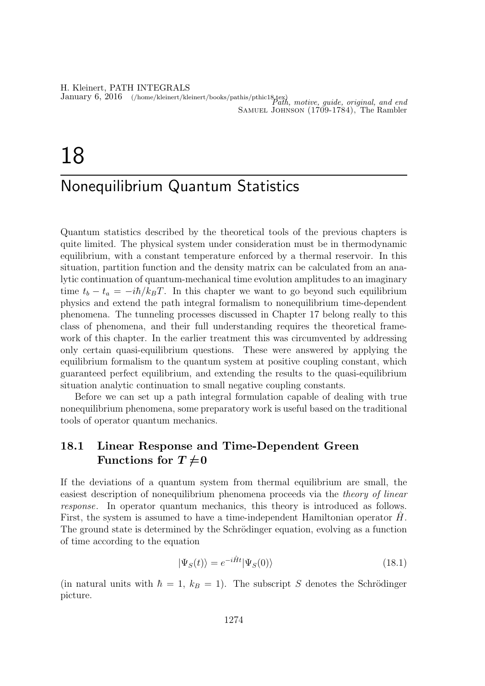H. Kleinert, PATH INTEGRALS

January 6, 2016 (/home/kleinert/kleinert/books/pathis/pthic18.tex) Path, motive, guide, original, and end Samuel Johnson (1709-1784), The Rambler

# 18

# Nonequilibrium Quantum Statistics

Quantum statistics described by the theoretical tools of the previous chapters is quite limited. The physical system under consideration must be in thermodynamic equilibrium, with a constant temperature enforced by a thermal reservoir. In this situation, partition function and the density matrix can be calculated from an analytic continuation of quantum-mechanical time evolution amplitudes to an imaginary time  $t_b - t_a = -i\hbar/k_B T$ . In this chapter we want to go beyond such equilibrium physics and extend the path integral formalism to nonequilibrium time-dependent phenomena. The tunneling processes discussed in Chapter 17 belong really to this class of phenomena, and their full understanding requires the theoretical framework of this chapter. In the earlier treatment this was circumvented by addressing only certain quasi-equilibrium questions. These were answered by applying the equilibrium formalism to the quantum system at positive coupling constant, which guaranteed perfect equilibrium, and extending the results to the quasi-equilibrium situation analytic continuation to small negative coupling constants.

Before we can set up a path integral formulation capable of dealing with true nonequilibrium phenomena, some preparatory work is useful based on the traditional tools of operator quantum mechanics.

# 18.1 Linear Response and Time-Dependent Green Functions for  $T\neq 0$

If the deviations of a quantum system from thermal equilibrium are small, the easiest description of nonequilibrium phenomena proceeds via the *theory of linear* response. In operator quantum mechanics, this theory is introduced as follows. First, the system is assumed to have a time-independent Hamiltonian operator  $H$ . The ground state is determined by the Schrödinger equation, evolving as a function of time according to the equation

$$
|\Psi_S(t)\rangle = e^{-i\hat{H}t}|\Psi_S(0)\rangle
$$
\n(18.1)

(in natural units with  $\hbar = 1$ ,  $k_B = 1$ ). The subscript S denotes the Schrödinger picture.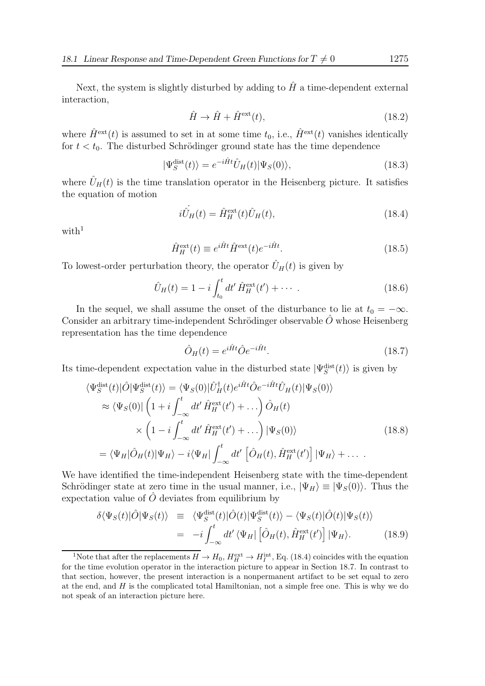Next, the system is slightly disturbed by adding to  $\hat{H}$  a time-dependent external interaction,

$$
\hat{H} \to \hat{H} + \hat{H}^{\text{ext}}(t),\tag{18.2}
$$

where  $\hat{H}^{\text{ext}}(t)$  is assumed to set in at some time  $t_0$ , i.e.,  $\hat{H}^{\text{ext}}(t)$  vanishes identically for  $t < t_0$ . The disturbed Schrödinger ground state has the time dependence

$$
|\Psi_S^{\text{dist}}(t)\rangle = e^{-i\hat{H}t}\hat{U}_H(t)|\Psi_S(0)\rangle, \tag{18.3}
$$

where  $\hat{U}_H(t)$  is the time translation operator in the Heisenberg picture. It satisfies the equation of motion

$$
i\dot{\hat{U}}_H(t) = \hat{H}_H^{\text{ext}}(t)\hat{U}_H(t),
$$
\n(18.4)

with $1$ 

$$
\hat{H}_{H}^{\text{ext}}(t) \equiv e^{i\hat{H}t} \hat{H}^{\text{ext}}(t) e^{-i\hat{H}t}.
$$
\n(18.5)

To lowest-order perturbation theory, the operator  $\hat{U}_H(t)$  is given by

$$
\hat{U}_H(t) = 1 - i \int_{t_0}^t dt' \hat{H}_H^{\text{ext}}(t') + \cdots \tag{18.6}
$$

In the sequel, we shall assume the onset of the disturbance to lie at  $t_0 = -\infty$ . Consider an arbitrary time-independent Schrödinger observable  $O$  whose Heisenberg representation has the time dependence

$$
\hat{O}_H(t) = e^{i\hat{H}t}\hat{O}e^{-i\hat{H}t}.\tag{18.7}
$$

Its time-dependent expectation value in the disturbed state  $|\Psi_S^{\text{dist}}(t)\rangle$  is given by

$$
\langle \Psi_S^{\text{dist}}(t) | \hat{O} | \Psi_S^{\text{dist}}(t) \rangle = \langle \Psi_S(0) | \hat{U}_H^{\dagger}(t) e^{i\hat{H}t} \hat{O} e^{-i\hat{H}t} \hat{U}_H(t) | \Psi_S(0) \rangle
$$
  
\n
$$
\approx \langle \Psi_S(0) | \left( 1 + i \int_{-\infty}^t dt' \hat{H}_H^{\text{ext}}(t') + \dots \right) \hat{O}_H(t)
$$
  
\n
$$
\times \left( 1 - i \int_{-\infty}^t dt' \hat{H}_H^{\text{ext}}(t') + \dots \right) | \Psi_S(0) \rangle
$$
  
\n
$$
= \langle \Psi_H | \hat{O}_H(t) | \Psi_H \rangle - i \langle \Psi_H | \int_{-\infty}^t dt' \left[ \hat{O}_H(t), \hat{H}_H^{\text{ext}}(t') \right] | \Psi_H \rangle + \dots
$$
 (18.8)

We have identified the time-independent Heisenberg state with the time-dependent Schrödinger state at zero time in the usual manner, i.e.,  $|\Psi_H\rangle \equiv |\Psi_S(0)\rangle$ . Thus the expectation value of  $\hat{O}$  deviates from equilibrium by

$$
\delta \langle \Psi_S(t) | \hat{O} | \Psi_S(t) \rangle \equiv \langle \Psi_S^{\text{dist}}(t) | \hat{O}(t) | \Psi_S^{\text{dist}}(t) \rangle - \langle \Psi_S(t) | \hat{O}(t) | \Psi_S(t) \rangle
$$
  

$$
= -i \int_{-\infty}^t dt' \langle \Psi_H | \left[ \hat{O}_H(t), \hat{H}_H^{\text{ext}}(t') \right] | \Psi_H \rangle. \tag{18.9}
$$

<sup>&</sup>lt;sup>1</sup>Note that after the replacements  $H \to H_0$ ,  $H_H^{\text{ext}} \to H_I^{\text{int}}$ , Eq. (18.4) coincides with the equation for the time evolution operator in the interaction picture to appear in Section 18.7. In contrast to that section, however, the present interaction is a nonpermanent artifact to be set equal to zero at the end, and  $H$  is the complicated total Hamiltonian, not a simple free one. This is why we do not speak of an interaction picture here.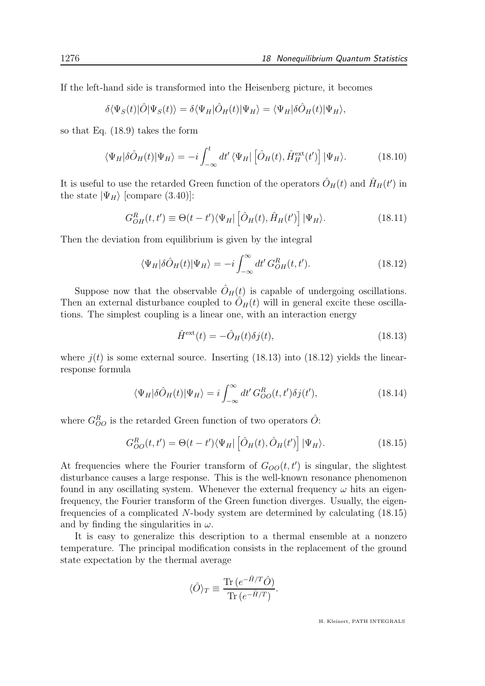If the left-hand side is transformed into the Heisenberg picture, it becomes

$$
\delta \langle \Psi_S(t) | \hat{O} | \Psi_S(t) \rangle = \delta \langle \Psi_H | \hat{O}_H(t) | \Psi_H \rangle = \langle \Psi_H | \delta \hat{O}_H(t) | \Psi_H \rangle,
$$

so that Eq. (18.9) takes the form

$$
\langle \Psi_H | \delta \hat{O}_H(t) | \Psi_H \rangle = -i \int_{-\infty}^t dt' \langle \Psi_H | \left[ \hat{O}_H(t), \hat{H}_H^{\text{ext}}(t') \right] | \Psi_H \rangle. \tag{18.10}
$$

It is useful to use the retarded Green function of the operators  $\hat{O}_H(t)$  and  $\hat{H}_H(t')$  in the state  $|\Psi_H\rangle$  [compare (3.40)]:

$$
G_{OH}^{R}(t, t') \equiv \Theta(t - t') \langle \Psi_{H} | \left[ \hat{O}_{H}(t), \hat{H}_{H}(t') \right] | \Psi_{H} \rangle. \tag{18.11}
$$

Then the deviation from equilibrium is given by the integral

$$
\langle \Psi_H | \delta \hat{O}_H(t) | \Psi_H \rangle = -i \int_{-\infty}^{\infty} dt' \, G_{OH}^R(t, t'). \tag{18.12}
$$

Suppose now that the observable  $\hat{O}_H(t)$  is capable of undergoing oscillations. Then an external disturbance coupled to  $\ddot{O}_H(t)$  will in general excite these oscillations. The simplest coupling is a linear one, with an interaction energy

$$
\hat{H}^{\text{ext}}(t) = -\hat{O}_H(t)\delta j(t),\tag{18.13}
$$

where  $i(t)$  is some external source. Inserting (18.13) into (18.12) yields the linearresponse formula

$$
\langle \Psi_H | \delta \hat{O}_H(t) | \Psi_H \rangle = i \int_{-\infty}^{\infty} dt' \, G_{OO}^R(t, t') \delta j(t'), \tag{18.14}
$$

where  $G_{OO}^R$  is the retarded Green function of two operators  $\hat{O}$ :

$$
G_{OO}^{R}(t,t') = \Theta(t-t')\langle\Psi_H|\left[\hat{O}_H(t),\hat{O}_H(t')\right]|\Psi_H\rangle.
$$
 (18.15)

At frequencies where the Fourier transform of  $G_{OO}(t, t')$  is singular, the slightest disturbance causes a large response. This is the well-known resonance phenomenon found in any oscillating system. Whenever the external frequency  $\omega$  hits an eigenfrequency, the Fourier transform of the Green function diverges. Usually, the eigenfrequencies of a complicated N-body system are determined by calculating (18.15) and by finding the singularities in  $\omega$ .

It is easy to generalize this description to a thermal ensemble at a nonzero temperature. The principal modification consists in the replacement of the ground state expectation by the thermal average

$$
\langle \hat{O} \rangle_T \equiv \frac{\text{Tr} \left( e^{-\hat{H}/T} \hat{O} \right)}{\text{Tr} \left( e^{-\hat{H}/T} \right)}.
$$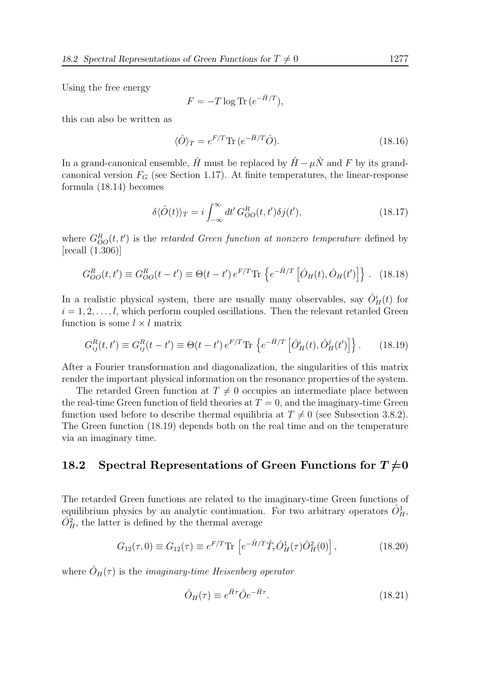Using the free energy

$$
F = -T \log \text{Tr} \left( e^{-\hat{H}/T} \right),
$$

this can also be written as

$$
\langle \hat{O} \rangle_T = e^{F/T} \text{Tr} \left( e^{-\hat{H}/T} \hat{O} \right). \tag{18.16}
$$

In a grand-canonical ensemble,  $\hat{H}$  must be replaced by  $\hat{H} - \mu \hat{N}$  and F by its grandcanonical version  $F_G$  (see Section 1.17). At finite temperatures, the linear-response formula (18.14) becomes

$$
\delta \langle \hat{O}(t) \rangle_T = i \int_{-\infty}^{\infty} dt' G_{OO}^R(t, t') \delta j(t'), \qquad (18.17)
$$

where  $G_{OO}^{R}(t,t')$  is the retarded Green function at nonzero temperature defined by [recall (1.306)]

$$
G_{OO}^R(t,t') \equiv G_{OO}^R(t-t') \equiv \Theta(t-t') e^{F/T} \text{Tr} \left\{ e^{-\hat{H}/T} \left[ \hat{O}_H(t), \hat{O}_H(t') \right] \right\}.
$$
 (18.18)

In a realistic physical system, there are usually many observables, say  $\hat{O}_{H}^{i}(t)$  for  $i = 1, 2, \ldots, l$ , which perform coupled oscillations. Then the relevant retarded Green function is some  $l \times l$  matrix

$$
G_{ij}^{R}(t, t') \equiv G_{ij}^{R}(t - t') \equiv \Theta(t - t') e^{F/T} \text{Tr} \left\{ e^{-\hat{H}/T} \left[ \hat{O}_{H}^{i}(t), \hat{O}_{H}^{j}(t') \right] \right\}.
$$
 (18.19)

After a Fourier transformation and diagonalization, the singularities of this matrix render the important physical information on the resonance properties of the system.

The retarded Green function at  $T \neq 0$  occupies an intermediate place between the real-time Green function of field theories at  $T = 0$ , and the imaginary-time Green function used before to describe thermal equilibria at  $T \neq 0$  (see Subsection 3.8.2). The Green function (18.19) depends both on the real time and on the temperature via an imaginary time.

### 18.2 Spectral Representations of Green Functions for  $T\neq 0$

The retarded Green functions are related to the imaginary-time Green functions of equilibrium physics by an analytic continuation. For two arbitrary operators  $\hat{O}_H^1$ ,  $\hat{O}_{H}^{2}$ , the latter is defined by the thermal average

$$
G_{12}(\tau,0) \equiv G_{12}(\tau) \equiv e^{F/T} \text{Tr} \left[ e^{-\hat{H}/T} \hat{T}_{\tau} \hat{O}_H^1(\tau) \hat{O}_H^2(0) \right], \tag{18.20}
$$

where  $\hat{O}_H(\tau)$  is the *imaginary-time Heisenberg operator* 

$$
\hat{O}_H(\tau) \equiv e^{\hat{H}\tau} \hat{O} e^{-\hat{H}\tau}.
$$
\n(18.21)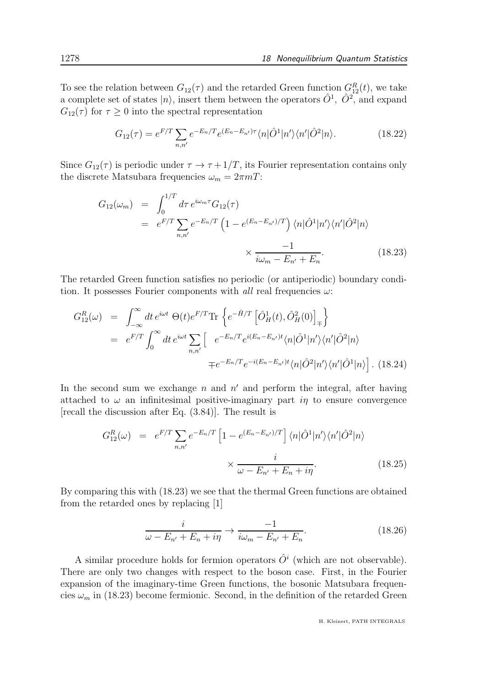To see the relation between  $G_{12}(\tau)$  and the retarded Green function  $G_{12}^{R}(t)$ , we take a complete set of states  $|n\rangle$ , insert them between the operators  $\hat{O}^1$ ,  $\hat{O}^2$ , and expand  $G_{12}(\tau)$  for  $\tau \geq 0$  into the spectral representation

$$
G_{12}(\tau) = e^{F/T} \sum_{n,n'} e^{-E_n/T} e^{(E_n - E_{n'})\tau} \langle n|\hat{O}^1|n'\rangle \langle n'|\hat{O}^2|n\rangle.
$$
 (18.22)

Since  $G_{12}(\tau)$  is periodic under  $\tau \to \tau + 1/T$ , its Fourier representation contains only the discrete Matsubara frequencies  $\omega_m = 2\pi mT$ :

$$
G_{12}(\omega_m) = \int_0^{1/T} d\tau \, e^{i\omega_m \tau} G_{12}(\tau)
$$
  
= 
$$
e^{F/T} \sum_{n,n'} e^{-E_n/T} \left(1 - e^{(E_n - E_{n'})/T}\right) \langle n|\hat{O}^1|n'\rangle \langle n'|\hat{O}^2|n\rangle
$$
  

$$
\times \frac{-1}{i\omega_m - E_{n'} + E_n}.
$$
 (18.23)

The retarded Green function satisfies no periodic (or antiperiodic) boundary condition. It possesses Fourier components with all real frequencies  $\omega$ :

$$
G_{12}^{R}(\omega) = \int_{-\infty}^{\infty} dt \, e^{i\omega t} \, \Theta(t) e^{F/T} \text{Tr} \left\{ e^{-\hat{H}/T} \left[ \hat{O}_{H}^{1}(t), \hat{O}_{H}^{2}(0) \right]_{\mp} \right\}
$$
  
\n
$$
= e^{F/T} \int_{0}^{\infty} dt \, e^{i\omega t} \sum_{n,n'} \left[ e^{-E_{n}/T} e^{i(E_{n}-E_{n'})t} \langle n | \hat{O}^{1} | n' \rangle \langle n' | \hat{O}^{2} | n \rangle \right]
$$
  
\n
$$
\mp e^{-E_{n}/T} e^{-i(E_{n}-E_{n'})t} \langle n | \hat{O}^{2} | n' \rangle \langle n' | \hat{O}^{1} | n \rangle \right]. \tag{18.24}
$$

In the second sum we exchange  $n$  and  $n'$  and perform the integral, after having attached to  $\omega$  an infinitesimal positive-imaginary part in to ensure convergence [recall the discussion after Eq. (3.84)]. The result is

$$
G_{12}^{R}(\omega) = e^{F/T} \sum_{n,n'} e^{-E_n/T} \left[ 1 - e^{(E_n - E_{n'})/T} \right] \langle n | \hat{O}^1 | n' \rangle \langle n' | \hat{O}^2 | n \rangle
$$

$$
\times \frac{i}{\omega - E_{n'} + E_n + i\eta}.
$$
(18.25)

By comparing this with (18.23) we see that the thermal Green functions are obtained from the retarded ones by replacing [1]

$$
\frac{i}{\omega - E_{n'} + E_n + i\eta} \to \frac{-1}{i\omega_m - E_{n'} + E_n}.
$$
\n(18.26)

A similar procedure holds for fermion operators  $\hat{O}^i$  (which are not observable). There are only two changes with respect to the boson case. First, in the Fourier expansion of the imaginary-time Green functions, the bosonic Matsubara frequencies  $\omega_m$  in (18.23) become fermionic. Second, in the definition of the retarded Green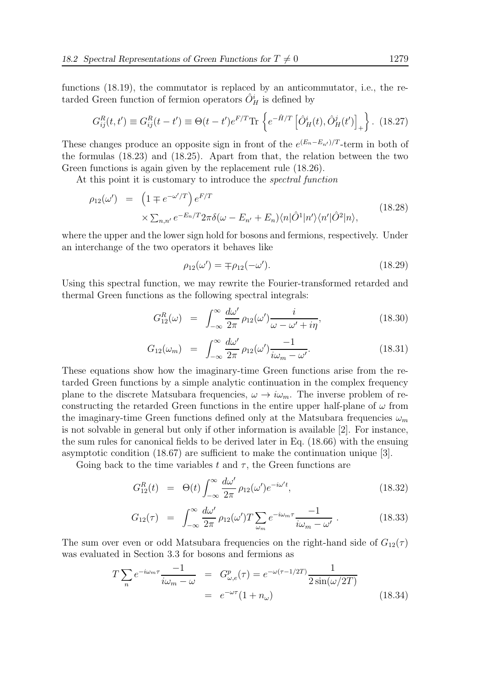functions (18.19), the commutator is replaced by an anticommutator, i.e., the retarded Green function of fermion operators  $\hat{O}_{H}^{i}$  is defined by

$$
G_{ij}^{R}(t, t') \equiv G_{ij}^{R}(t - t') \equiv \Theta(t - t')e^{F/T}\text{Tr}\left\{e^{-\hat{H}/T}\left[\hat{O}_{H}^{i}(t), \hat{O}_{H}^{j}(t')\right]_{+}\right\}.
$$
 (18.27)

These changes produce an opposite sign in front of the  $e^{(E_n - E_{n'})/T}$ -term in both of the formulas (18.23) and (18.25). Apart from that, the relation between the two Green functions is again given by the replacement rule  $(18.26)$ .

At this point it is customary to introduce the *spectral function* 

$$
\rho_{12}(\omega') = \left(1 \mp e^{-\omega'/T}\right) e^{F/T}
$$
  
 
$$
\times \sum_{n,n'} e^{-E_n/T} 2\pi \delta(\omega - E_{n'} + E_n) \langle n|\hat{O}^1|n'\rangle \langle n'|\hat{O}^2|n\rangle,
$$
 (18.28)

where the upper and the lower sign hold for bosons and fermions, respectively. Under an interchange of the two operators it behaves like

$$
\rho_{12}(\omega') = \mp \rho_{12}(-\omega'). \tag{18.29}
$$

Using this spectral function, we may rewrite the Fourier-transformed retarded and thermal Green functions as the following spectral integrals:

$$
G_{12}^{R}(\omega) = \int_{-\infty}^{\infty} \frac{d\omega'}{2\pi} \rho_{12}(\omega') \frac{i}{\omega - \omega' + i\eta}, \qquad (18.30)
$$

$$
G_{12}(\omega_m) = \int_{-\infty}^{\infty} \frac{d\omega'}{2\pi} \rho_{12}(\omega') \frac{-1}{i\omega_m - \omega'}.
$$
 (18.31)

These equations show how the imaginary-time Green functions arise from the retarded Green functions by a simple analytic continuation in the complex frequency plane to the discrete Matsubara frequencies,  $\omega \to i\omega_m$ . The inverse problem of reconstructing the retarded Green functions in the entire upper half-plane of  $\omega$  from the imaginary-time Green functions defined only at the Matsubara frequencies  $\omega_m$ is not solvable in general but only if other information is available [2]. For instance, the sum rules for canonical fields to be derived later in Eq. (18.66) with the ensuing asymptotic condition (18.67) are sufficient to make the continuation unique [3].

Going back to the time variables t and  $\tau$ , the Green functions are

$$
G_{12}^{R}(t) = \Theta(t) \int_{-\infty}^{\infty} \frac{d\omega'}{2\pi} \rho_{12}(\omega') e^{-i\omega' t}, \qquad (18.32)
$$

$$
G_{12}(\tau) = \int_{-\infty}^{\infty} \frac{d\omega'}{2\pi} \rho_{12}(\omega') T \sum_{\omega_m} e^{-i\omega_m \tau} \frac{-1}{i\omega_m - \omega'}.
$$
 (18.33)

The sum over even or odd Matsubara frequencies on the right-hand side of  $G_{12}(\tau)$ was evaluated in Section 3.3 for bosons and fermions as

$$
T\sum_{n} e^{-i\omega_{m}\tau} \frac{-1}{i\omega_{m} - \omega} = G_{\omega,e}^{p}(\tau) = e^{-\omega(\tau - 1/2T)} \frac{1}{2\sin(\omega/2T)}
$$

$$
= e^{-\omega\tau}(1 + n_{\omega})
$$
(18.34)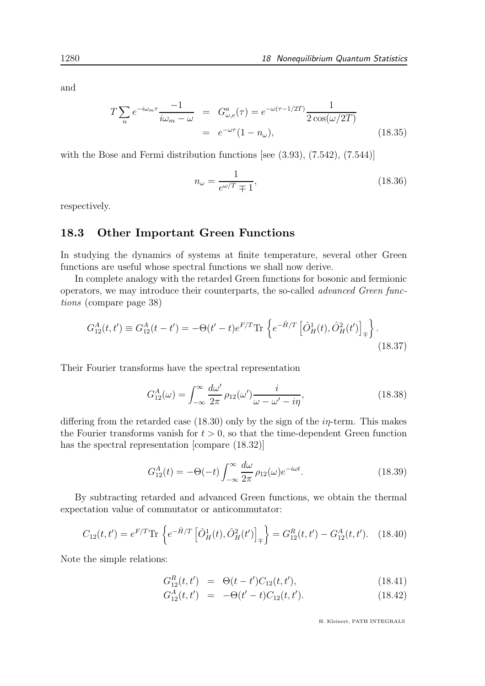and

$$
T\sum_{n} e^{-i\omega_{m}\tau} \frac{-1}{i\omega_{m} - \omega} = G^{a}_{\omega,e}(\tau) = e^{-\omega(\tau - 1/2T)} \frac{1}{2\cos(\omega/2T)}
$$

$$
= e^{-\omega\tau}(1 - n_{\omega}), \qquad (18.35)
$$

with the Bose and Fermi distribution functions [see  $(3.93)$ ,  $(7.542)$ ,  $(7.544)$ ]

$$
n_{\omega} = \frac{1}{e^{\omega/T} \mp 1},\tag{18.36}
$$

respectively.

#### 18.3 Other Important Green Functions

In studying the dynamics of systems at finite temperature, several other Green functions are useful whose spectral functions we shall now derive.

In complete analogy with the retarded Green functions for bosonic and fermionic operators, we may introduce their counterparts, the so-called advanced Green functions (compare page 38)

$$
G_{12}^{A}(t,t') \equiv G_{12}^{A}(t-t') = -\Theta(t'-t)e^{F/T} \text{Tr} \left\{ e^{-\hat{H}/T} \left[ \hat{O}_{H}^{1}(t), \hat{O}_{H}^{2}(t') \right]_{\mp} \right\}.
$$
\n(18.37)

Their Fourier transforms have the spectral representation

$$
G_{12}^A(\omega) = \int_{-\infty}^{\infty} \frac{d\omega'}{2\pi} \rho_{12}(\omega') \frac{i}{\omega - \omega' - i\eta},\qquad(18.38)
$$

differing from the retarded case  $(18.30)$  only by the sign of the  $i\eta$ -term. This makes the Fourier transforms vanish for  $t > 0$ , so that the time-dependent Green function has the spectral representation [compare (18.32)]

$$
G_{12}^A(t) = -\Theta(-t) \int_{-\infty}^{\infty} \frac{d\omega}{2\pi} \rho_{12}(\omega) e^{-i\omega t}.
$$
 (18.39)

By subtracting retarded and advanced Green functions, we obtain the thermal expectation value of commutator or anticommutator:

$$
C_{12}(t,t') = e^{F/T} \text{Tr} \left\{ e^{-\hat{H}/T} \left[ \hat{O}_H^1(t), \hat{O}_H^2(t') \right]_{\mp} \right\} = G_{12}^R(t,t') - G_{12}^A(t,t'). \quad (18.40)
$$

Note the simple relations:

$$
G_{12}^{R}(t, t') = \Theta(t - t')C_{12}(t, t'), \qquad (18.41)
$$

$$
G_{12}^{A}(t, t') = -\Theta(t'-t)C_{12}(t, t'). \qquad (18.42)
$$

H. Kleinert, PATH INTEGRALS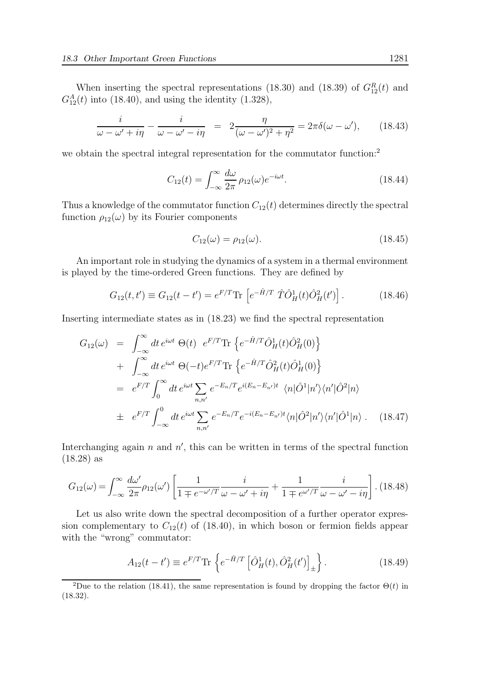When inserting the spectral representations (18.30) and (18.39) of  $G_{12}^R(t)$  and  $G_{12}^A(t)$  into (18.40), and using the identity (1.328),

$$
\frac{i}{\omega - \omega' + i\eta} - \frac{i}{\omega - \omega' - i\eta} = 2\frac{\eta}{(\omega - \omega')^2 + \eta^2} = 2\pi\delta(\omega - \omega'), \qquad (18.43)
$$

we obtain the spectral integral representation for the commutator function:<sup>2</sup>

$$
C_{12}(t) = \int_{-\infty}^{\infty} \frac{d\omega}{2\pi} \rho_{12}(\omega) e^{-i\omega t}.
$$
 (18.44)

Thus a knowledge of the commutator function  $C_{12}(t)$  determines directly the spectral function  $\rho_{12}(\omega)$  by its Fourier components

$$
C_{12}(\omega) = \rho_{12}(\omega). \tag{18.45}
$$

An important role in studying the dynamics of a system in a thermal environment is played by the time-ordered Green functions. They are defined by

$$
G_{12}(t, t') \equiv G_{12}(t - t') = e^{F/T} \text{Tr} \left[ e^{-\hat{H}/T} \hat{T} \hat{O}_H^1(t) \hat{O}_H^2(t') \right]. \tag{18.46}
$$

Inserting intermediate states as in (18.23) we find the spectral representation

$$
G_{12}(\omega) = \int_{-\infty}^{\infty} dt \, e^{i\omega t} \, \Theta(t) \, e^{F/T} \text{Tr} \left\{ e^{-\hat{H}/T} \hat{O}_H^1(t) \hat{O}_H^2(0) \right\} + \int_{-\infty}^{\infty} dt \, e^{i\omega t} \, \Theta(-t) e^{F/T} \text{Tr} \left\{ e^{-\hat{H}/T} \hat{O}_H^2(t) \hat{O}_H^1(0) \right\} = e^{F/T} \int_0^{\infty} dt \, e^{i\omega t} \sum_{n,n'} e^{-E_n/T} e^{i(E_n - E_{n'})t} \, \langle n | \hat{O}^1 | n' \rangle \langle n' | \hat{O}^2 | n \rangle + e^{F/T} \int_{-\infty}^0 dt \, e^{i\omega t} \sum_{n,n'} e^{-E_n/T} e^{-i(E_n - E_{n'})t} \langle n | \hat{O}^2 | n' \rangle \langle n' | \hat{O}^1 | n \rangle . \quad (18.47)
$$

Interchanging again  $n$  and  $n'$ , this can be written in terms of the spectral function (18.28) as

$$
G_{12}(\omega) = \int_{-\infty}^{\infty} \frac{d\omega'}{2\pi} \rho_{12}(\omega') \left[ \frac{1}{1 \mp e^{-\omega'/T}} \frac{i}{\omega - \omega' + i\eta} + \frac{1}{1 \mp e^{\omega'/T}} \frac{i}{\omega - \omega' - i\eta} \right].
$$
 (18.48)

Let us also write down the spectral decomposition of a further operator expression complementary to  $C_{12}(t)$  of (18.40), in which boson or fermion fields appear with the "wrong" commutator:

$$
A_{12}(t - t') \equiv e^{F/T} \text{Tr} \left\{ e^{-\hat{H}/T} \left[ \hat{O}_H^1(t), \hat{O}_H^2(t') \right]_{\pm} \right\}.
$$
 (18.49)

<sup>&</sup>lt;sup>2</sup>Due to the relation (18.41), the same representation is found by dropping the factor  $\Theta(t)$  in (18.32).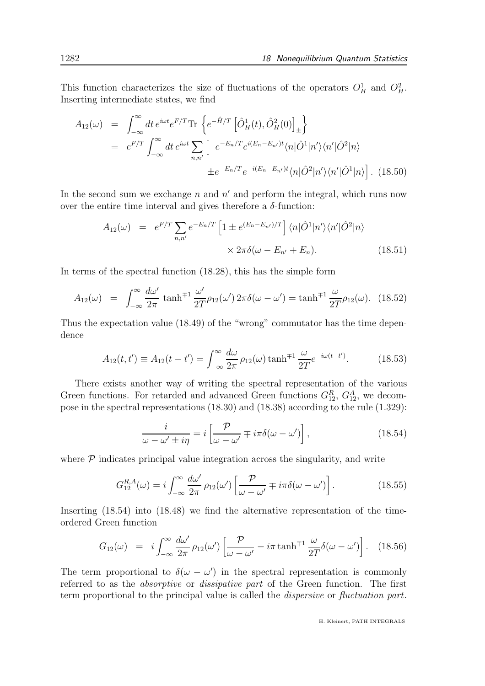This function characterizes the size of fluctuations of the operators  $O_H^1$  and  $O_H^2$ . Inserting intermediate states, we find

$$
A_{12}(\omega) = \int_{-\infty}^{\infty} dt \, e^{i\omega t} e^{F/T} \text{Tr} \left\{ e^{-\hat{H}/T} \left[ \hat{O}_H^1(t), \hat{O}_H^2(0) \right]_{\pm} \right\}
$$
  
\n
$$
= e^{F/T} \int_{-\infty}^{\infty} dt \, e^{i\omega t} \sum_{n,n'} \left[ e^{-E_n/T} e^{i(E_n - E_{n'})t} \langle n | \hat{O}^1 | n' \rangle \langle n' | \hat{O}^2 | n \rangle \right]
$$
  
\n
$$
\pm e^{-E_n/T} e^{-i(E_n - E_{n'})t} \langle n | \hat{O}^2 | n' \rangle \langle n' | \hat{O}^1 | n \rangle \right]. \tag{18.50}
$$

In the second sum we exchange  $n$  and  $n'$  and perform the integral, which runs now over the entire time interval and gives therefore a  $\delta$ -function:

$$
A_{12}(\omega) = e^{F/T} \sum_{n,n'} e^{-E_n/T} \left[ 1 \pm e^{(E_n - E_{n'})/T} \right] \langle n | \hat{O}^1 | n' \rangle \langle n' | \hat{O}^2 | n \rangle
$$
  
 
$$
\times 2\pi \delta(\omega - E_{n'} + E_n).
$$
 (18.51)

In terms of the spectral function (18.28), this has the simple form

$$
A_{12}(\omega) = \int_{-\infty}^{\infty} \frac{d\omega'}{2\pi} \tanh^{\mp1} \frac{\omega'}{2T} \rho_{12}(\omega') 2\pi \delta(\omega - \omega') = \tanh^{\mp1} \frac{\omega}{2T} \rho_{12}(\omega). \tag{18.52}
$$

Thus the expectation value (18.49) of the "wrong" commutator has the time dependence

$$
A_{12}(t, t') \equiv A_{12}(t - t') = \int_{-\infty}^{\infty} \frac{d\omega}{2\pi} \rho_{12}(\omega) \tanh^{\mp 1} \frac{\omega}{2T} e^{-i\omega(t - t')}.
$$
 (18.53)

There exists another way of writing the spectral representation of the various Green functions. For retarded and advanced Green functions  $G_{12}^R$ ,  $G_{12}^A$ , we decompose in the spectral representations (18.30) and (18.38) according to the rule (1.329):

$$
\frac{i}{\omega - \omega' \pm i\eta} = i \left[ \frac{\mathcal{P}}{\omega - \omega'} \mp i\pi \delta(\omega - \omega') \right],
$$
\n(18.54)

where  $\mathcal P$  indicates principal value integration across the singularity, and write

$$
G_{12}^{R,A}(\omega) = i \int_{-\infty}^{\infty} \frac{d\omega'}{2\pi} \rho_{12}(\omega') \left[ \frac{\mathcal{P}}{\omega - \omega'} \mp i\pi \delta(\omega - \omega') \right]. \tag{18.55}
$$

Inserting (18.54) into (18.48) we find the alternative representation of the timeordered Green function

$$
G_{12}(\omega) = i \int_{-\infty}^{\infty} \frac{d\omega'}{2\pi} \rho_{12}(\omega') \left[ \frac{\mathcal{P}}{\omega - \omega'} - i\pi \tanh^{\mp 1} \frac{\omega}{2T} \delta(\omega - \omega') \right]. \quad (18.56)
$$

The term proportional to  $\delta(\omega - \omega')$  in the spectral representation is commonly referred to as the *absorptive* or *dissipative part* of the Green function. The first term proportional to the principal value is called the dispersive or fluctuation part.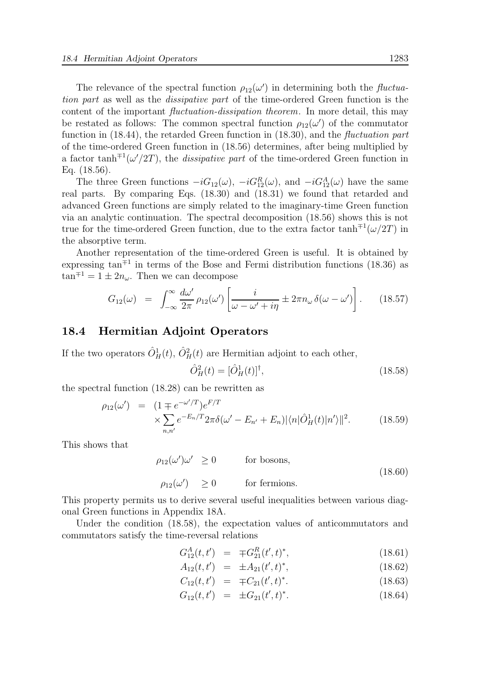The relevance of the spectral function  $\rho_{12}(\omega')$  in determining both the *fluctua*tion part as well as the dissipative part of the time-ordered Green function is the content of the important *fluctuation-dissipation theorem*. In more detail, this may be restated as follows: The common spectral function  $\rho_{12}(\omega')$  of the commutator function in  $(18.44)$ , the retarded Green function in  $(18.30)$ , and the *fluctuation part* of the time-ordered Green function in (18.56) determines, after being multiplied by a factor tanh<sup> $\pm 1$ </sup>( $\omega'/2T$ ), the *dissipative part* of the time-ordered Green function in Eq. (18.56).

The three Green functions  $-iG_{12}(\omega)$ ,  $-iG_{12}^R(\omega)$ , and  $-iG_{12}^A(\omega)$  have the same real parts. By comparing Eqs. (18.30) and (18.31) we found that retarded and advanced Green functions are simply related to the imaginary-time Green function via an analytic continuation. The spectral decomposition (18.56) shows this is not true for the time-ordered Green function, due to the extra factor  $\tanh<sup>71</sup>(\omega/2T)$  in the absorptive term.

Another representation of the time-ordered Green is useful. It is obtained by expressing  $tan<sup>71</sup>$  in terms of the Bose and Fermi distribution functions (18.36) as  $\tan^{\mp 1} = 1 \pm 2n_\omega$ . Then we can decompose

$$
G_{12}(\omega) = \int_{-\infty}^{\infty} \frac{d\omega'}{2\pi} \rho_{12}(\omega') \left[ \frac{i}{\omega - \omega' + i\eta} \pm 2\pi n_{\omega} \delta(\omega - \omega') \right]. \tag{18.57}
$$

#### 18.4 Hermitian Adjoint Operators

If the two operators  $\hat{O}_H^1(t)$ ,  $\hat{O}_H^2(t)$  are Hermitian adjoint to each other,

$$
\hat{O}_H^2(t) = [\hat{O}_H^1(t)]^\dagger, \tag{18.58}
$$

the spectral function (18.28) can be rewritten as

$$
\rho_{12}(\omega') = (1 \mp e^{-\omega'/T})e^{F/T} \times \sum_{n,n'} e^{-E_n/T} 2\pi \delta(\omega' - E_{n'} + E_n) |\langle n|\hat{O}_H^1(t)|n'\rangle||^2.
$$
 (18.59)

This shows that

$$
\rho_{12}(\omega')\omega' \ge 0 \qquad \text{for bosons},
$$
  
\n
$$
\rho_{12}(\omega') \ge 0 \qquad \text{for fermions.} \qquad (18.60)
$$

This property permits us to derive several useful inequalities between various diagonal Green functions in Appendix 18A.

Under the condition  $(18.58)$ , the expectation values of anticommutators and commutators satisfy the time-reversal relations

$$
G_{12}^{A}(t, t') = \mp G_{21}^{R}(t', t)^{*}, \qquad (18.61)
$$

$$
A_{12}(t, t') = \pm A_{21}(t', t)^*, \qquad (18.62)
$$

$$
C_{12}(t, t') = \pm C_{21}(t', t)^*.
$$
 (18.63)

$$
G_{12}(t, t') = \pm G_{21}(t', t)^*.
$$
 (18.64)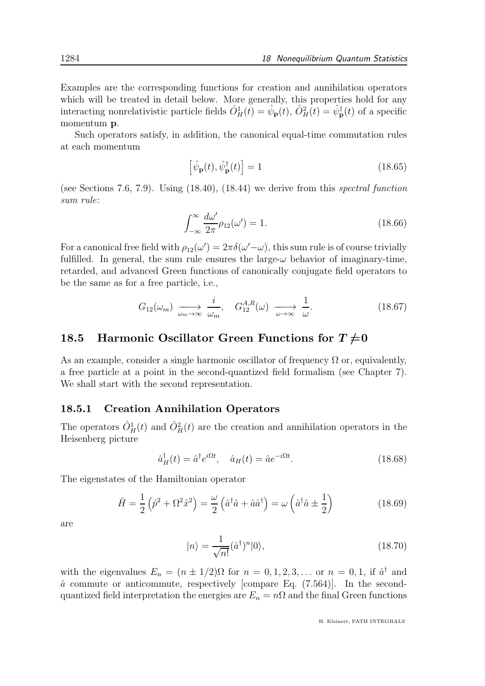Examples are the corresponding functions for creation and annihilation operators which will be treated in detail below. More generally, this properties hold for any interacting nonrelativistic particle fields  $\hat{O}_H^1(t) = \hat{\psi}_P(t), \hat{O}_H^2(t) = \hat{\psi}_P^{\dagger}(t)$  of a specific momentum p.

Such operators satisfy, in addition, the canonical equal-time commutation rules at each momentum

$$
\left[\hat{\psi}_{\mathbf{p}}(t), \hat{\psi}_{\mathbf{p}}^{\dagger}(t)\right] = 1\tag{18.65}
$$

(see Sections 7.6, 7.9). Using (18.40), (18.44) we derive from this spectral function sum rule:

$$
\int_{-\infty}^{\infty} \frac{d\omega'}{2\pi} \rho_{12}(\omega') = 1.
$$
 (18.66)

For a canonical free field with  $\rho_{12}(\omega') = 2\pi \delta(\omega' - \omega)$ , this sum rule is of course trivially fulfilled. In general, the sum rule ensures the large- $\omega$  behavior of imaginary-time, retarded, and advanced Green functions of canonically conjugate field operators to be the same as for a free particle, i.e.,

$$
G_{12}(\omega_m) \xrightarrow[\omega_m \to \infty]{} \frac{i}{\omega_m}, \quad G_{12}^{A,R}(\omega) \xrightarrow[\omega \to \infty]{} \frac{1}{\omega}.
$$
 (18.67)

# 18.5 Harmonic Oscillator Green Functions for  $T\neq 0$

As an example, consider a single harmonic oscillator of frequency  $\Omega$  or, equivalently, a free particle at a point in the second-quantized field formalism (see Chapter 7). We shall start with the second representation.

#### 18.5.1 Creation Annihilation Operators

The operators  $\hat{O}_H^1(t)$  and  $\hat{O}_H^2(t)$  are the creation and annihilation operators in the Heisenberg picture

$$
\hat{a}^{\dagger}_H(t) = \hat{a}^{\dagger} e^{i\Omega t}, \quad \hat{a}_H(t) = \hat{a} e^{-i\Omega t}.
$$
\n(18.68)

The eigenstates of the Hamiltonian operator

$$
\hat{H} = \frac{1}{2} \left( \hat{p}^2 + \Omega^2 \hat{x}^2 \right) = \frac{\omega}{2} \left( \hat{a}^\dagger \hat{a} + \hat{a} \hat{a}^\dagger \right) = \omega \left( \hat{a}^\dagger \hat{a} \pm \frac{1}{2} \right) \tag{18.69}
$$

are

$$
|n\rangle = \frac{1}{\sqrt{n!}} (\hat{a}^{\dagger})^n |0\rangle, \qquad (18.70)
$$

with the eigenvalues  $E_n = (n \pm 1/2)\Omega$  for  $n = 0, 1, 2, 3, ...$  or  $n = 0, 1$ , if  $\hat{a}^{\dagger}$  and  $\hat{a}$  commute or anticommute, respectively [compare Eq. (7.564)]. In the secondquantized field interpretation the energies are  $E_n = n\Omega$  and the final Green functions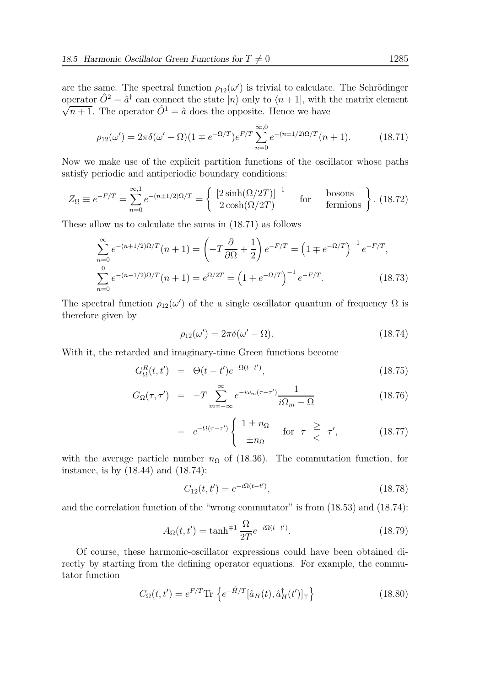are the same. The spectral function  $\rho_{12}(\omega')$  is trivial to calculate. The Schrödinger operator  $\hat{O}^2 = \hat{a}^{\dagger}$  can connect the state  $|n\rangle$  only to  $\langle n+1|$ , with the matrix element  $\sqrt{n+1}$ . The operator  $\hat{O}^1 = \hat{a}$  does the opposite. Hence we have

$$
\rho_{12}(\omega') = 2\pi \delta(\omega' - \Omega)(1 \mp e^{-\Omega/T})e^{F/T} \sum_{n=0}^{\infty} e^{-(n \pm 1/2)\Omega/T} (n+1).
$$
 (18.71)

Now we make use of the explicit partition functions of the oscillator whose paths satisfy periodic and antiperiodic boundary conditions:

$$
Z_{\Omega} \equiv e^{-F/T} = \sum_{n=0}^{\infty} e^{-(n \pm 1/2)\Omega/T} = \begin{cases} \left[2\sinh(\Omega/2T)\right]^{-1} & \text{for} \quad \text{bosons} \\ 2\cosh(\Omega/2T) & \text{fermions} \end{cases} . (18.72)
$$

These allow us to calculate the sums in (18.71) as follows

$$
\sum_{n=0}^{\infty} e^{-(n+1/2)\Omega/T} (n+1) = \left(-T \frac{\partial}{\partial \Omega} + \frac{1}{2}\right) e^{-F/T} = \left(1 \mp e^{-\Omega/T}\right)^{-1} e^{-F/T},
$$
  

$$
\sum_{n=0}^{0} e^{-(n-1/2)\Omega/T} (n+1) = e^{\Omega/2T} = \left(1 + e^{-\Omega/T}\right)^{-1} e^{-F/T}.
$$
 (18.73)

The spectral function  $\rho_{12}(\omega')$  of the a single oscillator quantum of frequency  $\Omega$  is therefore given by

$$
\rho_{12}(\omega') = 2\pi\delta(\omega' - \Omega). \tag{18.74}
$$

With it, the retarded and imaginary-time Green functions become

$$
G_{\Omega}^{R}(t, t') = \Theta(t - t')e^{-\Omega(t - t')}, \qquad (18.75)
$$

$$
G_{\Omega}(\tau,\tau') = -T \sum_{m=-\infty}^{\infty} e^{-i\omega_m(\tau-\tau')} \frac{1}{i\Omega_m - \Omega}
$$
 (18.76)

$$
= e^{-\Omega(\tau-\tau')} \begin{cases} 1 \pm n_{\Omega} & \text{for } \tau \geq \tau', \\ \pm n_{\Omega} & \end{cases}
$$
 (18.77)

with the average particle number  $n_{\Omega}$  of (18.36). The commutation function, for instance, is by (18.44) and (18.74):

$$
C_{12}(t, t') = e^{-i\Omega(t - t')},\tag{18.78}
$$

and the correlation function of the "wrong commutator" is from  $(18.53)$  and  $(18.74)$ :

$$
A_{\Omega}(t, t') = \tanh^{\mp 1} \frac{\Omega}{2T} e^{-i\Omega(t - t')}.
$$
\n(18.79)

Of course, these harmonic-oscillator expressions could have been obtained directly by starting from the defining operator equations. For example, the commutator function

$$
C_{\Omega}(t, t') = e^{F/T} \text{Tr} \left\{ e^{-\hat{H}/T} [\hat{a}_H(t), \hat{a}_H^\dagger(t')]_{\mp} \right\} \tag{18.80}
$$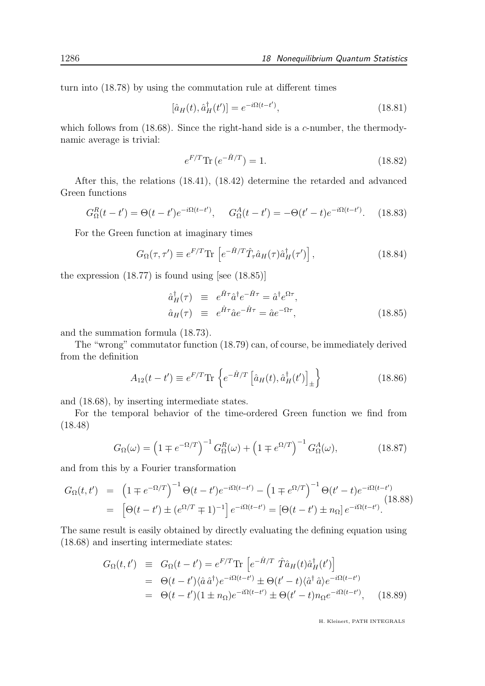turn into (18.78) by using the commutation rule at different times

$$
[\hat{a}_H(t), \hat{a}_H^\dagger(t')] = e^{-i\Omega(t-t')},\tag{18.81}
$$

which follows from  $(18.68)$ . Since the right-hand side is a c-number, the thermodynamic average is trivial:

$$
e^{F/T} \text{Tr} \left( e^{-\hat{H}/T} \right) = 1. \tag{18.82}
$$

After this, the relations (18.41), (18.42) determine the retarded and advanced Green functions

$$
G_{\Omega}^{R}(t-t') = \Theta(t-t')e^{-i\Omega(t-t')}, \quad G_{\Omega}^{A}(t-t') = -\Theta(t'-t)e^{-i\Omega(t-t')}.
$$
 (18.83)

For the Green function at imaginary times

$$
G_{\Omega}(\tau,\tau') \equiv e^{F/T} \text{Tr} \left[ e^{-\hat{H}/T} \hat{T}_{\tau} \hat{a}_H(\tau) \hat{a}_H^{\dagger}(\tau') \right], \qquad (18.84)
$$

the expression  $(18.77)$  is found using [see  $(18.85)$ ]

$$
\hat{a}^{\dagger}_H(\tau) \equiv e^{\hat{H}\tau} \hat{a}^{\dagger} e^{-\hat{H}\tau} = \hat{a}^{\dagger} e^{\Omega \tau}, \n\hat{a}_H(\tau) \equiv e^{\hat{H}\tau} \hat{a} e^{-\hat{H}\tau} = \hat{a} e^{-\Omega \tau},
$$
\n(18.85)

and the summation formula (18.73).

The "wrong" commutator function (18.79) can, of course, be immediately derived from the definition

$$
A_{12}(t - t') \equiv e^{F/T} \text{Tr} \left\{ e^{-\hat{H}/T} \left[ \hat{a}_H(t), \hat{a}_H^{\dagger}(t') \right]_{\pm} \right\} \tag{18.86}
$$

and (18.68), by inserting intermediate states.

For the temporal behavior of the time-ordered Green function we find from (18.48)

$$
G_{\Omega}(\omega) = \left(1 \mp e^{-\Omega/T}\right)^{-1} G_{\Omega}^{R}(\omega) + \left(1 \mp e^{\Omega/T}\right)^{-1} G_{\Omega}^{A}(\omega), \tag{18.87}
$$

and from this by a Fourier transformation

$$
G_{\Omega}(t, t') = (1 \mp e^{-\Omega/T})^{-1} \Theta(t - t') e^{-i\Omega(t - t')} - (1 \mp e^{\Omega/T})^{-1} \Theta(t' - t) e^{-i\Omega(t - t')} = [\Theta(t - t') \pm (e^{\Omega/T} \mp 1)^{-1}] e^{-i\Omega(t - t')} = [\Theta(t - t') \pm n_{\Omega}] e^{-i\Omega(t - t')}.
$$
(18.88)

The same result is easily obtained by directly evaluating the defining equation using (18.68) and inserting intermediate states:

$$
G_{\Omega}(t, t') \equiv G_{\Omega}(t - t') = e^{F/T} \text{Tr} \left[ e^{-\hat{H}/T} \hat{T} \hat{a}_H(t) \hat{a}_H^{\dagger}(t') \right]
$$
  
\n
$$
= \Theta(t - t') \langle \hat{a} \hat{a}^{\dagger} \rangle e^{-i\Omega(t - t')} \pm \Theta(t' - t) \langle \hat{a}^{\dagger} \hat{a} \rangle e^{-i\Omega(t - t')}
$$
  
\n
$$
= \Theta(t - t') (1 \pm n_{\Omega}) e^{-i\Omega(t - t')} \pm \Theta(t' - t) n_{\Omega} e^{-i\Omega(t - t')}, \quad (18.89)
$$

H. Kleinert, PATH INTEGRALS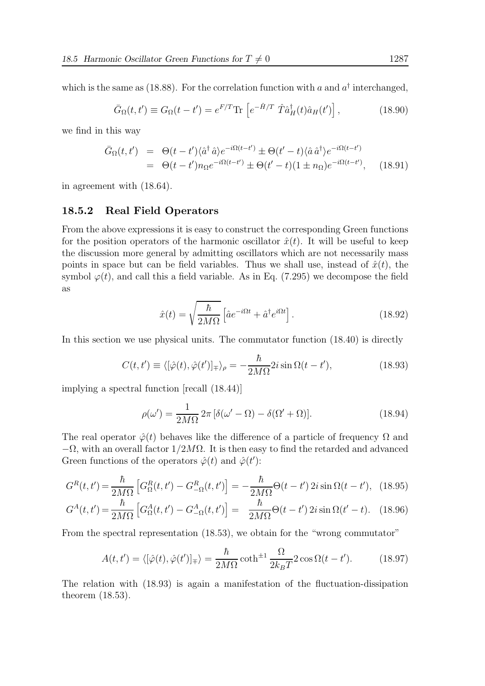which is the same as (18.88). For the correlation function with a and  $a^{\dagger}$  interchanged,

$$
\bar{G}_{\Omega}(t,t') \equiv G_{\Omega}(t-t') = e^{F/T} \text{Tr} \left[ e^{-\hat{H}/T} \hat{T} \hat{a}^{\dagger}_H(t) \hat{a}_H(t') \right], \tag{18.90}
$$

we find in this way

$$
\begin{split} \bar{G}_{\Omega}(t,t') &= \Theta(t-t') \langle \hat{a}^{\dagger} \hat{a} \rangle e^{-i\Omega(t-t')} \pm \Theta(t'-t) \langle \hat{a} \hat{a}^{\dagger} \rangle e^{-i\Omega(t-t')} \\ &= \Theta(t-t') n_{\Omega} e^{-i\Omega(t-t')} \pm \Theta(t'-t) (1 \pm n_{\Omega}) e^{-i\Omega(t-t')}, \end{split} \tag{18.91}
$$

in agreement with (18.64).

#### 18.5.2 Real Field Operators

From the above expressions it is easy to construct the corresponding Green functions for the position operators of the harmonic oscillator  $\hat{x}(t)$ . It will be useful to keep the discussion more general by admitting oscillators which are not necessarily mass points in space but can be field variables. Thus we shall use, instead of  $\hat{x}(t)$ , the symbol  $\varphi(t)$ , and call this a field variable. As in Eq. (7.295) we decompose the field as

$$
\hat{x}(t) = \sqrt{\frac{\hbar}{2M\Omega}} \left[ \hat{a}e^{-i\Omega t} + \hat{a}^{\dagger}e^{i\Omega t} \right].
$$
\n(18.92)

In this section we use physical units. The commutator function (18.40) is directly

$$
C(t, t') \equiv \langle [\hat{\varphi}(t), \hat{\varphi}(t')]_{\mp} \rangle_{\rho} = -\frac{\hbar}{2M\Omega} 2i \sin \Omega(t - t'), \qquad (18.93)
$$

implying a spectral function [recall (18.44)]

$$
\rho(\omega') = \frac{1}{2M\Omega} 2\pi \left[ \delta(\omega' - \Omega) - \delta(\Omega' + \Omega) \right]. \tag{18.94}
$$

The real operator  $\hat{\varphi}(t)$  behaves like the difference of a particle of frequency  $\Omega$  and  $-\Omega$ , with an overall factor  $1/2M\Omega$ . It is then easy to find the retarded and advanced Green functions of the operators  $\hat{\varphi}(t)$  and  $\hat{\varphi}(t')$ :

$$
G^{R}(t,t') = \frac{\hbar}{2M\Omega} \left[ G^{R}_{\Omega}(t,t') - G^{R}_{-\Omega}(t,t') \right] = -\frac{\hbar}{2M\Omega} \Theta(t-t') 2i \sin \Omega(t-t'), \tag{18.95}
$$

$$
G^{A}(t,t') = \frac{\hbar}{2M\Omega} \left[ G_{\Omega}^{A}(t,t') - G_{-\Omega}^{A}(t,t') \right] = \frac{\hbar}{2M\Omega} \Theta(t-t') 2i \sin \Omega(t'-t). \quad (18.96)
$$

From the spectral representation (18.53), we obtain for the "wrong commutator"

$$
A(t, t') = \langle [\hat{\varphi}(t), \hat{\varphi}(t')]_{\pm} \rangle = \frac{\hbar}{2M\Omega} \coth^{\pm 1} \frac{\Omega}{2k_B T} 2 \cos \Omega (t - t'). \tag{18.97}
$$

The relation with (18.93) is again a manifestation of the fluctuation-dissipation theorem (18.53).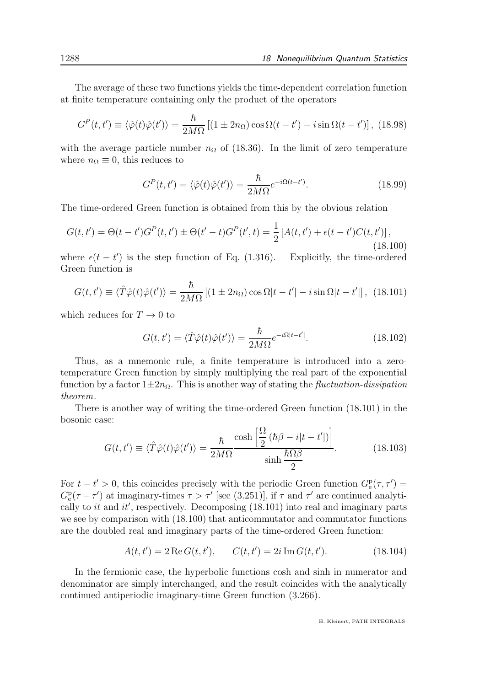The average of these two functions yields the time-dependent correlation function at finite temperature containing only the product of the operators

$$
G^{P}(t,t') \equiv \langle \hat{\varphi}(t)\hat{\varphi}(t')\rangle = \frac{\hbar}{2M\Omega} \left[ (1 \pm 2n_{\Omega})\cos\Omega(t-t') - i\sin\Omega(t-t') \right], (18.98)
$$

with the average particle number  $n_{\Omega}$  of (18.36). In the limit of zero temperature where  $n_{\Omega} \equiv 0$ , this reduces to

$$
G^{P}(t,t') = \langle \hat{\varphi}(t)\hat{\varphi}(t')\rangle = \frac{\hbar}{2M\Omega}e^{-i\Omega(t-t')}.\tag{18.99}
$$

The time-ordered Green function is obtained from this by the obvious relation

$$
G(t, t') = \Theta(t - t')GP(t, t') \pm \Theta(t' - t)GP(t', t) = \frac{1}{2}[A(t, t') + \epsilon(t - t')C(t, t')],
$$
\n(18.100)

where  $\epsilon(t - t')$  is the step function of Eq. (1.316). Explicitly, the time-ordered Green function is

$$
G(t, t') \equiv \langle \hat{T}\hat{\varphi}(t)\hat{\varphi}(t')\rangle = \frac{\hbar}{2M\Omega} \left[ (1 \pm 2n_{\Omega})\cos\Omega|t - t'| - i\sin\Omega|t - t'| \right], \tag{18.101}
$$

which reduces for  $T \to 0$  to

$$
G(t, t') = \langle \hat{T}\hat{\varphi}(t)\hat{\varphi}(t')\rangle = \frac{\hbar}{2M\Omega}e^{-i\Omega|t-t'|}.
$$
\n(18.102)

Thus, as a mnemonic rule, a finite temperature is introduced into a zerotemperature Green function by simply multiplying the real part of the exponential function by a factor  $1\pm 2n_\Omega$ . This is another way of stating the *fluctuation-dissipation* theorem.

There is another way of writing the time-ordered Green function (18.101) in the bosonic case:

$$
G(t, t') \equiv \langle \hat{T}\hat{\varphi}(t)\hat{\varphi}(t')\rangle = \frac{\hbar}{2M\Omega} \frac{\cosh\left[\frac{\Omega}{2}\left(\hbar\beta - i|t - t'|\right)\right]}{\sinh\frac{\hbar\Omega\beta}{2}}.
$$
 (18.103)

For  $t - t' > 0$ , this coincides precisely with the periodic Green function  $G_e^{\text{p}}(\tau, \tau') =$  $G_{\rm e}^{\rm p}(\tau-\tau')$  at imaginary-times  $\tau > \tau'$  [see (3.251)], if  $\tau$  and  $\tau'$  are continued analytically to *it* and  $it'$ , respectively. Decomposing  $(18.101)$  into real and imaginary parts we see by comparison with (18.100) that anticommutator and commutator functions are the doubled real and imaginary parts of the time-ordered Green function:

$$
A(t, t') = 2 \operatorname{Re} G(t, t'), \qquad C(t, t') = 2i \operatorname{Im} G(t, t'). \tag{18.104}
$$

In the fermionic case, the hyperbolic functions cosh and sinh in numerator and denominator are simply interchanged, and the result coincides with the analytically continued antiperiodic imaginary-time Green function (3.266).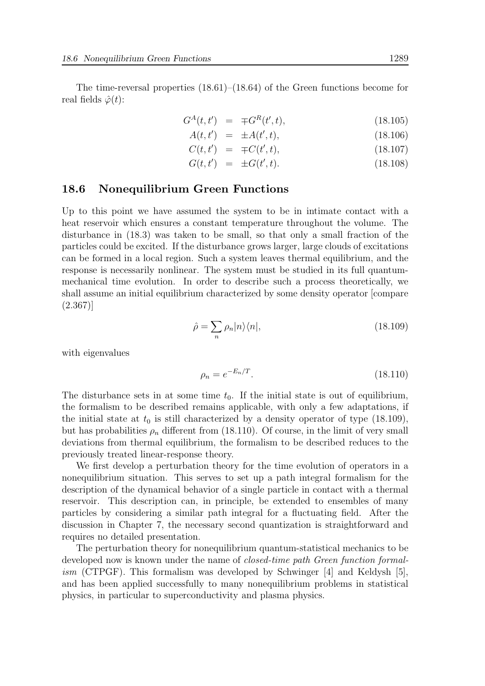The time-reversal properties (18.61)–(18.64) of the Green functions become for real fields  $\hat{\varphi}(t)$ :

$$
G^{A}(t, t') = \mp G^{R}(t', t), \qquad (18.105)
$$

$$
A(t, t') = \pm A(t', t), \qquad (18.106)
$$
\n
$$
G(t, t') = G(t', t)
$$
\n
$$
(18.106)
$$

$$
C(t, t') = \mp C(t', t), \qquad (18.107)
$$

$$
G(t, t') = \pm G(t', t). \tag{18.108}
$$

#### 18.6 Nonequilibrium Green Functions

Up to this point we have assumed the system to be in intimate contact with a heat reservoir which ensures a constant temperature throughout the volume. The disturbance in (18.3) was taken to be small, so that only a small fraction of the particles could be excited. If the disturbance grows larger, large clouds of excitations can be formed in a local region. Such a system leaves thermal equilibrium, and the response is necessarily nonlinear. The system must be studied in its full quantummechanical time evolution. In order to describe such a process theoretically, we shall assume an initial equilibrium characterized by some density operator [compare (2.367)]

$$
\hat{\rho} = \sum_{n} \rho_n |n\rangle\langle n|,\tag{18.109}
$$

with eigenvalues

$$
\rho_n = e^{-E_n/T}.\tag{18.110}
$$

The disturbance sets in at some time  $t_0$ . If the initial state is out of equilibrium, the formalism to be described remains applicable, with only a few adaptations, if the initial state at  $t_0$  is still characterized by a density operator of type (18.109), but has probabilities  $\rho_n$  different from (18.110). Of course, in the limit of very small deviations from thermal equilibrium, the formalism to be described reduces to the previously treated linear-response theory.

We first develop a perturbation theory for the time evolution of operators in a nonequilibrium situation. This serves to set up a path integral formalism for the description of the dynamical behavior of a single particle in contact with a thermal reservoir. This description can, in principle, be extended to ensembles of many particles by considering a similar path integral for a fluctuating field. After the discussion in Chapter 7, the necessary second quantization is straightforward and requires no detailed presentation.

The perturbation theory for nonequilibrium quantum-statistical mechanics to be developed now is known under the name of *closed-time path Green function formalism* (CTPGF). This formalism was developed by Schwinger  $[4]$  and Keldysh  $[5]$ , and has been applied successfully to many nonequilibrium problems in statistical physics, in particular to superconductivity and plasma physics.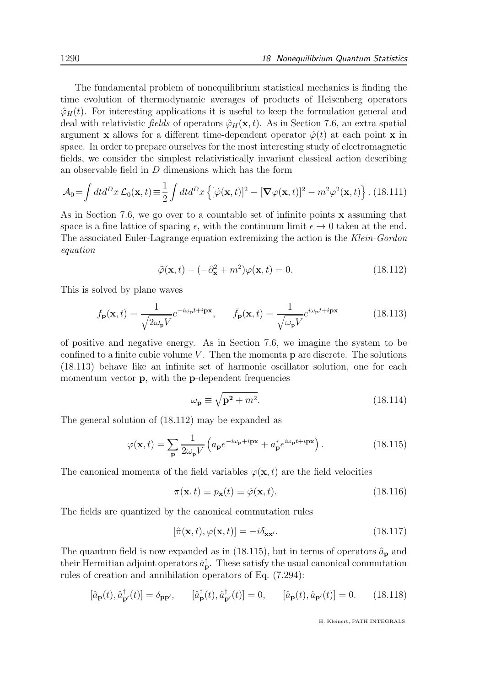The fundamental problem of nonequilibrium statistical mechanics is finding the time evolution of thermodynamic averages of products of Heisenberg operators  $\hat{\varphi}_H(t)$ . For interesting applications it is useful to keep the formulation general and deal with relativistic fields of operators  $\hat{\varphi}_H(\mathbf{x}, t)$ . As in Section 7.6, an extra spatial argument x allows for a different time-dependent operator  $\hat{\varphi}(t)$  at each point x in space. In order to prepare ourselves for the most interesting study of electromagnetic fields, we consider the simplest relativistically invariant classical action describing an observable field in D dimensions which has the form

$$
\mathcal{A}_0 = \int dt d^D x \, \mathcal{L}_0(\mathbf{x}, t) \equiv \frac{1}{2} \int dt d^D x \left\{ [\dot{\varphi}(\mathbf{x}, t)]^2 - [\boldsymbol{\nabla}\varphi(\mathbf{x}, t)]^2 - m^2 \varphi^2(\mathbf{x}, t) \right\}.
$$
 (18.111)

As in Section 7.6, we go over to a countable set of infinite points  $\bf{x}$  assuming that space is a fine lattice of spacing  $\epsilon$ , with the continuum limit  $\epsilon \to 0$  taken at the end. The associated Euler-Lagrange equation extremizing the action is the Klein-Gordon equation

$$
\ddot{\varphi}(\mathbf{x},t) + (-\partial_{\mathbf{x}}^2 + m^2)\varphi(\mathbf{x},t) = 0.
$$
 (18.112)

This is solved by plane waves

$$
f_{\mathbf{p}}(\mathbf{x},t) = \frac{1}{\sqrt{2\omega_{\mathbf{p}}V}} e^{-i\omega_{\mathbf{p}}t + i\mathbf{p}\mathbf{x}}, \qquad \bar{f}_{\mathbf{p}}(\mathbf{x},t) = \frac{1}{\sqrt{\omega_{\mathbf{p}}V}} e^{i\omega_{\mathbf{p}}t + i\mathbf{p}\mathbf{x}}
$$
(18.113)

of positive and negative energy. As in Section 7.6, we imagine the system to be confined to a finite cubic volume  $V$ . Then the momenta  $p$  are discrete. The solutions (18.113) behave like an infinite set of harmonic oscillator solution, one for each momentum vector **p**, with the **p**-dependent frequencies

$$
\omega_{\mathbf{p}} \equiv \sqrt{\mathbf{p^2} + m^2}.\tag{18.114}
$$

The general solution of (18.112) may be expanded as

$$
\varphi(\mathbf{x},t) = \sum_{\mathbf{p}} \frac{1}{2\omega_{\mathbf{p}} V} \left( a_{\mathbf{p}} e^{-i\omega_{\mathbf{p}} + i\mathbf{p}\mathbf{x}} + a_{\mathbf{p}}^* e^{i\omega_{\mathbf{p}} t + i\mathbf{p}\mathbf{x}} \right).
$$
 (18.115)

The canonical momenta of the field variables  $\varphi(\mathbf{x},t)$  are the field velocities

$$
\pi(\mathbf{x},t) \equiv p_{\mathbf{x}}(t) \equiv \dot{\varphi}(\mathbf{x},t). \tag{18.116}
$$

The fields are quantized by the canonical commutation rules

$$
[\hat{\pi}(\mathbf{x},t),\varphi(\mathbf{x},t)] = -i\delta_{\mathbf{x}\mathbf{x}'}.\tag{18.117}
$$

The quantum field is now expanded as in (18.115), but in terms of operators  $\hat{a}_{\text{p}}$  and their Hermitian adjoint operators  $\hat{a}_{\mathbf{p}}^{\dagger}$ . These satisfy the usual canonical commutation rules of creation and annihilation operators of Eq. (7.294):

$$
[\hat{a}_{\mathbf{p}}(t), \hat{a}_{\mathbf{p}'}^{\dagger}(t)] = \delta_{\mathbf{p}\mathbf{p}'}, \qquad [\hat{a}_{\mathbf{p}}^{\dagger}(t), \hat{a}_{\mathbf{p}'}^{\dagger}(t)] = 0, \qquad [\hat{a}_{\mathbf{p}}(t), \hat{a}_{\mathbf{p}'}(t)] = 0. \tag{18.118}
$$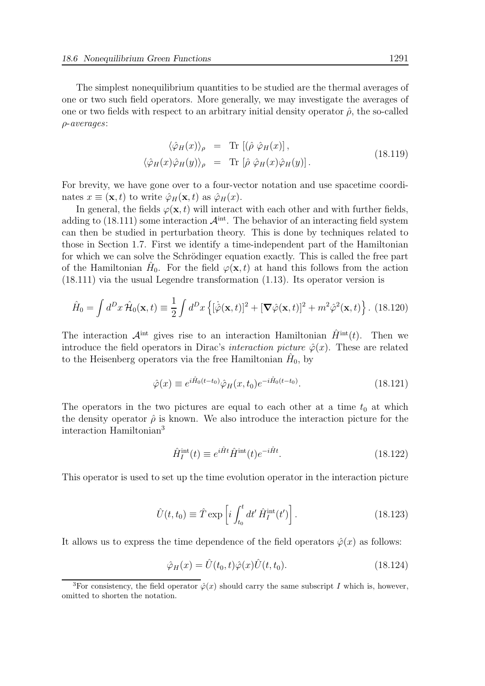The simplest nonequilibrium quantities to be studied are the thermal averages of one or two such field operators. More generally, we may investigate the averages of one or two fields with respect to an arbitrary initial density operator  $\hat{\rho}$ , the so-called ρ-averages:

$$
\langle \hat{\varphi}_H(x) \rangle_{\rho} = \text{Tr} [(\hat{\rho} \hat{\varphi}_H(x)],
$$
  

$$
\langle \hat{\varphi}_H(x) \hat{\varphi}_H(y) \rangle_{\rho} = \text{Tr} [\hat{\rho} \hat{\varphi}_H(x) \hat{\varphi}_H(y)].
$$
\n(18.119)

For brevity, we have gone over to a four-vector notation and use spacetime coordinates  $x \equiv (\mathbf{x}, t)$  to write  $\hat{\varphi}_H(\mathbf{x}, t)$  as  $\hat{\varphi}_H(x)$ .

In general, the fields  $\varphi(\mathbf{x}, t)$  will interact with each other and with further fields, adding to  $(18.111)$  some interaction  $\mathcal{A}^{\text{int}}$ . The behavior of an interacting field system can then be studied in perturbation theory. This is done by techniques related to those in Section 1.7. First we identify a time-independent part of the Hamiltonian for which we can solve the Schrödinger equation exactly. This is called the free part of the Hamiltonian  $\hat{H}_0$ . For the field  $\varphi(\mathbf{x}, t)$  at hand this follows from the action (18.111) via the usual Legendre transformation (1.13). Its operator version is

$$
\hat{H}_0 = \int d^D x \,\hat{\mathcal{H}}_0(\mathbf{x}, t) \equiv \frac{1}{2} \int d^D x \left\{ [\dot{\hat{\varphi}}(\mathbf{x}, t)]^2 + [\mathbf{\nabla}\hat{\varphi}(\mathbf{x}, t)]^2 + m^2 \hat{\varphi}^2(\mathbf{x}, t) \right\}. \tag{18.120}
$$

The interaction  $\mathcal{A}^{\text{int}}$  gives rise to an interaction Hamiltonian  $\hat{H}^{\text{int}}(t)$ . Then we introduce the field operators in Dirac's interaction picture  $\hat{\varphi}(x)$ . These are related to the Heisenberg operators via the free Hamiltonian  $\hat{H}_0$ , by

$$
\hat{\varphi}(x) \equiv e^{i\hat{H}_0(t-t_0)} \hat{\varphi}_H(x, t_0) e^{-i\hat{H}_0(t-t_0)}.
$$
\n(18.121)

The operators in the two pictures are equal to each other at a time  $t_0$  at which the density operator  $\hat{\rho}$  is known. We also introduce the interaction picture for the interaction Hamiltonian<sup>3</sup>

$$
\hat{H}_I^{\text{int}}(t) \equiv e^{i\hat{H}t} \hat{H}^{\text{int}}(t) e^{-i\hat{H}t}.
$$
\n(18.122)

This operator is used to set up the time evolution operator in the interaction picture

$$
\hat{U}(t,t_0) \equiv \hat{T} \exp\left[i \int_{t_0}^t dt' \hat{H}_I^{\text{int}}(t')\right].
$$
\n(18.123)

It allows us to express the time dependence of the field operators  $\hat{\varphi}(x)$  as follows:

$$
\hat{\varphi}_H(x) = \hat{U}(t_0, t)\hat{\varphi}(x)\hat{U}(t, t_0). \tag{18.124}
$$

<sup>&</sup>lt;sup>3</sup>For consistency, the field operator  $\hat{\varphi}(x)$  should carry the same subscript I which is, however, omitted to shorten the notation.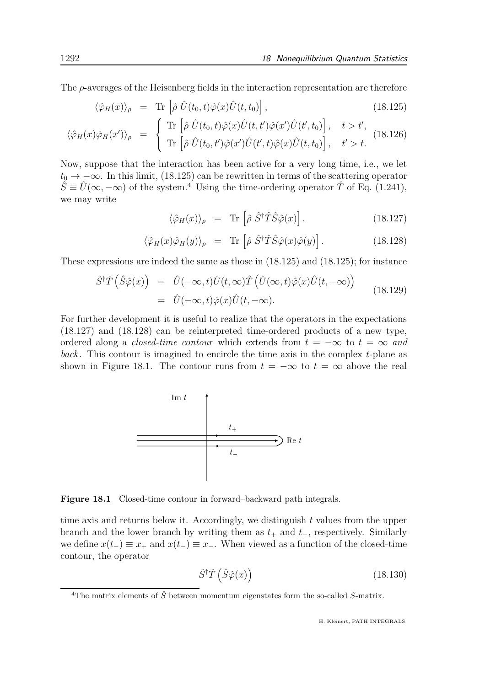The  $\rho$ -averages of the Heisenberg fields in the interaction representation are therefore

$$
\langle \hat{\varphi}_H(x) \rangle_{\rho} = \text{Tr} \left[ \hat{\rho} \; \hat{U}(t_0, t) \hat{\varphi}(x) \hat{U}(t, t_0) \right], \tag{18.125}
$$

$$
\langle \hat{\varphi}_H(x)\hat{\varphi}_H(x')\rangle_{\rho} = \begin{cases} \text{Tr}\left[\hat{\rho}\,\hat{U}(t_0,t)\hat{\varphi}(x)\hat{U}(t,t')\hat{\varphi}(x')\hat{U}(t',t_0)\right], & t > t',\\ \text{Tr}\left[\hat{\rho}\,\hat{U}(t_0,t')\hat{\varphi}(x')\hat{U}(t',t)\hat{\varphi}(x)\hat{U}(t,t_0)\right], & t' > t. \end{cases}
$$
(18.126)

Now, suppose that the interaction has been active for a very long time, i.e., we let  $t_0 \rightarrow -\infty$ . In this limit, (18.125) can be rewritten in terms of the scattering operator  $\hat{S} \equiv \hat{U}(\infty, -\infty)$  of the system.<sup>4</sup> Using the time-ordering operator  $\hat{T}$  of Eq. (1.241), we may write

$$
\langle \hat{\varphi}_H(x) \rangle_{\rho} = \text{Tr} \left[ \hat{\rho} \hat{S}^{\dagger} \hat{T} \hat{S} \hat{\varphi}(x) \right], \qquad (18.127)
$$

$$
\langle \hat{\varphi}_H(x)\hat{\varphi}_H(y)\rangle_{\rho} = \text{Tr}\left[\hat{\rho}\,\hat{S}^{\dagger}\hat{T}\hat{S}\hat{\varphi}(x)\hat{\varphi}(y)\right].\tag{18.128}
$$

These expressions are indeed the same as those in (18.125) and (18.125); for instance

$$
\hat{S}^{\dagger}\hat{T}(\hat{S}\hat{\varphi}(x)) = \hat{U}(-\infty, t)\hat{U}(t, \infty)\hat{T}(\hat{U}(\infty, t)\hat{\varphi}(x)\hat{U}(t, -\infty)) \n= \hat{U}(-\infty, t)\hat{\varphi}(x)\hat{U}(t, -\infty).
$$
\n(18.129)

For further development it is useful to realize that the operators in the expectations (18.127) and (18.128) can be reinterpreted time-ordered products of a new type, ordered along a *closed-time contour* which extends from  $t = -\infty$  to  $t = \infty$  and back. This contour is imagined to encircle the time axis in the complex t-plane as shown in Figure 18.1. The contour runs from  $t = -\infty$  to  $t = \infty$  above the real



Figure 18.1 Closed-time contour in forward–backward path integrals.

time axis and returns below it. Accordingly, we distinguish  $t$  values from the upper branch and the lower branch by writing them as  $t_{+}$  and  $t_{-}$ , respectively. Similarly we define  $x(t_+) \equiv x_+$  and  $x(t_-) \equiv x_-$ . When viewed as a function of the closed-time contour, the operator

$$
\hat{S}^{\dagger}\hat{T}\left(\hat{S}\hat{\varphi}(x)\right) \tag{18.130}
$$

<sup>&</sup>lt;sup>4</sup>The matrix elements of  $\hat{S}$  between momentum eigenstates form the so-called S-matrix.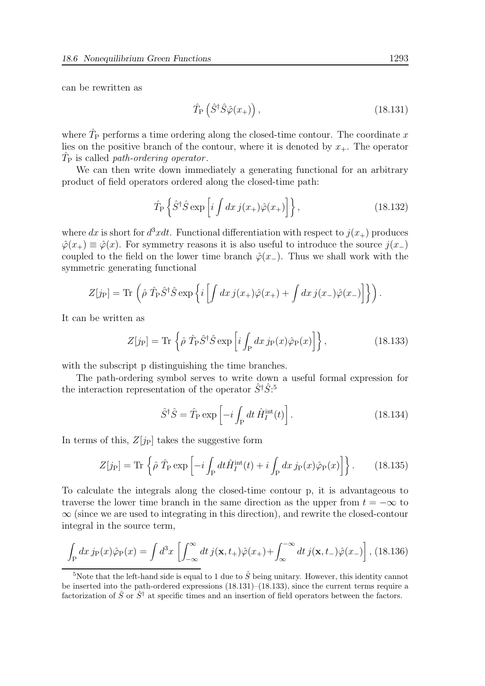can be rewritten as

$$
\hat{T}_{\rm P}\left(\hat{S}^{\dagger}\hat{S}\hat{\varphi}(x_{+})\right),\tag{18.131}
$$

where  $\hat{T}_{\text{P}}$  performs a time ordering along the closed-time contour. The coordinate x lies on the positive branch of the contour, where it is denoted by  $x_{+}$ . The operator  $\hat{T}_{\mathrm{P}}$  is called *path-ordering operator*.

We can then write down immediately a generating functional for an arbitrary product of field operators ordered along the closed-time path:

$$
\hat{T}_{\rm P} \left\{ \hat{S}^\dagger \hat{S} \exp\left[i \int dx \, j(x_+) \hat{\varphi}(x_+) \right] \right\},\tag{18.132}
$$

where dx is short for  $d^3xdt$ . Functional differentiation with respect to  $j(x_+)$  produces  $\hat{\varphi}(x_{+}) \equiv \hat{\varphi}(x)$ . For symmetry reasons it is also useful to introduce the source  $j(x_{-})$ coupled to the field on the lower time branch  $\hat{\varphi}(x_+)$ . Thus we shall work with the symmetric generating functional

$$
Z[j_P] = \text{Tr}\left(\hat{\rho}\,\hat{T}_P\hat{S}^\dagger\hat{S}\exp\left\{i\left[\int dx\,j(x_+)\hat{\varphi}(x_+) + \int dx\,j(x_-)\hat{\varphi}(x_-)\right]\right\}\right).
$$

It can be written as

$$
Z[j_P] = \text{Tr}\left\{\hat{\rho}\ \hat{T}_P \hat{S}^\dagger \hat{S} \exp\left[i \int_P dx \, j_P(x) \hat{\varphi}_P(x)\right]\right\},\tag{18.133}
$$

with the subscript p distinguishing the time branches.

The path-ordering symbol serves to write down a useful formal expression for the interaction representation of the operator  $\hat{S}^{\dagger} \hat{S}$ <sup>5</sup>

$$
\hat{S}^{\dagger}\hat{S} = \hat{T}_{\mathrm{P}}\exp\left[-i\int_{\mathrm{P}}dt\,\hat{H}_{I}^{\mathrm{int}}(t)\right].\tag{18.134}
$$

In terms of this,  $Z[j_P]$  takes the suggestive form

$$
Z[j_P] = \text{Tr}\left\{\hat{\rho}\ \hat{T}_P \exp\left[-i\int_P dt \hat{H}_I^{\text{int}}(t) + i\int_P dx \, j_P(x)\hat{\varphi}_P(x)\right]\right\}.
$$
 (18.135)

To calculate the integrals along the closed-time contour p, it is advantageous to traverse the lower time branch in the same direction as the upper from  $t = -\infty$  to  $\infty$  (since we are used to integrating in this direction), and rewrite the closed-contour integral in the source term,

$$
\int_{P} dx \, j_{P}(x)\hat{\varphi}_{P}(x) = \int d^{3}x \, \left[ \int_{-\infty}^{\infty} dt \, j(\mathbf{x}, t_{+})\hat{\varphi}(x_{+}) + \int_{\infty}^{-\infty} dt \, j(\mathbf{x}, t_{-})\hat{\varphi}(x_{-}) \right], \, (18.136)
$$

<sup>&</sup>lt;sup>5</sup>Note that the left-hand side is equal to 1 due to  $\hat{S}$  being unitary. However, this identity cannot be inserted into the path-ordered expressions (18.131)–(18.133), since the current terms require a factorization of  $\hat{S}$  or  $\hat{S}^{\dagger}$  at specific times and an insertion of field operators between the factors.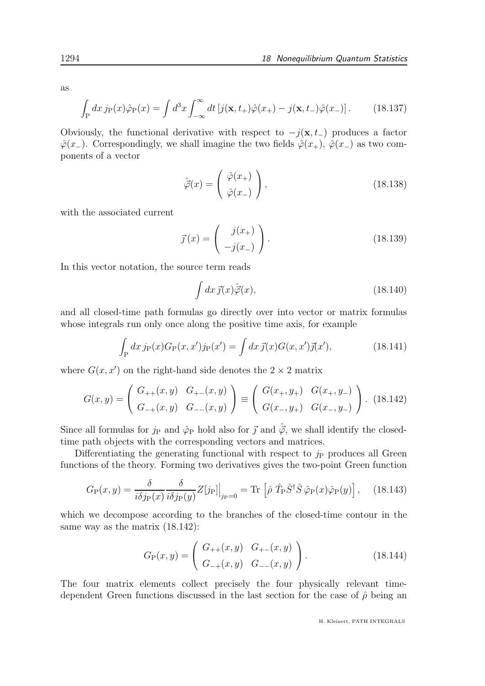as

$$
\int_{P} dx \, j_{P}(x)\hat{\varphi}_{P}(x) = \int d^{3}x \int_{-\infty}^{\infty} dt \left[ j(\mathbf{x}, t_{+})\hat{\varphi}(x_{+}) - j(\mathbf{x}, t_{-})\hat{\varphi}(x_{-}) \right]. \tag{18.137}
$$

Obviously, the functional derivative with respect to  $-j(x, t_+)$  produces a factor  $\hat{\varphi}(x_{-})$ . Correspondingly, we shall imagine the two fields  $\hat{\varphi}(x_{+}), \hat{\varphi}(x_{-})$  as two components of a vector

$$
\hat{\vec{\varphi}}(x) = \begin{pmatrix} \hat{\varphi}(x_+) \\ \hat{\varphi}(x_-) \end{pmatrix},\tag{18.138}
$$

with the associated current

$$
\vec{j}(x) = \begin{pmatrix} j(x_+) \\ -j(x_-) \end{pmatrix}.
$$
\n(18.139)

In this vector notation, the source term reads

$$
\int dx \,\vec{j}(x)\hat{\vec{\varphi}}(x),\tag{18.140}
$$

and all closed-time path formulas go directly over into vector or matrix formulas whose integrals run only once along the positive time axis, for example

$$
\int_{P} dx \, j_{P}(x) G_{P}(x, x') j_{P}(x') = \int dx \, \vec{j}(x) G(x, x') \vec{j}(x'), \tag{18.141}
$$

where  $G(x, x')$  on the right-hand side denotes the  $2 \times 2$  matrix

$$
G(x,y) = \begin{pmatrix} G_{++}(x,y) & G_{+-}(x,y) \\ G_{-+}(x,y) & G_{--}(x,y) \end{pmatrix} \equiv \begin{pmatrix} G(x_+,y_+) & G(x_+,y_-) \\ G(x_-,y_+) & G(x_-,y_-) \end{pmatrix}.
$$
 (18.142)

Since all formulas for  $j_P$  and  $\hat{\varphi}_P$  hold also for  $\vec{j}$  and  $\hat{\vec{\varphi}}$ , we shall identify the closedtime path objects with the corresponding vectors and matrices.

Differentiating the generating functional with respect to  $j<sub>P</sub>$  produces all Green functions of the theory. Forming two derivatives gives the two-point Green function

$$
G_{\rm P}(x,y) = \frac{\delta}{i\delta j_{\rm P}(x)} \frac{\delta}{i\delta j_{\rm P}(y)} Z[j_{\rm P}]\Big|_{j_{\rm P}=0} = \text{Tr}\left[\hat{\rho}\ \hat{T}_{\rm P}\hat{S}^{\dagger}\hat{S}\ \hat{\varphi}_{\rm P}(x)\hat{\varphi}_{\rm P}(y)\right],\tag{18.143}
$$

which we decompose according to the branches of the closed-time contour in the same way as the matrix (18.142):

$$
G_{\mathcal{P}}(x,y) = \left(\begin{array}{cc} G_{++}(x,y) & G_{+-}(x,y) \\ G_{-+}(x,y) & G_{--}(x,y) \end{array}\right). \tag{18.144}
$$

The four matrix elements collect precisely the four physically relevant timedependent Green functions discussed in the last section for the case of  $\hat{\rho}$  being an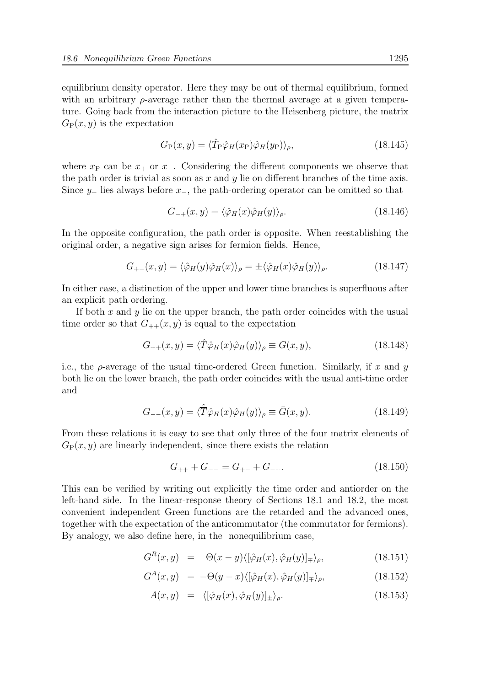equilibrium density operator. Here they may be out of thermal equilibrium, formed with an arbitrary  $\rho$ -average rather than the thermal average at a given temperature. Going back from the interaction picture to the Heisenberg picture, the matrix  $G_P(x, y)$  is the expectation

$$
G_{\mathcal{P}}(x,y) = \langle \hat{T}_{\mathcal{P}} \hat{\varphi}_H(x_{\mathcal{P}}) \hat{\varphi}_H(y_{\mathcal{P}}) \rangle_{\rho},\tag{18.145}
$$

where  $x_P$  can be  $x_+$  or  $x_-\$ . Considering the different components we observe that the path order is trivial as soon as  $x$  and  $y$  lie on different branches of the time axis. Since  $y_+$  lies always before  $x_-,$  the path-ordering operator can be omitted so that

$$
G_{-+}(x,y) = \langle \hat{\varphi}_H(x)\hat{\varphi}_H(y)\rangle_{\rho}.
$$
\n(18.146)

In the opposite configuration, the path order is opposite. When reestablishing the original order, a negative sign arises for fermion fields. Hence,

$$
G_{+-}(x,y) = \langle \hat{\varphi}_H(y)\hat{\varphi}_H(x)\rangle_{\rho} = \pm \langle \hat{\varphi}_H(x)\hat{\varphi}_H(y)\rangle_{\rho}.
$$
 (18.147)

In either case, a distinction of the upper and lower time branches is superfluous after an explicit path ordering.

If both x and y lie on the upper branch, the path order coincides with the usual time order so that  $G_{++}(x, y)$  is equal to the expectation

$$
G_{++}(x,y) = \langle \hat{T}\hat{\varphi}_H(x)\hat{\varphi}_H(y) \rangle_\rho \equiv G(x,y),\tag{18.148}
$$

i.e., the  $\rho$ -average of the usual time-ordered Green function. Similarly, if x and y both lie on the lower branch, the path order coincides with the usual anti-time order and

$$
G_{--}(x,y) = \langle \hat{\overline{T}} \hat{\varphi}_H(x) \hat{\varphi}_H(y) \rangle_{\rho} \equiv \overline{G}(x,y). \tag{18.149}
$$

From these relations it is easy to see that only three of the four matrix elements of  $G_P(x, y)$  are linearly independent, since there exists the relation

$$
G_{++} + G_{--} = G_{+-} + G_{-+}.
$$
\n(18.150)

This can be verified by writing out explicitly the time order and antiorder on the left-hand side. In the linear-response theory of Sections 18.1 and 18.2, the most convenient independent Green functions are the retarded and the advanced ones, together with the expectation of the anticommutator (the commutator for fermions). By analogy, we also define here, in the nonequilibrium case,

$$
G^{R}(x, y) = \Theta(x - y) \langle [\hat{\varphi}_{H}(x), \hat{\varphi}_{H}(y)]_{\pm} \rangle_{\rho}, \qquad (18.151)
$$

$$
G^{A}(x,y) = -\Theta(y-x)\langle [\hat{\varphi}_H(x), \hat{\varphi}_H(y)]_{\pm} \rangle_{\rho}, \qquad (18.152)
$$

$$
A(x,y) = \langle [\hat{\varphi}_H(x), \hat{\varphi}_H(y)]_{\pm} \rangle_{\rho}.
$$
\n(18.153)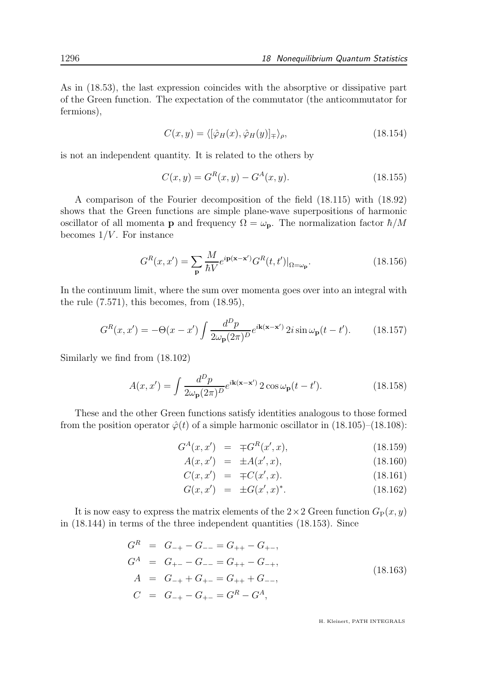As in (18.53), the last expression coincides with the absorptive or dissipative part of the Green function. The expectation of the commutator (the anticommutator for fermions),

$$
C(x, y) = \langle [\hat{\varphi}_H(x), \hat{\varphi}_H(y)]_{\pm} \rangle_{\rho}, \qquad (18.154)
$$

is not an independent quantity. It is related to the others by

$$
C(x, y) = GR(x, y) - GA(x, y).
$$
 (18.155)

A comparison of the Fourier decomposition of the field (18.115) with (18.92) shows that the Green functions are simple plane-wave superpositions of harmonic oscillator of all momenta **p** and frequency  $\Omega = \omega_{\mathbf{p}}$ . The normalization factor  $\hbar/M$ becomes  $1/V$ . For instance

$$
G^{R}(x, x') = \sum_{\mathbf{p}} \frac{M}{\hbar V} e^{i\mathbf{p}(\mathbf{x} - \mathbf{x}')} G^{R}(t, t')|_{\Omega = \omega_{\mathbf{p}}}.
$$
\n(18.156)

In the continuum limit, where the sum over momenta goes over into an integral with the rule (7.571), this becomes, from (18.95),

$$
G^{R}(x, x') = -\Theta(x - x') \int \frac{d^{D}p}{2\omega_{\mathbf{p}}(2\pi)^{D}} e^{i\mathbf{k}(\mathbf{x} - \mathbf{x}')} 2i \sin \omega_{\mathbf{p}}(t - t'). \tag{18.157}
$$

Similarly we find from (18.102)

$$
A(x, x') = \int \frac{d^D p}{2\omega_p (2\pi)^D} e^{i\mathbf{k}(\mathbf{x} - \mathbf{x}')} 2\cos \omega_p (t - t'). \tag{18.158}
$$

These and the other Green functions satisfy identities analogous to those formed from the position operator  $\hat{\varphi}(t)$  of a simple harmonic oscillator in (18.105)–(18.108):

$$
G^{A}(x, x') = \mp G^{R}(x', x), \qquad (18.159)
$$

$$
A(x, x') = \pm A(x', x), \tag{18.160}
$$

$$
C(x, x') = \mp C(x', x). \tag{18.161}
$$

$$
G(x, x') = \pm G(x', x)^*.
$$
 (18.162)

It is now easy to express the matrix elements of the  $2 \times 2$  Green function  $G_P(x, y)$ in (18.144) in terms of the three independent quantities (18.153). Since

$$
G^{R} = G_{-+} - G_{--} = G_{++} - G_{+-},
$$
  
\n
$$
G^{A} = G_{+-} - G_{--} = G_{++} - G_{-+},
$$
  
\n
$$
A = G_{-+} + G_{+-} = G_{++} + G_{--},
$$
  
\n
$$
C = G_{-+} - G_{+-} = G^{R} - G^{A},
$$
\n(18.163)

H. Kleinert, PATH INTEGRALS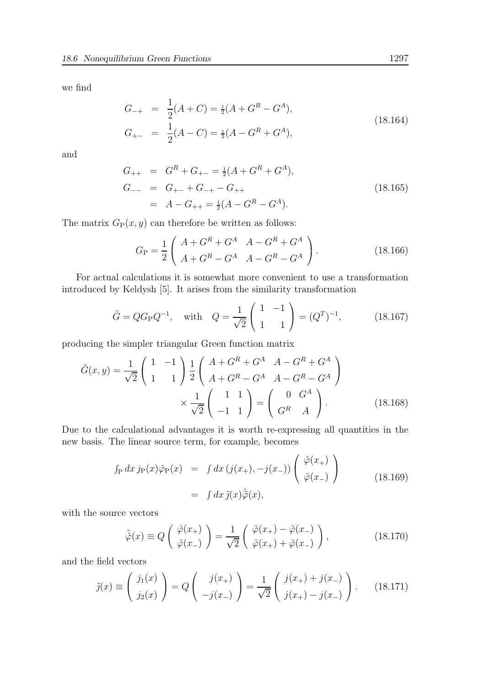we find

$$
G_{-+} = \frac{1}{2}(A+C) = \frac{1}{2}(A+G^R-G^A),
$$
  
\n
$$
G_{+-} = \frac{1}{2}(A-C) = \frac{1}{2}(A-G^R+G^A),
$$
\n(18.164)

and

$$
G_{++} = G^{R} + G_{+-} = \frac{1}{2}(A + G^{R} + G^{A}),
$$
  
\n
$$
G_{--} = G_{+-} + G_{-+} - G_{++}
$$
  
\n
$$
= A - G_{++} = \frac{1}{2}(A - G^{R} - G^{A}).
$$
\n(18.165)

The matrix  $G_P(x, y)$  can therefore be written as follows:

$$
G_{\rm P} = \frac{1}{2} \begin{pmatrix} A + G^R + G^A & A - G^R + G^A \\ A + G^R - G^A & A - G^R - G^A \end{pmatrix}.
$$
 (18.166)

For actual calculations it is somewhat more convenient to use a transformation introduced by Keldysh [5]. It arises from the similarity transformation

$$
\tilde{G} = QG_{\rm P}Q^{-1}
$$
, with  $Q = \frac{1}{\sqrt{2}} \begin{pmatrix} 1 & -1 \\ 1 & 1 \end{pmatrix} = (Q^T)^{-1}$ , (18.167)

producing the simpler triangular Green function matrix

$$
\tilde{G}(x,y) = \frac{1}{\sqrt{2}} \begin{pmatrix} 1 & -1 \\ 1 & 1 \end{pmatrix} \frac{1}{2} \begin{pmatrix} A + G^R + G^A & A - G^R + G^A \\ A + G^R - G^A & A - G^R - G^A \end{pmatrix}
$$

$$
\times \frac{1}{\sqrt{2}} \begin{pmatrix} 1 & 1 \\ -1 & 1 \end{pmatrix} = \begin{pmatrix} 0 & G^A \\ G^R & A \end{pmatrix}.
$$
(18.168)

Due to the calculational advantages it is worth re-expressing all quantities in the new basis. The linear source term, for example, becomes

$$
\int_{P} dx \, j_{P}(x) \hat{\varphi}_{P}(x) = \int dx \, (j(x_{+}), -j(x_{-})) \left( \begin{array}{c} \hat{\varphi}(x_{+}) \\ \hat{\varphi}(x_{-}) \end{array} \right)
$$
\n
$$
= \int dx \, \tilde{j}(x) \hat{\tilde{\varphi}}(x), \qquad (18.169)
$$

with the source vectors

$$
\tilde{\hat{\varphi}}(x) \equiv Q\left(\begin{array}{c}\hat{\varphi}(x_+)\\ \hat{\varphi}(x_-)\end{array}\right) = \frac{1}{\sqrt{2}}\left(\begin{array}{c}\hat{\varphi}(x_+) - \hat{\varphi}(x_-)\\ \hat{\varphi}(x_+) + \hat{\varphi}(x_-)\end{array}\right),\tag{18.170}
$$

and the field vectors

$$
\tilde{j}(x) \equiv \begin{pmatrix} j_1(x) \\ j_2(x) \end{pmatrix} = Q \begin{pmatrix} j(x_+) \\ -j(x_-) \end{pmatrix} = \frac{1}{\sqrt{2}} \begin{pmatrix} j(x_+) + j(x_-) \\ j(x_+) - j(x_-) \end{pmatrix}.
$$
 (18.171)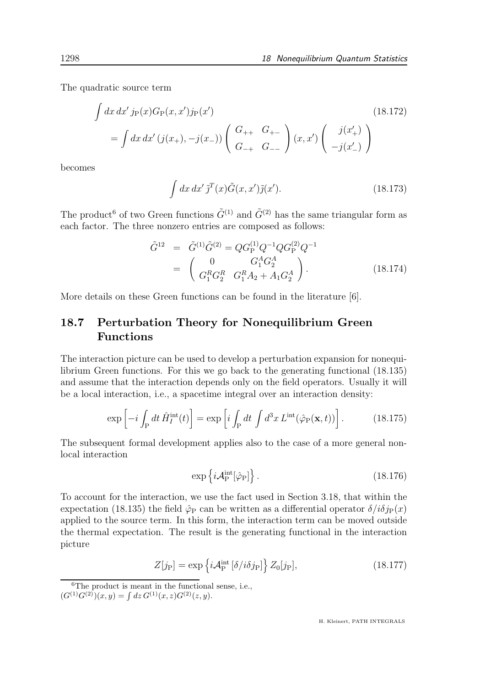The quadratic source term

$$
\int dx dx' j_{P}(x)G_{P}(x, x')j_{P}(x')
$$
\n
$$
= \int dx dx' (j(x_{+}), -j(x_{-})) \begin{pmatrix} G_{++} & G_{+-} \\ G_{-+} & G_{--} \end{pmatrix} (x, x') \begin{pmatrix} j(x'_{+}) \\ -j(x'_{-}) \end{pmatrix}
$$
\n(18.172)

becomes

$$
\int dx dx' \tilde{\jmath}^T(x) \tilde{G}(x, x') \tilde{\jmath}(x'). \tag{18.173}
$$

The product<sup>6</sup> of two Green functions  $\tilde{G}^{(1)}$  and  $\tilde{G}^{(2)}$  has the same triangular form as each factor. The three nonzero entries are composed as follows:

$$
\tilde{G}^{12} = \tilde{G}^{(1)} \tilde{G}^{(2)} = Q G_{\rm P}^{(1)} Q^{-1} Q G_{\rm P}^{(2)} Q^{-1}
$$
\n
$$
= \begin{pmatrix}\n0 & G_1^A G_2^A \\
G_1^R G_2^R & G_1^R A_2 + A_1 G_2^A\n\end{pmatrix}.
$$
\n(18.174)

More details on these Green functions can be found in the literature [6].

# 18.7 Perturbation Theory for Nonequilibrium Green Functions

The interaction picture can be used to develop a perturbation expansion for nonequilibrium Green functions. For this we go back to the generating functional (18.135) and assume that the interaction depends only on the field operators. Usually it will be a local interaction, i.e., a spacetime integral over an interaction density:

$$
\exp\left[-i\int_{\mathcal{P}}dt\,\hat{H}_I^{\text{int}}(t)\right] = \exp\left[i\int_{\mathcal{P}}dt\,\int d^3x\,L^{\text{int}}(\hat{\varphi}_{\mathcal{P}}(\mathbf{x},t))\right].\tag{18.175}
$$

The subsequent formal development applies also to the case of a more general nonlocal interaction

$$
\exp\left\{i\mathcal{A}_{\mathrm{P}}^{\mathrm{int}}[\hat{\varphi}_{\mathrm{P}}]\right\}.
$$
\n(18.176)

To account for the interaction, we use the fact used in Section 3.18, that within the expectation (18.135) the field  $\hat{\varphi}_P$  can be written as a differential operator  $\delta/i\delta p(x)$ applied to the source term. In this form, the interaction term can be moved outside the thermal expectation. The result is the generating functional in the interaction picture

$$
Z[j_P] = \exp\left\{i\mathcal{A}_P^{\text{int}}\left[\delta/i\delta j_P\right]\right\} Z_0[j_P],\tag{18.177}
$$

 ${}^{6}$ The product is meant in the functional sense, i.e.,  $(G^{(1)}G^{(2)})(x,y) = \int dz G^{(1)}(x,z)G^{(2)}(z,y).$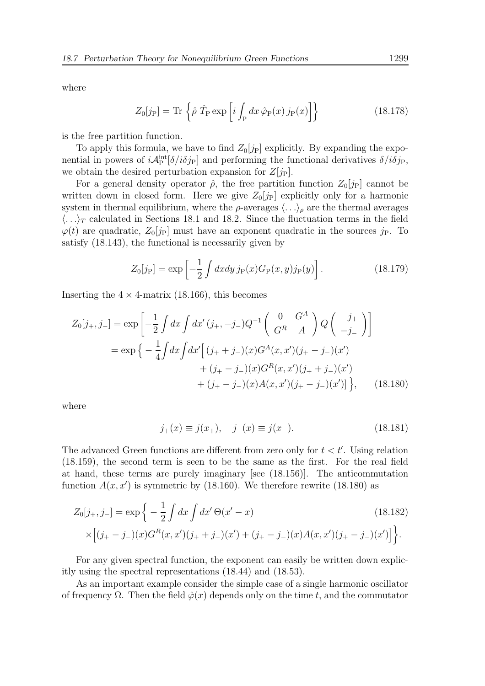where

$$
Z_0[j_P] = \text{Tr}\left\{\hat{\rho}\ \hat{T}_P \exp\left[i \int_P dx \ \hat{\varphi}_P(x) \ j_P(x)\right]\right\} \tag{18.178}
$$

is the free partition function.

To apply this formula, we have to find  $Z_0[j_P]$  explicitly. By expanding the exponential in powers of  $i\mathcal{A}_P^{\text{int}}[\delta/i\delta j_P]$  and performing the functional derivatives  $\delta/i\delta j_P$ , we obtain the desired perturbation expansion for  $Z[j_P]$ .

For a general density operator  $\hat{\rho}$ , the free partition function  $Z_0[j_P]$  cannot be written down in closed form. Here we give  $Z_0[j_P]$  explicitly only for a harmonic system in thermal equilibrium, where the  $\rho$ -averages  $\langle \ldots \rangle_{\rho}$  are the thermal averages  $\langle \ldots \rangle_T$  calculated in Sections 18.1 and 18.2. Since the fluctuation terms in the field  $\varphi(t)$  are quadratic,  $Z_0[j_P]$  must have an exponent quadratic in the sources  $j_P$ . To satisfy (18.143), the functional is necessarily given by

$$
Z_0[j_P] = \exp\left[-\frac{1}{2} \int dx dy j_P(x) G_P(x, y) j_P(y)\right].
$$
 (18.179)

Inserting the  $4 \times 4$ -matrix (18.166), this becomes

$$
Z_0[j_+,j_-] = \exp\left[-\frac{1}{2}\int dx \int dx'(j_+,-j_-)Q^{-1}\begin{pmatrix} 0 & G^A \\ G^R & A \end{pmatrix} Q \begin{pmatrix} j_+ \\ -j_- \end{pmatrix}\right]
$$
  
=  $\exp\left\{-\frac{1}{4}\int dx \int dx'\Big[(j_++j_-)(x)G^A(x,x')(j_+-j_-)(x')\Big] + (j_+-j_-)(x)G^R(x,x')(j_++j_-)(x')\Big] + (j_+-j_-)(x)A(x,x')(j_+-j_-)(x')\Big]\right\},$  (18.180)

where

$$
j_{+}(x) \equiv j(x_{+}), \quad j_{-}(x) \equiv j(x_{-}). \tag{18.181}
$$

The advanced Green functions are different from zero only for  $t < t'$ . Using relation (18.159), the second term is seen to be the same as the first. For the real field at hand, these terms are purely imaginary [see (18.156)]. The anticommutation function  $A(x, x')$  is symmetric by (18.160). We therefore rewrite (18.180) as

$$
Z_0[j_+,j_-] = \exp\left\{-\frac{1}{2}\int dx \int dx' \Theta(x'-x) \right\}
$$
\n
$$
\times \left[(j_+-j_-)(x)G^R(x,x')(j_++j_-)(x') + (j_+-j_-)(x)A(x,x')(j_+-j_-)(x')\right]\right\}.
$$
\n(18.182)

For any given spectral function, the exponent can easily be written down explicitly using the spectral representations (18.44) and (18.53).

As an important example consider the simple case of a single harmonic oscillator of frequency  $\Omega$ . Then the field  $\hat{\varphi}(x)$  depends only on the time t, and the commutator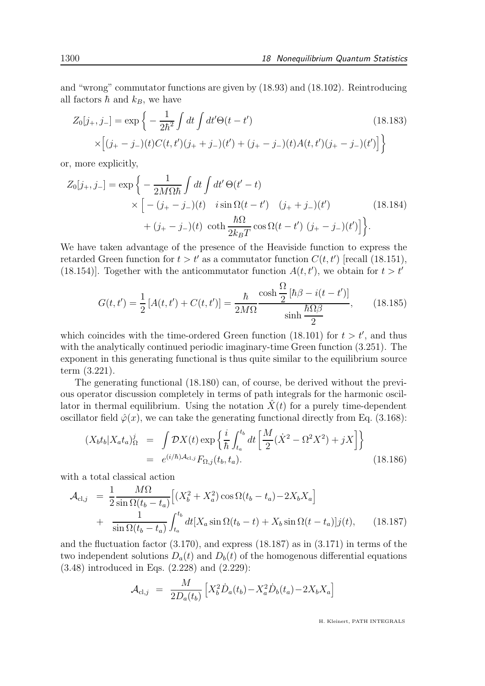and "wrong" commutator functions are given by (18.93) and (18.102). Reintroducing all factors  $\hbar$  and  $k_B$ , we have

$$
Z_0[j_+,j_-] = \exp\left\{-\frac{1}{2\hbar^2}\int dt \int dt' \Theta(t-t')\right\}
$$
(18.183)  
 
$$
\times \left[(j_+-j_-)(t)C(t,t')(j_++j_-)(t') + (j_+-j_-)(t)A(t,t')(j_+-j_-)(t')\right]\right\}
$$

or, more explicitly,

$$
Z_0[j_+,j_-] = \exp\left\{-\frac{1}{2M\Omega\hbar}\int dt \int dt' \Theta(t'-t) \right.\times \left[ -(j_+ - j_-)(t) i \sin \Omega(t-t') (j_+ + j_-)(t') \right.+ (j_+ - j_-)(t) \coth \frac{\hbar\Omega}{2k_BT} \cos \Omega(t-t') (j_+ - j_-)(t') \right] \bigg\}.
$$
 (18.184)

We have taken advantage of the presence of the Heaviside function to express the retarded Green function for  $t > t'$  as a commutator function  $C(t, t')$  [recall (18.151), (18.154)]. Together with the anticommutator function  $A(t, t')$ , we obtain for  $t > t'$ 

$$
G(t, t') = \frac{1}{2} [A(t, t') + C(t, t')] = \frac{\hbar}{2M\Omega} \frac{\cosh\frac{\Omega}{2} [\hbar\beta - i(t - t')]}{\sinh\frac{\hbar\Omega\beta}{2}},
$$
(18.185)

which coincides with the time-ordered Green function (18.101) for  $t > t'$ , and thus with the analytically continued periodic imaginary-time Green function (3.251). The exponent in this generating functional is thus quite similar to the equilibrium source term (3.221).

The generating functional (18.180) can, of course, be derived without the previous operator discussion completely in terms of path integrals for the harmonic oscillator in thermal equilibrium. Using the notation  $\dot{X}(t)$  for a purely time-dependent oscillator field  $\hat{\varphi}(x)$ , we can take the generating functional directly from Eq. (3.168):

$$
(X_b t_b | X_a t_a)_{\Omega}^j = \int \mathcal{D}X(t) \exp\left\{\frac{i}{\hbar} \int_{t_a}^{t_b} dt \left[\frac{M}{2}(\dot{X}^2 - \Omega^2 X^2) + jX\right]\right\}
$$
  
=  $e^{(i/\hbar)\mathcal{A}_{\text{cl},j}} F_{\Omega,j}(t_b, t_a).$  (18.186)

with a total classical action

$$
\mathcal{A}_{\text{cl},j} = \frac{1}{2} \frac{M\Omega}{\sin \Omega(t_b - t_a)} \Big[ (X_b^2 + X_a^2) \cos \Omega(t_b - t_a) - 2X_b X_a \Big] + \frac{1}{\sin \Omega(t_b - t_a)} \int_{t_a}^{t_b} dt [X_a \sin \Omega(t_b - t) + X_b \sin \Omega(t - t_a)] j(t), \qquad (18.187)
$$

and the fluctuation factor (3.170), and express (18.187) as in (3.171) in terms of the two independent solutions  $D_a(t)$  and  $D_b(t)$  of the homogenous differential equations (3.48) introduced in Eqs. (2.228) and (2.229):

$$
\mathcal{A}_{\text{cl},j} = \frac{M}{2D_a(t_b)} \left[ X_b^2 \dot{D}_a(t_b) - X_a^2 \dot{D}_b(t_a) - 2X_b X_a \right]
$$

H. Kleinert, PATH INTEGRALS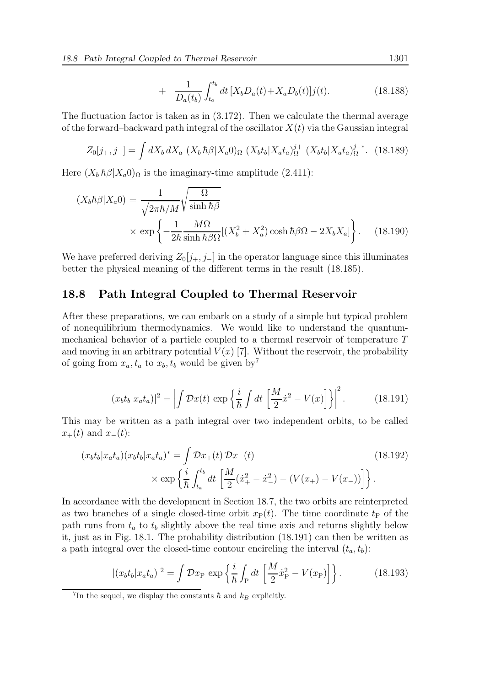$$
+ \quad \frac{1}{D_a(t_b)} \int_{t_a}^{t_b} dt \, [X_b D_a(t) + X_a D_b(t)] j(t). \tag{18.188}
$$

The fluctuation factor is taken as in (3.172). Then we calculate the thermal average of the forward–backward path integral of the oscillator  $X(t)$  via the Gaussian integral

$$
Z_0[j_+,j_-] = \int dX_b \, dX_a \, \left(X_b \, \hbar \beta | X_a 0\right)_{\Omega} \, \left(X_b t_b | X_a t_a\right)_{\Omega}^{j+} \, \left(X_b t_b | X_a t_a\right)_{\Omega}^{j-*}.\tag{18.189}
$$

Here  $(X_b \hbar \beta | X_a 0)$ <sub>Ω</sub> is the imaginary-time amplitude (2.411):

$$
(X_b \hbar \beta | X_a 0) = \frac{1}{\sqrt{2\pi \hbar / M}} \sqrt{\frac{\Omega}{\sinh \hbar \beta}}
$$
  
 
$$
\times \exp \left\{-\frac{1}{2\hbar} \frac{M\Omega}{\sinh \hbar \beta \Omega} [(X_b^2 + X_a^2) \cosh \hbar \beta \Omega - 2X_b X_a] \right\}.
$$
 (18.190)

We have preferred deriving  $Z_0[j_+, j_-]$  in the operator language since this illuminates better the physical meaning of the different terms in the result (18.185).

#### 18.8 Path Integral Coupled to Thermal Reservoir

After these preparations, we can embark on a study of a simple but typical problem of nonequilibrium thermodynamics. We would like to understand the quantummechanical behavior of a particle coupled to a thermal reservoir of temperature T and moving in an arbitrary potential  $V(x)$  [7]. Without the reservoir, the probability of going from  $x_a, t_a$  to  $x_b, t_b$  would be given by<sup>7</sup>

$$
|(x_b t_b | x_a t_a)|^2 = \left| \int \mathcal{D}x(t) \, \exp\left\{ \frac{i}{\hbar} \int dt \, \left[ \frac{M}{2} \dot{x}^2 - V(x) \right] \right\} \right|^2. \tag{18.191}
$$

This may be written as a path integral over two independent orbits, to be called  $x_+(t)$  and  $x_-(t)$ :

$$
(x_b t_b | x_a t_a) (x_b t_b | x_a t_a)^* = \int \mathcal{D}x_+(t) \mathcal{D}x_-(t)
$$
  
 
$$
\times \exp \left\{ \frac{i}{\hbar} \int_{t_a}^{t_b} dt \left[ \frac{M}{2} (\dot{x}_+^2 - \dot{x}_-^2) - (V(x_+) - V(x_-)) \right] \right\}.
$$
 (18.192)

In accordance with the development in Section 18.7, the two orbits are reinterpreted as two branches of a single closed-time orbit  $x_P(t)$ . The time coordinate  $t_P$  of the path runs from  $t_a$  to  $t_b$  slightly above the real time axis and returns slightly below it, just as in Fig. 18.1. The probability distribution (18.191) can then be written as a path integral over the closed-time contour encircling the interval  $(t_a, t_b)$ :

$$
|(x_b t_b | x_a t_a)|^2 = \int \mathcal{D}x_P \, \exp\left\{\frac{i}{\hbar} \int_P dt \, \left[\frac{M}{2} \dot{x}_P^2 - V(x_P)\right]\right\}.
$$
 (18.193)

<sup>&</sup>lt;sup>7</sup>In the sequel, we display the constants  $\hbar$  and  $k_B$  explicitly.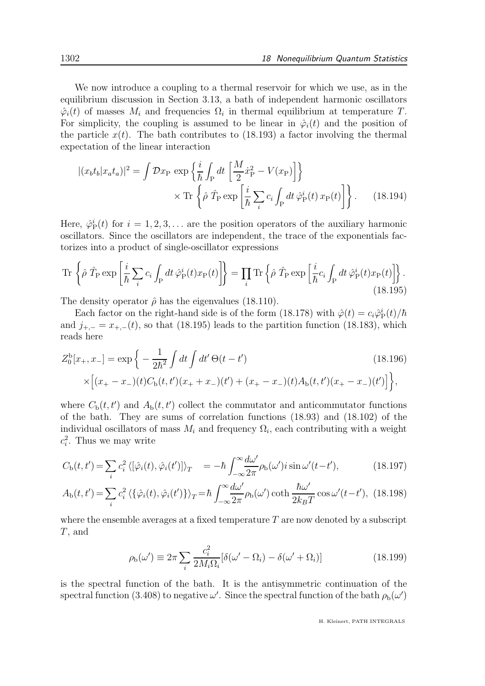We now introduce a coupling to a thermal reservoir for which we use, as in the equilibrium discussion in Section 3.13, a bath of independent harmonic oscillators  $\hat{\varphi}_i(t)$  of masses  $M_i$  and frequencies  $\Omega_i$  in thermal equilibrium at temperature T. For simplicity, the coupling is assumed to be linear in  $\hat{\varphi}_i(t)$  and the position of the particle  $x(t)$ . The bath contributes to (18.193) a factor involving the thermal expectation of the linear interaction

$$
|(x_b t_b | x_a t_a)|^2 = \int \mathcal{D}x_P \, \exp\left\{\frac{i}{\hbar} \int_P dt \, \left[\frac{M}{2} \dot{x}_P^2 - V(x_P)\right]\right\}
$$

$$
\times \, \text{Tr}\left\{\hat{\rho} \, \hat{T}_P \exp\left[\frac{i}{\hbar} \sum_i c_i \int_P dt \, \hat{\varphi}_P^i(t) \, x_P(t)\right]\right\}.
$$
(18.194)

Here,  $\hat{\varphi}_{\rm P}^i(t)$  for  $i = 1, 2, 3, \ldots$  are the position operators of the auxiliary harmonic oscillators. Since the oscillators are independent, the trace of the exponentials factorizes into a product of single-oscillator expressions

$$
\operatorname{Tr}\left\{\hat{\rho}\,\,\hat{T}_{\mathrm{P}}\exp\left[\frac{i}{\hbar}\sum_{i}c_{i}\int_{\mathrm{P}}dt\,\hat{\varphi}_{\mathrm{P}}^{i}(t)x_{\mathrm{P}}(t)\right]\right\}=\prod_{i}\operatorname{Tr}\left\{\hat{\rho}\,\,\hat{T}_{\mathrm{P}}\exp\left[\frac{i}{\hbar}c_{i}\int_{\mathrm{P}}dt\,\hat{\varphi}_{\mathrm{P}}^{i}(t)x_{\mathrm{P}}(t)\right]\right\}.\tag{18.195}
$$

The density operator  $\hat{\rho}$  has the eigenvalues (18.110).

Each factor on the right-hand side is of the form (18.178) with  $\hat{\varphi}(t) = c_i \hat{\varphi}_P^i(t)/\hbar$ and  $j_{+,-} = x_{+,-}(t)$ , so that (18.195) leads to the partition function (18.183), which reads here

$$
Z_0^b[x_+, x_-] = \exp\left\{-\frac{1}{2\hbar^2} \int dt \int dt' \Theta(t - t')\right\}
$$
\n
$$
\times \left[ (x_+ - x_-)(t)C_b(t, t')(x_+ + x_-)(t') + (x_+ - x_-)(t)A_b(t, t')(x_+ - x_-)(t') \right] \right\},\tag{18.196}
$$

where  $C_{\rm b}(t,t')$  and  $A_{\rm b}(t,t')$  collect the commutator and anticommutator functions of the bath. They are sums of correlation functions (18.93) and (18.102) of the individual oscillators of mass  $M_i$  and frequency  $\Omega_i$ , each contributing with a weight  $c_i^2$ . Thus we may write

$$
C_{\rm b}(t,t') = \sum_{i} c_i^2 \langle [\hat{\varphi}_i(t), \hat{\varphi}_i(t')] \rangle_T = -\hbar \int_{-\infty}^{\infty} \frac{d\omega'}{2\pi} \rho_{\rm b}(\omega') i \sin \omega' (t-t'), \qquad (18.197)
$$

$$
A_{\rm b}(t,t') = \sum_{i} c_i^2 \left\langle \{\hat{\varphi}_i(t), \hat{\varphi}_i(t')\} \right\rangle_T = \hbar \int_{-\infty}^{\infty} \frac{d\omega'}{2\pi} \rho_{\rm b}(\omega') \coth \frac{\hbar \omega'}{2k_B T} \cos \omega'(t-t'), \tag{18.198}
$$

where the ensemble averages at a fixed temperature  $T$  are now denoted by a subscript T, and

$$
\rho_{\rm b}(\omega') \equiv 2\pi \sum_{i} \frac{c_i^2}{2M_i \Omega_i} [\delta(\omega' - \Omega_i) - \delta(\omega' + \Omega_i)] \tag{18.199}
$$

is the spectral function of the bath. It is the antisymmetric continuation of the spectral function (3.408) to negative  $\omega'$ . Since the spectral function of the bath  $\rho_{b}(\omega')$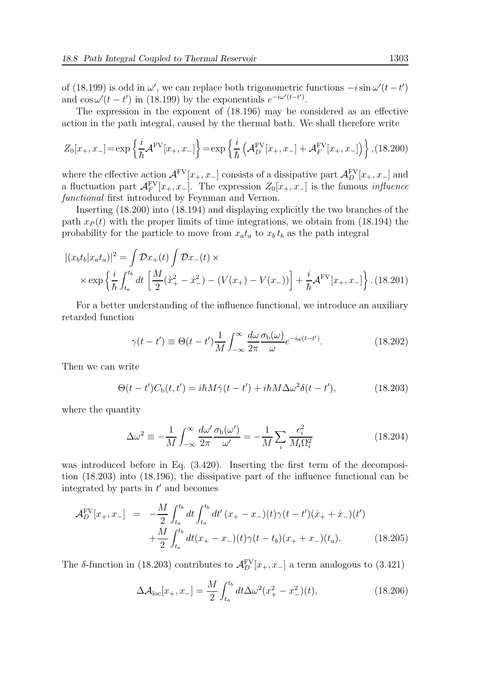of (18.199) is odd in  $\omega'$ , we can replace both trigonometric functions  $-i \sin \omega' (t-t')$ and  $\cos \omega'(t - t')$  in (18.199) by the exponentials  $e^{-i\omega'(t - t')}$ .

The expression in the exponent of (18.196) may be considered as an effective action in the path integral, caused by the thermal bath. We shall therefore write

$$
Z_0[x_+, x_-] = \exp\left\{\frac{i}{\hbar} \mathcal{A}^{\text{FV}}[x_+, x_-]\right\} = \exp\left\{\frac{i}{\hbar} \left(\mathcal{A}_D^{\text{FV}}[x_+, x_-] + \mathcal{A}_F^{\text{FV}}[x_+, x_-]\right)\right\}, (18.200)
$$

where the effective action  $\mathcal{A}^{\text{FV}}[x_+, x_-]$  consists of a dissipative part  $\mathcal{A}_D^{\text{FV}}[x_+, x_-]$  and a fluctuation part  $\mathcal{A}_F^{\text{FV}}[x_+, x_-]$ . The expression  $Z_0[x_+, x_-]$  is the famous *influence* functional first introduced by Feynman and Vernon.

Inserting (18.200) into (18.194) and displaying explicitly the two branches of the path  $x_P(t)$  with the proper limits of time integrations, we obtain from (18.194) the probability for the particle to move from  $x_a t_a$  to  $x_b t_b$  as the path integral

$$
|(x_b t_b | x_a t_a)|^2 = \int \mathcal{D}x_+(t) \int \mathcal{D}x_-(t) \times
$$
  
 
$$
\times \exp\left\{\frac{i}{\hbar} \int_{t_a}^{t_b} dt \left[\frac{M}{2}(\dot{x}_+^2 - \dot{x}_-^2) - (V(x_+) - V(x_-))\right] + \frac{i}{\hbar} \mathcal{A}^{\text{FV}}[x_+, x_-]\right\}.
$$
 (18.201)

For a better understanding of the influence functional, we introduce an auxiliary retarded function

$$
\gamma(t - t') \equiv \Theta(t - t') \frac{1}{M} \int_{-\infty}^{\infty} \frac{d\omega}{2\pi} \frac{\sigma_b(\omega)}{\omega} e^{-i\omega(t - t')}.
$$
 (18.202)

Then we can write

$$
\Theta(t - t')C_{\rm b}(t, t') = i\hbar M\dot{\gamma}(t - t') + i\hbar M\Delta\omega^2 \delta(t - t'),\tag{18.203}
$$

where the quantity

$$
\Delta\omega^2 \equiv -\frac{1}{M} \int_{-\infty}^{\infty} \frac{d\omega'}{2\pi} \frac{\sigma_b(\omega')}{\omega'} = -\frac{1}{M} \sum_i \frac{c_i^2}{M_i \Omega_i^2}
$$
(18.204)

was introduced before in Eq.  $(3.420)$ . Inserting the first term of the decomposition (18.203) into (18.196), the dissipative part of the influence functional can be integrated by parts in  $t'$  and becomes

$$
\mathcal{A}_D^{\text{FV}}[x_+, x_-] = -\frac{M}{2} \int_{t_a}^{t_b} dt \int_{t_a}^{t_b} dt' (x_+ - x_-)(t) \gamma(t - t') (\dot{x}_+ + \dot{x}_-)(t') + \frac{M}{2} \int_{t_a}^{t_b} dt (x_+ - x_-)(t) \gamma(t - t_b)(x_+ + x_-)(t_a).
$$
 (18.205)

The  $\delta$ -function in (18.203) contributes to  $\mathcal{A}_D^{\text{FV}}[x_+, x_-]$  a term analogous to (3.421)

$$
\Delta \mathcal{A}_{\text{loc}}[x_+, x_-] = \frac{M}{2} \int_{t_a}^{t_b} dt \Delta \omega^2 (x_+^2 - x_-^2)(t), \qquad (18.206)
$$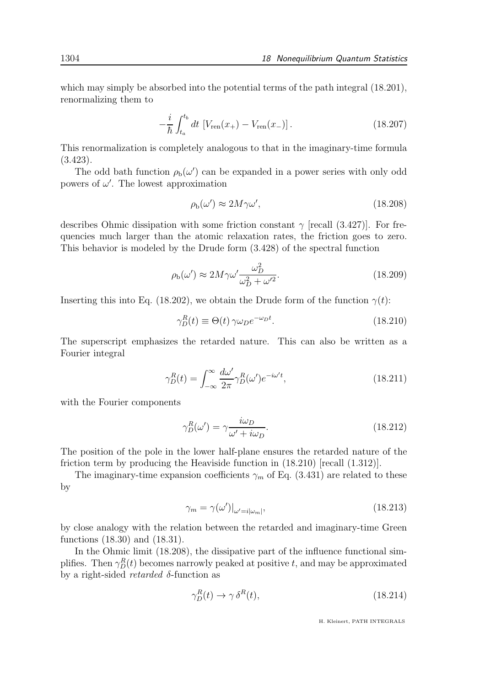which may simply be absorbed into the potential terms of the path integral (18.201), renormalizing them to

$$
-\frac{i}{\hbar} \int_{t_a}^{t_b} dt \, \left[ V_{\text{ren}}(x_+) - V_{\text{ren}}(x_-) \right]. \tag{18.207}
$$

This renormalization is completely analogous to that in the imaginary-time formula (3.423).

The odd bath function  $\rho_b(\omega')$  can be expanded in a power series with only odd powers of  $\omega'$ . The lowest approximation

$$
\rho_{\rm b}(\omega') \approx 2M\gamma\omega',\tag{18.208}
$$

describes Ohmic dissipation with some friction constant  $\gamma$  [recall (3.427)]. For frequencies much larger than the atomic relaxation rates, the friction goes to zero. This behavior is modeled by the Drude form (3.428) of the spectral function

$$
\rho_{\rm b}(\omega') \approx 2M\gamma\omega' \frac{\omega_D^2}{\omega_D^2 + \omega'^2}.\tag{18.209}
$$

Inserting this into Eq. (18.202), we obtain the Drude form of the function  $\gamma(t)$ :

$$
\gamma_D^R(t) \equiv \Theta(t) \,\gamma \omega_D e^{-\omega_D t}.\tag{18.210}
$$

The superscript emphasizes the retarded nature. This can also be written as a Fourier integral

$$
\gamma_D^R(t) = \int_{-\infty}^{\infty} \frac{d\omega'}{2\pi} \gamma_D^R(\omega') e^{-i\omega' t},\tag{18.211}
$$

with the Fourier components

$$
\gamma_D^R(\omega') = \gamma \frac{i\omega_D}{\omega' + i\omega_D}.\tag{18.212}
$$

The position of the pole in the lower half-plane ensures the retarded nature of the friction term by producing the Heaviside function in (18.210) [recall (1.312)].

The imaginary-time expansion coefficients  $\gamma_m$  of Eq. (3.431) are related to these by

$$
\gamma_m = \gamma(\omega')|_{\omega'=i|\omega_m|},\tag{18.213}
$$

by close analogy with the relation between the retarded and imaginary-time Green functions (18.30) and (18.31).

In the Ohmic limit (18.208), the dissipative part of the influence functional simplifies. Then  $\gamma_D^R(t)$  becomes narrowly peaked at positive t, and may be approximated by a right-sided *retarded*  $\delta$ -function as

$$
\gamma_D^R(t) \to \gamma \,\delta^R(t),\tag{18.214}
$$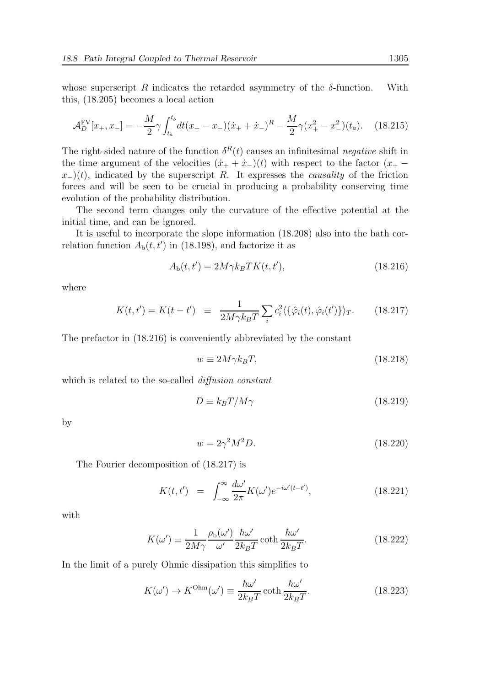whose superscript R indicates the retarded asymmetry of the  $\delta$ -function. With this, (18.205) becomes a local action

$$
\mathcal{A}_D^{\text{FV}}[x_+, x_-] = -\frac{M}{2}\gamma \int_{t_a}^{t_b} dt (x_+ - x_-)(\dot{x}_+ + \dot{x}_-)^R - \frac{M}{2}\gamma (x_+^2 - x_-^2)(t_a). \tag{18.215}
$$

The right-sided nature of the function  $\delta^R(t)$  causes an infinitesimal negative shift in the time argument of the velocities  $(\dot{x}_+ + \dot{x}_-)(t)$  with respect to the factor  $(x_+$  $x<sub>−</sub>(t)$ , indicated by the superscript R. It expresses the *causality* of the friction forces and will be seen to be crucial in producing a probability conserving time evolution of the probability distribution.

The second term changes only the curvature of the effective potential at the initial time, and can be ignored.

It is useful to incorporate the slope information (18.208) also into the bath correlation function  $A_{\text{b}}(t, t')$  in (18.198), and factorize it as

$$
A_{\rm b}(t, t') = 2M\gamma k_B TK(t, t'),\tag{18.216}
$$

where

$$
K(t, t') = K(t - t') \equiv \frac{1}{2M\gamma k_B T} \sum_i c_i^2 \langle {\{\hat{\varphi}_i(t), \hat{\varphi}_i(t')\}} \rangle_T.
$$
 (18.217)

The prefactor in (18.216) is conveniently abbreviated by the constant

$$
w \equiv 2M\gamma k_B T,\tag{18.218}
$$

which is related to the so-called *diffusion constant* 

$$
D \equiv k_B T / M \gamma \tag{18.219}
$$

by

$$
w = 2\gamma^2 M^2 D. \tag{18.220}
$$

The Fourier decomposition of (18.217) is

$$
K(t,t') = \int_{-\infty}^{\infty} \frac{d\omega'}{2\pi} K(\omega') e^{-i\omega'(t-t')}, \qquad (18.221)
$$

with

$$
K(\omega') \equiv \frac{1}{2M\gamma} \frac{\rho_b(\omega')}{\omega'} \frac{\hbar \omega'}{2k_B T} \coth \frac{\hbar \omega'}{2k_B T}.
$$
 (18.222)

In the limit of a purely Ohmic dissipation this simplifies to

$$
K(\omega') \to K^{\text{Ohm}}(\omega') \equiv \frac{\hbar \omega'}{2k_B T} \coth \frac{\hbar \omega'}{2k_B T}.
$$
 (18.223)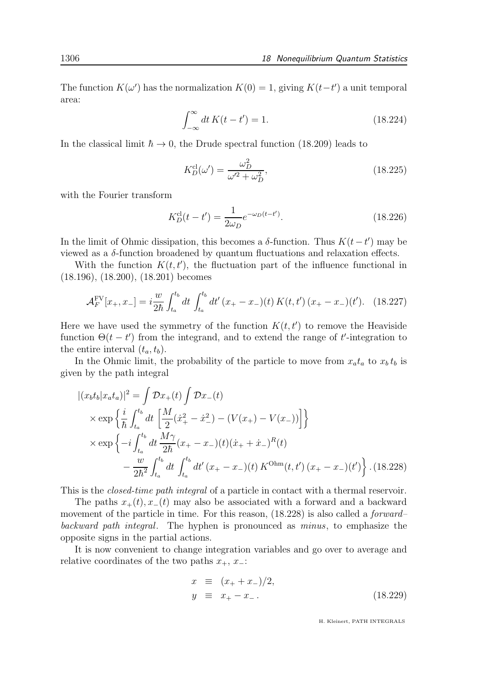The function  $K(\omega')$  has the normalization  $K(0) = 1$ , giving  $K(t-t')$  a unit temporal area:

$$
\int_{-\infty}^{\infty} dt \, K(t - t') = 1.
$$
 (18.224)

In the classical limit  $\hbar \to 0$ , the Drude spectral function (18.209) leads to

$$
K_D^{\text{cl}}(\omega') = \frac{\omega_D^2}{\omega'^2 + \omega_D^2},\tag{18.225}
$$

with the Fourier transform

$$
K_D^{\text{cl}}(t - t') = \frac{1}{2\omega_D} e^{-\omega_D(t - t')}.
$$
\n(18.226)

In the limit of Ohmic dissipation, this becomes a  $\delta$ -function. Thus K(t – t') may be viewed as a δ-function broadened by quantum fluctuations and relaxation effects.

With the function  $K(t, t')$ , the fluctuation part of the influence functional in (18.196), (18.200), (18.201) becomes

$$
\mathcal{A}_F^{\text{FV}}[x_+, x_-] = i \frac{w}{2\hbar} \int_{t_a}^{t_b} dt \int_{t_a}^{t_b} dt' (x_+ - x_-)(t) K(t, t') (x_+ - x_-)(t'). \quad (18.227)
$$

Here we have used the symmetry of the function  $K(t, t')$  to remove the Heaviside function  $\Theta(t-t')$  from the integrand, and to extend the range of t'-integration to the entire interval  $(t_a, t_b)$ .

In the Ohmic limit, the probability of the particle to move from  $x_a t_a$  to  $x_b t_b$  is given by the path integral

$$
\begin{split}\n\left| (x_b t_b | x_a t_a) \right|^2 &= \int \mathcal{D}x_+(t) \int \mathcal{D}x_-(t) \\
&\times \exp\left\{ \frac{i}{\hbar} \int_{t_a}^{t_b} dt \left[ \frac{M}{2} (\dot{x}_+^2 - \dot{x}_-^2) - (V(x_+) - V(x_-)) \right] \right\} \\
&\times \exp\left\{ -i \int_{t_a}^{t_b} dt \frac{M\gamma}{2\hbar} (x_+ - x_-)(t) (\dot{x}_+ + \dot{x}_-)^R(t) \\
&\quad - \frac{w}{2\hbar^2} \int_{t_a}^{t_b} dt \int_{t_a}^{t_b} dt' (x_+ - x_-)(t) K^{\text{Ohm}}(t, t') (x_+ - x_-)(t') \right\} .\n\end{split} \tag{18.228}
$$

This is the *closed-time path integral* of a particle in contact with a thermal reservoir.

The paths  $x_{+}(t)$ ,  $x_{-}(t)$  may also be associated with a forward and a backward movement of the particle in time. For this reason,  $(18.228)$  is also called a *forward*– backward path integral. The hyphen is pronounced as minus, to emphasize the opposite signs in the partial actions.

It is now convenient to change integration variables and go over to average and relative coordinates of the two paths  $x_+$ ,  $x_-\$ :

$$
x \equiv (x_{+} + x_{-})/2,\n y \equiv x_{+} - x_{-}.
$$
\n(18.229)

H. Kleinert, PATH INTEGRALS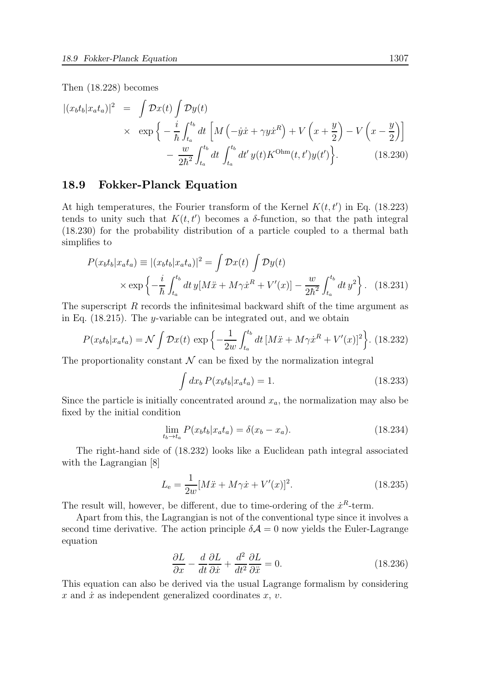Then (18.228) becomes

$$
\begin{split} |(x_b t_b | x_a t_a)|^2 &= \int \mathcal{D}x(t) \int \mathcal{D}y(t) \\ &\times \exp\left\{-\frac{i}{\hbar} \int_{t_a}^{t_b} dt \left[M\left(-\dot{y}\dot{x} + \gamma y\dot{x}^R\right) + V\left(x + \frac{y}{2}\right) - V\left(x - \frac{y}{2}\right)\right] \\ &- \frac{w}{2\hbar^2} \int_{t_a}^{t_b} dt \int_{t_a}^{t_b} dt' y(t) K^{\text{Ohm}}(t, t') y(t')\right\} . \end{split} \tag{18.230}
$$

#### 18.9 Fokker-Planck Equation

At high temperatures, the Fourier transform of the Kernel  $K(t, t')$  in Eq. (18.223) tends to unity such that  $K(t, t')$  becomes a  $\delta$ -function, so that the path integral (18.230) for the probability distribution of a particle coupled to a thermal bath simplifies to

$$
P(x_b t_b | x_a t_a) \equiv |(x_b t_b | x_a t_a)|^2 = \int \mathcal{D}x(t) \int \mathcal{D}y(t) \times \exp \left\{ -\frac{i}{\hbar} \int_{t_a}^{t_b} dt \, y[M\ddot{x} + M\gamma \dot{x}^R + V'(x)] - \frac{w}{2\hbar^2} \int_{t_a}^{t_b} dt \, y^2 \right\}.
$$
 (18.231)

The superscript R records the infinitesimal backward shift of the time argument as in Eq. (18.215). The y-variable can be integrated out, and we obtain

$$
P(x_b t_b | x_a t_a) = \mathcal{N} \int \mathcal{D}x(t) \exp \left\{-\frac{1}{2w} \int_{t_a}^{t_b} dt \left[M\ddot{x} + M\gamma \dot{x}^R + V'(x)\right]^2\right\}.
$$
 (18.232)

The proportionality constant  $\mathcal N$  can be fixed by the normalization integral

$$
\int dx_b P(x_b t_b | x_a t_a) = 1.
$$
\n(18.233)

Since the particle is initially concentrated around  $x_a$ , the normalization may also be fixed by the initial condition

$$
\lim_{t_b \to t_a} P(x_b t_b | x_a t_a) = \delta(x_b - x_a). \tag{18.234}
$$

The right-hand side of (18.232) looks like a Euclidean path integral associated with the Lagrangian [8]

$$
L_{\rm e} = \frac{1}{2w} [M\ddot{x} + M\gamma \dot{x} + V'(x)]^2.
$$
 (18.235)

The result will, however, be different, due to time-ordering of the  $\dot{x}^R$ -term.

Apart from this, the Lagrangian is not of the conventional type since it involves a second time derivative. The action principle  $\delta A = 0$  now yields the Euler-Lagrange equation

$$
\frac{\partial L}{\partial x} - \frac{d}{dt} \frac{\partial L}{\partial \dot{x}} + \frac{d^2}{dt^2} \frac{\partial L}{\partial \ddot{x}} = 0.
$$
 (18.236)

This equation can also be derived via the usual Lagrange formalism by considering  $x$  and  $\dot{x}$  as independent generalized coordinates  $x, v$ .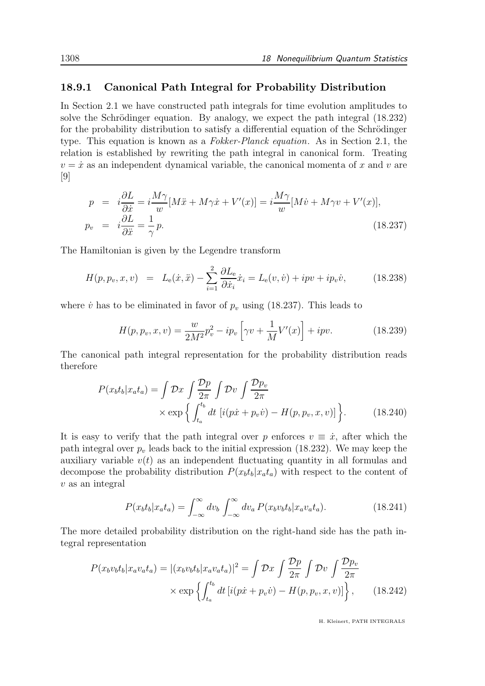#### 18.9.1 Canonical Path Integral for Probability Distribution

In Section 2.1 we have constructed path integrals for time evolution amplitudes to solve the Schrödinger equation. By analogy, we expect the path integral  $(18.232)$ for the probability distribution to satisfy a differential equation of the Schrödinger type. This equation is known as a Fokker-Planck equation. As in Section 2.1, the relation is established by rewriting the path integral in canonical form. Treating  $v = \dot{x}$  as an independent dynamical variable, the canonical momenta of x and v are [9]

$$
p = i\frac{\partial L}{\partial \dot{x}} = i\frac{M\gamma}{w}[M\ddot{x} + M\gamma\dot{x} + V'(x)] = i\frac{M\gamma}{w}[M\dot{v} + M\gamma v + V'(x)],
$$
  
\n
$$
p_v = i\frac{\partial L}{\partial \ddot{x}} = \frac{1}{\gamma}p.
$$
\n(18.237)

The Hamiltonian is given by the Legendre transform

$$
H(p, p_v, x, v) = L_e(\dot{x}, \ddot{x}) - \sum_{i=1}^2 \frac{\partial L_e}{\partial \dot{x}_i} \dot{x}_i = L_e(v, \dot{v}) + ipv + ip_v \dot{v}, \qquad (18.238)
$$

where  $\dot{v}$  has to be eliminated in favor of  $p_v$  using (18.237). This leads to

$$
H(p, p_v, x, v) = \frac{w}{2M^2} p_v^2 - ip_v \left[ \gamma v + \frac{1}{M} V'(x) \right] + ipv.
$$
 (18.239)

The canonical path integral representation for the probability distribution reads therefore

$$
P(x_b t_b | x_a t_a) = \int \mathcal{D}x \int \frac{\mathcal{D}p}{2\pi} \int \mathcal{D}v \int \frac{\mathcal{D}p_v}{2\pi}
$$

$$
\times \exp\left\{ \int_{t_a}^{t_b} dt \left[ i(p\dot{x} + p_v \dot{v}) - H(p, p_v, x, v) \right] \right\}.
$$
(18.240)

It is easy to verify that the path integral over p enforces  $v \equiv \dot{x}$ , after which the path integral over  $p_v$  leads back to the initial expression (18.232). We may keep the auxiliary variable  $v(t)$  as an independent fluctuating quantity in all formulas and decompose the probability distribution  $P(x_b t_b | x_a t_a)$  with respect to the content of  $v$  as an integral

$$
P(x_b t_b | x_a t_a) = \int_{-\infty}^{\infty} dv_b \int_{-\infty}^{\infty} dv_a P(x_b v_b t_b | x_a v_a t_a).
$$
 (18.241)

The more detailed probability distribution on the right-hand side has the path integral representation

$$
P(x_b v_b t_b | x_a v_a t_a) = |(x_b v_b t_b | x_a v_a t_a)|^2 = \int \mathcal{D}x \int \frac{\mathcal{D}p}{2\pi} \int \mathcal{D}v \int \frac{\mathcal{D}p_v}{2\pi}
$$

$$
\times \exp\left\{ \int_{t_a}^{t_b} dt \left[ i(p\dot{x} + p_v \dot{v}) - H(p, p_v, x, v) \right] \right\}, \qquad (18.242)
$$

H. Kleinert, PATH INTEGRALS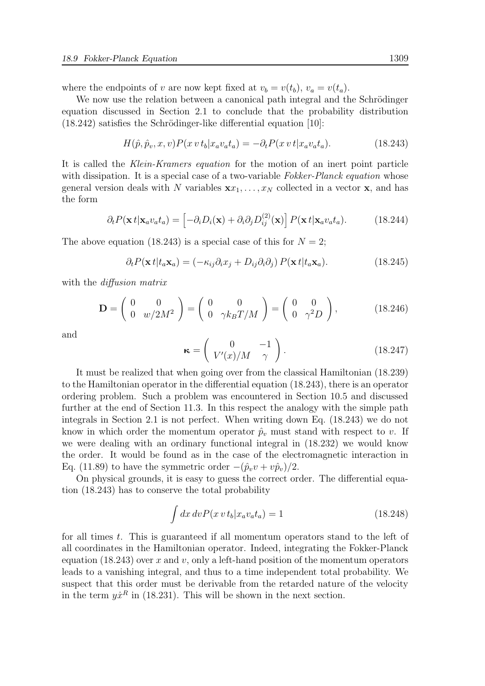where the endpoints of v are now kept fixed at  $v_b = v(t_b)$ ,  $v_a = v(t_a)$ .

We now use the relation between a canonical path integral and the Schrödinger equation discussed in Section 2.1 to conclude that the probability distribution  $(18.242)$  satisfies the Schrödinger-like differential equation [10]:

$$
H(\hat{p}, \hat{p}_v, x, v)P(x \, vt_b|x_a v_a t_a) = -\partial_t P(x \, vt|x_a v_a t_a). \tag{18.243}
$$

It is called the Klein-Kramers equation for the motion of an inert point particle with dissipation. It is a special case of a two-variable Fokker-Planck equation whose general version deals with N variables  $\mathbf{x}x_1, \ldots, x_N$  collected in a vector **x**, and has the form

$$
\partial_t P(\mathbf{x} \, t | \mathbf{x}_a v_a t_a) = \left[ -\partial_i D_i(\mathbf{x}) + \partial_i \partial_j D_{ij}^{(2)}(\mathbf{x}) \right] P(\mathbf{x} \, t | \mathbf{x}_a v_a t_a). \tag{18.244}
$$

The above equation (18.243) is a special case of this for  $N = 2$ ;

$$
\partial_t P(\mathbf{x} t | t_a \mathbf{x}_a) = (-\kappa_{ij}\partial_i x_j + D_{ij}\partial_i \partial_j) P(\mathbf{x} t | t_a \mathbf{x}_a).
$$
 (18.245)

with the *diffusion matrix* 

$$
\mathbf{D} = \begin{pmatrix} 0 & 0 \\ 0 & w/2M^2 \end{pmatrix} = \begin{pmatrix} 0 & 0 \\ 0 & \gamma k_B T/M \end{pmatrix} = \begin{pmatrix} 0 & 0 \\ 0 & \gamma^2 D \end{pmatrix}, \quad (18.246)
$$

and

$$
\kappa = \left(\begin{array}{cc} 0 & -1 \\ V'(x)/M & \gamma \end{array}\right). \tag{18.247}
$$

It must be realized that when going over from the classical Hamiltonian (18.239) to the Hamiltonian operator in the differential equation (18.243), there is an operator ordering problem. Such a problem was encountered in Section 10.5 and discussed further at the end of Section 11.3. In this respect the analogy with the simple path integrals in Section 2.1 is not perfect. When writing down Eq. (18.243) we do not know in which order the momentum operator  $\hat{p}_v$  must stand with respect to v. If we were dealing with an ordinary functional integral in (18.232) we would know the order. It would be found as in the case of the electromagnetic interaction in Eq. (11.89) to have the symmetric order  $-(\hat{p}_v v + v\hat{p}_v)/2$ .

On physical grounds, it is easy to guess the correct order. The differential equation (18.243) has to conserve the total probability

$$
\int dx \, dv P(x \, vt_b | x_a v_a t_a) = 1 \tag{18.248}
$$

for all times t. This is guaranteed if all momentum operators stand to the left of all coordinates in the Hamiltonian operator. Indeed, integrating the Fokker-Planck equation (18.243) over x and v, only a left-hand position of the momentum operators leads to a vanishing integral, and thus to a time independent total probability. We suspect that this order must be derivable from the retarded nature of the velocity in the term  $y\dot{x}^R$  in (18.231). This will be shown in the next section.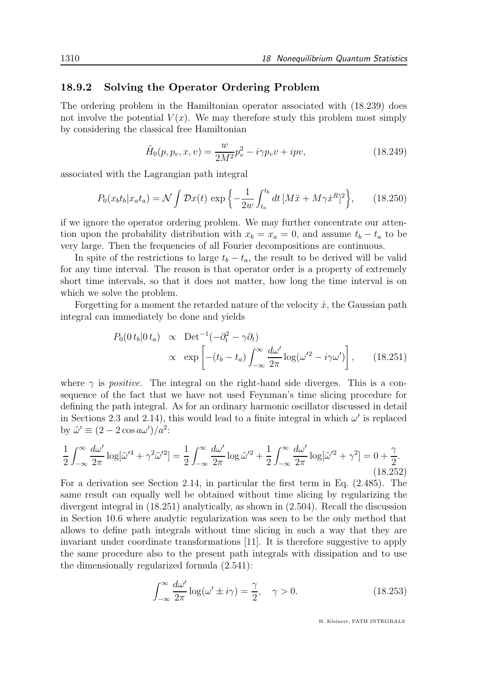### 18.9.2 Solving the Operator Ordering Problem

The ordering problem in the Hamiltonian operator associated with (18.239) does not involve the potential  $V(x)$ . We may therefore study this problem most simply by considering the classical free Hamiltonian

$$
\tilde{H}_0(p, p_v, x, v) = \frac{w}{2M^2} p_v^2 - i\gamma p_v v + ipv,
$$
\n(18.249)

associated with the Lagrangian path integral

$$
P_0(x_b t_b | x_a t_a) = \mathcal{N} \int \mathcal{D}x(t) \, \exp\left\{-\frac{1}{2w} \int_{t_a}^{t_b} dt \, [M\ddot{x} + M\gamma \dot{x}^R]^2\right\},\qquad(18.250)
$$

if we ignore the operator ordering problem. We may further concentrate our attention upon the probability distribution with  $x_b = x_a = 0$ , and assume  $t_b - t_a$  to be very large. Then the frequencies of all Fourier decompositions are continuous.

In spite of the restrictions to large  $t_b - t_a$ , the result to be derived will be valid for any time interval. The reason is that operator order is a property of extremely short time intervals, so that it does not matter, how long the time interval is on which we solve the problem.

Forgetting for a moment the retarded nature of the velocity  $\dot{x}$ , the Gaussian path integral can immediately be done and yields

$$
P_0(0\,t_b|0\,t_a) \propto \text{Det}^{-1}(-\partial_t^2 - \gamma \partial_t)
$$

$$
\propto \exp\left[-(t_b - t_a)\int_{-\infty}^{\infty} \frac{d\omega'}{2\pi} \log(\omega'^2 - i\gamma \omega')\right], \qquad (18.251)
$$

where  $\gamma$  is *positive*. The integral on the right-hand side diverges. This is a consequence of the fact that we have not used Feynman's time slicing procedure for defining the path integral. As for an ordinary harmonic oscillator discussed in detail in Sections 2.3 and 2.14), this would lead to a finite integral in which  $\omega'$  is replaced by  $\tilde{\omega}' \equiv (2 - 2 \cos a \omega') / a^2$ :

$$
\frac{1}{2} \int_{-\infty}^{\infty} \frac{d\omega'}{2\pi} \log[\tilde{\omega}'^4 + \gamma^2 \tilde{\omega}'^2] = \frac{1}{2} \int_{-\infty}^{\infty} \frac{d\omega'}{2\pi} \log \tilde{\omega}'^2 + \frac{1}{2} \int_{-\infty}^{\infty} \frac{d\omega'}{2\pi} \log[\tilde{\omega}'^2 + \gamma^2] = 0 + \frac{\gamma}{2}.
$$
\n(18.252)

For a derivation see Section 2.14, in particular the first term in Eq. (2.485). The same result can equally well be obtained without time slicing by regularizing the divergent integral in (18.251) analytically, as shown in (2.504). Recall the discussion in Section 10.6 where analytic regularization was seen to be the only method that allows to define path integrals without time slicing in such a way that they are invariant under coordinate transformations [11]. It is therefore suggestive to apply the same procedure also to the present path integrals with dissipation and to use the dimensionally regularized formula (2.541):

$$
\int_{-\infty}^{\infty} \frac{d\omega'}{2\pi} \log(\omega' \pm i\gamma) = \frac{\gamma}{2}, \quad \gamma > 0.
$$
 (18.253)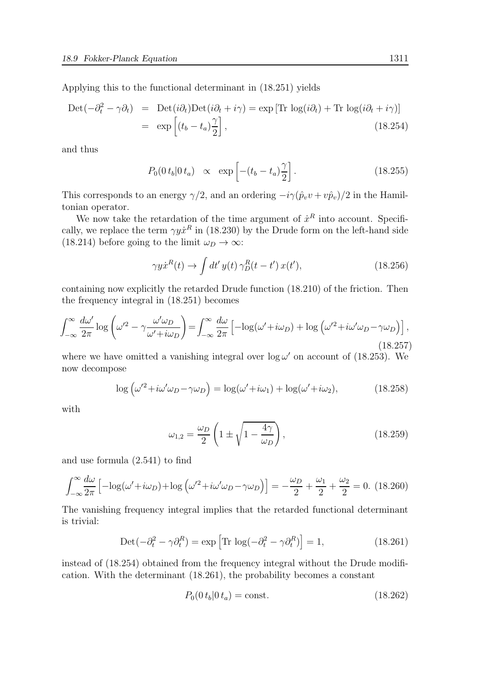Applying this to the functional determinant in (18.251) yields

$$
\begin{aligned} \text{Det}(-\partial_t^2 - \gamma \partial_t) &= \text{Det}(i\partial_t)\text{Det}(i\partial_t + i\gamma) = \exp\left[\text{Tr}\,\log(i\partial_t) + \text{Tr}\,\log(i\partial_t + i\gamma)\right] \\ &= \exp\left[(t_b - t_a)\frac{\gamma}{2}\right], \end{aligned} \tag{18.254}
$$

and thus

$$
P_0(0\,t_b|0\,t_a) \quad \propto \quad \exp\left[-(t_b - t_a)\frac{\gamma}{2}\right].\tag{18.255}
$$

This corresponds to an energy  $\gamma/2$ , and an ordering  $-i\gamma(\hat{p}_v v + v\hat{p}_v)/2$  in the Hamiltonian operator.

We now take the retardation of the time argument of  $\dot{x}^R$  into account. Specifically, we replace the term  $\gamma y \dot{x}^R$  in (18.230) by the Drude form on the left-hand side (18.214) before going to the limit  $\omega_D \to \infty$ :

$$
\gamma y \dot{x}^R(t) \to \int dt' y(t) \gamma_D^R(t - t') x(t'), \qquad (18.256)
$$

containing now explicitly the retarded Drude function (18.210) of the friction. Then the frequency integral in (18.251) becomes

$$
\int_{-\infty}^{\infty} \frac{d\omega'}{2\pi} \log \left( \omega'^2 - \gamma \frac{\omega' \omega_D}{\omega' + i\omega_D} \right) = \int_{-\infty}^{\infty} \frac{d\omega}{2\pi} \left[ -\log(\omega' + i\omega_D) + \log \left( \omega'^2 + i\omega' \omega_D - \gamma \omega_D \right) \right],\tag{18.257}
$$

where we have omitted a vanishing integral over  $\log \omega'$  on account of (18.253). We now decompose

$$
\log\left(\omega'^2 + i\omega'\omega_D - \gamma\omega_D\right) = \log(\omega' + i\omega_1) + \log(\omega' + i\omega_2),\tag{18.258}
$$

with

$$
\omega_{1,2} = \frac{\omega_D}{2} \left( 1 \pm \sqrt{1 - \frac{4\gamma}{\omega_D}} \right),\tag{18.259}
$$

and use formula (2.541) to find

$$
\int_{-\infty}^{\infty} \frac{d\omega}{2\pi} \left[ -\log(\omega' + i\omega_D) + \log\left(\omega'^2 + i\omega'\omega_D - \gamma\omega_D\right) \right] = -\frac{\omega_D}{2} + \frac{\omega_1}{2} + \frac{\omega_2}{2} = 0. \tag{18.260}
$$

The vanishing frequency integral implies that the retarded functional determinant is trivial:

$$
\text{Det}\left(-\partial_t^2 - \gamma \partial_t^R\right) = \exp\left[\text{Tr}\,\log\left(-\partial_t^2 - \gamma \partial_t^R\right)\right] = 1,\tag{18.261}
$$

instead of (18.254) obtained from the frequency integral without the Drude modification. With the determinant (18.261), the probability becomes a constant

$$
P_0(0 \, t_b | 0 \, t_a) = \text{const.} \tag{18.262}
$$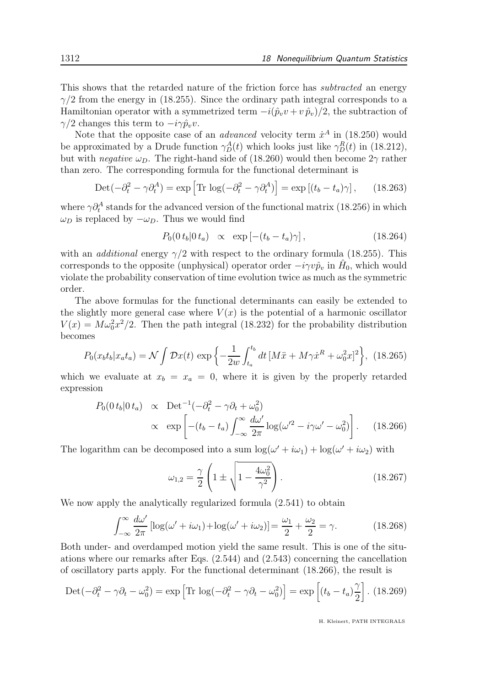This shows that the retarded nature of the friction force has subtracted an energy  $\gamma/2$  from the energy in (18.255). Since the ordinary path integral corresponds to a Hamiltonian operator with a symmetrized term  $-i(\hat{p}_v v + v \hat{p}_v)/2$ , the subtraction of  $\gamma/2$  changes this term to  $-i\gamma \hat{p}_v v$ .

Note that the opposite case of an *advanced* velocity term  $\dot{x}^A$  in (18.250) would be approximated by a Drude function  $\gamma_D^A(t)$  which looks just like  $\gamma_D^R(t)$  in (18.212), but with *negative*  $\omega_D$ . The right-hand side of (18.260) would then become  $2\gamma$  rather than zero. The corresponding formula for the functional determinant is

$$
\text{Det}\left(-\partial_t^2 - \gamma \partial_t^A\right) = \exp\left[\text{Tr}\,\log\left(-\partial_t^2 - \gamma \partial_t^A\right)\right] = \exp\left[\left(t_b - t_a\right)\gamma\right],\tag{18.263}
$$

where  $\gamma \partial_t^A$  stands for the advanced version of the functional matrix (18.256) in which  $\omega_D$  is replaced by  $-\omega_D$ . Thus we would find

$$
P_0(0 t_b | 0 t_a) \propto \exp\left[-(t_b - t_a)\gamma\right], \qquad (18.264)
$$

with an *additional* energy  $\gamma/2$  with respect to the ordinary formula (18.255). This corresponds to the opposite (unphysical) operator order  $-i\gamma v \hat{p}_v$  in  $\hat{H}_0$ , which would violate the probability conservation of time evolution twice as much as the symmetric order.

The above formulas for the functional determinants can easily be extended to the slightly more general case where  $V(x)$  is the potential of a harmonic oscillator  $V(x) = M\omega_0^2 x^2/2$ . Then the path integral (18.232) for the probability distribution becomes

$$
P_0(x_b t_b | x_a t_a) = \mathcal{N} \int \mathcal{D}x(t) \, \exp\left\{-\frac{1}{2w} \int_{t_a}^{t_b} dt \, [M\ddot{x} + M\gamma \dot{x}^R + \omega_0^2 x]^2\right\}, \tag{18.265}
$$

which we evaluate at  $x_b = x_a = 0$ , where it is given by the properly retarded expression

$$
P_0(0 t_b | 0 t_a) \propto \text{Det}^{-1}(-\partial_t^2 - \gamma \partial_t + \omega_0^2)
$$
  
 
$$
\propto \exp\left[ -(t_b - t_a) \int_{-\infty}^{\infty} \frac{d\omega'}{2\pi} \log(\omega'^2 - i\gamma \omega' - \omega_0^2) \right]. \quad (18.266)
$$

The logarithm can be decomposed into a sum  $\log(\omega' + i\omega_1) + \log(\omega' + i\omega_2)$  with

$$
\omega_{1,2} = \frac{\gamma}{2} \left( 1 \pm \sqrt{1 - \frac{4\omega_0^2}{\gamma^2}} \right). \tag{18.267}
$$

We now apply the analytically regularized formula  $(2.541)$  to obtain

$$
\int_{-\infty}^{\infty} \frac{d\omega'}{2\pi} \left[ \log(\omega' + i\omega_1) + \log(\omega' + i\omega_2) \right] = \frac{\omega_1}{2} + \frac{\omega_2}{2} = \gamma.
$$
 (18.268)

Both under- and overdamped motion yield the same result. This is one of the situations where our remarks after Eqs. (2.544) and (2.543) concerning the cancellation of oscillatory parts apply. For the functional determinant (18.266), the result is

$$
\text{Det}\left(-\partial_t^2 - \gamma \partial_t - \omega_0^2\right) = \exp\left[\text{Tr}\,\log\left(-\partial_t^2 - \gamma \partial_t - \omega_0^2\right)\right] = \exp\left[\left(t_b - t_a\right)\frac{\gamma}{2}\right].\tag{18.269}
$$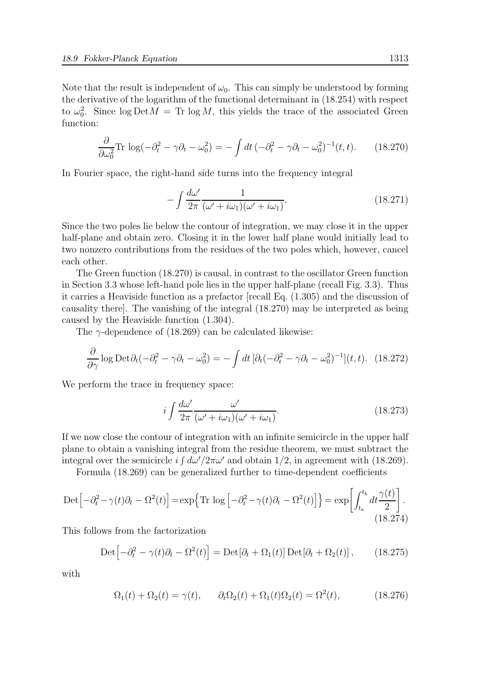Note that the result is independent of  $\omega_0$ . This can simply be understood by forming the derivative of the logarithm of the functional determinant in (18.254) with respect to  $\omega_0^2$ . Since  $\log \text{Det} M = \text{Tr} \log M$ , this yields the trace of the associated Green function:

$$
\frac{\partial}{\partial \omega_0^2} \text{Tr} \, \log(-\partial_t^2 - \gamma \partial_t - \omega_0^2) = -\int dt \, (-\partial_t^2 - \gamma \partial_t - \omega_0^2)^{-1}(t, t). \tag{18.270}
$$

In Fourier space, the right-hand side turns into the frequency integral

$$
-\int \frac{d\omega'}{2\pi} \frac{1}{(\omega' + i\omega_1)(\omega' + i\omega_1)}.
$$
\n(18.271)

Since the two poles lie below the contour of integration, we may close it in the upper half-plane and obtain zero. Closing it in the lower half plane would initially lead to two nonzero contributions from the residues of the two poles which, however, cancel each other.

The Green function (18.270) is causal, in contrast to the oscillator Green function in Section 3.3 whose left-hand pole lies in the upper half-plane (recall Fig. 3.3). Thus it carries a Heaviside function as a prefactor [recall Eq. (1.305) and the discussion of causality there]. The vanishing of the integral (18.270) may be interpreted as being caused by the Heaviside function (1.304).

The  $\gamma$ -dependence of (18.269) can be calculated likewise:

$$
\frac{\partial}{\partial \gamma} \log \text{Det} \partial_t (-\partial_t^2 - \gamma \partial_t - \omega_0^2) = -\int dt \, [\partial_t (-\partial_t^2 - \gamma \partial_t - \omega_0^2)^{-1}](t, t). \tag{18.272}
$$

We perform the trace in frequency space:

$$
i \int \frac{d\omega'}{2\pi} \frac{\omega'}{(\omega' + i\omega_1)(\omega' + i\omega_1)}.
$$
\n(18.273)

If we now close the contour of integration with an infinite semicircle in the upper half plane to obtain a vanishing integral from the residue theorem, we must subtract the integral over the semicircle  $i \int d\omega'/2\pi \omega'$  and obtain 1/2, in agreement with (18.269).

Formula (18.269) can be generalized further to time-dependent coefficients

$$
\text{Det}\left[-\partial_t^2 - \gamma(t)\partial_t - \Omega^2(t)\right] = \exp\left\{\text{Tr}\,\log\left[-\partial_t^2 - \gamma(t)\partial_t - \Omega^2(t)\right]\right\} = \exp\left[\int_{t_a}^{t_b} dt \frac{\gamma(t)}{2}\right].\tag{18.274}
$$

This follows from the factorization

$$
\text{Det}\left[-\partial_t^2 - \gamma(t)\partial_t - \Omega^2(t)\right] = \text{Det}[\partial_t + \Omega_1(t)]\,\text{Det}[\partial_t + \Omega_2(t)],\qquad(18.275)
$$

with

$$
\Omega_1(t) + \Omega_2(t) = \gamma(t), \qquad \partial_t \Omega_2(t) + \Omega_1(t) \Omega_2(t) = \Omega^2(t), \tag{18.276}
$$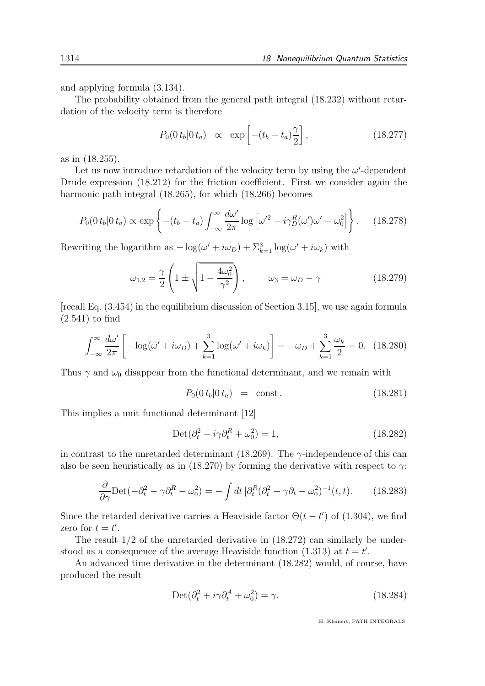and applying formula (3.134).

The probability obtained from the general path integral (18.232) without retardation of the velocity term is therefore

$$
P_0(0\,t_b|0\,t_a) \quad \propto \quad \exp\left[-(t_b - t_a)\frac{\gamma}{2}\right],\tag{18.277}
$$

as in (18.255).

Let us now introduce retardation of the velocity term by using the  $\omega'$ -dependent Drude expression (18.212) for the friction coefficient. First we consider again the harmonic path integral  $(18.265)$ , for which  $(18.266)$  becomes

$$
P_0(0\,t_b|0\,t_a) \propto \exp\left\{-(t_b-t_a)\int_{-\infty}^{\infty}\frac{d\omega'}{2\pi}\log\left[\omega'^2 - i\gamma_D^R(\omega')\omega' - \omega_0^2\right]\right\}.\tag{18.278}
$$

Rewriting the logarithm as  $-\log(\omega' + i\omega_D) + \sum_{k=1}^{3} \log(\omega' + i\omega_k)$  with

$$
\omega_{1,2} = \frac{\gamma}{2} \left( 1 \pm \sqrt{1 - \frac{4\omega_0^2}{\gamma^2}} \right), \qquad \omega_3 = \omega_D - \gamma \tag{18.279}
$$

[recall Eq. (3.454) in the equilibrium discussion of Section 3.15], we use again formula (2.541) to find

$$
\int_{-\infty}^{\infty} \frac{d\omega'}{2\pi} \left[ -\log(\omega' + i\omega_D) + \sum_{k=1}^{3} \log(\omega' + i\omega_k) \right] = -\omega_D + \sum_{k=1}^{3} \frac{\omega_k}{2} = 0. \tag{18.280}
$$

Thus  $\gamma$  and  $\omega_0$  disappear from the functional determinant, and we remain with

$$
P_0(0 \, t_b | 0 \, t_a) = \text{const.} \tag{18.281}
$$

This implies a unit functional determinant [12]

$$
Det(\partial_t^2 + i\gamma \partial_t^R + \omega_0^2) = 1,
$$
\n(18.282)

in contrast to the unretarded determinant (18.269). The  $\gamma$ -independence of this can also be seen heuristically as in (18.270) by forming the derivative with respect to  $\gamma$ :

$$
\frac{\partial}{\partial \gamma} \text{Det}(-\partial_t^2 - \gamma \partial_t^R - \omega_0^2) = -\int dt \left[\partial_t^R (\partial_t^2 - \gamma \partial_t - \omega_0^2)^{-1}(t, t)\right]. \tag{18.283}
$$

Since the retarded derivative carries a Heaviside factor  $\Theta(t-t')$  of (1.304), we find zero for  $t = t'$ .

The result 1/2 of the unretarded derivative in (18.272) can similarly be understood as a consequence of the average Heaviside function  $(1.313)$  at  $t = t'$ .

An advanced time derivative in the determinant (18.282) would, of course, have produced the result

$$
Det(\partial_t^2 + i\gamma \partial_t^A + \omega_0^2) = \gamma.
$$
\n(18.284)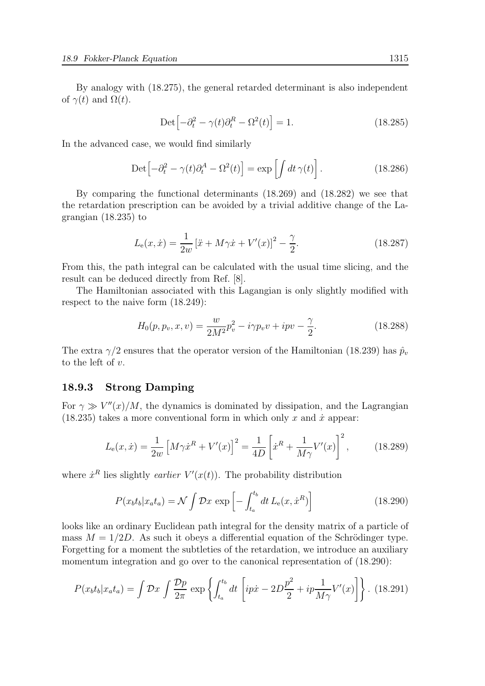By analogy with (18.275), the general retarded determinant is also independent of  $\gamma(t)$  and  $\Omega(t)$ .

$$
\text{Det}\left[-\partial_t^2 - \gamma(t)\partial_t^R - \Omega^2(t)\right] = 1. \tag{18.285}
$$

In the advanced case, we would find similarly

$$
\text{Det}\left[-\partial_t^2 - \gamma(t)\partial_t^A - \Omega^2(t)\right] = \exp\left[\int dt\,\gamma(t)\right].\tag{18.286}
$$

By comparing the functional determinants (18.269) and (18.282) we see that the retardation prescription can be avoided by a trivial additive change of the Lagrangian (18.235) to

$$
L_{\rm e}(x,\dot{x}) = \frac{1}{2w} \left[ \ddot{x} + M\gamma \dot{x} + V'(x) \right]^2 - \frac{\gamma}{2}.
$$
 (18.287)

From this, the path integral can be calculated with the usual time slicing, and the result can be deduced directly from Ref. [8].

The Hamiltonian associated with this Lagangian is only slightly modified with respect to the naive form (18.249):

$$
H_0(p, p_v, x, v) = \frac{w}{2M^2} p_v^2 - i\gamma p_v v + ipv - \frac{\gamma}{2}.
$$
\n(18.288)

The extra  $\gamma/2$  ensures that the operator version of the Hamiltonian (18.239) has  $\hat{p}_v$ to the left of  $v$ .

# 18.9.3 Strong Damping

For  $\gamma \gg V''(x)/M$ , the dynamics is dominated by dissipation, and the Lagrangian  $(18.235)$  takes a more conventional form in which only x and  $\dot{x}$  appear:

$$
L_{\rm e}(x,\dot{x}) = \frac{1}{2w} \left[ M\gamma \dot{x}^R + V'(x) \right]^2 = \frac{1}{4D} \left[ \dot{x}^R + \frac{1}{M\gamma} V'(x) \right]^2, \quad (18.289)
$$

where  $\dot{x}^R$  lies slightly *earlier*  $V'(x(t))$ . The probability distribution

$$
P(x_b t_b | x_a t_a) = \mathcal{N} \int \mathcal{D}x \, \exp\left[-\int_{t_a}^{t_b} dt \, L_e(x, \dot{x}^R)\right] \tag{18.290}
$$

looks like an ordinary Euclidean path integral for the density matrix of a particle of mass  $M = 1/2D$ . As such it obeys a differential equation of the Schrödinger type. Forgetting for a moment the subtleties of the retardation, we introduce an auxiliary momentum integration and go over to the canonical representation of (18.290):

$$
P(x_b t_b | x_a t_a) = \int \mathcal{D}x \int \frac{\mathcal{D}p}{2\pi} \exp \left\{ \int_{t_a}^{t_b} dt \left[ ip\dot{x} - 2D\frac{p^2}{2} + ip\frac{1}{M\gamma} V'(x) \right] \right\}.
$$
 (18.291)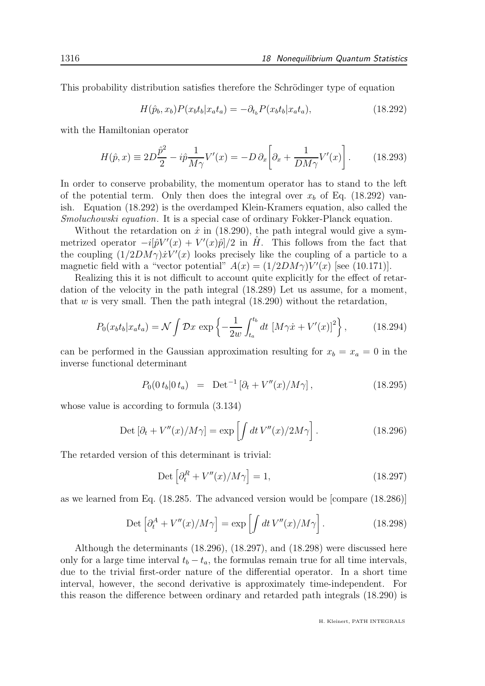This probability distribution satisfies therefore the Schrödinger type of equation

$$
H(\hat{p}_b, x_b)P(x_b t_b | x_a t_a) = -\partial_{t_b} P(x_b t_b | x_a t_a), \qquad (18.292)
$$

with the Hamiltonian operator

$$
H(\hat{p},x) \equiv 2D\frac{\hat{p}^2}{2} - i\hat{p}\frac{1}{M\gamma}V'(x) = -D\,\partial_x\bigg[\partial_x + \frac{1}{DM\gamma}V'(x)\bigg].\tag{18.293}
$$

In order to conserve probability, the momentum operator has to stand to the left of the potential term. Only then does the integral over  $x<sub>b</sub>$  of Eq. (18.292) vanish. Equation (18.292) is the overdamped Klein-Kramers equation, also called the Smoluchowski equation. It is a special case of ordinary Fokker-Planck equation.

Without the retardation on  $\dot{x}$  in (18.290), the path integral would give a symmetrized operator  $-i[\hat{p}V'(x) + V'(x)\hat{p}]/2$  in  $\hat{H}$ . This follows from the fact that the coupling  $(1/2DM\gamma)\dot{x}V'(x)$  looks precisely like the coupling of a particle to a magnetic field with a "vector potential"  $A(x) = (1/2DM\gamma)V'(x)$  [see (10.171)].

Realizing this it is not difficult to account quite explicitly for the effect of retardation of the velocity in the path integral (18.289) Let us assume, for a moment, that  $w$  is very small. Then the path integral  $(18.290)$  without the retardation,

$$
P_0(x_b t_b | x_a t_a) = \mathcal{N} \int \mathcal{D}x \, \exp\left\{-\frac{1}{2w} \int_{t_a}^{t_b} dt \, \left[M\gamma \dot{x} + V'(x)\right]^2\right\},\tag{18.294}
$$

can be performed in the Gaussian approximation resulting for  $x_b = x_a = 0$  in the inverse functional determinant

$$
P_0(0\,t_b|0\,t_a) = \text{Det}^{-1}\left[\partial_t + V''(x)/M\gamma\right],\tag{18.295}
$$

whose value is according to formula (3.134)

$$
\text{Det}\left[\partial_t + V''(x)/M\gamma\right] = \exp\left[\int dt \, V''(x)/2M\gamma\right].\tag{18.296}
$$

The retarded version of this determinant is trivial:

$$
\text{Det}\left[\partial_t^R + V''(x)/M\gamma\right] = 1,\tag{18.297}
$$

as we learned from Eq. (18.285. The advanced version would be [compare (18.286)]

$$
\text{Det}\left[\partial_t^A + V''(x)/M\gamma\right] = \exp\left[\int dt\,V''(x)/M\gamma\right].\tag{18.298}
$$

Although the determinants (18.296), (18.297), and (18.298) were discussed here only for a large time interval  $t_b - t_a$ , the formulas remain true for all time intervals, due to the trivial first-order nature of the differential operator. In a short time interval, however, the second derivative is approximately time-independent. For this reason the difference between ordinary and retarded path integrals (18.290) is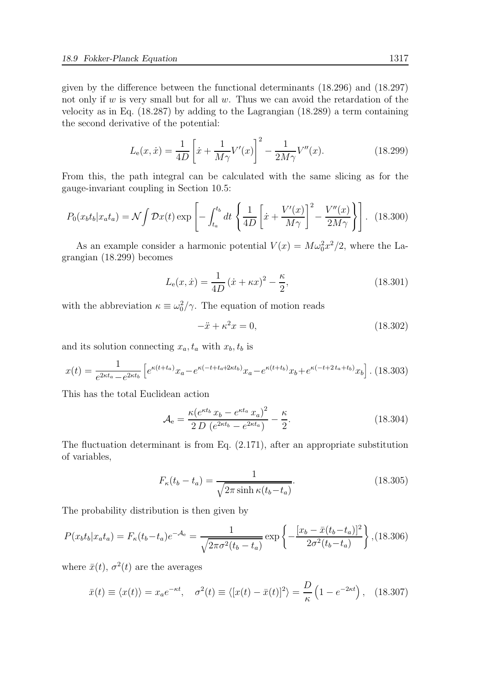given by the difference between the functional determinants (18.296) and (18.297) not only if  $w$  is very small but for all  $w$ . Thus we can avoid the retardation of the velocity as in Eq. (18.287) by adding to the Lagrangian (18.289) a term containing the second derivative of the potential:

$$
L_{\rm e}(x,\dot{x}) = \frac{1}{4D} \left[ \dot{x} + \frac{1}{M\gamma} V'(x) \right]^2 - \frac{1}{2M\gamma} V''(x). \tag{18.299}
$$

From this, the path integral can be calculated with the same slicing as for the gauge-invariant coupling in Section 10.5:

$$
P_0(x_b t_b | x_a t_a) = \mathcal{N} \int \mathcal{D}x(t) \exp\left[ -\int_{t_a}^{t_b} dt \left\{ \frac{1}{4D} \left[ \dot{x} + \frac{V'(x)}{M\gamma} \right]^2 - \frac{V''(x)}{2M\gamma} \right\} \right]. \tag{18.300}
$$

As an example consider a harmonic potential  $V(x) = M\omega_0^2 x^2/2$ , where the Lagrangian (18.299) becomes

$$
L_{\rm e}(x,\dot{x}) = \frac{1}{4D} (\dot{x} + \kappa x)^2 - \frac{\kappa}{2},\tag{18.301}
$$

with the abbreviation  $\kappa \equiv \omega_0^2/\gamma$ . The equation of motion reads

$$
-\ddot{x} + \kappa^2 x = 0,\t(18.302)
$$

and its solution connecting  $x_a, t_a$  with  $x_b, t_b$  is

$$
x(t) = \frac{1}{e^{2\kappa t_a} - e^{2\kappa t_b}} \left[ e^{\kappa(t + t_a)} x_a - e^{\kappa(-t + t_a + 2\kappa t_b)} x_a - e^{\kappa(t + t_b)} x_b + e^{\kappa(-t + 2t_a + t_b)} x_b \right].
$$
 (18.303)

This has the total Euclidean action

$$
\mathcal{A}_{e} = \frac{\kappa (e^{\kappa t_b} x_b - e^{\kappa t_a} x_a)^2}{2 D (e^{2\kappa t_b} - e^{2\kappa t_a})} - \frac{\kappa}{2}.
$$
\n(18.304)

The fluctuation determinant is from Eq. (2.171), after an appropriate substitution of variables,

$$
F_{\kappa}(t_b - t_a) = \frac{1}{\sqrt{2\pi \sinh \kappa (t_b - t_a)}}.
$$
\n(18.305)

The probability distribution is then given by

$$
P(x_b t_b | x_a t_a) = F_{\kappa}(t_b - t_a) e^{-\mathcal{A}_e} = \frac{1}{\sqrt{2\pi\sigma^2(t_b - t_a)}} \exp\left\{-\frac{[x_b - \bar{x}(t_b - t_a)]^2}{2\sigma^2(t_b - t_a)}\right\}, (18.306)
$$

where  $\bar{x}(t)$ ,  $\sigma^2(t)$  are the averages

$$
\bar{x}(t) \equiv \langle x(t) \rangle = x_a e^{-\kappa t}, \quad \sigma^2(t) \equiv \langle [x(t) - \bar{x}(t)]^2 \rangle = \frac{D}{\kappa} \left( 1 - e^{-2\kappa t} \right), \quad (18.307)
$$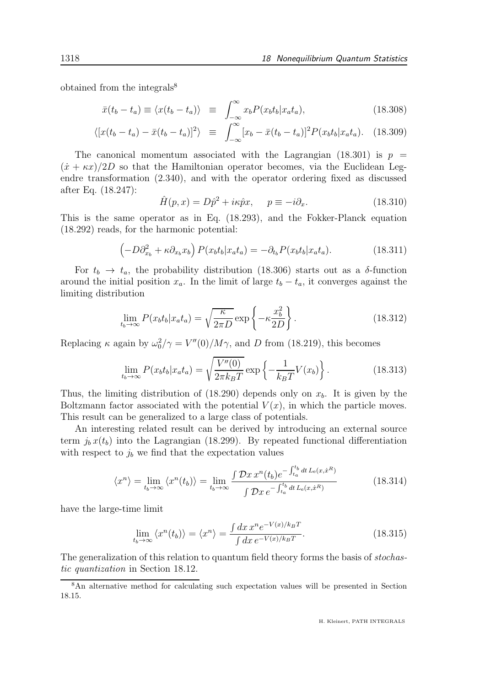obtained from the integrals $\delta$ 

$$
\bar{x}(t_b - t_a) \equiv \langle x(t_b - t_a) \rangle \equiv \int_{-\infty}^{\infty} x_b P(x_b t_b | x_a t_a), \tag{18.308}
$$

$$
\langle [x(t_b - t_a) - \bar{x}(t_b - t_a)]^2 \rangle \equiv \int_{-\infty}^{\infty} [x_b - \bar{x}(t_b - t_a)]^2 P(x_b t_b | x_a t_a). \quad (18.309)
$$

The canonical momentum associated with the Lagrangian (18.301) is  $p =$  $(\dot{x} + \kappa x)/2D$  so that the Hamiltonian operator becomes, via the Euclidean Legendre transformation (2.340), and with the operator ordering fixed as discussed after Eq. (18.247):

$$
\hat{H}(p,x) = D\hat{p}^2 + i\kappa \hat{p}x, \quad p \equiv -i\partial_x. \tag{18.310}
$$

This is the same operator as in Eq. (18.293), and the Fokker-Planck equation (18.292) reads, for the harmonic potential:

$$
\left(-D\partial_{x_b}^2 + \kappa \partial_{x_b} x_b\right) P(x_b t_b | x_a t_a) = -\partial_{t_b} P(x_b t_b | x_a t_a). \tag{18.311}
$$

For  $t_b \rightarrow t_a$ , the probability distribution (18.306) starts out as a  $\delta$ -function around the initial position  $x_a$ . In the limit of large  $t_b - t_a$ , it converges against the limiting distribution

$$
\lim_{t_b \to \infty} P(x_b t_b | x_a t_a) = \sqrt{\frac{\kappa}{2\pi D}} \exp\left\{-\kappa \frac{x_b^2}{2D}\right\}.
$$
\n(18.312)

Replacing  $\kappa$  again by  $\omega_0^2/\gamma = V''(0)/M\gamma$ , and D from (18.219), this becomes

$$
\lim_{t_b \to \infty} P(x_b t_b | x_a t_a) = \sqrt{\frac{V''(0)}{2\pi k_B T}} \exp\left\{-\frac{1}{k_B T} V(x_b)\right\}.
$$
\n(18.313)

Thus, the limiting distribution of (18.290) depends only on  $x<sub>b</sub>$ . It is given by the Boltzmann factor associated with the potential  $V(x)$ , in which the particle moves. This result can be generalized to a large class of potentials.

An interesting related result can be derived by introducing an external source term  $j_b x(t_b)$  into the Lagrangian (18.299). By repeated functional differentiation with respect to  $j_b$  we find that the expectation values

$$
\langle x^n \rangle = \lim_{t_b \to \infty} \langle x^n(t_b) \rangle = \lim_{t_b \to \infty} \frac{\int \mathcal{D}x \, x^n(t_b) e^{-\int_{t_a}^{t_b} dt \, L_e(x, \dot{x}^R)}}{\int \mathcal{D}x \, e^{-\int_{t_a}^{t_b} dt \, L_e(x, \dot{x}^R)}}
$$
(18.314)

have the large-time limit

$$
\lim_{t_b \to \infty} \langle x^n(t_b) \rangle = \langle x^n \rangle = \frac{\int dx \, x^n e^{-V(x)/k_B T}}{\int dx \, e^{-V(x)/k_B T}}.
$$
\n(18.315)

The generalization of this relation to quantum field theory forms the basis of *stochas*tic quantization in Section 18.12.

<sup>8</sup>An alternative method for calculating such expectation values will be presented in Section 18.15.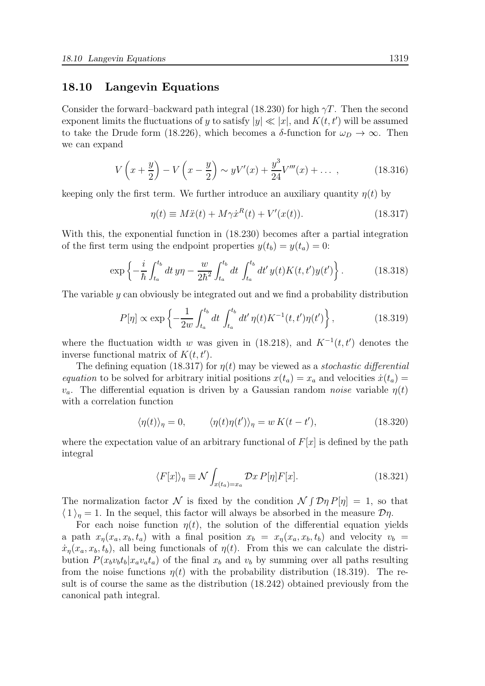### 18.10 Langevin Equations

Consider the forward–backward path integral (18.230) for high  $\gamma T$ . Then the second exponent limits the fluctuations of y to satisfy  $|y| \ll |x|$ , and  $K(t, t')$  will be assumed to take the Drude form (18.226), which becomes a  $\delta$ -function for  $\omega_D \to \infty$ . Then we can expand

$$
V\left(x+\frac{y}{2}\right) - V\left(x-\frac{y}{2}\right) \sim yV'(x) + \frac{y^3}{24}V'''(x) + \dots \,,\tag{18.316}
$$

keeping only the first term. We further introduce an auxiliary quantity  $\eta(t)$  by

$$
\eta(t) \equiv M\ddot{x}(t) + M\gamma \dot{x}^{R}(t) + V'(x(t)). \qquad (18.317)
$$

With this, the exponential function in (18.230) becomes after a partial integration of the first term using the endpoint properties  $y(t_b) = y(t_a) = 0$ :

$$
\exp\left\{-\frac{i}{\hbar}\int_{t_a}^{t_b}dt\,y\eta-\frac{w}{2\hbar^2}\int_{t_a}^{t_b}dt\,\int_{t_a}^{t_b}dt'\,y(t)K(t,t')y(t')\right\}.\tag{18.318}
$$

The variable y can obviously be integrated out and we find a probability distribution

$$
P[\eta] \propto \exp\left\{-\frac{1}{2w} \int_{t_a}^{t_b} dt \int_{t_a}^{t_b} dt' \eta(t) K^{-1}(t, t') \eta(t')\right\},\tag{18.319}
$$

where the fluctuation width w was given in (18.218), and  $K^{-1}(t,t')$  denotes the inverse functional matrix of  $K(t, t')$ .

The defining equation (18.317) for  $\eta(t)$  may be viewed as a *stochastic differential* equation to be solved for arbitrary initial positions  $x(t_a) = x_a$  and velocities  $\dot{x}(t_a) =$  $v_a$ . The differential equation is driven by a Gaussian random noise variable  $\eta(t)$ with a correlation function

$$
\langle \eta(t) \rangle_{\eta} = 0, \qquad \langle \eta(t) \eta(t') \rangle_{\eta} = w K(t - t'), \qquad (18.320)
$$

where the expectation value of an arbitrary functional of  $F[x]$  is defined by the path integral

$$
\langle F[x] \rangle_{\eta} \equiv \mathcal{N} \int_{x(t_a) = x_a} \mathcal{D}x \, P[\eta] F[x]. \tag{18.321}
$$

The normalization factor N is fixed by the condition  $\mathcal{N}\int \mathcal{D}\eta P[\eta] = 1$ , so that  $\langle 1 \rangle_n = 1$ . In the sequel, this factor will always be absorbed in the measure  $\mathcal{D}\eta$ .

For each noise function  $\eta(t)$ , the solution of the differential equation yields a path  $x_{\eta}(x_a, x_b, t_a)$  with a final position  $x_b = x_{\eta}(x_a, x_b, t_b)$  and velocity  $v_b =$  $\dot{x}_n(x_a, x_b, t_b)$ , all being functionals of  $\eta(t)$ . From this we can calculate the distribution  $P(x_bv_b t_b|x_a v_a t_a)$  of the final  $x_b$  and  $v_b$  by summing over all paths resulting from the noise functions  $\eta(t)$  with the probability distribution (18.319). The result is of course the same as the distribution (18.242) obtained previously from the canonical path integral.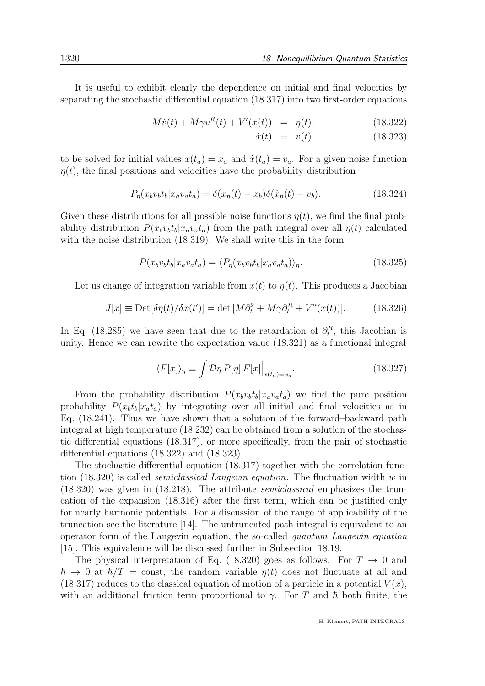It is useful to exhibit clearly the dependence on initial and final velocities by separating the stochastic differential equation (18.317) into two first-order equations

$$
M\dot{v}(t) + M\gamma v^{R}(t) + V'(x(t)) = \eta(t), \qquad (18.322)
$$

$$
\dot{x}(t) = v(t), \t(18.323)
$$

to be solved for initial values  $x(t_a) = x_a$  and  $\dot{x}(t_a) = v_a$ . For a given noise function  $\eta(t)$ , the final positions and velocities have the probability distribution

$$
P_{\eta}(x_b v_b t_b | x_a v_a t_a) = \delta(x_{\eta}(t) - x_b) \delta(\dot{x}_{\eta}(t) - v_b). \tag{18.324}
$$

Given these distributions for all possible noise functions  $\eta(t)$ , we find the final probability distribution  $P(x_b v_b t_b | x_a v_a t_a)$  from the path integral over all  $\eta(t)$  calculated with the noise distribution  $(18.319)$ . We shall write this in the form

$$
P(x_b v_b t_b | x_a v_a t_a) = \langle P_\eta(x_b v_b t_b | x_a v_a t_a) \rangle_\eta. \tag{18.325}
$$

Let us change of integration variable from  $x(t)$  to  $\eta(t)$ . This produces a Jacobian

$$
J[x] \equiv \text{Det}[\delta \eta(t) / \delta x(t')] = \det [M \partial_t^2 + M \gamma \partial_t^R + V''(x(t))]. \tag{18.326}
$$

In Eq. (18.285) we have seen that due to the retardation of  $\partial_t^R$ , this Jacobian is unity. Hence we can rewrite the expectation value (18.321) as a functional integral

$$
\langle F[x] \rangle_{\eta} \equiv \int \mathcal{D}\eta \, P[\eta] \, F[x] \Big|_{x(t_a) = x_a}.
$$
\n(18.327)

From the probability distribution  $P(x_b v_b t_b | x_a v_a t_a)$  we find the pure position probability  $P(x_b t_b | x_a t_a)$  by integrating over all initial and final velocities as in Eq. (18.241). Thus we have shown that a solution of the forward–backward path integral at high temperature (18.232) can be obtained from a solution of the stochastic differential equations (18.317), or more specifically, from the pair of stochastic differential equations (18.322) and (18.323).

The stochastic differential equation (18.317) together with the correlation function  $(18.320)$  is called *semiclassical Langevin equation*. The fluctuation width w in (18.320) was given in (18.218). The attribute semiclassical emphasizes the truncation of the expansion (18.316) after the first term, which can be justified only for nearly harmonic potentials. For a discussion of the range of applicability of the truncation see the literature [14]. The untruncated path integral is equivalent to an operator form of the Langevin equation, the so-called quantum Langevin equation [15]. This equivalence will be discussed further in Subsection 18.19.

The physical interpretation of Eq. (18.320) goes as follows. For  $T \to 0$  and  $\hbar \to 0$  at  $\hbar/T = \text{const}$ , the random variable  $\eta(t)$  does not fluctuate at all and  $(18.317)$  reduces to the classical equation of motion of a particle in a potential  $V(x)$ , with an additional friction term proportional to  $\gamma$ . For T and  $\hbar$  both finite, the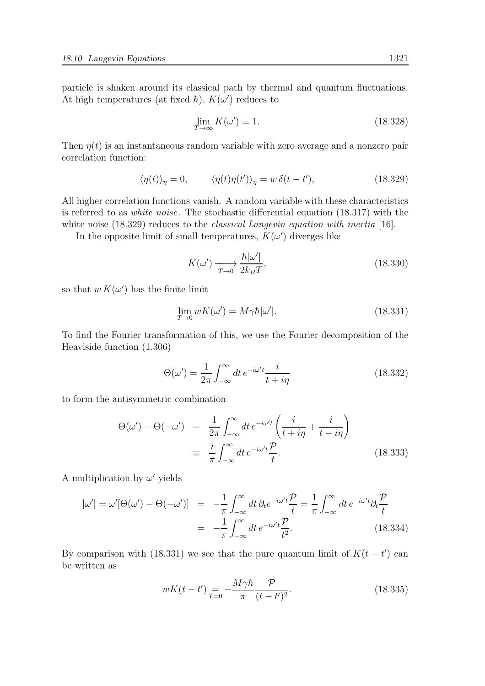particle is shaken around its classical path by thermal and quantum fluctuations. At high temperatures (at fixed  $\hbar$ ),  $K(\omega')$  reduces to

$$
\lim_{T \to \infty} K(\omega') \equiv 1. \tag{18.328}
$$

Then  $\eta(t)$  is an instantaneous random variable with zero average and a nonzero pair correlation function:

$$
\langle \eta(t) \rangle_{\eta} = 0, \qquad \langle \eta(t) \eta(t') \rangle_{\eta} = w \, \delta(t - t'), \tag{18.329}
$$

All higher correlation functions vanish. A random variable with these characteristics is referred to as white noise. The stochastic differential equation (18.317) with the white noise (18.329) reduces to the *classical Langevin equation with inertia* [16].

In the opposite limit of small temperatures,  $K(\omega')$  diverges like

$$
K(\omega') \xrightarrow[T \to 0]{} \frac{\hbar |\omega'|}{2k_B T},\tag{18.330}
$$

so that  $w K(\omega')$  has the finite limit

$$
\lim_{T \to 0} wK(\omega') = M\gamma \hbar |\omega'|.
$$
\n(18.331)

To find the Fourier transformation of this, we use the Fourier decomposition of the Heaviside function (1.306)

$$
\Theta(\omega') = \frac{1}{2\pi} \int_{-\infty}^{\infty} dt \, e^{-i\omega' t} \frac{i}{t + i\eta} \tag{18.332}
$$

to form the antisymmetric combination

$$
\Theta(\omega') - \Theta(-\omega') = \frac{1}{2\pi} \int_{-\infty}^{\infty} dt \, e^{-i\omega' t} \left( \frac{i}{t + i\eta} + \frac{i}{t - i\eta} \right)
$$

$$
\equiv \frac{i}{\pi} \int_{-\infty}^{\infty} dt \, e^{-i\omega' t} \frac{\mathcal{P}}{t}.
$$
(18.333)

A multiplication by  $\omega'$  yields

$$
|\omega'| = \omega'[\Theta(\omega') - \Theta(-\omega')] = -\frac{1}{\pi} \int_{-\infty}^{\infty} dt \, \partial_t e^{-i\omega' t} \frac{\mathcal{P}}{t} = \frac{1}{\pi} \int_{-\infty}^{\infty} dt \, e^{-i\omega' t} \partial_t \frac{\mathcal{P}}{t}
$$

$$
= -\frac{1}{\pi} \int_{-\infty}^{\infty} dt \, e^{-i\omega' t} \frac{\mathcal{P}}{t^2}.
$$
(18.334)

By comparison with (18.331) we see that the pure quantum limit of  $K(t-t')$  can be written as

$$
wK(t - t') = -\frac{M\gamma\hbar}{\pi} \frac{\mathcal{P}}{(t - t')^2}.
$$
 (18.335)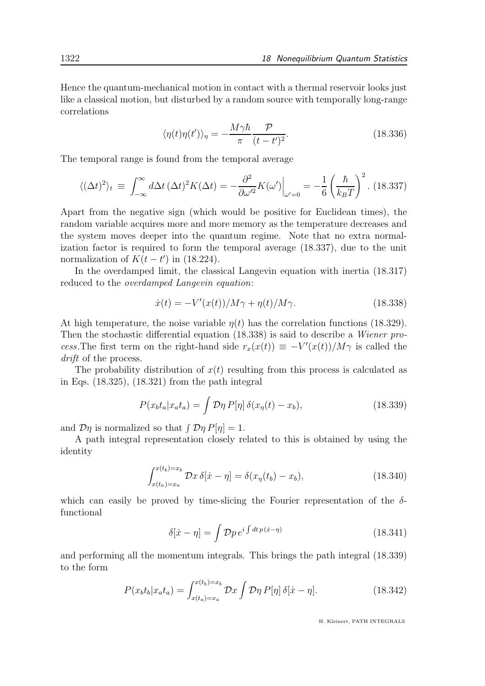Hence the quantum-mechanical motion in contact with a thermal reservoir looks just like a classical motion, but disturbed by a random source with temporally long-range correlations

$$
\langle \eta(t)\eta(t')\rangle_{\eta} = -\frac{M\gamma\hbar}{\pi} \frac{\mathcal{P}}{(t-t')^2}.
$$
 (18.336)

The temporal range is found from the temporal average

$$
\langle (\Delta t)^2 \rangle_t \equiv \int_{-\infty}^{\infty} d\Delta t \, (\Delta t)^2 K(\Delta t) = -\frac{\partial^2}{\partial \omega'^2} K(\omega') \Big|_{\omega'=0} = -\frac{1}{6} \left( \frac{\hbar}{k_B T} \right)^2. \tag{18.337}
$$

Apart from the negative sign (which would be positive for Euclidean times), the random variable acquires more and more memory as the temperature decreases and the system moves deeper into the quantum regime. Note that no extra normalization factor is required to form the temporal average (18.337), due to the unit normalization of  $K(t-t')$  in (18.224).

In the overdamped limit, the classical Langevin equation with inertia (18.317) reduced to the overdamped Langevin equation:

$$
\dot{x}(t) = -V'(x(t))/M\gamma + \eta(t)/M\gamma.
$$
\n(18.338)

At high temperature, the noise variable  $\eta(t)$  has the correlation functions (18.329). Then the stochastic differential equation (18.338) is said to describe a Wiener process. The first term on the right-hand side  $r_x(x(t)) \equiv -V'(x(t))/M\gamma$  is called the drift of the process.

The probability distribution of  $x(t)$  resulting from this process is calculated as in Eqs. (18.325), (18.321) from the path integral

$$
P(x_b t_a | x_a t_a) = \int \mathcal{D}\eta \, P[\eta] \, \delta(x_\eta(t) - x_b), \tag{18.339}
$$

and  $\mathcal{D}\eta$  is normalized so that  $\int \mathcal{D}\eta P[\eta] = 1$ .

A path integral representation closely related to this is obtained by using the identity

$$
\int_{x(t_b)=x_a}^{x(t_b)=x_b} \mathcal{D}x \,\delta[\dot{x}-\eta] = \delta(x_\eta(t_b)-x_b),\tag{18.340}
$$

which can easily be proved by time-slicing the Fourier representation of the  $\delta$ functional

$$
\delta[\dot{x} - \eta] = \int \mathcal{D}p \, e^{i \int dt \, p(\dot{x} - \eta)} \tag{18.341}
$$

and performing all the momentum integrals. This brings the path integral (18.339) to the form

$$
P(x_b t_b | x_a t_a) = \int_{x(t_a) = x_a}^{x(t_b) = x_b} \mathcal{D}x \int \mathcal{D}\eta \, P[\eta] \, \delta[\dot{x} - \eta]. \tag{18.342}
$$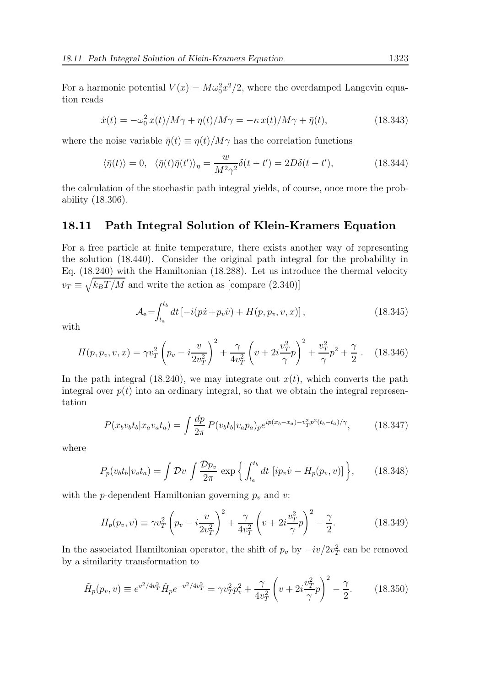For a harmonic potential  $V(x) = M\omega_0^2 x^2/2$ , where the overdamped Langevin equation reads

$$
\dot{x}(t) = -\omega_0^2 x(t)/M\gamma + \eta(t)/M\gamma = -\kappa x(t)/M\gamma + \bar{\eta}(t),\tag{18.343}
$$

where the noise variable  $\bar{\eta}(t) \equiv \eta(t)/M\gamma$  has the correlation functions

$$
\langle \bar{\eta}(t) \rangle = 0, \quad \langle \bar{\eta}(t) \bar{\eta}(t') \rangle_{\eta} = \frac{w}{M^2 \gamma^2} \delta(t - t') = 2D\delta(t - t'), \tag{18.344}
$$

the calculation of the stochastic path integral yields, of course, once more the probability (18.306).

## 18.11 Path Integral Solution of Klein-Kramers Equation

For a free particle at finite temperature, there exists another way of representing the solution (18.440). Consider the original path integral for the probability in Eq. (18.240) with the Hamiltonian (18.288). Let us introduce the thermal velocity  $v_T \equiv \sqrt{k_B T/M}$  and write the action as [compare (2.340)]

$$
\mathcal{A}_{e} = \int_{t_a}^{t_b} dt \left[ -i(p\dot{x} + p_v \dot{v}) + H(p, p_v, v, x) \right],
$$
\n(18.345)

with

$$
H(p, p_v, v, x) = \gamma v_T^2 \left( p_v - i \frac{v}{2v_T^2} \right)^2 + \frac{\gamma}{4v_T^2} \left( v + 2i \frac{v_T^2}{\gamma} p \right)^2 + \frac{v_T^2}{\gamma} p^2 + \frac{\gamma}{2} \ . \tag{18.346}
$$

In the path integral  $(18.240)$ , we may integrate out  $x(t)$ , which converts the path integral over  $p(t)$  into an ordinary integral, so that we obtain the integral representation

$$
P(x_b v_b t_b | x_a v_a t_a) = \int \frac{dp}{2\pi} P(v_b t_b | v_a p_a)_{p} e^{ip(x_b - x_a) - v_T^2 p^2(t_b - t_a)/\gamma}, \tag{18.347}
$$

where

$$
P_p(v_b t_b | v_a t_a) = \int \mathcal{D}v \int \frac{\mathcal{D}p_v}{2\pi} \exp\left\{ \int_{t_a}^{t_b} dt \left[ ip_v \dot{v} - H_p(p_v, v) \right] \right\}, \tag{18.348}
$$

with the p-dependent Hamiltonian governing  $p_v$  and v:

$$
H_p(p_v, v) \equiv \gamma v_T^2 \left( p_v - i \frac{v}{2v_T^2} \right)^2 + \frac{\gamma}{4v_T^2} \left( v + 2i \frac{v_T^2}{\gamma} p \right)^2 - \frac{\gamma}{2}.
$$
 (18.349)

In the associated Hamiltonian operator, the shift of  $p_v$  by  $-i\upsilon/2v_T^2$  can be removed by a similarity transformation to

$$
\tilde{H}_p(p_v, v) \equiv e^{v^2/4v_T^2} \hat{H}_p e^{-v^2/4v_T^2} = \gamma v_T^2 p_v^2 + \frac{\gamma}{4v_T^2} \left(v + 2i\frac{v_T^2}{\gamma}p\right)^2 - \frac{\gamma}{2}.
$$
\n(18.350)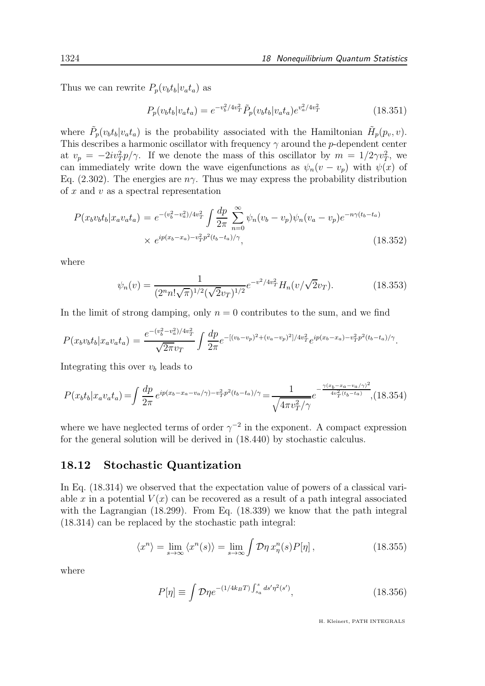Thus we can rewrite  $P_p(v_b t_b|v_a t_a)$  as

$$
P_p(v_b t_b | v_a t_a) = e^{-v_b^2 / 4v_T^2} \tilde{P}_p(v_b t_b | v_a t_a) e^{v_a^2 / 4v_T^2}
$$
\n(18.351)

where  $\tilde{P}_p(v_b t_b | v_a t_a)$  is the probability associated with the Hamiltonian  $\tilde{H}_p(p_v, v)$ . This describes a harmonic oscillator with frequency  $\gamma$  around the p-dependent center at  $v_p = -2iv_T^2 p/\gamma$ . If we denote the mass of this oscillator by  $m = 1/2\gamma v_T^2$ , we can immediately write down the wave eigenfunctions as  $\psi_n(v - v_p)$  with  $\psi(x)$  of Eq. (2.302). The energies are  $n\gamma$ . Thus we may express the probability distribution of  $x$  and  $v$  as a spectral representation

$$
P(x_b v_b t_b | x_a v_a t_a) = e^{-(v_b^2 - v_a^2)/4v_T^2} \int \frac{dp}{2\pi} \sum_{n=0}^{\infty} \psi_n (v_b - v_p) \psi_n (v_a - v_p) e^{-n\gamma(t_b - t_a)}
$$
  
 
$$
\times e^{ip(x_b - x_a) - v_T^2 p^2(t_b - t_a)/\gamma},
$$
 (18.352)

where

$$
\psi_n(v) = \frac{1}{(2^n n! \sqrt{\pi})^{1/2} (\sqrt{2}v_T)^{1/2}} e^{-v^2/4v_T^2} H_n(v/\sqrt{2}v_T).
$$
 (18.353)

In the limit of strong damping, only  $n = 0$  contributes to the sum, and we find

$$
P(x_b v_b t_b | x_a v_a t_a) = \frac{e^{-(v_b^2 - v_a^2)/4v_T^2}}{\sqrt{2\pi}v_T} \int \frac{dp}{2\pi} e^{-[(v_b - v_p)^2 + (v_a - v_p)^2]/4v_T^2} e^{ip(x_b - x_a) - v_T^2 p^2(t_b - t_a)/\gamma}.
$$

Integrating this over  $v_b$  leads to

$$
P(x_b t_b | x_a v_a t_a) = \int \frac{dp}{2\pi} e^{ip(x_b - x_a - v_a/\gamma) - v_T^2 p^2(t_b - t_a)/\gamma} = \frac{1}{\sqrt{4\pi v_T^2/\gamma}} e^{-\frac{\gamma(x_b - x_a - v_a/\gamma)^2}{4v_T^2(t_b - t_a)}}, (18.354)
$$

where we have neglected terms of order  $\gamma^{-2}$  in the exponent. A compact expression for the general solution will be derived in (18.440) by stochastic calculus.

### 18.12 Stochastic Quantization

In Eq. (18.314) we observed that the expectation value of powers of a classical variable x in a potential  $V(x)$  can be recovered as a result of a path integral associated with the Lagrangian (18.299). From Eq. (18.339) we know that the path integral (18.314) can be replaced by the stochastic path integral:

$$
\langle x^n \rangle = \lim_{s \to \infty} \langle x^n(s) \rangle = \lim_{s \to \infty} \int \mathcal{D}\eta \, x^n_{\eta}(s) P[\eta] \,, \tag{18.355}
$$

where

$$
P[\eta] \equiv \int \mathcal{D}\eta e^{-(1/4k_B T) \int_{s_a}^s ds' \eta^2(s')} , \qquad (18.356)
$$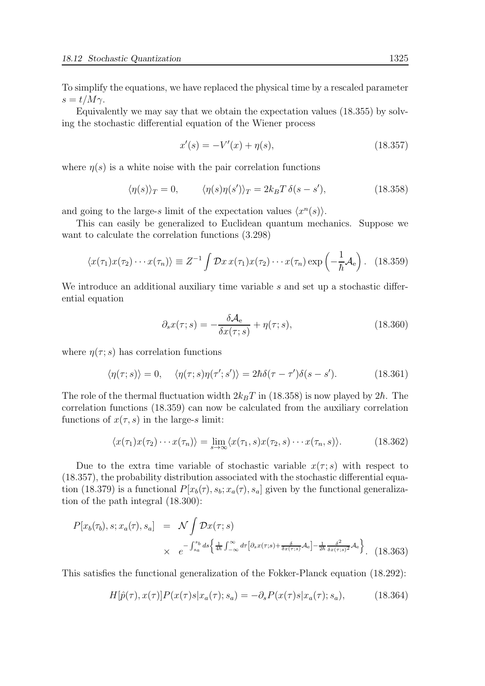To simplify the equations, we have replaced the physical time by a rescaled parameter  $s = t/M\gamma$ .

Equivalently we may say that we obtain the expectation values (18.355) by solving the stochastic differential equation of the Wiener process

$$
x'(s) = -V'(x) + \eta(s),\tag{18.357}
$$

where  $\eta(s)$  is a white noise with the pair correlation functions

$$
\langle \eta(s) \rangle_T = 0, \qquad \langle \eta(s) \eta(s') \rangle_T = 2k_B T \delta(s - s'), \qquad (18.358)
$$

and going to the large-s limit of the expectation values  $\langle x^n(s) \rangle$ .

This can easily be generalized to Euclidean quantum mechanics. Suppose we want to calculate the correlation functions (3.298)

$$
\langle x(\tau_1)x(\tau_2)\cdots x(\tau_n)\rangle \equiv Z^{-1}\int \mathcal{D}x\,x(\tau_1)x(\tau_2)\cdots x(\tau_n)\exp\left(-\frac{1}{\hbar}\mathcal{A}_e\right). \tag{18.359}
$$

We introduce an additional auxiliary time variable s and set up a stochastic differential equation

$$
\partial_s x(\tau;s) = -\frac{\delta \mathcal{A}_e}{\delta x(\tau;s)} + \eta(\tau;s),\tag{18.360}
$$

where  $\eta(\tau; s)$  has correlation functions

$$
\langle \eta(\tau;s) \rangle = 0, \quad \langle \eta(\tau;s) \eta(\tau';s') \rangle = 2\hbar \delta(\tau - \tau')\delta(s - s'). \tag{18.361}
$$

The role of the thermal fluctuation width  $2k_BT$  in (18.358) is now played by 2 $\hbar$ . The correlation functions (18.359) can now be calculated from the auxiliary correlation functions of  $x(\tau, s)$  in the large-s limit:

$$
\langle x(\tau_1)x(\tau_2)\cdots x(\tau_n)\rangle = \lim_{s\to\infty} \langle x(\tau_1,s)x(\tau_2,s)\cdots x(\tau_n,s)\rangle.
$$
 (18.362)

Due to the extra time variable of stochastic variable  $x(\tau; s)$  with respect to (18.357), the probability distribution associated with the stochastic differential equation (18.379) is a functional  $P[x_b(\tau), s_b; x_a(\tau), s_a]$  given by the functional generalization of the path integral (18.300):

$$
P[x_b(\tau_b), s; x_a(\tau), s_a] = \mathcal{N} \int \mathcal{D}x(\tau; s)
$$
  
 
$$
\times e^{-\int_{s_a}^{s_b} ds \left\{ \frac{1}{4\hbar} \int_{-\infty}^{\infty} d\tau \left[ \partial_s x(\tau; s) + \frac{\delta}{\delta x(\tau; s)} \mathcal{A}_e \right] - \frac{1}{2\hbar} \frac{\delta^2}{\delta x(\tau; s)^2} \mathcal{A}_e \right\}}.
$$
 (18.363)

This satisfies the functional generalization of the Fokker-Planck equation (18.292):

$$
H[\hat{p}(\tau), x(\tau)]P(x(\tau)s|x_a(\tau); s_a) = -\partial_s P(x(\tau)s|x_a(\tau); s_a), \qquad (18.364)
$$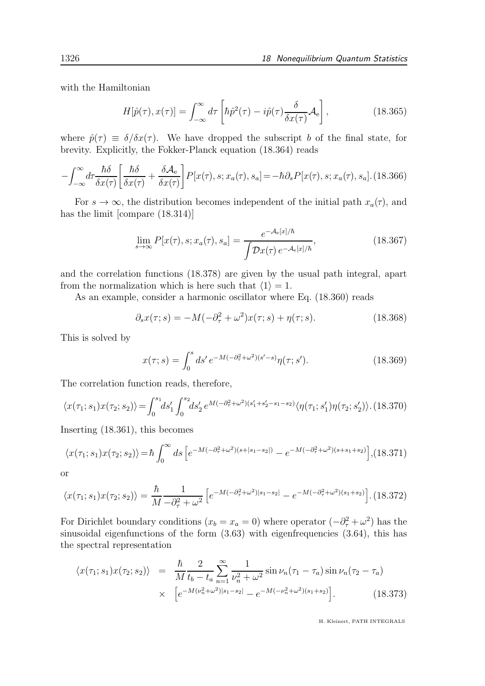with the Hamiltonian

$$
H[\hat{p}(\tau), x(\tau)] = \int_{-\infty}^{\infty} d\tau \left[ \hbar \hat{p}^2(\tau) - i \hat{p}(\tau) \frac{\delta}{\delta x(\tau)} \mathcal{A}_e \right],
$$
 (18.365)

where  $\hat{p}(\tau) \equiv \delta/\delta x(\tau)$ . We have dropped the subscript b of the final state, for brevity. Explicitly, the Fokker-Planck equation (18.364) reads

$$
-\int_{-\infty}^{\infty} d\tau \frac{\hbar \delta}{\delta x(\tau)} \left[ \frac{\hbar \delta}{\delta x(\tau)} + \frac{\delta \mathcal{A}_e}{\delta x(\tau)} \right] P[x(\tau), s; x_a(\tau), s_a] = -\hbar \partial_s P[x(\tau), s; x_a(\tau), s_a]. \tag{18.366}
$$

For  $s \to \infty$ , the distribution becomes independent of the initial path  $x_a(\tau)$ , and has the limit [compare  $(18.314)$ ]

$$
\lim_{s \to \infty} P[x(\tau), s; x_a(\tau), s_a] = \frac{e^{-\mathcal{A}_e[x]/\hbar}}{\int \mathcal{D}x(\tau) e^{-\mathcal{A}_e[x]/\hbar}},
$$
\n(18.367)

and the correlation functions (18.378) are given by the usual path integral, apart from the normalization which is here such that  $\langle 1 \rangle = 1$ .

As an example, consider a harmonic oscillator where Eq. (18.360) reads

$$
\partial_s x(\tau; s) = -M(-\partial_\tau^2 + \omega^2)x(\tau; s) + \eta(\tau; s).
$$
 (18.368)

This is solved by

$$
x(\tau;s) = \int_0^s ds' e^{-M(-\partial_\tau^2 + \omega^2)(s'-s)} \eta(\tau;s'). \tag{18.369}
$$

The correlation function reads, therefore,

$$
\langle x(\tau_1;s_1)x(\tau_2;s_2)\rangle = \int_0^{s_1} ds'_1 \int_0^{s_2} ds'_2 e^{M(-\partial_\tau^2 + \omega^2)(s'_1 + s'_2 - s_1 - s_2)} \langle \eta(\tau_1;s'_1)\eta(\tau_2;s'_2)\rangle. \tag{18.370}
$$

Inserting (18.361), this becomes

$$
\langle x(\tau_1;s_1)x(\tau_2;s_2)\rangle = \hbar \int_0^\infty ds \left[ e^{-M(-\partial_\tau^2 + \omega^2)(s+|s_1-s_2|)} - e^{-M(-\partial_\tau^2 + \omega^2)(s+s_1+s_2)} \right], (18.371)
$$

or

$$
\langle x(\tau_1; s_1)x(\tau_2; s_2) \rangle = \frac{\hbar}{M} \frac{1}{-\partial_\tau^2 + \omega^2} \left[ e^{-M(-\partial_\tau^2 + \omega^2)|s_1 - s_2|} - e^{-M(-\partial_\tau^2 + \omega^2)(s_1 + s_2)} \right].
$$
 (18.372)

For Dirichlet boundary conditions  $(x_b = x_a = 0)$  where operator  $(-\partial^2/\tau + \omega^2)$  has the sinusoidal eigenfunctions of the form  $(3.63)$  with eigenfrequencies  $(3.64)$ , this has the spectral representation

$$
\langle x(\tau_1; s_1) x(\tau_2; s_2) \rangle = \frac{\hbar}{M} \frac{2}{t_b - t_a} \sum_{n=1}^{\infty} \frac{1}{\nu_n^2 + \omega^2} \sin \nu_n (\tau_1 - \tau_a) \sin \nu_n (\tau_2 - \tau_a)
$$
  
 
$$
\times \left[ e^{-M(\nu_n^2 + \omega^2)|s_1 - s_2|} - e^{-M(-\nu_n^2 + \omega^2)(s_1 + s_2)} \right].
$$
 (18.373)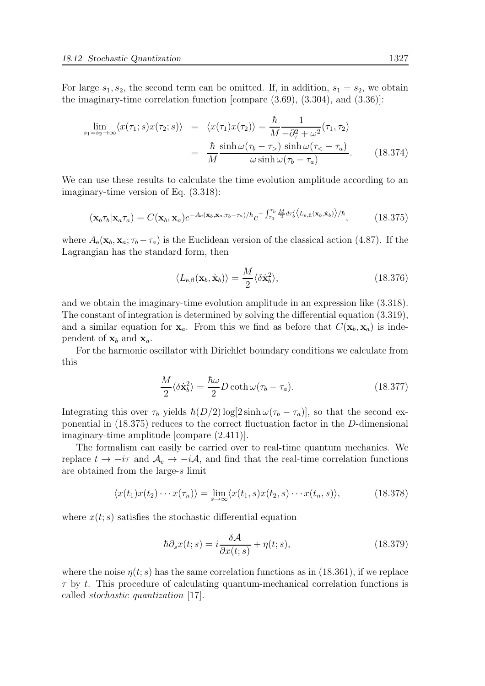For large  $s_1, s_2$ , the second term can be omitted. If, in addition,  $s_1 = s_2$ , we obtain the imaginary-time correlation function [compare (3.69), (3.304), and (3.36)]:

$$
\lim_{s_1 = s_2 \to \infty} \langle x(\tau_1; s) x(\tau_2; s) \rangle = \langle x(\tau_1) x(\tau_2) \rangle = \frac{\hbar}{M} \frac{1}{-\partial_{\tau}^2 + \omega^2} (\tau_1, \tau_2)
$$
\n
$$
= \frac{\hbar}{M} \frac{\sinh \omega(\tau_b - \tau_s) \sinh \omega(\tau_c - \tau_a)}{\omega \sinh \omega(\tau_b - \tau_a)}.
$$
\n(18.374)

We can use these results to calculate the time evolution amplitude according to an imaginary-time version of Eq. (3.318):

$$
(\mathbf{x}_b \tau_b | \mathbf{x}_a \tau_a) = C(\mathbf{x}_b, \mathbf{x}_a) e^{-A_e(\mathbf{x}_b, \mathbf{x}_a; \tau_b - \tau_a)/\hbar} e^{-\int_{\tau_a}^{\tau_b} \frac{M}{2} d\tau_b'} \langle L_{e, \text{fl}}(\mathbf{x}_b, \mathbf{x}_b) \rangle / \hbar}, \tag{18.375}
$$

where  $A_e(\mathbf{x}_b, \mathbf{x}_a; \tau_b - \tau_a)$  is the Euclidean version of the classical action (4.87). If the Lagrangian has the standard form, then

$$
\langle L_{\text{e},\text{fl}}(\mathbf{x}_b, \dot{\mathbf{x}}_b) \rangle = \frac{M}{2} \langle \delta \dot{\mathbf{x}}_b^2 \rangle, \tag{18.376}
$$

and we obtain the imaginary-time evolution amplitude in an expression like (3.318). The constant of integration is determined by solving the differential equation (3.319), and a similar equation for  $x_a$ . From this we find as before that  $C(x_b, x_a)$  is independent of  $x_b$  and  $x_a$ .

For the harmonic oscillator with Dirichlet boundary conditions we calculate from this

$$
\frac{M}{2}\langle \delta \dot{\mathbf{x}}_b^2 \rangle = \frac{\hbar \omega}{2} D \coth \omega (\tau_b - \tau_a). \tag{18.377}
$$

Integrating this over  $\tau_b$  yields  $\hbar(D/2) \log[2 \sinh \omega(\tau_b - \tau_a)]$ , so that the second exponential in (18.375) reduces to the correct fluctuation factor in the D-dimensional imaginary-time amplitude [compare (2.411)].

The formalism can easily be carried over to real-time quantum mechanics. We replace  $t \to -i\tau$  and  $\mathcal{A}_{e} \to -i\mathcal{A}$ , and find that the real-time correlation functions are obtained from the large-s limit

$$
\langle x(t_1)x(t_2)\cdots x(\tau_n)\rangle = \lim_{s\to\infty} \langle x(t_1,s)x(t_2,s)\cdots x(t_n,s)\rangle,
$$
 (18.378)

where  $x(t; s)$  satisfies the stochastic differential equation

$$
\hbar \partial_s x(t;s) = i \frac{\delta \mathcal{A}}{\partial x(t;s)} + \eta(t;s), \qquad (18.379)
$$

where the noise  $\eta(t; s)$  has the same correlation functions as in (18.361), if we replace  $\tau$  by t. This procedure of calculating quantum-mechanical correlation functions is called stochastic quantization [17].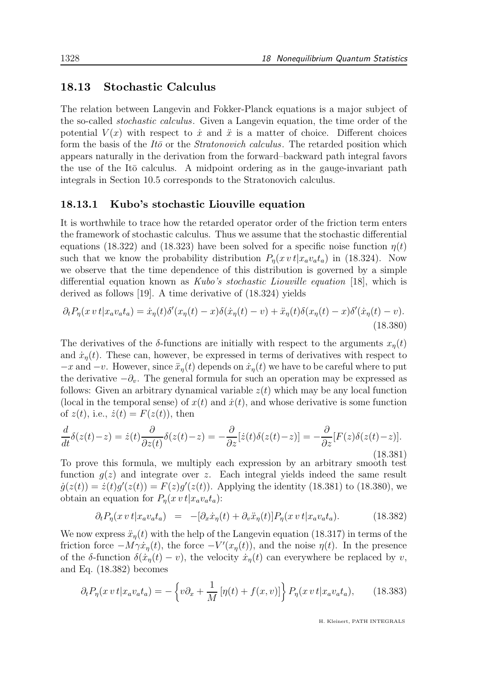## 18.13 Stochastic Calculus

The relation between Langevin and Fokker-Planck equations is a major subject of the so-called stochastic calculus. Given a Langevin equation, the time order of the potential  $V(x)$  with respect to  $\dot{x}$  and  $\ddot{x}$  is a matter of choice. Different choices form the basis of the  $It\bar{\sigma}$  or the *Stratonovich calculus*. The retarded position which appears naturally in the derivation from the forward–backward path integral favors the use of the It $\bar{o}$  calculus. A midpoint ordering as in the gauge-invariant path integrals in Section 10.5 corresponds to the Stratonovich calculus.

### 18.13.1 Kubo's stochastic Liouville equation

It is worthwhile to trace how the retarded operator order of the friction term enters the framework of stochastic calculus. Thus we assume that the stochastic differential equations (18.322) and (18.323) have been solved for a specific noise function  $\eta(t)$ such that we know the probability distribution  $P_{\eta}(x \, v \, t | x_a v_a t_a)$  in (18.324). Now we observe that the time dependence of this distribution is governed by a simple differential equation known as Kubo's stochastic Liouville equation [18], which is derived as follows [19]. A time derivative of (18.324) yields

$$
\partial_t P_\eta(x \, v \, t | x_a v_a t_a) = \dot{x}_\eta(t) \delta'(x_\eta(t) - x) \delta(\dot{x}_\eta(t) - v) + \ddot{x}_\eta(t) \delta(x_\eta(t) - x) \delta'(\dot{x}_\eta(t) - v). \tag{18.380}
$$

The derivatives of the  $\delta$ -functions are initially with respect to the arguments  $x_n(t)$ and  $\dot{x}_n(t)$ . These can, however, be expressed in terms of derivatives with respect to  $-x$  and  $-v$ . However, since  $\ddot{x}_n(t)$  depends on  $\dot{x}_n(t)$  we have to be careful where to put the derivative  $-\partial_v$ . The general formula for such an operation may be expressed as follows: Given an arbitrary dynamical variable  $z(t)$  which may be any local function (local in the temporal sense) of  $x(t)$  and  $\dot{x}(t)$ , and whose derivative is some function of  $z(t)$ , i.e.,  $\dot{z}(t) = F(z(t))$ , then

$$
\frac{d}{dt}\delta(z(t)-z) = \dot{z}(t)\frac{\partial}{\partial z(t)}\delta(z(t)-z) = -\frac{\partial}{\partial z}[\dot{z}(t)\delta(z(t)-z)] = -\frac{\partial}{\partial z}[F(z)\delta(z(t)-z)].
$$
\n(18.381)

To prove this formula, we multiply each expression by an arbitrary smooth test function  $g(z)$  and integrate over z. Each integral yields indeed the same result  $\dot{g}(z(t)) = \dot{z}(t)g'(z(t)) = F(z)g'(z(t)).$  Applying the identity (18.381) to (18.380), we obtain an equation for  $P_n(x v t | x_a v_a t_a)$ :

$$
\partial_t P_\eta(x \, v \, t | x_a v_a t_a) = -[\partial_x \dot{x}_\eta(t) + \partial_v \ddot{x}_\eta(t)] P_\eta(x \, v \, t | x_a v_a t_a). \tag{18.382}
$$

We now express  $\ddot{x}_n(t)$  with the help of the Langevin equation (18.317) in terms of the friction force  $-M\gamma\dot{x}_\eta(t)$ , the force  $-V'(x_\eta(t))$ , and the noise  $\eta(t)$ . In the presence of the δ-function  $\delta(\dot{x}_n(t)-v)$ , the velocity  $\dot{x}_n(t)$  can everywhere be replaced by v, and Eq. (18.382) becomes

$$
\partial_t P_\eta(x \, vt | x_a v_a t_a) = -\left\{ v \partial_x + \frac{1}{M} \left[ \eta(t) + f(x, v) \right] \right\} P_\eta(x \, vt | x_a v_a t_a), \tag{18.383}
$$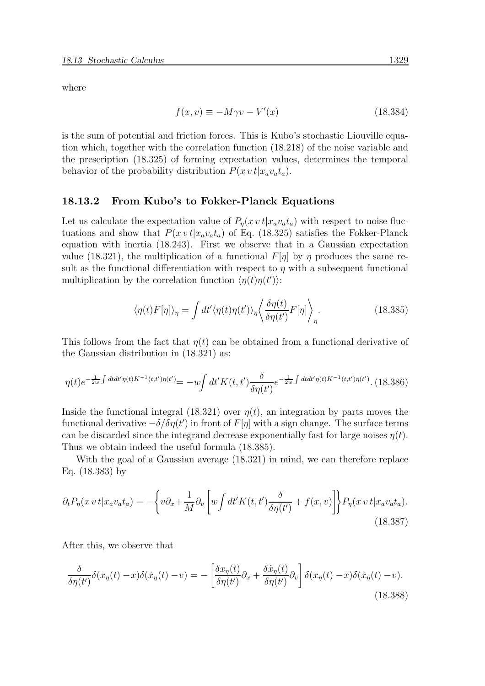where

$$
f(x,v) \equiv -M\gamma v - V'(x) \tag{18.384}
$$

is the sum of potential and friction forces. This is Kubo's stochastic Liouville equation which, together with the correlation function (18.218) of the noise variable and the prescription (18.325) of forming expectation values, determines the temporal behavior of the probability distribution  $P(x \, v \, t | x_a v_a t_a)$ .

#### 18.13.2 From Kubo's to Fokker-Planck Equations

Let us calculate the expectation value of  $P_n(x \, v \, t | x_a v_a t_a)$  with respect to noise fluctuations and show that  $P(x \, v \, t | x_a v_a t_a)$  of Eq. (18.325) satisfies the Fokker-Planck equation with inertia (18.243). First we observe that in a Gaussian expectation value (18.321), the multiplication of a functional  $F[\eta]$  by  $\eta$  produces the same result as the functional differentiation with respect to  $\eta$  with a subsequent functional multiplication by the correlation function  $\langle \eta(t)\eta(t')\rangle$ :

$$
\langle \eta(t) F[\eta] \rangle_{\eta} = \int dt' \langle \eta(t) \eta(t') \rangle_{\eta} \left\langle \frac{\delta \eta(t)}{\delta \eta(t')} F[\eta] \right\rangle_{\eta}.
$$
 (18.385)

This follows from the fact that  $\eta(t)$  can be obtained from a functional derivative of the Gaussian distribution in (18.321) as:

$$
\eta(t)e^{-\frac{1}{2w}\int dt dt' \eta(t)K^{-1}(t,t')\eta(t')} = -w \int dt' K(t,t') \frac{\delta}{\delta \eta(t')} e^{-\frac{1}{2w}\int dt dt' \eta(t)K^{-1}(t,t')\eta(t')}.
$$
(18.386)

Inside the functional integral (18.321) over  $\eta(t)$ , an integration by parts moves the functional derivative  $-\delta/\delta \eta(t')$  in front of  $F[\eta]$  with a sign change. The surface terms can be discarded since the integrand decrease exponentially fast for large noises  $\eta(t)$ . Thus we obtain indeed the useful formula (18.385).

With the goal of a Gaussian average (18.321) in mind, we can therefore replace Eq. (18.383) by

$$
\partial_t P_\eta(x \, v \, t | x_a v_a t_a) = -\left\{ v \partial_x + \frac{1}{M} \partial_v \left[ w \int dt' K(t, t') \frac{\delta}{\delta \eta(t')} + f(x, v) \right] \right\} P_\eta(x \, v \, t | x_a v_a t_a).
$$
\n(18.387)

After this, we observe that

$$
\frac{\delta}{\delta \eta(t')} \delta(x_{\eta}(t) - x) \delta(\dot{x}_{\eta}(t) - v) = -\left[ \frac{\delta x_{\eta}(t)}{\delta \eta(t')} \partial_x + \frac{\delta \dot{x}_{\eta}(t)}{\delta \eta(t')} \partial_v \right] \delta(x_{\eta}(t) - x) \delta(\dot{x}_{\eta}(t) - v).
$$
\n(18.388)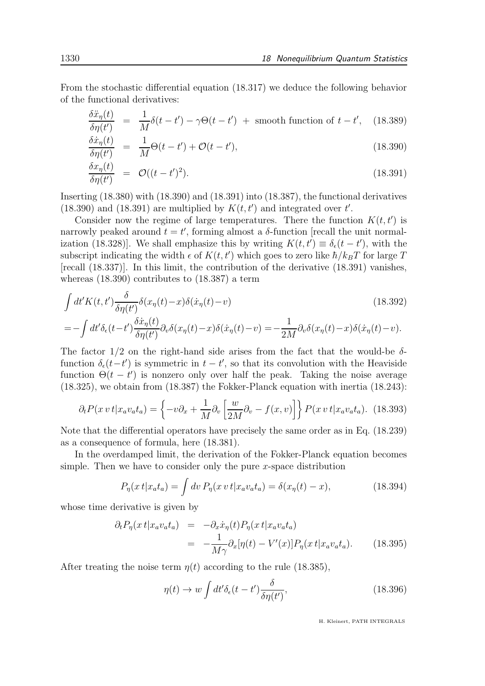From the stochastic differential equation (18.317) we deduce the following behavior of the functional derivatives:

$$
\frac{\delta \ddot{x}_{\eta}(t)}{\delta \eta(t')} = \frac{1}{M} \delta(t - t') - \gamma \Theta(t - t') + \text{smooth function of } t - t', \quad (18.389)
$$

$$
\frac{\delta \dot{x}_{\eta}(t)}{\delta \eta(t')} = \frac{1}{M} \Theta(t - t') + \mathcal{O}(t - t'), \qquad (18.390)
$$

$$
\frac{\delta x_{\eta}(t)}{\delta \eta(t')} = \mathcal{O}((t-t')^2). \tag{18.391}
$$

Inserting (18.380) with (18.390) and (18.391) into (18.387), the functional derivatives (18.390) and (18.391) are multiplied by  $K(t, t')$  and integrated over  $t'$ .

Consider now the regime of large temperatures. There the function  $K(t, t')$  is narrowly peaked around  $t = t'$ , forming almost a  $\delta$ -function [recall the unit normalization (18.328)]. We shall emphasize this by writing  $K(t, t') \equiv \delta_{\epsilon}(t - t')$ , with the subscript indicating the width  $\epsilon$  of  $K(t, t')$  which goes to zero like  $\hbar/k_BT$  for large T [recall (18.337)]. In this limit, the contribution of the derivative (18.391) vanishes, whereas (18.390) contributes to (18.387) a term

$$
\int dt' K(t, t') \frac{\delta}{\delta \eta(t')} \delta(x_{\eta}(t) - x) \delta(\dot{x}_{\eta}(t) - v) \qquad (18.392)
$$
\n
$$
= -\int dt' \delta_{\epsilon}(t - t') \frac{\delta \dot{x}_{\eta}(t)}{\delta \eta(t')} \partial_{v} \delta(x_{\eta}(t) - x) \delta(\dot{x}_{\eta}(t) - v) = -\frac{1}{2M} \partial_{v} \delta(x_{\eta}(t) - x) \delta(\dot{x}_{\eta}(t) - v).
$$

The factor  $1/2$  on the right-hand side arises from the fact that the would-be  $\delta$ function  $\delta_{\epsilon}(t-t')$  is symmetric in  $t-t'$ , so that its convolution with the Heaviside function  $\Theta(t-t')$  is nonzero only over half the peak. Taking the noise average (18.325), we obtain from (18.387) the Fokker-Planck equation with inertia (18.243):

$$
\partial_t P(x \, vt | x_a v_a t_a) = \left\{ -v \partial_x + \frac{1}{M} \partial_v \left[ \frac{w}{2M} \partial_v - f(x, v) \right] \right\} P(x \, vt | x_a v_a t_a). \tag{18.393}
$$

Note that the differential operators have precisely the same order as in Eq. (18.239) as a consequence of formula, here (18.381).

In the overdamped limit, the derivation of the Fokker-Planck equation becomes simple. Then we have to consider only the pure  $x$ -space distribution

$$
P_{\eta}(x \, t | x_a t_a) = \int dv \, P_{\eta}(x \, v \, t | x_a v_a t_a) = \delta(x_{\eta}(t) - x), \tag{18.394}
$$

whose time derivative is given by

$$
\partial_t P_\eta(x \, t | x_a v_a t_a) = -\partial_x \dot{x}_\eta(t) P_\eta(x \, t | x_a v_a t_a)
$$
\n
$$
= -\frac{1}{M\gamma} \partial_x [\eta(t) - V'(x)] P_\eta(x \, t | x_a v_a t_a). \tag{18.395}
$$

After treating the noise term  $\eta(t)$  according to the rule (18.385),

$$
\eta(t) \to w \int dt' \delta_{\epsilon}(t - t') \frac{\delta}{\delta \eta(t')},\tag{18.396}
$$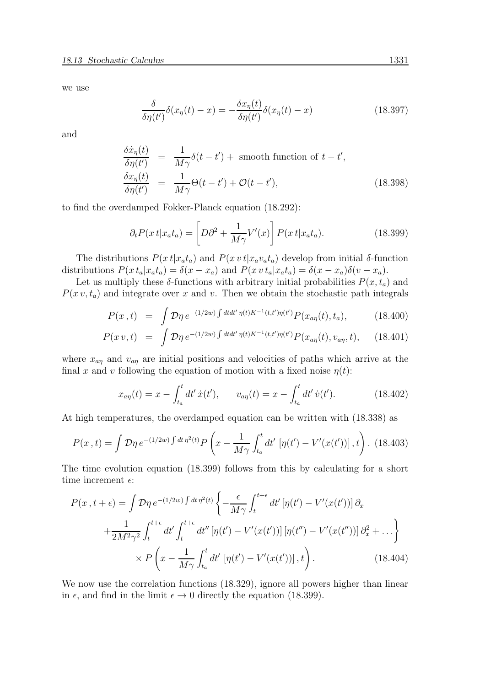we use

$$
\frac{\delta}{\delta \eta(t')} \delta(x_{\eta}(t) - x) = -\frac{\delta x_{\eta}(t)}{\delta \eta(t')} \delta(x_{\eta}(t) - x)
$$
\n(18.397)

and

$$
\frac{\delta \dot{x}_{\eta}(t)}{\delta \eta(t')} = \frac{1}{M\gamma} \delta(t - t') + \text{smooth function of } t - t',
$$
\n
$$
\frac{\delta x_{\eta}(t)}{\delta \eta(t')} = \frac{1}{M\gamma} \Theta(t - t') + \mathcal{O}(t - t'), \tag{18.398}
$$

to find the overdamped Fokker-Planck equation (18.292):

$$
\partial_t P(x \, t | x_a t_a) = \left[ D \partial^2 + \frac{1}{M \gamma} V'(x) \right] P(x \, t | x_a t_a). \tag{18.399}
$$

The distributions  $P(x t|x_a t_a)$  and  $P(x v t|x_a v_a t_a)$  develop from initial  $\delta$ -function distributions  $P(x t_a | x_a t_a) = \delta(x - x_a)$  and  $P(x v t_a | x_a t_a) = \delta(x - x_a)\delta(v - x_a)$ .

Let us multiply these  $\delta$ -functions with arbitrary initial probabilities  $P(x, t_a)$  and  $P(x v, t_a)$  and integrate over x and v. Then we obtain the stochastic path integrals

$$
P(x,t) = \int \mathcal{D}\eta \, e^{-(1/2w) \int dt dt' \, \eta(t) K^{-1}(t,t') \eta(t')} P(x_{a\eta}(t), t_a), \tag{18.400}
$$

$$
P(x v, t) = \int \mathcal{D}\eta \, e^{-(1/2w) \int dt dt' \, \eta(t) K^{-1}(t, t') \eta(t')} P(x_{a\eta}(t), v_{a\eta}, t), \qquad (18.401)
$$

where  $x_{a\eta}$  and  $v_{a\eta}$  are initial positions and velocities of paths which arrive at the final x and v following the equation of motion with a fixed noise  $\eta(t)$ :

$$
x_{a\eta}(t) = x - \int_{t_a}^t dt' \dot{x}(t'), \qquad v_{a\eta}(t) = x - \int_{t_a}^t dt' \dot{v}(t'). \tag{18.402}
$$

At high temperatures, the overdamped equation can be written with (18.338) as

$$
P(x,t) = \int \mathcal{D}\eta \, e^{-(1/2w)\int dt \, \eta^2(t)} P\left(x - \frac{1}{M\gamma} \int_{t_a}^t dt' \, \left[\eta(t') - V'(x(t'))\right], t\right). \tag{18.403}
$$

The time evolution equation (18.399) follows from this by calculating for a short time increment  $\epsilon$ :

$$
P(x, t + \epsilon) = \int \mathcal{D}\eta \, e^{-(1/2w)\int dt \, \eta^2(t)} \left\{ -\frac{\epsilon}{M\gamma} \int_t^{t+\epsilon} dt' \left[ \eta(t') - V'(x(t')) \right] \partial_x \right.+ \frac{1}{2M^2\gamma^2} \int_t^{t+\epsilon} dt' \int_t^{t+\epsilon} dt'' \left[ \eta(t') - V'(x(t')) \right] \left[ \eta(t'') - V'(x(t'')) \right] \partial_x^2 + \dots \right\}\times P\left(x - \frac{1}{M\gamma} \int_{t_a}^t dt' \left[ \eta(t') - V'(x(t')) \right], t \right). \tag{18.404}
$$

We now use the correlation functions  $(18.329)$ , ignore all powers higher than linear in  $\epsilon$ , and find in the limit  $\epsilon \to 0$  directly the equation (18.399).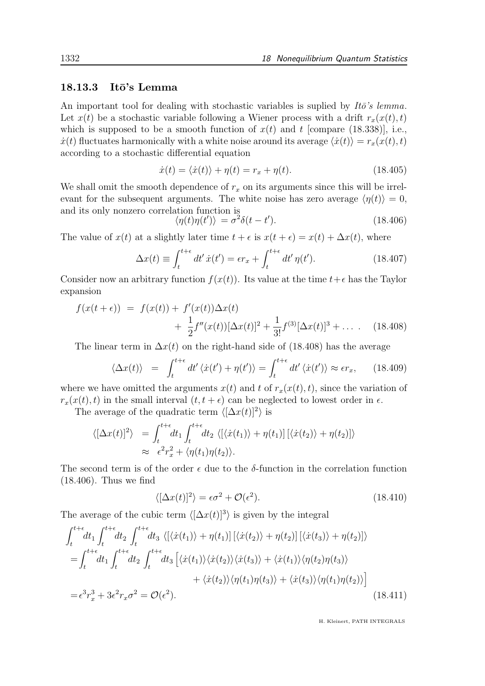## $18.13.3$  Itō's Lemma

An important tool for dealing with stochastic variables is suplied by  $It\ddot{o}$ 's lemma. Let  $x(t)$  be a stochastic variable following a Wiener process with a drift  $r_x(x(t), t)$ which is supposed to be a smooth function of  $x(t)$  and t [compare (18.338)], i.e.,  $\dot{x}(t)$  fluctuates harmonically with a white noise around its average  $\langle \dot{x}(t) \rangle = r_x(x(t), t)$ according to a stochastic differential equation

$$
\dot{x}(t) = \langle \dot{x}(t) \rangle + \eta(t) = r_x + \eta(t). \tag{18.405}
$$

We shall omit the smooth dependence of  $r_x$  on its arguments since this will be irrelevant for the subsequent arguments. The white noise has zero average  $\langle \eta(t) \rangle = 0$ , and its only nonzero correlation function is

$$
\langle \eta(t)\eta(t')\rangle = \sigma^2 \delta(t - t'). \tag{18.406}
$$

The value of  $x(t)$  at a slightly later time  $t + \epsilon$  is  $x(t + \epsilon) = x(t) + \Delta x(t)$ , where

$$
\Delta x(t) \equiv \int_{t}^{t+\epsilon} dt' \dot{x}(t') = \epsilon r_x + \int_{t}^{t+\epsilon} dt' \eta(t'). \qquad (18.407)
$$

Consider now an arbitrary function  $f(x(t))$ . Its value at the time  $t+\epsilon$  has the Taylor expansion

$$
f(x(t+\epsilon)) = f(x(t)) + f'(x(t))\Delta x(t)
$$
  
+  $\frac{1}{2}f''(x(t))[\Delta x(t)]^2 + \frac{1}{3!}f^{(3)}[\Delta x(t)]^3 + ...$  (18.408)

The linear term in  $\Delta x(t)$  on the right-hand side of (18.408) has the average

$$
\langle \Delta x(t) \rangle = \int_{t}^{t+\epsilon} dt' \langle \dot{x}(t') + \eta(t') \rangle = \int_{t}^{t+\epsilon} dt' \langle \dot{x}(t') \rangle \approx \epsilon r_x, \qquad (18.409)
$$

where we have omitted the arguments  $x(t)$  and t of  $r_x(x(t), t)$ , since the variation of  $r_x(x(t), t)$  in the small interval  $(t, t + \epsilon)$  can be neglected to lowest order in  $\epsilon$ .

The average of the quadratic term  $\langle [\Delta x(t)]^2 \rangle$  is

$$
\langle [\Delta x(t)]^2 \rangle = \int_t^{t+\epsilon} dt_1 \int_t^{t+\epsilon} dt_2 \langle [\langle \dot{x}(t_1) \rangle + \eta(t_1)] [\langle \dot{x}(t_2) \rangle + \eta(t_2)] \rangle
$$
  
 
$$
\approx \epsilon^2 r_x^2 + \langle \eta(t_1) \eta(t_2) \rangle.
$$

The second term is of the order  $\epsilon$  due to the  $\delta$ -function in the correlation function (18.406). Thus we find

$$
\langle [\Delta x(t)]^2 \rangle = \epsilon \sigma^2 + \mathcal{O}(\epsilon^2). \tag{18.410}
$$

The average of the cubic term  $\langle [\Delta x(t)]^3 \rangle$  is given by the integral

$$
\int_{t}^{t+\epsilon} dt_{1} \int_{t}^{t+\epsilon} dt_{2} \int_{t}^{t+\epsilon} dt_{3} \langle [\langle \dot{x}(t_{1}) \rangle + \eta(t_{1})] [\langle \dot{x}(t_{2}) \rangle + \eta(t_{2})] [\langle \dot{x}(t_{3}) \rangle + \eta(t_{2})] \rangle
$$
\n
$$
= \int_{t}^{t+\epsilon} dt_{1} \int_{t}^{t+\epsilon} dt_{2} \int_{t}^{t+\epsilon} dt_{3} [\langle \dot{x}(t_{1}) \rangle \langle \dot{x}(t_{2}) \rangle \langle \dot{x}(t_{3}) \rangle + \langle \dot{x}(t_{1}) \rangle \langle \eta(t_{2}) \eta(t_{3}) \rangle
$$
\n
$$
+ \langle \dot{x}(t_{2}) \rangle \langle \eta(t_{1}) \eta(t_{3}) \rangle + \langle \dot{x}(t_{3}) \rangle \langle \eta(t_{1}) \eta(t_{2}) \rangle ]
$$
\n
$$
= \epsilon^{3} r_{x}^{3} + 3\epsilon^{2} r_{x} \sigma^{2} = \mathcal{O}(\epsilon^{2}). \qquad (18.411)
$$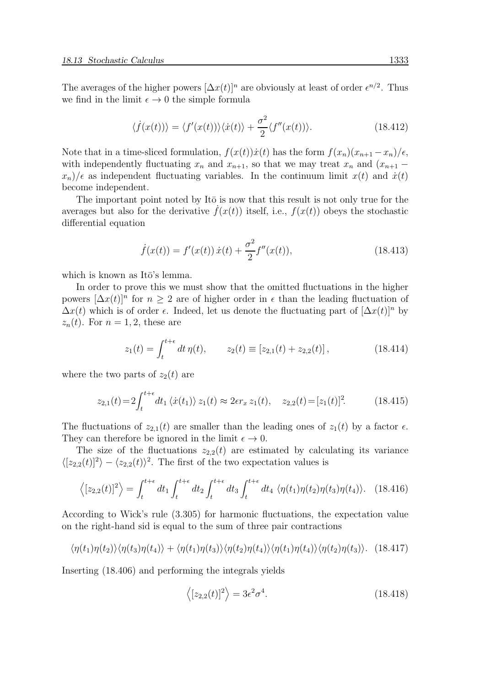The averages of the higher powers  $[\Delta x(t)]^n$  are obviously at least of order  $\epsilon^{n/2}$ . Thus we find in the limit  $\epsilon \to 0$  the simple formula

$$
\langle \dot{f}(x(t)) \rangle = \langle f'(x(t)) \rangle \langle \dot{x}(t) \rangle + \frac{\sigma^2}{2} \langle f''(x(t)) \rangle. \tag{18.412}
$$

Note that in a time-sliced formulation,  $f(x(t))\dot{x}(t)$  has the form  $f(x_n)(x_{n+1} - x_n)/\epsilon$ , with independently fluctuating  $x_n$  and  $x_{n+1}$ , so that we may treat  $x_n$  and  $(x_{n+1}$  $x_n$ / $\epsilon$  as independent fluctuating variables. In the continuum limit  $x(t)$  and  $\dot{x}(t)$ become independent.

The important point noted by It $\bar{o}$  is now that this result is not only true for the averages but also for the derivative  $\hat{f}(x(t))$  itself, i.e.,  $f(x(t))$  obeys the stochastic differential equation

$$
\dot{f}(x(t)) = f'(x(t))\,\dot{x}(t) + \frac{\sigma^2}{2}f''(x(t)),\tag{18.413}
$$

which is known as Itō's lemma.

In order to prove this we must show that the omitted fluctuations in the higher powers  $[\Delta x(t)]^n$  for  $n \geq 2$  are of higher order in  $\epsilon$  than the leading fluctuation of  $\Delta x(t)$  which is of order  $\epsilon$ . Indeed, let us denote the fluctuating part of  $[\Delta x(t)]^n$  by  $z_n(t)$ . For  $n = 1, 2$ , these are

$$
z_1(t) = \int_t^{t+\epsilon} dt \,\eta(t), \qquad z_2(t) \equiv [z_{2,1}(t) + z_{2,2}(t)], \qquad (18.414)
$$

where the two parts of  $z_2(t)$  are

$$
z_{2,1}(t) = 2 \int_{t}^{t+\epsilon} dt_1 \langle \dot{x}(t_1) \rangle z_1(t) \approx 2\epsilon r_x z_1(t), \quad z_{2,2}(t) = [z_1(t)]^2. \tag{18.415}
$$

The fluctuations of  $z_{2,1}(t)$  are smaller than the leading ones of  $z_1(t)$  by a factor  $\epsilon$ . They can therefore be ignored in the limit  $\epsilon \to 0$ .

The size of the fluctuations  $z_{2,2}(t)$  are estimated by calculating its variance  $\langle [z_{2,2}(t)]^2 \rangle - \langle z_{2,2}(t) \rangle^2$ . The first of the two expectation values is

$$
\left\langle [z_{2,2}(t)]^2 \right\rangle = \int_t^{t+\epsilon} dt_1 \int_t^{t+\epsilon} dt_2 \int_t^{t+\epsilon} dt_3 \int_t^{t+\epsilon} dt_4 \left\langle \eta(t_1) \eta(t_2) \eta(t_3) \eta(t_4) \right\rangle. \tag{18.416}
$$

According to Wick's rule (3.305) for harmonic fluctuations, the expectation value on the right-hand sid is equal to the sum of three pair contractions

$$
\langle \eta(t_1)\eta(t_2)\rangle \langle \eta(t_3)\eta(t_4)\rangle + \langle \eta(t_1)\eta(t_3)\rangle \langle \eta(t_2)\eta(t_4)\rangle \langle \eta(t_1)\eta(t_4)\rangle \langle \eta(t_2)\eta(t_3)\rangle. \tag{18.417}
$$

Inserting (18.406) and performing the integrals yields

$$
\langle [z_{2,2}(t)]^2 \rangle = 3\epsilon^2 \sigma^4. \tag{18.418}
$$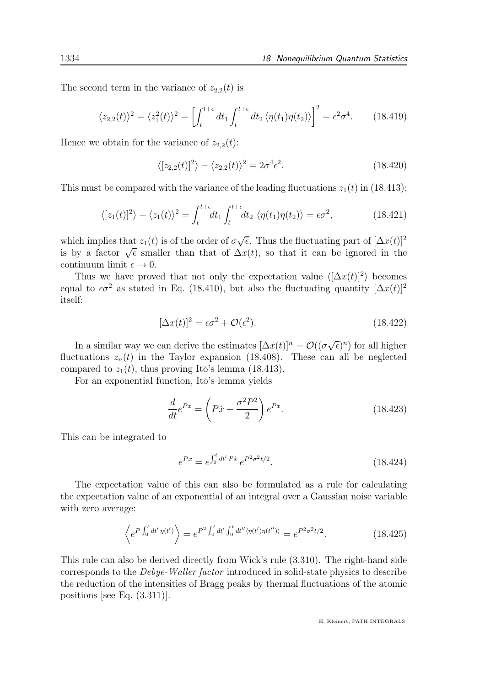The second term in the variance of  $z_{2,2}(t)$  is

$$
\langle z_{2,2}(t)\rangle^2 = \langle z_1^2(t)\rangle^2 = \left[\int_t^{t+\epsilon} dt_1 \int_t^{t+\epsilon} dt_2 \langle \eta(t_1)\eta(t_2)\rangle\right]^2 = \epsilon^2 \sigma^4. \tag{18.419}
$$

Hence we obtain for the variance of  $z_{2,2}(t)$ :

$$
\langle [z_{2,2}(t)]^2 \rangle - \langle z_{2,2}(t) \rangle^2 = 2\sigma^4 \epsilon^2. \tag{18.420}
$$

This must be compared with the variance of the leading fluctuations  $z_1(t)$  in (18.413):

$$
\langle [z_1(t)]^2 \rangle - \langle z_1(t) \rangle^2 = \int_t^{t+\epsilon} dt_1 \int_t^{t+\epsilon} dt_2 \langle \eta(t_1) \eta(t_2) \rangle = \epsilon \sigma^2,
$$
\n(18.421)

which implies that  $z_1(t)$  is of the order of  $\sigma\sqrt{\epsilon}$ . Thus the fluctuating part of  $[\Delta x(t)]^2$ is by a factor  $\sqrt{\epsilon}$  smaller than that of  $\Delta x(t)$ , so that it can be ignored in the continuum limit  $\epsilon \to 0$ .

Thus we have proved that not only the expectation value  $\langle [\Delta x(t)]^2 \rangle$  becomes equal to  $\epsilon \sigma^2$  as stated in Eq. (18.410), but also the fluctuating quantity  $[\Delta x(t)]^2$ itself:

$$
[\Delta x(t)]^2 = \epsilon \sigma^2 + \mathcal{O}(\epsilon^2). \tag{18.422}
$$

In a similar way we can derive the estimates  $[\Delta x(t)]^n = \mathcal{O}((\sigma\sqrt{\epsilon})^n)$  for all higher fluctuations  $z_n(t)$  in the Taylor expansion (18.408). These can all be neglected compared to  $z_1(t)$ , thus proving Itō's lemma (18.413).

For an exponential function, It $\bar{o}$ 's lemma yields

$$
\frac{d}{dt}e^{Px} = \left(P\dot{x} + \frac{\sigma^2 P^2}{2}\right)e^{Px}.\tag{18.423}
$$

This can be integrated to

$$
e^{Px} = e^{\int_0^t dt' P\dot{x}} e^{P^2 \sigma^2 t/2}.
$$
 (18.424)

The expectation value of this can also be formulated as a rule for calculating the expectation value of an exponential of an integral over a Gaussian noise variable with zero average:

$$
\left\langle e^{P \int_0^t dt' \eta(t')} \right\rangle = e^{P^2 \int_0^t dt' \int_0^t dt'' \langle \eta(t') \eta(t'') \rangle} = e^{P^2 \sigma^2 t/2}.
$$
 (18.425)

This rule can also be derived directly from Wick's rule (3.310). The right-hand side corresponds to the Debye-Waller factor introduced in solid-state physics to describe the reduction of the intensities of Bragg peaks by thermal fluctuations of the atomic positions [see Eq. (3.311)].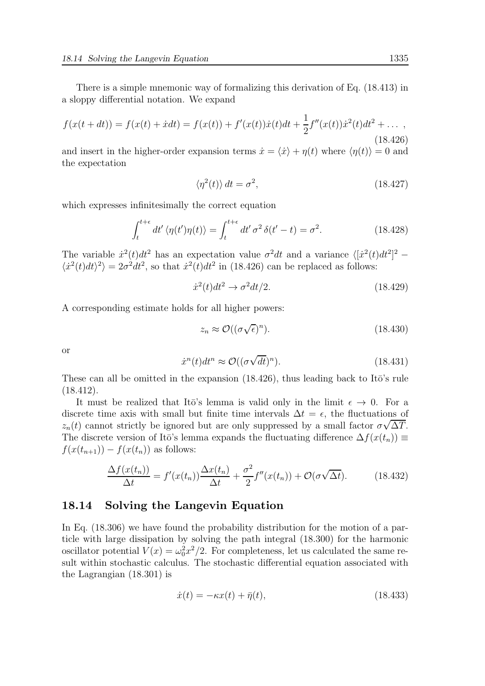There is a simple mnemonic way of formalizing this derivation of Eq. (18.413) in a sloppy differential notation. We expand

$$
f(x(t+dt)) = f(x(t) + \dot{x}dt) = f(x(t)) + f'(x(t))\dot{x}(t)dt + \frac{1}{2}f''(x(t))\dot{x}^{2}(t)dt^{2} + \dots,
$$
\n(18.426)

and insert in the higher-order expansion terms  $\dot{x} = \langle \dot{x} \rangle + \eta(t)$  where  $\langle \eta(t) \rangle = 0$  and the expectation

$$
\langle \eta^2(t) \rangle dt = \sigma^2, \tag{18.427}
$$

which expresses infinitesimally the correct equation

$$
\int_{t}^{t+\epsilon} dt' \langle \eta(t')\eta(t) \rangle = \int_{t}^{t+\epsilon} dt' \sigma^2 \delta(t'-t) = \sigma^2.
$$
 (18.428)

The variable  $\dot{x}^2(t)dt^2$  has an expectation value  $\sigma^2 dt$  and a variance  $\langle [\dot{x}^2(t)dt^2]^2 \langle \dot{x}^2(t)dt \rangle^2$  =  $2\sigma^2 dt^2$ , so that  $\dot{x}^2(t)dt^2$  in (18.426) can be replaced as follows:

$$
\dot{x}^2(t)dt^2 \to \sigma^2 dt/2. \tag{18.429}
$$

A corresponding estimate holds for all higher powers:

$$
z_n \approx \mathcal{O}((\sigma\sqrt{\epsilon})^n). \tag{18.430}
$$

or

$$
\dot{x}^n(t)dt^n \approx \mathcal{O}((\sigma\sqrt{dt})^n). \tag{18.431}
$$

These can all be omitted in the expansion  $(18.426)$ , thus leading back to It $\bar{o}$ 's rule (18.412).

It must be realized that Itō's lemma is valid only in the limit  $\epsilon \to 0$ . For a discrete time axis with small but finite time intervals  $\Delta t = \epsilon$ , the fluctuations of  $z_n(t)$  cannot strictly be ignored but are only suppressed by a small factor  $\sigma\sqrt{\Delta T}$ . The discrete version of Itō's lemma expands the fluctuating difference  $\Delta f(x(t_n)) \equiv$  $f(x(t_{n+1})) - f(x(t_n))$  as follows:

$$
\frac{\Delta f(x(t_n))}{\Delta t} = f'(x(t_n))\frac{\Delta x(t_n)}{\Delta t} + \frac{\sigma^2}{2}f''(x(t_n)) + \mathcal{O}(\sigma\sqrt{\Delta t}).\tag{18.432}
$$

### 18.14 Solving the Langevin Equation

In Eq. (18.306) we have found the probability distribution for the motion of a particle with large dissipation by solving the path integral (18.300) for the harmonic oscillator potential  $V(x) = \omega_0^2 x^2/2$ . For completeness, let us calculated the same result within stochastic calculus. The stochastic differential equation associated with the Lagrangian (18.301) is

$$
\dot{x}(t) = -\kappa x(t) + \bar{\eta}(t),\tag{18.433}
$$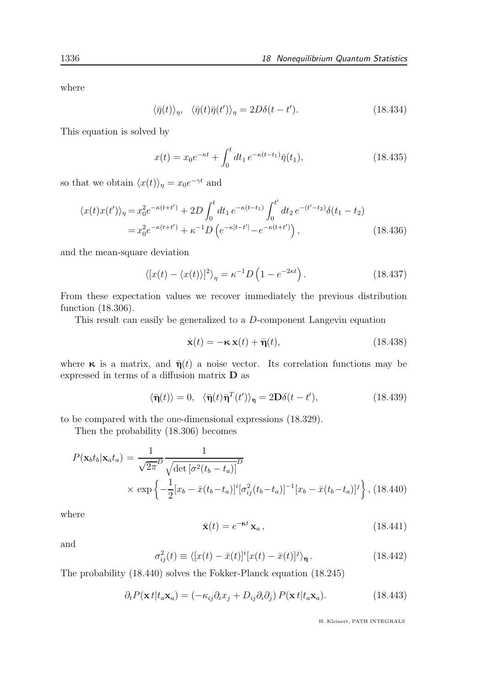where

$$
\langle \bar{\eta}(t) \rangle_{\eta}, \quad \langle \bar{\eta}(t) \bar{\eta}(t') \rangle_{\eta} = 2D\delta(t - t'). \tag{18.434}
$$

This equation is solved by

$$
x(t) = x_0 e^{-\kappa t} + \int_0^t dt_1 e^{-\kappa (t - t_1)} \bar{\eta}(t_1),
$$
\n(18.435)

so that we obtain  $\langle x(t) \rangle_{\eta} = x_0 e^{-\gamma t}$  and

$$
\langle x(t)x(t')\rangle_{\eta} = x_0^2 e^{-\kappa(t+t')} + 2D \int_0^t dt_1 e^{-\kappa(t-t_1)} \int_0^{t'} dt_2 e^{-(t'-t_2)} \delta(t_1 - t_2)
$$
  
=  $x_0^2 e^{-\kappa(t+t')} + \kappa^{-1} D \left( e^{-\kappa|t-t'|} - e^{-\kappa(t+t')} \right),$  (18.436)

and the mean-square deviation

$$
\langle [x(t) - \langle x(t) \rangle]^2 \rangle_{\eta} = \kappa^{-1} D \left( 1 - e^{-2\kappa t} \right). \tag{18.437}
$$

From these expectation values we recover immediately the previous distribution function (18.306).

This result can easily be generalized to a D-component Langevin equation

$$
\dot{\mathbf{x}}(t) = -\kappa \mathbf{x}(t) + \bar{\mathbf{\eta}}(t), \qquad (18.438)
$$

where  $\kappa$  is a matrix, and  $\bar{\eta}(t)$  a noise vector. Its correlation functions may be expressed in terms of a diffusion matrix D as

$$
\langle \bar{\mathbf{\eta}}(t) \rangle = 0, \quad \langle \bar{\mathbf{\eta}}(t) \bar{\mathbf{\eta}}^T(t') \rangle_{\mathbf{\eta}} = 2\mathbf{D}\delta(t - t'), \tag{18.439}
$$

to be compared with the one-dimensional expressions (18.329).

Then the probability (18.306) becomes

$$
P(\mathbf{x}_b t_b | \mathbf{x}_a t_a) = \frac{1}{\sqrt{2\pi}} \frac{1}{\sqrt{\det\left[\sigma^2(t_b - t_a)\right]^D}}
$$
  
 
$$
\times \exp\left\{-\frac{1}{2} [x_b - \bar{x}(t_b - t_a)]^i [\sigma_{ij}^2(t_b - t_a)]^{-1} [x_b - \bar{x}(t_b - t_a)]^j\right\}, (18.440)
$$

where

$$
\bar{\mathbf{x}}(t) = e^{-\kappa t} \mathbf{x}_a, \qquad (18.441)
$$

and

$$
\sigma_{ij}^2(t) \equiv \langle [x(t) - \bar{x}(t)]^i [x(t) - \bar{x}(t)]^j \rangle_{\mathbf{\eta}}.
$$
\n(18.442)

The probability (18.440) solves the Fokker-Planck equation (18.245)

$$
\partial_t P(\mathbf{x} t | t_a \mathbf{x}_a) = (-\kappa_{ij}\partial_i x_j + D_{ij}\partial_i \partial_j) P(\mathbf{x} t | t_a \mathbf{x}_a).
$$
 (18.443)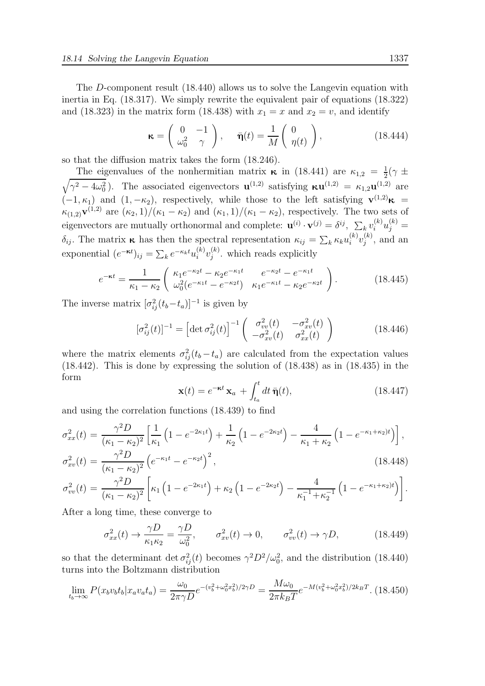The D-component result (18.440) allows us to solve the Langevin equation with inertia in Eq. (18.317). We simply rewrite the equivalent pair of equations (18.322) and (18.323) in the matrix form (18.438) with  $x_1 = x$  and  $x_2 = v$ , and identify

$$
\kappa = \begin{pmatrix} 0 & -1 \\ \omega_0^2 & \gamma \end{pmatrix}, \quad \bar{\eta}(t) = \frac{1}{M} \begin{pmatrix} 0 \\ \eta(t) \end{pmatrix}, \quad (18.444)
$$

so that the diffusion matrix takes the form (18.246).

The eigenvalues of the nonhermitian matrix  $\kappa$  in (18.441) are  $\kappa_{1,2} = \frac{1}{2}$  $\frac{1}{2}(\gamma \pm$  $\sqrt{\gamma^2 - 4\omega_0^2}$ ). The associated eigenvectors  $\mathbf{u}^{(1,2)}$  satisfying  $\kappa \mathbf{u}^{(1,2)} = \kappa_{1,2} \mathbf{u}^{(1,2)}$  are  $(-1, \kappa_1)$  and  $(1, -\kappa_2)$ , respectively, while those to the left satisfying  $\mathbf{v}^{(1,2)}\kappa =$  $\kappa_{(1,2)}\mathbf{v}^{(1,2)}$  are  $(\kappa_2, 1)/(\kappa_1 - \kappa_2)$  and  $(\kappa_1, 1)/(\kappa_1 - \kappa_2)$ , respectively. The two sets of eigenvectors are mutually orthonormal and complete:  $\mathbf{u}^{(i)} \cdot \mathbf{v}^{(j)} = \delta^{ij}$ ,  $\sum_k v_i^{(k)} u_j^{(k)} =$  $\delta_{ij}$ . The matrix  $\kappa$  has then the spectral representation  $\kappa_{ij} = \sum_k \kappa_k u_i^{(k)} v_j^{(k)}$  $j^{(\kappa)}$ , and an exponential  $(e^{-\kappa t})_{ij} = \sum_k e^{-\kappa_k t} u_i^{(k)} v_j^{(k)}$  $j^{(k)}$ . which reads explicitly

$$
e^{-\kappa t} = \frac{1}{\kappa_1 - \kappa_2} \begin{pmatrix} \kappa_1 e^{-\kappa_2 t} - \kappa_2 e^{-\kappa_1 t} & e^{-\kappa_2 t} - e^{-\kappa_1 t} \\ \omega_0^2 (e^{-\kappa_1 t} - e^{-\kappa_2 t}) & \kappa_1 e^{-\kappa_1 t} - \kappa_2 e^{-\kappa_2 t} \end{pmatrix} . \tag{18.445}
$$

The inverse matrix  $[\sigma_{ij}^2(t_b-t_a)]^{-1}$  is given by

$$
[\sigma_{ij}^2(t)]^{-1} = \left[ \det \sigma_{ij}^2(t) \right]^{-1} \begin{pmatrix} \sigma_{vv}^2(t) & -\sigma_{xv}^2(t) \\ -\sigma_{xv}^2(t) & \sigma_{xx}^2(t) \end{pmatrix}
$$
 (18.446)

where the matrix elements  $\sigma_{ij}^2(t_b - t_a)$  are calculated from the expectation values (18.442). This is done by expressing the solution of (18.438) as in (18.435) in the form

$$
\mathbf{x}(t) = e^{-\kappa t} \mathbf{x}_a + \int_{t_a}^t dt \,\bar{\mathbf{\eta}}(t),\tag{18.447}
$$

and using the correlation functions (18.439) to find

$$
\sigma_{xx}^2(t) = \frac{\gamma^2 D}{(\kappa_1 - \kappa_2)^2} \left[ \frac{1}{\kappa_1} \left( 1 - e^{-2\kappa_1 t} \right) + \frac{1}{\kappa_2} \left( 1 - e^{-2\kappa_2 t} \right) - \frac{4}{\kappa_1 + \kappa_2} \left( 1 - e^{-\kappa_1 + \kappa_2 t} \right) \right],
$$
  
\n
$$
\sigma_{xv}^2(t) = \frac{\gamma^2 D}{(\kappa_1 - \kappa_2)^2} \left( e^{-\kappa_1 t} - e^{-\kappa_2 t} \right)^2,
$$
\n(18.448)

$$
\sigma_{vv}^2(t) = \frac{\gamma^2 D}{(\kappa_1 - \kappa_2)^2} \left[ \kappa_1 \left( 1 - e^{-2\kappa_1 t} \right) + \kappa_2 \left( 1 - e^{-2\kappa_2 t} \right) - \frac{4}{\kappa_1^{-1} + \kappa_2^{-1}} \left( 1 - e^{-\kappa_1 + \kappa_2 t} \right) \right].
$$

After a long time, these converge to

$$
\sigma_{xx}^2(t) \to \frac{\gamma D}{\kappa_1 \kappa_2} = \frac{\gamma D}{\omega_0^2}, \qquad \sigma_{xy}^2(t) \to 0, \qquad \sigma_{vv}^2(t) \to \gamma D,\tag{18.449}
$$

so that the determinant det  $\sigma_{ij}^2(t)$  becomes  $\gamma^2 D^2/\omega_0^2$ , and the distribution (18.440) turns into the Boltzmann distribution

$$
\lim_{t_b \to \infty} P(x_b v_b t_b | x_a v_a t_a) = \frac{\omega_0}{2\pi \gamma D} e^{-(v_b^2 + \omega_0^2 x_b^2)/2\gamma D} = \frac{M\omega_0}{2\pi k_B T} e^{-M(v_b^2 + \omega_0^2 x_b^2)/2k_B T}.
$$
(18.450)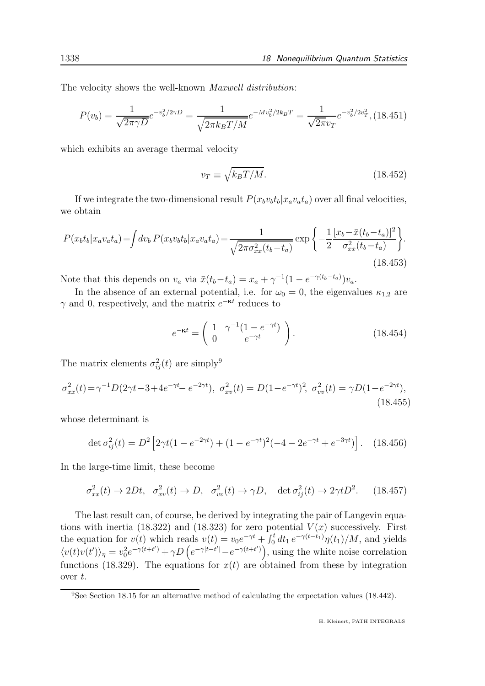The velocity shows the well-known Maxwell distribution:

$$
P(v_b) = \frac{1}{\sqrt{2\pi\gamma D}}e^{-v_b^2/2\gamma D} = \frac{1}{\sqrt{2\pi k_B T/M}}e^{-Mv_b^2/2k_B T} = \frac{1}{\sqrt{2\pi v_T}}e^{-v_b^2/2v_T^2},
$$
(18.451)

which exhibits an average thermal velocity

$$
v_T \equiv \sqrt{k_B T / M}.\tag{18.452}
$$

If we integrate the two-dimensional result  $P(x_b v_b t_b | x_a v_a t_a)$  over all final velocities, we obtain

$$
P(x_b t_b | x_a v_a t_a) = \int dv_b P(x_b v_b t_b | x_a v_a t_a) = \frac{1}{\sqrt{2\pi \sigma_{xx}^2(t_b - t_a)}} \exp\left\{-\frac{1}{2} \frac{[x_b - \bar{x}(t_b - t_a)]^2}{\sigma_{xx}^2(t_b - t_a)}\right\}.
$$
\n(18.453)

Note that this depends on  $v_a$  via  $\bar{x}(t_b-t_a) = x_a + \gamma^{-1}(1 - e^{-\gamma(t_b-t_a)})v_a$ .

In the absence of an external potential, i.e. for  $\omega_0 = 0$ , the eigenvalues  $\kappa_{1,2}$  are  $\gamma$  and 0, respectively, and the matrix  $e^{-\kappa t}$  reduces to

$$
e^{-\kappa t} = \begin{pmatrix} 1 & \gamma^{-1}(1 - e^{-\gamma t}) \\ 0 & e^{-\gamma t} \end{pmatrix}.
$$
 (18.454)

The matrix elements  $\sigma_{ij}^2(t)$  are simply<sup>9</sup>

$$
\sigma_{xx}^2(t) = \gamma^{-1} D(2\gamma t - 3 + 4e^{-\gamma t} - e^{-2\gamma t}), \ \sigma_{xy}^2(t) = D(1 - e^{-\gamma t})^2, \ \sigma_{vv}^2(t) = \gamma D(1 - e^{-2\gamma t}), \tag{18.455}
$$

whose determinant is

$$
\det \sigma_{ij}^2(t) = D^2 \left[ 2\gamma t (1 - e^{-2\gamma t}) + (1 - e^{-\gamma t})^2 (-4 - 2e^{-\gamma t} + e^{-3\gamma t}) \right]. \tag{18.456}
$$

In the large-time limit, these become

$$
\sigma_{xx}^2(t) \to 2Dt, \quad \sigma_{xy}^2(t) \to D, \quad \sigma_{vv}^2(t) \to \gamma D, \quad \det \sigma_{ij}^2(t) \to 2\gamma t D^2. \tag{18.457}
$$

The last result can, of course, be derived by integrating the pair of Langevin equations with inertia (18.322) and (18.323) for zero potential  $V(x)$  successively. First the equation for  $v(t)$  which reads  $v(t) = v_0 e^{-\gamma t} + \int_0^t dt_1 e^{-\gamma(t-t_1)} \eta(t_1)/M$ , and yields  $\langle v(t)v(t')\rangle_{\eta} = v_0^2 e^{-\gamma(t+t')} + \gamma D\left(e^{-\gamma|t-t'|} - e^{-\gamma(t+t')}\right)$ , using the white noise correlation functions (18.329). The equations for  $x(t)$  are obtained from these by integration over t.

<sup>&</sup>lt;sup>9</sup>See Section 18.15 for an alternative method of calculating the expectation values (18.442).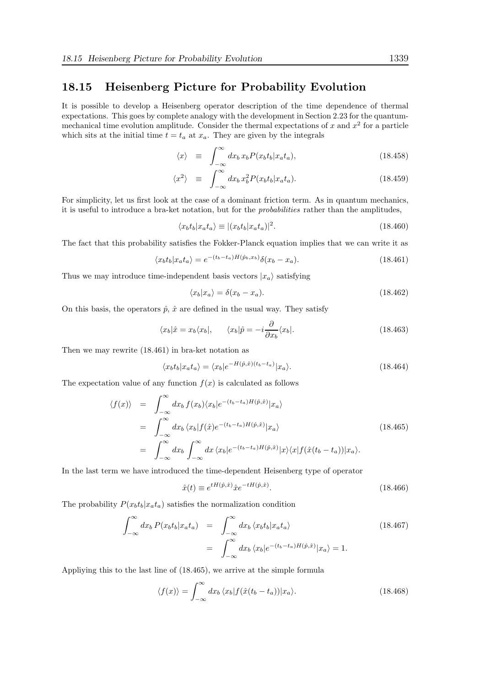# 18.15 Heisenberg Picture for Probability Evolution

It is possible to develop a Heisenberg operator description of the time dependence of thermal expectations. This goes by complete analogy with the development in Section 2.23 for the quantummechanical time evolution amplitude. Consider the thermal expectations of x and  $x^2$  for a particle which sits at the initial time  $t = t_a$  at  $x_a$ . They are given by the integrals

$$
\langle x \rangle \equiv \int_{-\infty}^{\infty} dx_b x_b P(x_b t_b | x_a t_a), \qquad (18.458)
$$

$$
\langle x^2 \rangle \equiv \int_{-\infty}^{\infty} dx_b x_b^2 P(x_b t_b | x_a t_a). \tag{18.459}
$$

For simplicity, let us first look at the case of a dominant friction term. As in quantum mechanics, it is useful to introduce a bra-ket notation, but for the probabilities rather than the amplitudes,

$$
\langle x_b t_b | x_a t_a \rangle \equiv |(x_b t_b | x_a t_a)|^2. \tag{18.460}
$$

The fact that this probability satisfies the Fokker-Planck equation implies that we can write it as

$$
\langle x_b t_b | x_a t_a \rangle = e^{-(t_b - t_a)H(\hat{p}_b, x_b)} \delta(x_b - x_a). \tag{18.461}
$$

Thus we may introduce time-independent basis vectors  $|x_a\rangle$  satisfying

$$
\langle x_b | x_a \rangle = \delta(x_b - x_a). \tag{18.462}
$$

On this basis, the operators  $\hat{p}$ ,  $\hat{x}$  are defined in the usual way. They satisfy

$$
\langle x_b|\hat{x} = x_b \langle x_b|, \qquad \langle x_b|\hat{p} = -i\frac{\partial}{\partial x_b} \langle x_b|.
$$
\n(18.463)

Then we may rewrite (18.461) in bra-ket notation as

$$
\langle x_b t_b | x_a t_a \rangle = \langle x_b | e^{-H(\hat{p}, \hat{x}) (t_b - t_a)} | x_a \rangle. \tag{18.464}
$$

The expectation value of any function  $f(x)$  is calculated as follows

$$
\langle f(x) \rangle = \int_{-\infty}^{\infty} dx_b f(x_b) \langle x_b | e^{-(t_b - t_a)H(\hat{p}, \hat{x})} | x_a \rangle
$$
  
\n
$$
= \int_{-\infty}^{\infty} dx_b \langle x_b | f(\hat{x}) e^{-(t_b - t_a)H(\hat{p}, \hat{x})} | x_a \rangle
$$
  
\n
$$
= \int_{-\infty}^{\infty} dx_b \int_{-\infty}^{\infty} dx \langle x_b | e^{-(t_b - t_a)H(\hat{p}, \hat{x})} | x \rangle \langle x | f(\hat{x}(t_b - t_a)) | x_a \rangle.
$$
\n(18.465)

In the last term we have introduced the time-dependent Heisenberg type of operator

$$
\hat{x}(t) \equiv e^{tH(\hat{p}, \hat{x})} \hat{x} e^{-tH(\hat{p}, \hat{x})}.
$$
\n(18.466)

The probability  $P(x_b t_b | x_a t_a)$  satisfies the normalization condition

$$
\int_{-\infty}^{\infty} dx_b P(x_b t_b | x_a t_a) = \int_{-\infty}^{\infty} dx_b \langle x_b t_b | x_a t_a \rangle
$$
\n
$$
= \int_{-\infty}^{\infty} dx_b \langle x_b | e^{-(t_b - t_a)H(\hat{p}, \hat{x})} | x_a \rangle = 1.
$$
\n(18.467)

Appliying this to the last line of (18.465), we arrive at the simple formula

$$
\langle f(x) \rangle = \int_{-\infty}^{\infty} dx_b \, \langle x_b | f(\hat{x}(t_b - t_a)) | x_a \rangle. \tag{18.468}
$$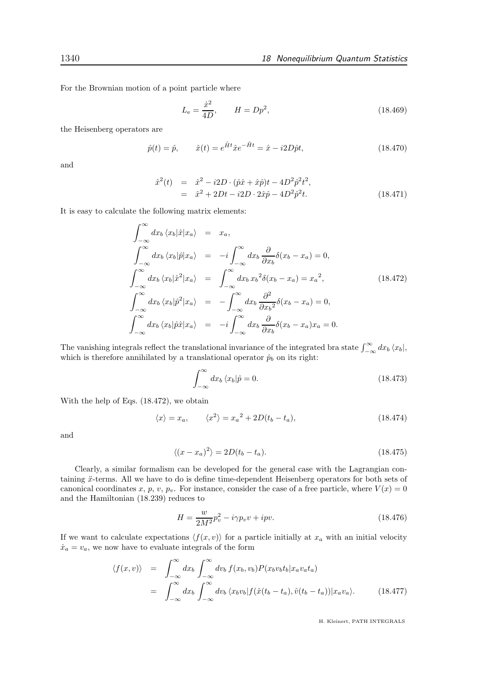For the Brownian motion of a point particle where

$$
L_{\rm e} = \frac{\dot{x}^2}{4D}, \qquad H = Dp^2,\tag{18.469}
$$

the Heisenberg operators are

$$
\hat{p}(t) = \hat{p}, \qquad \hat{x}(t) = e^{\hat{H}t}\hat{x}e^{-\hat{H}t} = \hat{x} - i2D\hat{p}t,
$$
\n(18.470)

and

$$
\begin{aligned}\n\hat{x}^2(t) &= \hat{x}^2 - i2D \cdot (\hat{p}\hat{x} + \hat{x}\hat{p})t - 4D^2\hat{p}^2t^2, \\
&= \hat{x}^2 + 2Dt - i2D \cdot 2\hat{x}\hat{p} - 4D^2\hat{p}^2t.\n\end{aligned} \tag{18.471}
$$

It is easy to calculate the following matrix elements:

$$
\int_{-\infty}^{\infty} dx_b \langle x_b | \hat{x} | x_a \rangle = x_a,
$$
\n
$$
\int_{-\infty}^{\infty} dx_b \langle x_b | \hat{p} | x_a \rangle = -i \int_{-\infty}^{\infty} dx_b \frac{\partial}{\partial x_b} \delta(x_b - x_a) = 0,
$$
\n
$$
\int_{-\infty}^{\infty} dx_b \langle x_b | \hat{x}^2 | x_a \rangle = \int_{-\infty}^{\infty} dx_b x_b^2 \delta(x_b - x_a) = x_a^2,
$$
\n
$$
\int_{-\infty}^{\infty} dx_b \langle x_b | \hat{p}^2 | x_a \rangle = -\int_{-\infty}^{\infty} dx_b \frac{\partial^2}{\partial x_b^2} \delta(x_b - x_a) = 0,
$$
\n
$$
\int_{-\infty}^{\infty} dx_b \langle x_b | \hat{p} \hat{x} | x_a \rangle = -i \int_{-\infty}^{\infty} dx_b \frac{\partial}{\partial x_b} \delta(x_b - x_a) x_a = 0.
$$
\n(18.472)

The vanishing integrals reflect the translational invariance of the integrated bra state  $\int_{-\infty}^{\infty} dx_b \langle x_b |$ , which is therefore annihilated by a translational operator  $\hat{p}_b$  on its right:

$$
\int_{-\infty}^{\infty} dx_b \langle x_b | \hat{p} = 0. \tag{18.473}
$$

With the help of Eqs. (18.472), we obtain

$$
\langle x \rangle = x_a, \qquad \langle x^2 \rangle = x_a^2 + 2D(t_b - t_a), \tag{18.474}
$$

and

$$
\langle (x - x_a)^2 \rangle = 2D(t_b - t_a). \tag{18.475}
$$

Clearly, a similar formalism can be developed for the general case with the Lagrangian containing  $\ddot{x}$ -terms. All we have to do is define time-dependent Heisenberg operators for both sets of canonical coordinates x, p, v,  $p_v$ . For instance, consider the case of a free particle, where  $V(x) = 0$ and the Hamiltonian (18.239) reduces to

$$
H = \frac{w}{2M^2} p_v^2 - i\gamma p_v v + ipv.
$$
\n(18.476)

If we want to calculate expectations  $\langle f(x, v) \rangle$  for a particle initially at  $x_a$  with an initial velocity  $\dot{x}_a = v_a$ , we now have to evaluate integrals of the form

$$
\langle f(x,v) \rangle = \int_{-\infty}^{\infty} dx_b \int_{-\infty}^{\infty} dv_b f(x_b, v_b) P(x_b v_b t_b | x_a v_a t_a)
$$
  
= 
$$
\int_{-\infty}^{\infty} dx_b \int_{-\infty}^{\infty} dv_b \langle x_b v_b | f(\hat{x}(t_b - t_a), \hat{v}(t_b - t_a)) | x_a v_a \rangle.
$$
 (18.477)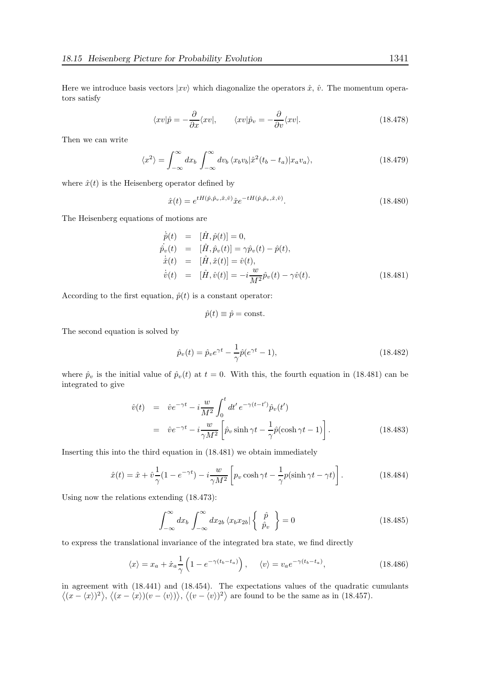Here we introduce basis vectors  $|xv\rangle$  which diagonalize the operators  $\hat{x}$ ,  $\hat{v}$ . The momentum operators satisfy

$$
\langle xv|\hat{p} = -\frac{\partial}{\partial x}\langle xv|, \qquad \langle xv|\hat{p}_v = -\frac{\partial}{\partial v}\langle xv|.
$$
 (18.478)

Then we can write

$$
\langle x^2 \rangle = \int_{-\infty}^{\infty} dx_b \int_{-\infty}^{\infty} dv_b \, \langle x_b v_b | \hat{x}^2 (t_b - t_a) | x_a v_a \rangle, \tag{18.479}
$$

where  $\hat{x}(t)$  is the Heisenberg operator defined by

$$
\hat{x}(t) = e^{tH(\hat{p}, \hat{p}_v, \hat{x}, \hat{v})} \hat{x} e^{-tH(\hat{p}, \hat{p}_v, \hat{x}, \hat{v})}.
$$
\n(18.480)

The Heisenberg equations of motions are

$$
\dot{p}(t) = [\hat{H}, \hat{p}(t)] = 0,\n\dot{p}_v(t) = [\hat{H}, \hat{p}_v(t)] = \gamma \hat{p}_v(t) - \hat{p}(t),\n\dot{\hat{x}}(t) = [\hat{H}, \hat{x}(t)] = \hat{v}(t),\n\dot{\hat{v}}(t) = [\hat{H}, \hat{v}(t)] = -i \frac{w}{M^2} \hat{p}_v(t) - \gamma \hat{v}(t).
$$
\n(18.481)

According to the first equation,  $\hat{p}(t)$  is a constant operator:

$$
\hat{p}(t) \equiv \hat{p} = \text{const.}
$$

The second equation is solved by

$$
\hat{p}_v(t) = \hat{p}_v e^{\gamma t} - \frac{1}{\gamma} \hat{p}(e^{\gamma t} - 1),
$$
\n(18.482)

where  $\hat{p}_v$  is the initial value of  $\hat{p}_v(t)$  at  $t = 0$ . With this, the fourth equation in (18.481) can be integrated to give

$$
\hat{v}(t) = \hat{v}e^{-\gamma t} - i\frac{w}{M^2} \int_0^t dt' e^{-\gamma(t-t')} \hat{p}_v(t')
$$
\n
$$
= \hat{v}e^{-\gamma t} - i\frac{w}{\gamma M^2} \left[ \hat{p}_v \sinh \gamma t - \frac{1}{\gamma} \hat{p}(\cosh \gamma t - 1) \right].
$$
\n(18.483)

Inserting this into the third equation in (18.481) we obtain immediately

$$
\hat{x}(t) = \hat{x} + \hat{v}\frac{1}{\gamma}(1 - e^{-\gamma t}) - i\frac{w}{\gamma M^2} \left[ p_v \cosh \gamma t - \frac{1}{\gamma} p(\sinh \gamma t - \gamma t) \right].
$$
 (18.484)

Using now the relations extending (18.473):

$$
\int_{-\infty}^{\infty} dx_b \int_{-\infty}^{\infty} dx_{2b} \langle x_b x_{2b} | \begin{Bmatrix} \hat{p} \\ \hat{p}_v \end{Bmatrix} \rangle = 0
$$
 (18.485)

to express the translational invariance of the integrated bra state, we find directly

$$
\langle x \rangle = x_a + \dot{x}_a \frac{1}{\gamma} \left( 1 - e^{-\gamma(t_b - t_a)} \right), \quad \langle v \rangle = v_a e^{-\gamma(t_b - t_a)}, \tag{18.486}
$$

in agreement with (18.441) and (18.454). The expectations values of the quadratic cumulants  $\langle (x - \langle x \rangle)^2 \rangle$ ,  $\langle (x - \langle x \rangle)(v - \langle v \rangle) \rangle$ ,  $\langle (v - \langle v \rangle)^2 \rangle$  are found to be the same as in (18.457).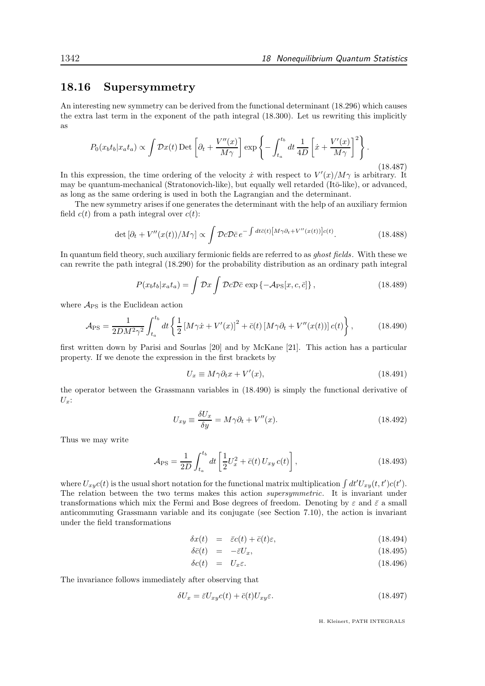## 18.16 Supersymmetry

An interesting new symmetry can be derived from the functional determinant (18.296) which causes the extra last term in the exponent of the path integral (18.300). Let us rewriting this implicitly as

$$
P_0(x_b t_b | x_a t_a) \propto \int \mathcal{D}x(t) \operatorname{Det} \left[ \partial_t + \frac{V''(x)}{M\gamma} \right] \exp \left\{ - \int_{t_a}^{t_b} dt \, \frac{1}{4D} \left[ \dot{x} + \frac{V'(x)}{M\gamma} \right]^2 \right\}.
$$
\n(18.487)

In this expression, the time ordering of the velocity  $\dot{x}$  with respect to  $V'(x)/M\gamma$  is arbitrary. It may be quantum-mechanical (Stratonovich-like), but equally well retarded (It $\bar{o}$ -like), or advanced, as long as the same ordering is used in both the Lagrangian and the determinant.

The new symmetry arises if one generates the determinant with the help of an auxiliary fermion field  $c(t)$  from a path integral over  $c(t)$ :

$$
\det\left[\partial_t + V''(x(t))/M\gamma\right] \propto \int \mathcal{D}c \mathcal{D}\bar{c} \, e^{-\int dt \bar{c}(t) \left[M\gamma \partial_t + V''(x(t))\right]c(t)}.\tag{18.488}
$$

In quantum field theory, such auxiliary fermionic fields are referred to as ghost fields. With these we can rewrite the path integral (18.290) for the probability distribution as an ordinary path integral

$$
P(x_b t_b | x_a t_a) = \int \mathcal{D}x \int \mathcal{D}c \mathcal{D}\bar{c} \exp\{-\mathcal{A}_{\rm PS}[x, c, \bar{c}]\},\qquad(18.489)
$$

where  $A_{PS}$  is the Euclidean action

$$
\mathcal{A}_{\rm PS} = \frac{1}{2DM^2 \gamma^2} \int_{t_a}^{t_b} dt \left\{ \frac{1}{2} \left[ M \gamma \dot{x} + V'(x) \right]^2 + \bar{c}(t) \left[ M \gamma \partial_t + V''(x(t)) \right] c(t) \right\},\tag{18.490}
$$

first written down by Parisi and Sourlas [20] and by McKane [21]. This action has a particular property. If we denote the expression in the first brackets by

$$
U_x \equiv M\gamma \partial_t x + V'(x),\tag{18.491}
$$

the operator between the Grassmann variables in (18.490) is simply the functional derivative of  $U_x$ :

$$
U_{xy} \equiv \frac{\delta U_x}{\delta y} = M\gamma \partial_t + V''(x). \tag{18.492}
$$

Thus we may write

$$
\mathcal{A}_{\rm PS} = \frac{1}{2D} \int_{t_a}^{t_b} dt \left[ \frac{1}{2} U_x^2 + \bar{c}(t) \, U_{xy} \, c(t) \right],\tag{18.493}
$$

where  $U_{xy}(t)$  is the usual short notation for the functional matrix multiplication  $\int dt'U_{xy}(t,t')c(t')$ . The relation between the two terms makes this action supersymmetric. It is invariant under transformations which mix the Fermi and Bose degrees of freedom. Denoting by  $\varepsilon$  and  $\bar{\varepsilon}$  a small anticommuting Grassmann variable and its conjugate (see Section 7.10), the action is invariant under the field transformations

$$
\delta x(t) = \bar{\varepsilon}c(t) + \bar{c}(t)\varepsilon, \tag{18.494}
$$

$$
\delta \bar{c}(t) = -\bar{\varepsilon} U_x, \tag{18.495}
$$

$$
\delta c(t) = U_x \varepsilon. \tag{18.496}
$$

The invariance follows immediately after observing that

$$
\delta U_x = \bar{\varepsilon} U_{xy} c(t) + \bar{c}(t) U_{xy} \varepsilon. \tag{18.497}
$$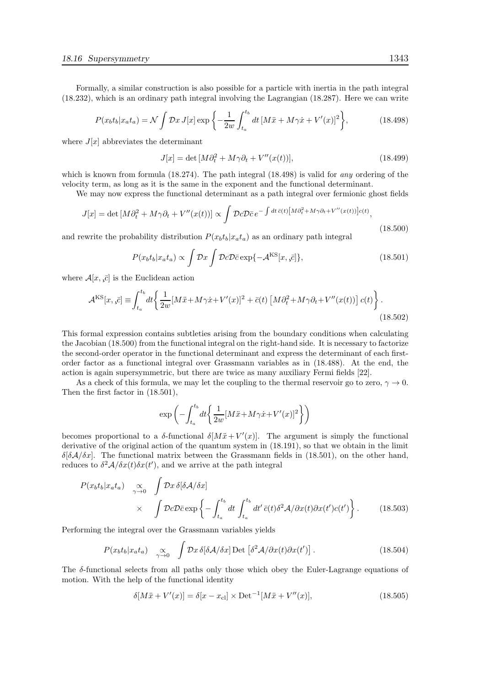Formally, a similar construction is also possible for a particle with inertia in the path integral (18.232), which is an ordinary path integral involving the Lagrangian (18.287). Here we can write

$$
P(x_b t_b | x_a t_a) = \mathcal{N} \int \mathcal{D}x J[x] \exp \left\{ -\frac{1}{2w} \int_{t_a}^{t_b} dt \, [M\ddot{x} + M\gamma \dot{x} + V'(x)]^2 \right\},\tag{18.498}
$$

where  $J[x]$  abbreviates the determinant

$$
J[x] = \det\left[M\partial_t^2 + M\gamma\partial_t + V''(x(t))\right],\tag{18.499}
$$

which is known from formula  $(18.274)$ . The path integral  $(18.498)$  is valid for any ordering of the velocity term, as long as it is the same in the exponent and the functional determinant.

We may now express the functional determinant as a path integral over fermionic ghost fields

$$
J[x] = \det\left[M\partial_t^2 + M\gamma\partial_t + V''(x(t))\right] \propto \int \mathcal{D}c\mathcal{D}\bar{c} \, e^{-\int dt \, \bar{c}(t) \left[M\partial_t^2 + M\gamma\partial_t + V''(x(t))\right]c(t)},\tag{18.500}
$$

and rewrite the probability distribution  $P(x_b t_b|x_a t_a)$  as an ordinary path integral

$$
P(x_b t_b | x_a t_a) \propto \int \mathcal{D}x \int \mathcal{D}c \mathcal{D}\bar{c} \exp\{-\mathcal{A}^{\rm KS}[x, \bar{c}]\},\tag{18.501}
$$

where  $\mathcal{A}[x, \overline{c}]$  is the Euclidean action

$$
\mathcal{A}^{\text{KS}}[x,\bar{c}] \equiv \int_{t_a}^{t_b} dt \left\{ \frac{1}{2w} [M\ddot{x} + M\gamma \dot{x} + V'(x)]^2 + \bar{c}(t) \left[ M\partial_t^2 + M\gamma \partial_t + V''(x(t)) \right] c(t) \right\}.
$$
\n(18.502)

This formal expression contains subtleties arising from the boundary conditions when calculating the Jacobian (18.500) from the functional integral on the right-hand side. It is necessary to factorize the second-order operator in the functional determinant and express the determinant of each firstorder factor as a functional integral over Grassmann variables as in (18.488). At the end, the action is again supersymmetric, but there are twice as many auxiliary Fermi fields [22].

As a check of this formula, we may let the coupling to the thermal reservoir go to zero,  $\gamma \to 0$ . Then the first factor in (18.501),

$$
\exp\left(-\int_{t_a}^{t_b} dt \bigg\{\frac{1}{2w} [M\ddot{x} + M\gamma \dot{x} + V'(x)]^2\bigg\}\right)
$$

becomes proportional to a  $\delta$ -functional  $\delta[M\ddot{x}+V'(x)]$ . The argument is simply the functional derivative of the original action of the quantum system in (18.191), so that we obtain in the limit δ[δA/δx]. The functional matrix between the Grassmann fields in (18.501), on the other hand, reduces to  $\delta^2 A/\delta x(t) \delta x(t')$ , and we arrive at the path integral

$$
P(x_b t_b | x_a t_a) \underset{\gamma \to 0}{\propto} \int \mathcal{D}x \, \delta[\delta \mathcal{A}/\delta x] \times \int \mathcal{D}c \mathcal{D}\bar{c} \exp\left\{-\int_{t_a}^{t_b} dt \int_{t_a}^{t_b} dt' \, \bar{c}(t) \delta^2 \mathcal{A}/\partial x(t) \partial x(t') c(t')\right\}.
$$
 (18.503)

Performing the integral over the Grassmann variables yields

$$
P(x_b t_b | x_a t_a) \quad \underset{\gamma \to 0}{\propto} \quad \int \mathcal{D}x \, \delta[\delta \mathcal{A}/\delta x] \, \text{Det} \left[ \delta^2 \mathcal{A}/\partial x(t) \partial x(t') \right]. \tag{18.504}
$$

The  $\delta$ -functional selects from all paths only those which obey the Euler-Lagrange equations of motion. With the help of the functional identity

$$
\delta[M\ddot{x} + V'(x)] = \delta[x - x_{\text{cl}}] \times \text{Det}^{-1}[M\ddot{x} + V''(x)],\tag{18.505}
$$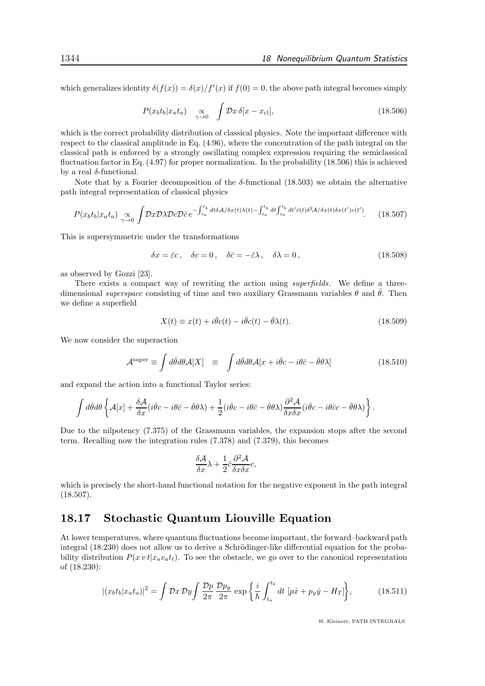which generalizes identity  $\delta(f(x)) = \delta(x)/f'(x)$  if  $f(0) = 0$ , the above path integral becomes simply

$$
P(x_b t_b | x_a t_a) \quad \underset{\gamma \to 0}{\propto} \quad \int \mathcal{D}x \, \delta[x - x_{\text{cl}}], \tag{18.506}
$$

which is the correct probability distribution of classical physics. Note the important difference with respect to the classical amplitude in Eq. (4.96), where the concentration of the path integral on the classical path is enforced by a strongly oscillating complex expression requiring the semiclassical fluctuation factor in Eq. (4.97) for proper normalization. In the probability (18.506) this is achieved by a real  $\delta$ -functional.

Note that by a Fourier decomposition of the  $\delta$ -functional (18.503) we obtain the alternative path integral representation of classical physics

$$
P(x_b t_b | x_a t_a) \underset{\gamma \to 0}{\propto} \int \mathcal{D}x \mathcal{D}\lambda \mathcal{D}c \mathcal{D}\bar{c} e^{-\int_{t_a}^{t_b} dt \delta \mathcal{A}/\delta x(t)\lambda(t) - \int_{t_a}^{t_b} dt \int_{t_a}^{t_b} dt' \bar{c}(t) \delta^2 \mathcal{A}/\delta x(t) \delta x(t') c(t')}.
$$
(18.507)

This is supersymmetric under the transformations

$$
\delta x = \bar{\varepsilon}c, \quad \delta c = 0, \quad \delta \bar{c} = -\bar{\varepsilon}\lambda, \quad \delta \lambda = 0,
$$
\n(18.508)

as observed by Gozzi [23].

There exists a compact way of rewriting the action using *superfields*. We define a threedimensional superspace consisting of time and two auxiliary Grassmann variables  $\theta$  and  $\bar{\theta}$ . Then we define a superfield

$$
X(t) \equiv x(t) + i\bar{\theta}c(t) - i\bar{\theta}c(t) - \bar{\theta}\lambda(t). \tag{18.509}
$$

We now consider the superaction

$$
\mathcal{A}^{\text{super}} \equiv \int d\bar{\theta} d\theta \mathcal{A}[X] \equiv \int d\bar{\theta} d\theta \mathcal{A}[x + i\bar{\theta}c - i\theta\bar{c} - \bar{\theta}\theta\lambda]
$$
(18.510)

and expand the action into a functional Taylor series:

$$
\int d\bar{\theta} d\theta \left\{ \mathcal{A}[x] + \frac{\delta \mathcal{A}}{\delta x} (i \bar{\theta} c - i \theta \bar{c} - \bar{\theta} \theta \lambda) + \frac{1}{2} (i \bar{\theta} c - i \theta \bar{c} - \bar{\theta} \theta \lambda) \frac{\partial^2 \mathcal{A}}{\delta x \delta x} (i \bar{\theta} c - i \theta \bar{c} c - \bar{\theta} \theta \lambda) \right\}.
$$

Due to the nilpotency (7.375) of the Grassmann variables, the expansion stops after the second term. Recalling now the integration rules (7.378) and (7.379), this becomes

$$
\frac{\delta \mathcal{A}}{\delta x} \lambda + \frac{1}{2} \bar{c} \frac{\partial^2 \mathcal{A}}{\delta x \delta x} c,
$$

which is precisely the short-hand functional notation for the negative exponent in the path integral (18.507).

## 18.17 Stochastic Quantum Liouville Equation

At lower temperatures, where quantum fluctuations become important, the forward–backward path integral (18.230) does not allow us to derive a Schrödinger-like differential equation for the probability distribution  $P(x v t | x_a v_a t_t)$ . To see the obstacle, we go over to the canonical representation of (18.230):

$$
|(x_b t_b | x_a t_a)|^2 = \int \mathcal{D}x \, \mathcal{D}y \int \frac{\mathcal{D}p}{2\pi} \frac{\mathcal{D}p_y}{2\pi} \, \exp\left\{\frac{i}{\hbar} \int_{t_a}^{t_b} dt \, \left[p\dot{x} + p_y \dot{y} - H_T\right]\right\},\tag{18.511}
$$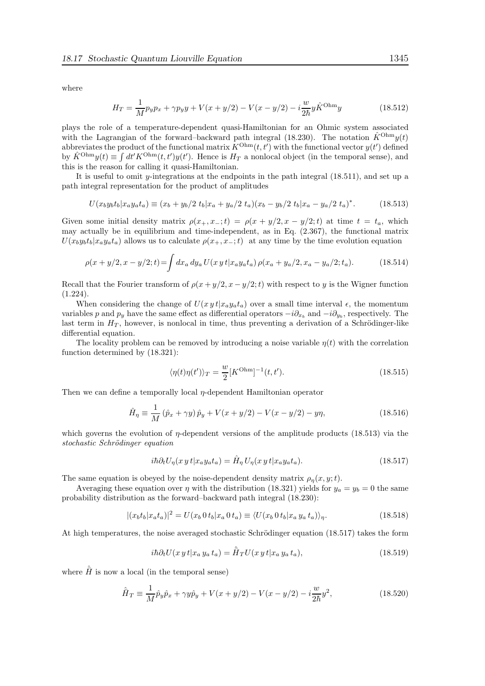where

$$
H_T = \frac{1}{M} p_y p_x + \gamma p_y y + V(x + y/2) - V(x - y/2) - i \frac{w}{2\hbar} y \hat{K}^{\text{Ohm}} y \tag{18.512}
$$

plays the role of a temperature-dependent quasi-Hamiltonian for an Ohmic system associated with the Lagrangian of the forward–backward path integral (18.230). The notation  $\hat{K}^{Ohm}y(t)$ abbreviates the product of the functional matrix  $K^{\text{Ohm}}(t, t')$  with the functional vector  $y(t')$  defined by  $\hat{K}^{Ohm}y(t) \equiv \int dt' K^{Ohm}(t, t')y(t')$ . Hence is  $H_T$  a nonlocal object (in the temporal sense), and this is the reason for calling it quasi-Hamiltonian.

It is useful to omit y-integrations at the endpoints in the path integral (18.511), and set up a path integral representation for the product of amplitudes

$$
U(x_b y_b t_b | x_a y_a t_a) \equiv (x_b + y_b/2 \ t_b | x_a + y_a/2 \ t_a) (x_b - y_b/2 \ t_b | x_a - y_a/2 \ t_a)^*.
$$
 (18.513)

Given some initial density matrix  $\rho(x_+, x_-; t) = \rho(x + y/2, x - y/2; t)$  at time  $t = t_a$ , which may actually be in equilibrium and time-independent, as in Eq. (2.367), the functional matrix  $U(x_by_b t_b|x_a y_a t_a)$  allows us to calculate  $\rho(x_+, x_-;t)$  at any time by the time evolution equation

$$
\rho(x+y/2, x-y/2; t) = \int dx_a \, dy_a \, U(x \, y \, t | x_a y_a t_a) \, \rho(x_a + y_a/2, x_a - y_a/2; t_a). \tag{18.514}
$$

Recall that the Fourier transform of  $\rho(x+y/2, x-y/2; t)$  with respect to y is the Wigner function (1.224).

When considering the change of  $U(x y t | x_a y_a t_a)$  over a small time interval  $\epsilon$ , the momentum variables p and  $p_y$  have the same effect as differential operators  $-i\partial_{x_b}$  and  $-i\partial_{y_b}$ , respectively. The last term in  $H_T$ , however, is nonlocal in time, thus preventing a derivation of a Schrödinger-like differential equation.

The locality problem can be removed by introducing a noise variable  $\eta(t)$  with the correlation function determined by (18.321):

$$
\langle \eta(t)\eta(t')\rangle_T = \frac{w}{2} [K^{\text{Ohm}}]^{-1}(t, t'). \qquad (18.515)
$$

Then we can define a temporally local η-dependent Hamiltonian operator

$$
\hat{H}_{\eta} \equiv \frac{1}{M} (\hat{p}_x + \gamma y) \hat{p}_y + V(x + y/2) - V(x - y/2) - y\eta,
$$
\n(18.516)

which governs the evolution of  $\eta$ -dependent versions of the amplitude products (18.513) via the stochastic Schrödinger equation

$$
i\hbar \partial_t U_\eta(x\, y\, t | x_a y_a t_a) = \hat{H}_\eta U_\eta(x\, y\, t | x_a y_a t_a). \tag{18.517}
$$

The same equation is obeyed by the noise-dependent density matrix  $\rho_n(x, y; t)$ .

Averaging these equation over  $\eta$  with the distribution (18.321) yields for  $y_a = y_b = 0$  the same probability distribution as the forward–backward path integral (18.230):

$$
|(x_b t_b | x_a t_a)|^2 = U(x_b 0 t_b | x_a 0 t_a) \equiv \langle U(x_b 0 t_b | x_a y_a t_a) \rangle_{\eta}.
$$
 (18.518)

At high temperatures, the noise averaged stochastic Schrödinger equation  $(18.517)$  takes the form

$$
i\hbar \partial_t U(x\, y\, t|x_a\, y_a\, t_a) = \hat{H}_T U(x\, y\, t|x_a\, y_a\, t_a),\tag{18.519}
$$

where  $\hat{H}$  is now a local (in the temporal sense)

$$
\hat{H}_T \equiv \frac{1}{M} \hat{p}_y \hat{p}_x + \gamma y \hat{p}_y + V(x + y/2) - V(x - y/2) - i \frac{w}{2\hbar} y^2,\tag{18.520}
$$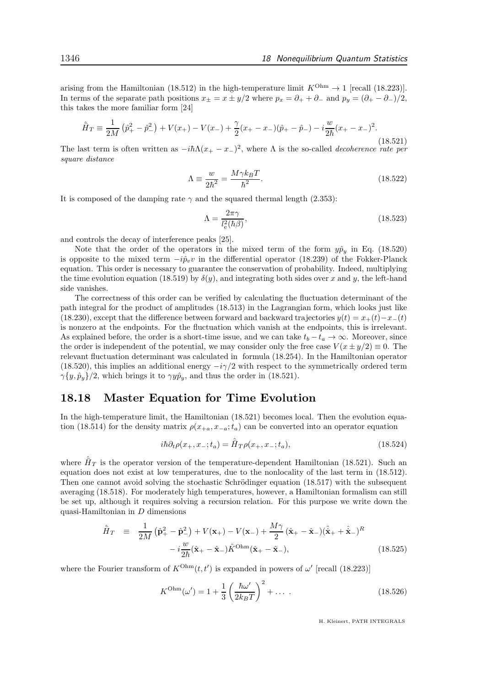arising from the Hamiltonian (18.512) in the high-temperature limit  $K^{\text{Ohm}} \to 1$  [recall (18.223)]. In terms of the separate path positions  $x_{\pm} = x \pm y/2$  where  $p_x = \partial_+ + \partial_-$  and  $p_y = (\partial_+ - \partial_-)/2$ , this takes the more familiar form [24]

$$
\hat{H}_T \equiv \frac{1}{2M} \left( \hat{p}_+^2 - \hat{p}_-^2 \right) + V(x_+) - V(x_-) + \frac{\gamma}{2} (x_+ - x_-) (\hat{p}_+ - \hat{p}_-) - i \frac{w}{2\hbar} (x_+ - x_-)^2.
$$
\n(18.521)

The last term is often written as  $-i\hbar\Lambda(x_+ - x_-)^2$ , where  $\Lambda$  is the so-called *decoherence* rate per square distance

$$
\Lambda \equiv \frac{w}{2\hbar^2} = \frac{M\gamma k_B T}{\hbar^2}.
$$
\n(18.522)

It is composed of the damping rate  $\gamma$  and the squared thermal length (2.353):

$$
\Lambda = \frac{2\pi\gamma}{l_e^2(\hbar\beta)},\tag{18.523}
$$

and controls the decay of interference peaks [25].

Note that the order of the operators in the mixed term of the form  $y\hat{p}_y$  in Eq. (18.520) is opposite to the mixed term  $-i\hat{p}_v v$  in the differential operator (18.239) of the Fokker-Planck equation. This order is necessary to guarantee the conservation of probability. Indeed, multiplying the time evolution equation (18.519) by  $\delta(y)$ , and integrating both sides over x and y, the left-hand side vanishes.

The correctness of this order can be verified by calculating the fluctuation determinant of the path integral for the product of amplitudes (18.513) in the Lagrangian form, which looks just like (18.230), except that the difference between forward and backward trajectories  $y(t) = x_+(t)-x_-(t)$ is nonzero at the endpoints. For the fluctuation which vanish at the endpoints, this is irrelevant. As explained before, the order is a short-time issue, and we can take  $t_b - t_a \rightarrow \infty$ . Moreover, since the order is independent of the potential, we may consider only the free case  $V(x \pm y/2) \equiv 0$ . The relevant fluctuation determinant was calculated in formula (18.254). In the Hamiltonian operator (18.520), this implies an additional energy  $-i\gamma/2$  with respect to the symmetrically ordered term  $\gamma \{y, \hat{p}_y\}/2$ , which brings it to  $\gamma y \hat{p}_y$ , and thus the order in (18.521).

## 18.18 Master Equation for Time Evolution

In the high-temperature limit, the Hamiltonian (18.521) becomes local. Then the evolution equation (18.514) for the density matrix  $\rho(x_{+a}, x_{-a}; t_a)$  can be converted into an operator equation

$$
i\hbar \partial_t \rho(x_+, x_-; t_a) = \hat{H}_T \rho(x_+, x_-; t_a), \tag{18.524}
$$

where  $\hat{H}_T$  is the operator version of the temperature-dependent Hamiltonian (18.521). Such an equation does not exist at low temperatures, due to the nonlocality of the last term in (18.512). Then one cannot avoid solving the stochastic Schrödinger equation (18.517) with the subsequent averaging (18.518). For moderately high temperatures, however, a Hamiltonian formalism can still be set up, although it requires solving a recursion relation. For this purpose we write down the quasi-Hamiltonian in D dimensions

$$
\hat{H}_T \equiv \frac{1}{2M} \left( \hat{\mathbf{p}}_+^2 - \hat{\mathbf{p}}_-^2 \right) + V(\mathbf{x}_+) - V(\mathbf{x}_-) + \frac{M\gamma}{2} (\hat{\mathbf{x}}_+ - \hat{\mathbf{x}}_-) (\hat{\mathbf{x}}_+ + \hat{\mathbf{x}}_-)^R \n- i \frac{w}{2\hbar} (\hat{\mathbf{x}}_+ - \hat{\mathbf{x}}_-) \hat{K}^{\text{Ohm}} (\hat{\mathbf{x}}_+ - \hat{\mathbf{x}}_-),
$$
\n(18.525)

where the Fourier transform of  $K^{\text{Ohm}}(t, t')$  is expanded in powers of  $\omega'$  [recall (18.223)]

$$
K^{\text{Ohm}}(\omega') = 1 + \frac{1}{3} \left( \frac{\hbar \omega'}{2k_B T} \right)^2 + \dots \tag{18.526}
$$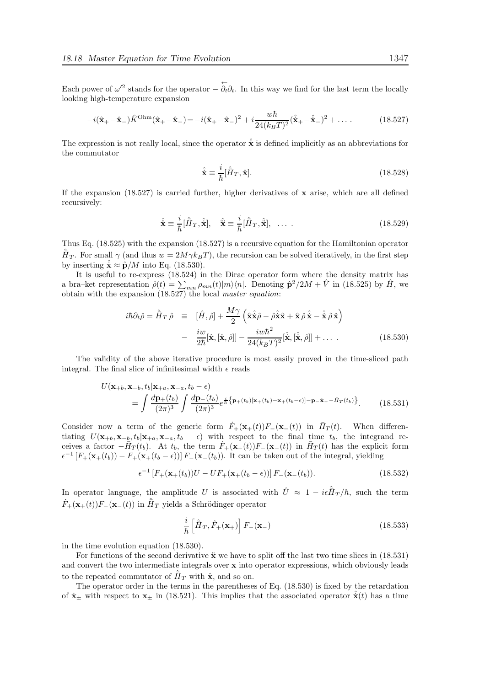Each power of  $\omega'^2$  stands for the operator  $-\overleftarrow{\partial_t}\partial_t$ . In this way we find for the last term the locally looking high-temperature expansion

$$
-i(\hat{\mathbf{x}}_{+}-\hat{\mathbf{x}}_{-})\hat{K}^{\text{Ohm}}(\hat{\mathbf{x}}_{+}-\hat{\mathbf{x}}_{-})=-i(\hat{\mathbf{x}}_{+}-\hat{\mathbf{x}}_{-})^{2}+i\frac{w\hbar}{24(k_{B}T)^{2}}(\hat{\mathbf{x}}_{+}-\hat{\mathbf{x}}_{-})^{2}+\dots
$$
 (18.527)

The expression is not really local, since the operator  $\hat{\dot{x}}$  is defined implicitly as an abbreviations for the commutator

$$
\hat{\dot{\mathbf{x}}} \equiv \frac{i}{\hbar} [\hat{H}_T, \hat{\mathbf{x}}]. \tag{18.528}
$$

If the expansion  $(18.527)$  is carried further, higher derivatives of x arise, which are all defined recursively:

$$
\hat{\mathbf{x}} \equiv \frac{i}{\hbar} [\hat{H}_T, \hat{\mathbf{x}}], \quad \hat{\mathbf{x}} \equiv \frac{i}{\hbar} [\hat{H}_T, \hat{\mathbf{x}}], \quad \dots \tag{18.529}
$$

Thus Eq. (18.525) with the expansion (18.527) is a recursive equation for the Hamiltonian operator  $\hat{H}_T$ . For small  $\gamma$  (and thus  $w = 2M\gamma k_BT$ ), the recursion can be solved iteratively, in the first step by inserting  $\hat{\mathbf{x}} \approx \hat{\mathbf{p}}/M$  into Eq. (18.530).

It is useful to re-express (18.524) in the Dirac operator form where the density matrix has a bra–ket representation  $\hat{\rho}(t) = \sum_{mn} \rho_{mn}(t) |m\rangle\langle n|$ . Denoting  $\hat{\mathbf{p}}^2/2M + \hat{V}$  in (18.525) by  $\hat{H}$ , we obtain with the expansion (18.527) the local master equation:

$$
i\hbar \partial_t \hat{\rho} = \hat{H}_T \hat{\rho} \equiv [\hat{H}, \hat{\rho}] + \frac{M\gamma}{2} \left( \hat{\mathbf{x}} \hat{\mathbf{x}} \hat{\rho} - \hat{\rho} \hat{\mathbf{x}} \hat{\mathbf{x}} + \hat{\mathbf{x}} \hat{\rho} \hat{\mathbf{x}} - \hat{\mathbf{x}} \hat{\rho} \hat{\mathbf{x}} \right)
$$

$$
- \frac{i w}{2\hbar} [\hat{\mathbf{x}}, [\hat{\mathbf{x}}, \hat{\rho}]] - \frac{i w \hbar^2}{24(k_B T)^2} [\hat{\mathbf{x}}, [\hat{\mathbf{x}}, \hat{\rho}]] + \dots \, . \tag{18.530}
$$

The validity of the above iterative procedure is most easily proved in the time-sliced path integral. The final slice of infinitesimal width  $\epsilon$  reads

$$
U(\mathbf{x}_{+b}, \mathbf{x}_{-b}, t_b | \mathbf{x}_{+a}, \mathbf{x}_{-a}, t_b - \epsilon)
$$
  
= 
$$
\int \frac{d\mathbf{p}_+(t_b)}{(2\pi)^3} \int \frac{d\mathbf{p}_-(t_b)}{(2\pi)^3} e^{\frac{i}{\hbar} \left\{ \mathbf{p}_+(t_b) [\mathbf{x}_+(t_b) - \mathbf{x}_+(t_b - \epsilon)] - \mathbf{p}_-\dot{\mathbf{x}}_--\bar{H}_T(t_b) \right\}}.
$$
 (18.531)

Consider now a term of the generic form  $\dot{F}_+({\bf x}_+(t))F_-({\bf x}_-(t))$  in  $\bar{H}_T(t)$ . When differentiating  $U(\mathbf{x}_{+b}, \mathbf{x}_{-b}, t_b|\mathbf{x}_{+a}, \mathbf{x}_{-a}, t_b - \epsilon)$  with respect to the final time  $t_b$ , the integrand receives a factor  $-\bar{H}_T(t_b)$ . At  $t_b$ , the term  $\dot{F}_+(\mathbf{x}_+(t))F_-(\mathbf{x}_-(t))$  in  $\bar{H}_T(t)$  has the explicit form  $\epsilon^{-1}[F_+(\mathbf{x}_+(t_b)) - F_+(\mathbf{x}_+(t_b-\epsilon))] F_-(\mathbf{x}_-(t_b))$ . It can be taken out of the integral, yielding

$$
\epsilon^{-1} \left[ F_+(\mathbf{x}_+(t_b)) U - U F_+(\mathbf{x}_+(t_b - \epsilon)) \right] F_-(\mathbf{x}_-(t_b)). \tag{18.532}
$$

In operator language, the amplitude U is associated with  $\hat{U} \approx 1 - i\epsilon \hat{H}_T/\hbar$ , such the term  $\dot{F}_+({\bf x}_+(t))F_-({\bf x}_-(t))$  in  $\hat{\bar{H}}_T$  yields a Schrödinger operator

$$
\frac{i}{\hbar} \left[ \hat{H}_T, \hat{F}_+ (\mathbf{x}_+) \right] F_- (\mathbf{x}_-) \tag{18.533}
$$

in the time evolution equation (18.530).

For functions of the second derivative  $\ddot{x}$  we have to split off the last two time slices in (18.531) and convert the two intermediate integrals over x into operator expressions, which obviously leads to the repeated commutator of  $\hat{H}_T$  with  $\hat{\mathbf{x}}$ , and so on.

The operator order in the terms in the parentheses of Eq. (18.530) is fixed by the retardation of  $\dot{\mathbf{x}}_{\pm}$  with respect to  $\mathbf{x}_{\pm}$  in (18.521). This implies that the associated operator  $\dot{\mathbf{x}}(t)$  has a time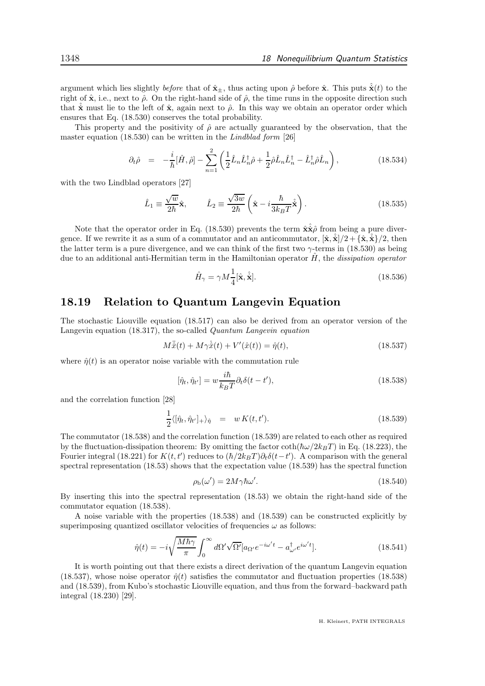argument which lies slightly before that of  $\hat{\mathbf{x}}_+$ , thus acting upon  $\hat{\rho}$  before  $\hat{\mathbf{x}}$ . This puts  $\hat{\mathbf{x}}(t)$  to the right of  $\hat{\mathbf{x}}$ , i.e., next to  $\hat{\rho}$ . On the right-hand side of  $\hat{\rho}$ , the time runs in the opposite direction such that  $\dot{\mathbf{x}}$  must lie to the left of  $\hat{\mathbf{x}}$ , again next to  $\hat{\rho}$ . In this way we obtain an operator order which ensures that Eq. (18.530) conserves the total probability.

This property and the positivity of  $\hat{\rho}$  are actually guaranteed by the observation, that the master equation (18.530) can be written in the Lindblad form [26]

$$
\partial_t \hat{\rho} = -\frac{i}{\hbar} [\hat{H}, \hat{\rho}] - \sum_{n=1}^2 \left( \frac{1}{2} \hat{L}_n \hat{L}_n^{\dagger} \hat{\rho} + \frac{1}{2} \hat{\rho} \hat{L}_n \hat{L}_n^{\dagger} - \hat{L}_n^{\dagger} \hat{\rho} \hat{L}_n \right), \tag{18.534}
$$

with the two Lindblad operators [27]

$$
\hat{L}_1 \equiv \frac{\sqrt{w}}{2\hbar}\hat{\mathbf{x}}, \qquad \hat{L}_2 \equiv \frac{\sqrt{3w}}{2\hbar} \left(\hat{\mathbf{x}} - i\frac{\hbar}{3k_B T}\hat{\mathbf{x}}\right). \tag{18.535}
$$

Note that the operator order in Eq. (18.530) prevents the term  $\hat{\mathbf{x}}\hat{\mathbf{z}}\hat{\rho}$  from being a pure divergence. If we rewrite it as a sum of a commutator and an anticommutator,  $[\hat{\mathbf{x}}, \hat{\mathbf{x}}]/2 + {\hat{\mathbf{x}}, \hat{\mathbf{x}}}/2$ , then the latter term is a pure divergence, and we can think of the first two  $\gamma$ -terms in (18.530) as being due to an additional anti-Hermitian term in the Hamiltonian operator  $\hat{H}$ , the dissipation operator

$$
\hat{H}_{\gamma} = \gamma M \frac{1}{4} [\hat{\mathbf{x}}, \hat{\dot{\mathbf{x}}}]. \tag{18.536}
$$

## 18.19 Relation to Quantum Langevin Equation

The stochastic Liouville equation (18.517) can also be derived from an operator version of the Langevin equation (18.317), the so-called Quantum Langevin equation

$$
M\ddot{\hat{x}}(t) + M\gamma \dot{\hat{x}}(t) + V'(\hat{x}(t)) = \hat{\eta}(t),
$$
\n(18.537)

where  $\hat{\eta}(t)$  is an operator noise variable with the commutation rule

$$
[\hat{\eta}_t, \hat{\eta}_{t'}] = w \frac{i\hbar}{k_B T} \partial_t \delta(t - t'),\tag{18.538}
$$

and the correlation function [28]

$$
\frac{1}{2}\langle[\hat{\eta}_t, \hat{\eta}_{t'}]_+\rangle_{\hat{\eta}} = w K(t, t'). \qquad (18.539)
$$

The commutator (18.538) and the correlation function (18.539) are related to each other as required by the fluctuation-dissipation theorem: By omitting the factor  $\coth(\hbar\omega/2k_BT)$  in Eq. (18.223), the Fourier integral (18.221) for  $K(t,t')$  reduces to  $(\hbar/2k_BT)\partial_t\delta(t-t')$ . A comparison with the general spectral representation (18.53) shows that the expectation value (18.539) has the spectral function

$$
\rho_{\rm b}(\omega') = 2M\gamma\hbar\omega'.\tag{18.540}
$$

By inserting this into the spectral representation (18.53) we obtain the right-hand side of the commutator equation (18.538).

A noise variable with the properties (18.538) and (18.539) can be constructed explicitly by superimposing quantized oscillator velocities of frequencies  $\omega$  as follows:

$$
\hat{\eta}(t) = -i\sqrt{\frac{M\hbar\gamma}{\pi}} \int_0^\infty d\Omega' \sqrt{\Omega'} [a_{\Omega'} e^{-i\omega' t} - a_{\omega'}^\dagger e^{i\omega' t}]. \tag{18.541}
$$

It is worth pointing out that there exists a direct derivation of the quantum Langevin equation (18.537), whose noise operator  $\hat{\eta}(t)$  satisfies the commutator and fluctuation properties (18.538) and (18.539), from Kubo's stochastic Liouville equation, and thus from the forward–backward path integral (18.230) [29].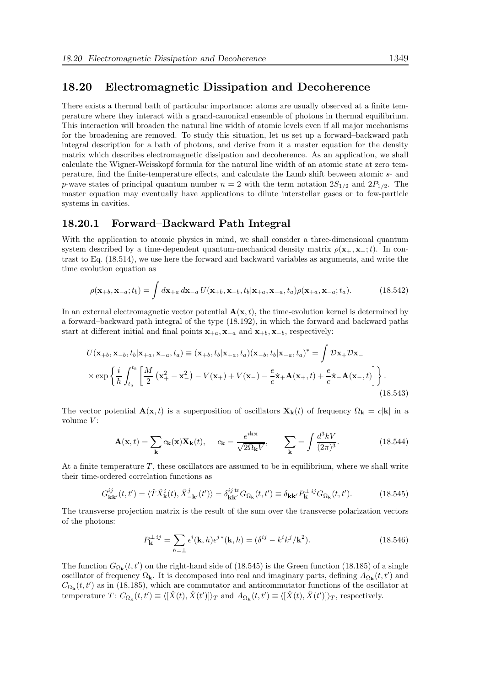### 18.20 Electromagnetic Dissipation and Decoherence

There exists a thermal bath of particular importance: atoms are usually observed at a finite temperature where they interact with a grand-canonical ensemble of photons in thermal equilibrium. This interaction will broaden the natural line width of atomic levels even if all major mechanisms for the broadening are removed. To study this situation, let us set up a forward–backward path integral description for a bath of photons, and derive from it a master equation for the density matrix which describes electromagnetic dissipation and decoherence. As an application, we shall calculate the Wigner-Weisskopf formula for the natural line width of an atomic state at zero temperature, find the finite-temperature effects, and calculate the Lamb shift between atomic s- and p-wave states of principal quantum number  $n = 2$  with the term notation  $2S_{1/2}$  and  $2P_{1/2}$ . The master equation may eventually have applications to dilute interstellar gases or to few-particle systems in cavities.

#### 18.20.1 Forward–Backward Path Integral

With the application to atomic physics in mind, we shall consider a three-dimensional quantum system described by a time-dependent quantum-mechanical density matrix  $\rho(\mathbf{x}_{+}, \mathbf{x}_{-};t)$ . In contrast to Eq. (18.514), we use here the forward and backward variables as arguments, and write the time evolution equation as

$$
\rho(\mathbf{x}_{+b}, \mathbf{x}_{-a}; t_b) = \int d\mathbf{x}_{+a} d\mathbf{x}_{-a} U(\mathbf{x}_{+b}, \mathbf{x}_{-b}, t_b | \mathbf{x}_{+a}, \mathbf{x}_{-a}, t_a) \rho(\mathbf{x}_{+a}, \mathbf{x}_{-a}; t_a).
$$
(18.542)

In an external electromagnetic vector potential  $\mathbf{A}(\mathbf{x}, t)$ , the time-evolution kernel is determined by a forward–backward path integral of the type (18.192), in which the forward and backward paths start at different initial and final points  $x_{+a}$ ,  $x_{-a}$  and  $x_{+b}$ ,  $x_{-b}$ , respectively:

$$
U(\mathbf{x}_{+b}, \mathbf{x}_{-b}, t_b | \mathbf{x}_{+a}, \mathbf{x}_{-a}, t_a) \equiv (\mathbf{x}_{+b}, t_b | \mathbf{x}_{+a}, t_a) (\mathbf{x}_{-b}, t_b | \mathbf{x}_{-a}, t_a)^* = \int \mathcal{D}\mathbf{x}_+ \mathcal{D}\mathbf{x}_-
$$

$$
\times \exp\left\{\frac{i}{\hbar} \int_{t_a}^{t_b} \left[ \frac{M}{2} \left( \mathbf{x}_+^2 - \mathbf{x}_-^2 \right) - V(\mathbf{x}_+) + V(\mathbf{x}_-) - \frac{e}{c} \dot{\mathbf{x}}_+ \mathbf{A}(\mathbf{x}_+, t) + \frac{e}{c} \dot{\mathbf{x}}_- \mathbf{A}(\mathbf{x}_-, t) \right] \right\}.
$$
(18.543)

The vector potential  $\mathbf{A}(\mathbf{x}, t)$  is a superposition of oscillators  $\mathbf{X}_{\mathbf{k}}(t)$  of frequency  $\Omega_{\mathbf{k}} = c|\mathbf{k}|$  in a volume  $V$ :

$$
\mathbf{A}(\mathbf{x},t) = \sum_{\mathbf{k}} c_{\mathbf{k}}(\mathbf{x}) \mathbf{X}_{\mathbf{k}}(t), \quad c_{\mathbf{k}} = \frac{e^{i\mathbf{k}\mathbf{x}}}{\sqrt{2\Omega_{\mathbf{k}}V}}, \quad \sum_{\mathbf{k}} = \int \frac{d^3kV}{(2\pi)^3}.
$$
 (18.544)

At a finite temperature  $T$ , these oscillators are assumed to be in equilibrium, where we shall write their time-ordered correlation functions as

$$
G_{\mathbf{k}\mathbf{k}'}^{ij}(t,t') = \langle \hat{T}\hat{X}_{\mathbf{k}}^{i}(t), \hat{X}_{-\mathbf{k}'}^{j}(t')\rangle = \delta_{\mathbf{k}\mathbf{k}'}^{ij} G_{\Omega_{\mathbf{k}}}(t,t') \equiv \delta_{\mathbf{k}\mathbf{k}'} P_{\mathbf{k}}^{\perp ij} G_{\Omega_{\mathbf{k}}}(t,t'). \tag{18.545}
$$

The transverse projection matrix is the result of the sum over the transverse polarization vectors of the photons:

$$
P_{\mathbf{k}}^{\perp ij} = \sum_{h=\pm} \epsilon^i(\mathbf{k}, h) \epsilon^{j*}(\mathbf{k}, h) = (\delta^{ij} - k^i k^j / \mathbf{k}^2). \tag{18.546}
$$

The function  $G_{\Omega_{\mathbf{k}}}(t, t')$  on the right-hand side of (18.545) is the Green function (18.185) of a single oscillator of frequency  $\Omega_{\mathbf{k}}$ . It is decomposed into real and imaginary parts, defining  $A_{\Omega_{\mathbf{k}}}(t,t')$  and  $C_{\Omega_{\mathbf{k}}}(t, t')$  as in (18.185), which are commutator and anticommutator functions of the oscillator at temperature  $T: C_{\Omega_{\mathbf{k}}}(t, t') \equiv \langle [\hat{X}(t), \hat{X}(t')] \rangle_T$  and  $A_{\Omega_{\mathbf{k}}}(t, t') \equiv \langle [\hat{X}(t), \hat{X}(t')] \rangle_T$ , respectively.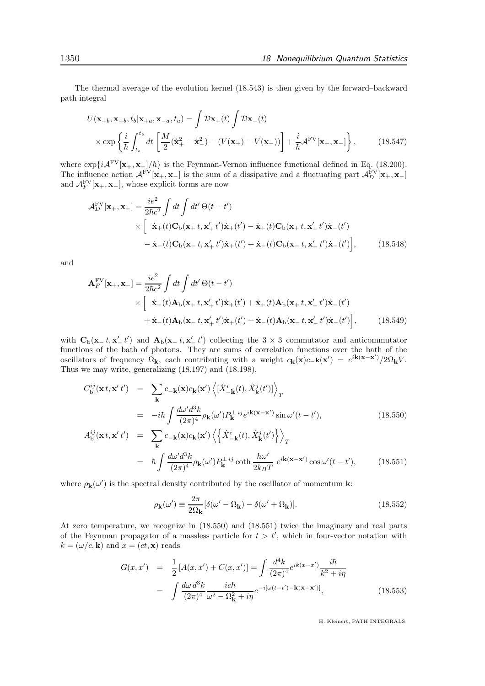The thermal average of the evolution kernel (18.543) is then given by the forward–backward path integral

$$
U(\mathbf{x}_{+b}, \mathbf{x}_{-b}, t_b | \mathbf{x}_{+a}, \mathbf{x}_{-a}, t_a) = \int \mathcal{D}\mathbf{x}_{+}(t) \int \mathcal{D}\mathbf{x}_{-}(t)
$$

$$
\times \exp\left\{\frac{i}{\hbar} \int_{t_a}^{t_b} dt \left[\frac{M}{2}(\dot{\mathbf{x}}_{+}^2 - \dot{\mathbf{x}}_{-}^2) - (V(\mathbf{x}_{+}) - V(\mathbf{x}_{-}))\right] + \frac{i}{\hbar} \mathcal{A}^{\text{FV}}[\mathbf{x}_{+}, \mathbf{x}_{-}]\right\},
$$
(18.547)

where  $\exp\{i\mathcal{A}^{\text{FV}}[\mathbf{x}_{+}, \mathbf{x}_{-}]/\hbar\}$  is the Feynman-Vernon influence functional defined in Eq. (18.200). The influence action  $\mathcal{A}^{\text{FV}}[{\bf x}_+,{\bf x}_-]$  is the sum of a dissipative and a fluctuating part  $\mathcal{A}_D^{\text{FV}}[{\bf x}_+,{\bf x}_-]$ and  $\mathcal{A}_F^{\text{FV}}[\mathbf{x}_+, \mathbf{x}_-],$  whose explicit forms are now

$$
\mathcal{A}_D^{\text{FV}}[\mathbf{x}_+, \mathbf{x}_-] = \frac{ie^2}{2\hbar c^2} \int dt \int dt' \Theta(t - t')
$$
  
 
$$
\times \left[ \dot{\mathbf{x}}_+(t) \mathbf{C}_b(\mathbf{x}_+ t, \mathbf{x}_+' t') \dot{\mathbf{x}}_+(t') - \dot{\mathbf{x}}_+(t) \mathbf{C}_b(\mathbf{x}_+ t, \mathbf{x}_-' t') \dot{\mathbf{x}}_-(t') - \dot{\mathbf{x}}_-(t) \mathbf{C}_b(\mathbf{x}_- t, \mathbf{x}_+' t') \dot{\mathbf{x}}_-(t') - \dot{\mathbf{x}}_-(t) \mathbf{C}_b(\mathbf{x}_- t, \mathbf{x}_-' t') \dot{\mathbf{x}}_-(t') \right], \qquad (18.548)
$$

and

$$
\mathbf{A}_F^{\text{FV}}[\mathbf{x}_+,\mathbf{x}_-] = \frac{ie^2}{2\hbar c^2} \int dt \int dt' \Theta(t-t')
$$
  
 
$$
\times \left[ \dot{\mathbf{x}}_+(t) \mathbf{A}_b(\mathbf{x}_+t,\mathbf{x}_+'t') \dot{\mathbf{x}}_+(t') + \dot{\mathbf{x}}_+(t) \mathbf{A}_b(\mathbf{x}_+t,\mathbf{x}_-'t') \dot{\mathbf{x}}_-(t') \right. \\ \left. + \dot{\mathbf{x}}_-(t) \mathbf{A}_b(\mathbf{x}_-t,\mathbf{x}_+'t') \dot{\mathbf{x}}_+(t') + \dot{\mathbf{x}}_-(t) \mathbf{A}_b(\mathbf{x}_-t,\mathbf{x}_-'t') \dot{\mathbf{x}}_-(t') \right], \tag{18.549}
$$

with  $\mathbf{C}_{\mathbf{b}}(\mathbf{x}_- t, \mathbf{x}'_- t')$  and  $\mathbf{A}_{\mathbf{b}}(\mathbf{x}_- t, \mathbf{x}'_- t')$  collecting the 3 × 3 commutator and anticommutator functions of the bath of photons. They are sums of correlation functions over the bath of the oscillators of frequency  $\Omega_{\mathbf{k}}$ , each contributing with a weight  $c_{\mathbf{k}}(\mathbf{x})c_{-\mathbf{k}}(\mathbf{x}') = e^{i\mathbf{k}(\mathbf{x}-\mathbf{x}')}/2\Omega_{\mathbf{k}}V$ . Thus we may write, generalizing (18.197) and (18.198),

$$
C_{\mathbf{b}}^{ij}(\mathbf{x}t, \mathbf{x}'t') = \sum_{\mathbf{k}} c_{-\mathbf{k}}(\mathbf{x}) c_{\mathbf{k}}(\mathbf{x}') \left\langle \left[ \hat{X}_{-\mathbf{k}}^{i}(t), \hat{X}_{\mathbf{k}}^{j}(t') \right] \right\rangle_{T}
$$
  
\n
$$
= -i\hbar \int \frac{d\omega' d^{3}k}{(2\pi)^{4}} \rho_{\mathbf{k}}(\omega') P_{\mathbf{k}}^{\perp}{}^{ij} e^{i\mathbf{k}(\mathbf{x} - \mathbf{x}')} \sin \omega'(t - t'),
$$
  
\n
$$
A_{\mathbf{b}}^{ij}(\mathbf{x}t, \mathbf{x}'t') = \sum_{\mathbf{k}} c_{-\mathbf{k}}(\mathbf{x}) c_{\mathbf{k}}(\mathbf{x}') \left\langle \left\{ \hat{X}_{-\mathbf{k}}^{i}(t), \hat{X}_{\mathbf{k}}^{j}(t') \right\} \right\rangle_{T}
$$
\n(18.550)

$$
= \hbar \int \frac{d\omega' d^3k}{(2\pi)^4} \rho_{\mathbf{k}}(\omega') P_{\mathbf{k}}^{\perp ij} \coth \frac{\hbar \omega'}{2k_B T} e^{i\mathbf{k}(\mathbf{x} - \mathbf{x}')} \cos \omega'(t - t'), \quad (18.551)
$$

where  $\rho_{\mathbf{k}}(\omega')$  is the spectral density contributed by the oscillator of momentum **k**:

$$
\rho_{\mathbf{k}}(\omega') \equiv \frac{2\pi}{2\Omega_{\mathbf{k}}} [\delta(\omega' - \Omega_{\mathbf{k}}) - \delta(\omega' + \Omega_{\mathbf{k}})].
$$
\n(18.552)

At zero temperature, we recognize in (18.550) and (18.551) twice the imaginary and real parts of the Feynman propagator of a massless particle for  $t > t'$ , which in four-vector notation with  $k = (\omega/c, \mathbf{k})$  and  $x = (ct, \mathbf{x})$  reads

$$
G(x, x') = \frac{1}{2} [A(x, x') + C(x, x')] = \int \frac{d^4k}{(2\pi)^4} e^{ik(x - x')} \frac{i\hbar}{k^2 + i\eta}
$$
  

$$
= \int \frac{d\omega \, d^3k}{(2\pi)^4} \frac{i c\hbar}{\omega^2 - \Omega_{\mathbf{k}}^2 + i\eta} e^{-i[\omega(t - t') - \mathbf{k}(\mathbf{x} - \mathbf{x}')]}, \tag{18.553}
$$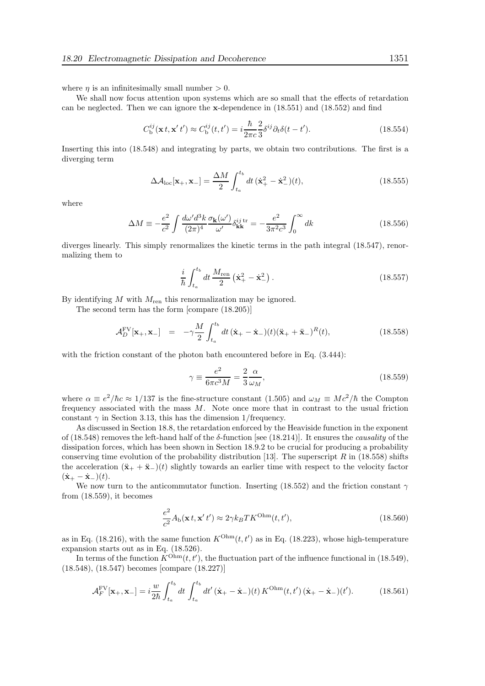where  $\eta$  is an infinitesimally small number  $> 0$ .

We shall now focus attention upon systems which are so small that the effects of retardation can be neglected. Then we can ignore the x-dependence in (18.551) and (18.552) and find

$$
C_{\mathrm{b}}^{ij}(\mathbf{x}t, \mathbf{x}'t') \approx C_{\mathrm{b}}^{ij}(t, t') = i\frac{\hbar}{2\pi c} \frac{2}{3} \delta^{ij} \partial_t \delta(t - t'). \tag{18.554}
$$

Inserting this into (18.548) and integrating by parts, we obtain two contributions. The first is a diverging term

$$
\Delta \mathcal{A}_{\text{loc}}[\mathbf{x}_{+}, \mathbf{x}_{-}] = \frac{\Delta M}{2} \int_{t_a}^{t_b} dt \, (\dot{\mathbf{x}}_{+}^2 - \dot{\mathbf{x}}_{-}^2)(t), \tag{18.555}
$$

where

$$
\Delta M \equiv -\frac{e^2}{c^2} \int \frac{d\omega' d^3k}{(2\pi)^4} \frac{\sigma_\mathbf{k}(\omega')}{\omega'} \delta_{\mathbf{k}\mathbf{k}}^{ij \text{ tr}} = -\frac{e^2}{3\pi^2 c^3} \int_0^\infty dk
$$
\n(18.556)

diverges linearly. This simply renormalizes the kinetic terms in the path integral (18.547), renormalizing them to

$$
\frac{i}{\hbar} \int_{t_a}^{t_b} dt \, \frac{M_{\rm ren}}{2} \left( \dot{\mathbf{x}}_+^2 - \dot{\mathbf{x}}_-^2 \right).
$$
 (18.557)

By identifying  $M$  with  $M_{\text{ren}}$  this renormalization may be ignored.

The second term has the form [compare (18.205)]

$$
\mathcal{A}_D^{\text{FV}}[\mathbf{x}_+,\mathbf{x}_-] = -\gamma \frac{M}{2} \int_{t_a}^{t_b} dt \, (\dot{\mathbf{x}}_+ - \dot{\mathbf{x}}_-)(t) (\ddot{\mathbf{x}}_+ + \ddot{\mathbf{x}}_-)^R(t), \tag{18.558}
$$

with the friction constant of the photon bath encountered before in Eq.  $(3.444)$ :

$$
\gamma \equiv \frac{e^2}{6\pi c^3 M} = \frac{2}{3} \frac{\alpha}{\omega_M},\tag{18.559}
$$

where  $\alpha \equiv e^2/\hbar c \approx 1/137$  is the fine-structure constant  $(1.505)$  and  $\omega_M \equiv Mc^2/\hbar$  the Compton frequency associated with the mass  $M$ . Note once more that in contrast to the usual friction constant  $\gamma$  in Section 3.13, this has the dimension 1/frequency.

As discussed in Section 18.8, the retardation enforced by the Heaviside function in the exponent of (18.548) removes the left-hand half of the  $\delta$ -function [see (18.214)]. It ensures the *causality* of the dissipation forces, which has been shown in Section 18.9.2 to be crucial for producing a probability conserving time evolution of the probability distribution [13]. The superscript R in  $(18.558)$  shifts the acceleration  $(\ddot{\mathbf{x}}_+ + \ddot{\mathbf{x}}_-)(t)$  slightly towards an earlier time with respect to the velocity factor  $(\dot{\mathbf{x}}_{+} - \dot{\mathbf{x}}_{-})(t).$ 

We now turn to the anticommutator function. Inserting (18.552) and the friction constant  $\gamma$ from (18.559), it becomes

$$
\frac{e^2}{c^2}A_{\rm b}(\mathbf{x}t,\mathbf{x}'t') \approx 2\gamma k_B T K^{\rm Ohm}(t,t'),\tag{18.560}
$$

as in Eq. (18.216), with the same function  $K^{\text{Ohm}}(t, t')$  as in Eq. (18.223), whose high-temperature expansion starts out as in Eq. (18.526).

In terms of the function  $K^{\text{Ohm}}(t, t')$ , the fluctuation part of the influence functional in (18.549), (18.548), (18.547) becomes [compare (18.227)]

$$
\mathcal{A}_F^{\text{FV}}[\mathbf{x}_+, \mathbf{x}_-] = i \frac{w}{2\hbar} \int_{t_a}^{t_b} dt \int_{t_a}^{t_b} dt' (\dot{\mathbf{x}}_+ - \dot{\mathbf{x}}_-)(t) K^{\text{Ohm}}(t, t') (\dot{\mathbf{x}}_+ - \dot{\mathbf{x}}_-)(t'). \tag{18.561}
$$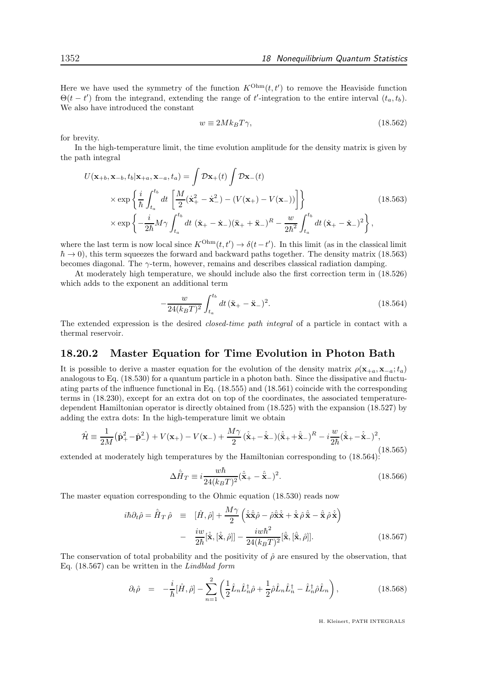Here we have used the symmetry of the function  $K^{\text{Ohm}}(t, t')$  to remove the Heaviside function  $\Theta(t-t')$  from the integrand, extending the range of t'-integration to the entire interval  $(t_a, t_b)$ . We also have introduced the constant

$$
w \equiv 2Mk_B T \gamma, \tag{18.562}
$$

for brevity.

In the high-temperature limit, the time evolution amplitude for the density matrix is given by the path integral

$$
U(\mathbf{x}_{+b}, \mathbf{x}_{-b}, t_b | \mathbf{x}_{+a}, \mathbf{x}_{-a}, t_a) = \int \mathcal{D}\mathbf{x}_{+}(t) \int \mathcal{D}\mathbf{x}_{-}(t)
$$
  
\n
$$
\times \exp\left\{\frac{i}{\hbar} \int_{t_a}^{t_b} dt \left[\frac{M}{2}(\dot{\mathbf{x}}_{+}^2 - \dot{\mathbf{x}}_{-}^2) - (V(\mathbf{x}_{+}) - V(\mathbf{x}_{-}))\right]\right\}
$$
  
\n
$$
\times \exp\left\{-\frac{i}{2\hbar}M\gamma \int_{t_a}^{t_b} dt (\dot{\mathbf{x}}_{+} - \dot{\mathbf{x}}_{-})(\ddot{\mathbf{x}}_{+} + \ddot{\mathbf{x}}_{-})^R - \frac{w}{2\hbar^2} \int_{t_a}^{t_b} dt (\dot{\mathbf{x}}_{+} - \dot{\mathbf{x}}_{-})^2\right\},
$$
\n(18.563)

where the last term is now local since  $K^{\text{Ohm}}(t, t') \to \delta(t-t')$ . In this limit (as in the classical limit  $\hbar \to 0$ ), this term squeezes the forward and backward paths together. The density matrix (18.563) becomes diagonal. The  $\gamma$ -term, however, remains and describes classical radiation damping.

At moderately high temperature, we should include also the first correction term in (18.526) which adds to the exponent an additional term

$$
-\frac{w}{24(k_BT)^2} \int_{t_a}^{t_b} dt \, (\ddot{\mathbf{x}}_+ - \ddot{\mathbf{x}}_-)^2. \tag{18.564}
$$

The extended expression is the desired closed-time path integral of a particle in contact with a thermal reservoir.

## 18.20.2 Master Equation for Time Evolution in Photon Bath

It is possible to derive a master equation for the evolution of the density matrix  $\rho(\mathbf{x}_{+a}, \mathbf{x}_{-a}; t_a)$ analogous to Eq. (18.530) for a quantum particle in a photon bath. Since the dissipative and fluctuating parts of the influence functional in Eq. (18.555) and (18.561) coincide with the corresponding terms in (18.230), except for an extra dot on top of the coordinates, the associated temperaturedependent Hamiltonian operator is directly obtained from (18.525) with the expansion (18.527) by adding the extra dots: In the high-temperature limit we obtain

$$
\hat{\mathcal{H}} \equiv \frac{1}{2M} (\hat{\mathbf{p}}_+^2 - \hat{\mathbf{p}}_-^2) + V(\mathbf{x}_+) - V(\mathbf{x}_-) + \frac{M\gamma}{2} (\hat{\mathbf{x}}_+ - \hat{\mathbf{x}}_-) (\hat{\mathbf{x}}_+ + \hat{\mathbf{x}}_-)^R - i \frac{w}{2\hbar} (\hat{\mathbf{x}}_+ - \hat{\mathbf{x}}_-)^2,
$$
\n(18.565)

extended at moderately high temperatures by the Hamiltonian corresponding to (18.564):

$$
\Delta \hat{H}_T \equiv i \frac{w \hbar}{24(k_B T)^2} (\hat{\ddot{\mathbf{x}}}_+ - \hat{\ddot{\mathbf{x}}}_-)^2. \tag{18.566}
$$

The master equation corresponding to the Ohmic equation (18.530) reads now

$$
i\hbar\partial_t\hat{\rho} = \hat{\bar{H}}_T\hat{\rho} \equiv [\hat{H}, \hat{\rho}] + \frac{M\gamma}{2} \left( \hat{\dot{\mathbf{x}}} \hat{\dot{\mathbf{x}}} \hat{\rho} - \hat{\rho} \hat{\dot{\mathbf{x}}} \hat{\dot{\mathbf{x}}} + \hat{\dot{\mathbf{x}}} \hat{\rho} \hat{\dot{\mathbf{x}}} - \hat{\dot{\mathbf{x}}} \hat{\rho} \hat{\dot{\mathbf{x}}} \right) - \frac{i w}{2\hbar} [\hat{\dot{\mathbf{x}}}, [\hat{\dot{\mathbf{x}}}, \hat{\rho}]] - \frac{i w \hbar^2}{24(k_B T)^2} [\hat{\ddot{\mathbf{x}}}, [\hat{\ddot{\mathbf{x}}}, \hat{\rho}]].
$$
\n(18.567)

The conservation of total probability and the positivity of  $\hat{\rho}$  are ensured by the observation, that Eq. (18.567) can be written in the Lindblad form

$$
\partial_t \hat{\rho} = -\frac{i}{\hbar} [\hat{H}, \hat{\rho}] - \sum_{n=1}^2 \left( \frac{1}{2} \hat{L}_n \hat{L}_n^\dagger \hat{\rho} + \frac{1}{2} \hat{\rho} \hat{L}_n \hat{L}_n^\dagger - \hat{L}_n^\dagger \hat{\rho} \hat{L}_n \right), \tag{18.568}
$$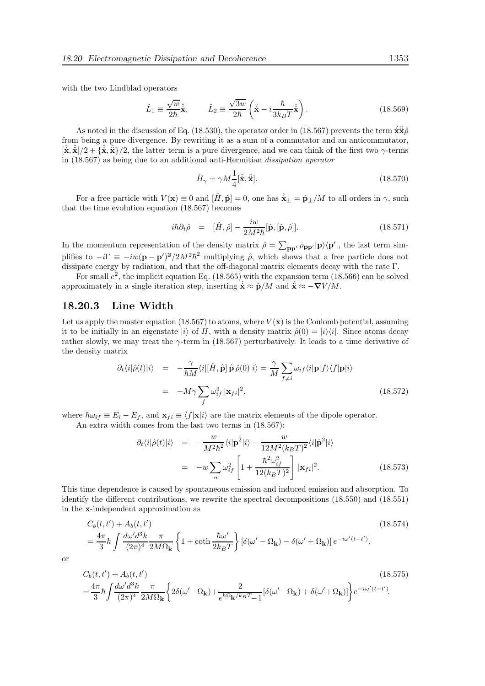with the two Lindblad operators

$$
\hat{L}_1 \equiv \frac{\sqrt{w}}{2\hbar} \hat{\mathbf{x}}, \qquad \hat{L}_2 \equiv \frac{\sqrt{3w}}{2\hbar} \left( \hat{\mathbf{x}} - i \frac{\hbar}{3k_B T} \hat{\mathbf{x}} \right). \tag{18.569}
$$

As noted in the discussion of Eq. (18.530), the operator order in (18.567) prevents the term  $\hat{\hat{\mathbf{x}}}\hat{\hat{\mathbf{z}}}\hat{\hat{\mathbf{z}}}$ from being a pure divergence. By rewriting it as a sum of a commutator and an anticommutator,  $[\hat{\mathbf{x}}, \hat{\mathbf{x}}]/2 + {\hat{\mathbf{x}}}, \hat{\mathbf{x}}/2$ , the latter term is a pure divergence, and we can think of the first two  $\gamma$ -terms in (18.567) as being due to an additional anti-Hermitian dissipation operator

$$
\hat{H}_{\gamma} = \gamma M \frac{1}{4} [\hat{\mathbf{x}}, \hat{\mathbf{x}}]. \tag{18.570}
$$

For a free particle with  $V(\mathbf{x}) \equiv 0$  and  $[\hat{H}, \hat{\mathbf{p}}] = 0$ , one has  $\hat{\mathbf{x}}_{\pm} = \hat{\mathbf{p}}_{\pm}/M$  to all orders in  $\gamma$ , such that the time evolution equation (18.567) becomes

$$
i\hbar \partial_t \hat{\rho} = [\hat{H}, \hat{\rho}] - \frac{i w}{2M^2 \hbar} [\hat{\mathbf{p}}, [\hat{\mathbf{p}}, \hat{\rho}]]. \qquad (18.571)
$$

In the momentum representation of the density matrix  $\hat{\rho} = \sum_{\mathbf{pp'}} \rho_{\mathbf{pp'}} |\mathbf{p}\rangle \langle \mathbf{p'}|$ , the last term simplifies to  $-i\Gamma \equiv -iw(\mathbf{p} - \mathbf{p}')^2/2M^2\hbar^2$  multiplying  $\hat{\rho}$ , which shows that a free particle does not dissipate energy by radiation, and that the off-diagonal matrix elements decay with the rate Γ.

For small  $e^2$ , the implicit equation Eq. (18.565) with the expansion term (18.566) can be solved approximately in a single iteration step, inserting  $\hat{\mathbf{x}} \approx \hat{\mathbf{p}}/M$  and  $\hat{\mathbf{x}} \approx -\nabla V/M$ .

### 18.20.3 Line Width

Let us apply the master equation (18.567) to atoms, where  $V(\mathbf{x})$  is the Coulomb potential, assuming it to be initially in an eigenstate  $|i\rangle$  of H, with a density matrix  $\hat{\rho}(0) = |i\rangle\langle i|$ . Since atoms decay rather slowly, we may treat the  $\gamma$ -term in (18.567) perturbatively. It leads to a time derivative of the density matrix

$$
\partial_t \langle i|\hat{\rho}(t)|i\rangle = -\frac{\gamma}{\hbar M} \langle i|[\hat{H}, \hat{\mathbf{p}}] \hat{\mathbf{p}} \hat{\rho}(0)|i\rangle = \frac{\gamma}{M} \sum_{f \neq i} \omega_{if} \langle i|\mathbf{p}|f\rangle \langle f|\mathbf{p}|i\rangle
$$
  

$$
= -M\gamma \sum_f \omega_{if}^3 |\mathbf{x}_{fi}|^2,
$$
 (18.572)

where  $\hbar\omega_{if} \equiv E_i - E_f$ , and  $\mathbf{x}_{fi} \equiv \langle f|\mathbf{x}|i\rangle$  are the matrix elements of the dipole operator.

An extra width comes from the last two terms in (18.567):

$$
\partial_t \langle i|\hat{\rho}(t)|i\rangle = -\frac{w}{M^2\hbar^2} \langle i|\mathbf{p}^2|i\rangle - \frac{w}{12M^2(k_BT)^2} \langle i|\dot{\mathbf{p}}^2|i\rangle
$$
  

$$
= -w \sum_n \omega_{if}^2 \left[1 + \frac{\hbar^2 \omega_{if}^2}{12(k_BT)^2}\right] |\mathbf{x}_{fi}|^2.
$$
 (18.573)

This time dependence is caused by spontaneous emission and induced emission and absorption. To identify the different contributions, we rewrite the spectral decompositions (18.550) and (18.551) in the x-independent approximation as

$$
C_b(t, t') + A_b(t, t') \tag{18.574}
$$
\n
$$
= \frac{4\pi}{3}\hbar \int \frac{d\omega' d^3k}{(2\pi)^4} \frac{\pi}{2M\Omega_{\mathbf{k}}} \left\{ 1 + \coth \frac{\hbar \omega'}{2k_B T} \right\} \left[ \delta(\omega' - \Omega_{\mathbf{k}}) - \delta(\omega' + \Omega_{\mathbf{k}}) \right] e^{-i\omega'(t - t')}, \tag{18.574}
$$

or

$$
C_b(t, t') + A_b(t, t') \tag{18.575}
$$
\n
$$
= \frac{4\pi}{3} \hbar \int \frac{d\omega' d^3k}{(2\pi)^4} \frac{\pi}{2M\Omega_{\mathbf{k}}} \left\{ 2\delta(\omega' - \Omega_{\mathbf{k}}) + \frac{2}{e^{\hbar\Omega_{\mathbf{k}}/k_B T} - 1} [\delta(\omega' - \Omega_{\mathbf{k}}) + \delta(\omega' + \Omega_{\mathbf{k}})] \right\} e^{-i\omega'(t - t')} .
$$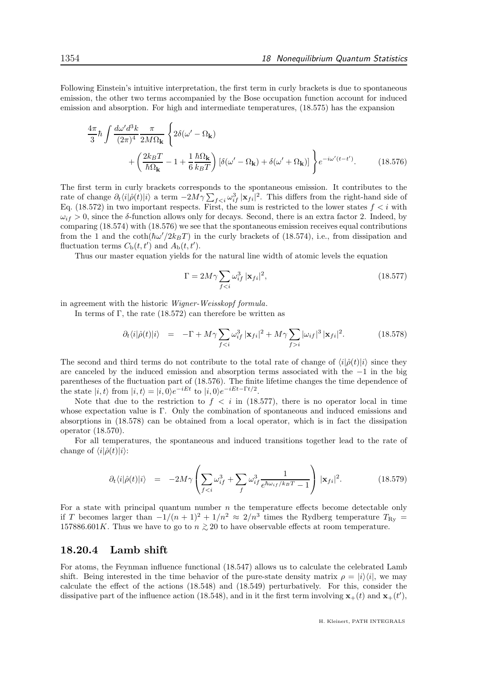Following Einstein's intuitive interpretation, the first term in curly brackets is due to spontaneous emission, the other two terms accompanied by the Bose occupation function account for induced emission and absorption. For high and intermediate temperatures, (18.575) has the expansion

$$
\frac{4\pi}{3}\hbar \int \frac{d\omega' d^3k}{(2\pi)^4} \frac{\pi}{2M\Omega_{\mathbf{k}}} \left\{ 2\delta(\omega' - \Omega_{\mathbf{k}}) + \left( \frac{2k_B T}{\hbar \Omega_{\mathbf{k}}} - 1 + \frac{1}{6} \frac{\hbar \Omega_{\mathbf{k}}}{k_B T} \right) \left[ \delta(\omega' - \Omega_{\mathbf{k}}) + \delta(\omega' + \Omega_{\mathbf{k}}) \right] \right\} e^{-i\omega'(t-t')}.
$$
\n(18.576)

The first term in curly brackets corresponds to the spontaneous emission. It contributes to the rate of change  $\partial_t \langle i|\hat{\rho}(t)|i\rangle$  a term  $-2M\gamma \sum_{f\leq i} \omega_{if}^3 |\mathbf{x}_{fi}|^2$ . This differs from the right-hand side of Eq. (18.572) in two important respects. First, the sum is restricted to the lower states  $f < i$  with  $\omega_{if} > 0$ , since the δ-function allows only for decays. Second, there is an extra factor 2. Indeed, by comparing (18.574) with (18.576) we see that the spontaneous emission receives equal contributions from the 1 and the  $\coth(\hbar\omega'/2k_BT)$  in the curly brackets of (18.574), i.e., from dissipation and fluctuation terms  $C_{\rm b}(t,t')$  and  $A_{\rm b}(t,t')$ .

Thus our master equation yields for the natural line width of atomic levels the equation

$$
\Gamma = 2M\gamma \sum_{f < i} \omega_{if}^3 |\mathbf{x}_{fi}|^2,\tag{18.577}
$$

in agreement with the historic Wigner-Weisskopf formula.

In terms of  $\Gamma$ , the rate (18.572) can therefore be written as

$$
\partial_t \langle i|\hat{\rho}(t)|i\rangle = -\Gamma + M\gamma \sum_{fi} |\omega_{if}|^3 |\mathbf{x}_{fi}|^2. \tag{18.578}
$$

The second and third terms do not contribute to the total rate of change of  $\langle i|\hat{\rho}(t)|i\rangle$  since they are canceled by the induced emission and absorption terms associated with the −1 in the big parentheses of the fluctuation part of (18.576). The finite lifetime changes the time dependence of the state  $|i, t\rangle$  from  $|i, t\rangle = |i, 0\rangle e^{-iEt}$  to  $|i, 0\rangle e^{-iEt - \Gamma t/2}$ .

Note that due to the restriction to  $f < i$  in (18.577), there is no operator local in time whose expectation value is Γ. Only the combination of spontaneous and induced emissions and absorptions in (18.578) can be obtained from a local operator, which is in fact the dissipation operator (18.570).

For all temperatures, the spontaneous and induced transitions together lead to the rate of change of  $\langle i|\hat{\rho}(t)|i\rangle$ :

$$
\partial_t \langle i|\hat{\rho}(t)|i\rangle = -2M\gamma \left(\sum_{f
$$

For a state with principal quantum number  $n$  the temperature effects become detectable only if T becomes larger than  $-1/(n+1)^2 + 1/n^2 \approx 2/n^3$  times the Rydberg temperature  $T_{\rm Ry}$  = 157886.601K. Thus we have to go to  $n \gtrsim 20$  to have observable effects at room temperature.

#### 18.20.4 Lamb shift

For atoms, the Feynman influence functional (18.547) allows us to calculate the celebrated Lamb shift. Being interested in the time behavior of the pure-state density matrix  $\rho = |i\rangle\langle i|$ , we may calculate the effect of the actions (18.548) and (18.549) perturbatively. For this, consider the dissipative part of the influence action (18.548), and in it the first term involving  $\mathbf{x}_+(t)$  and  $\mathbf{x}_+(t')$ ,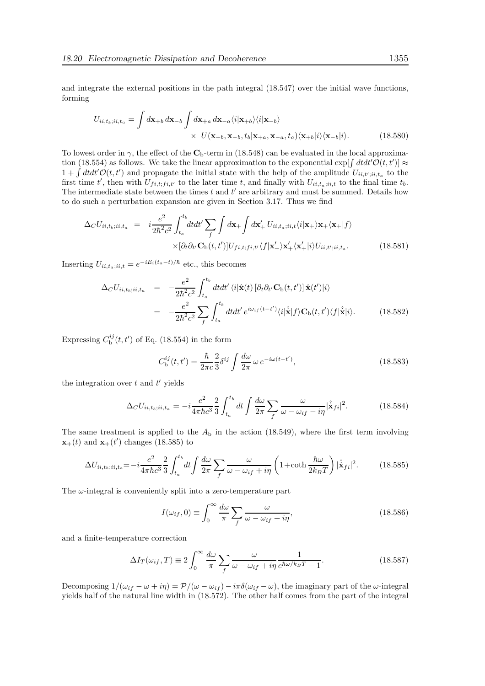and integrate the external positions in the path integral (18.547) over the initial wave functions, forming

$$
U_{ii,t_b;ii,t_a} = \int d\mathbf{x}_{+b} d\mathbf{x}_{-b} \int d\mathbf{x}_{+a} d\mathbf{x}_{-a} \langle i|\mathbf{x}_{+b}\rangle \langle i|\mathbf{x}_{-b}\rangle
$$
  
 
$$
\times U(\mathbf{x}_{+b}, \mathbf{x}_{-b}, t_b|\mathbf{x}_{+a}, \mathbf{x}_{-a}, t_a) \langle \mathbf{x}_{+b}|i\rangle \langle \mathbf{x}_{-b}|i\rangle.
$$
 (18.580)

To lowest order in  $\gamma$ , the effect of the C<sub>b</sub>-term in (18.548) can be evaluated in the local approximation (18.554) as follows. We take the linear approximation to the exponential  $\exp[\int dt dt' \mathcal{O}(t, t')] \approx$  $1 + \int dt dt' \mathcal{O}(t, t')$  and propagate the initial state with the help of the amplitude  $U_{ii, t';ii,t_a}$  to the first time t', then with  $U_{fi,t;fi,t'}$  to the later time t, and finally with  $U_{ii,t_a;ii,t}$  to the final time  $t_b$ . The intermediate state between the times  $t$  and  $t'$  are arbitrary and must be summed. Details how to do such a perturbation expansion are given in Section 3.17. Thus we find

$$
\Delta_C U_{ii,t_b;ii,t_a} = i \frac{e^2}{2\hbar^2 c^2} \int_{t_a}^{t_b} dt dt' \sum_{f} \int d\mathbf{x}_+ \int d\mathbf{x}'_+ U_{ii,t_a;ii,t} \langle i|\mathbf{x}_+ \rangle \mathbf{x}_+ \langle \mathbf{x}_+|f \rangle \times [\partial_t \partial_{t'} \mathbf{C}_{\mathrm{b}}(t,t')] U_{fi,t;fi,t'} \langle f|\mathbf{x}'_+ \rangle \mathbf{x}'_+ \langle \mathbf{x}'_+|i\rangle U_{ii,t';ii,t_a}.
$$
\n(18.581)

Inserting  $U_{ii,t_a;ii,t} = e^{-iE_i(t_a-t)/\hbar}$  etc., this becomes

$$
\Delta_C U_{ii,t_b;ii,t_a} = -\frac{e^2}{2\hbar^2 c^2} \int_{t_a}^{t_b} dt dt' \langle i|\hat{\mathbf{x}}(t) [\partial_t \partial_{t'} \mathbf{C}_{\mathbf{b}}(t, t')] \hat{\mathbf{x}}(t') | i \rangle
$$
  
\n
$$
= -\frac{e^2}{2\hbar^2 c^2} \sum_{f} \int_{t_a}^{t_b} dt dt' e^{i\omega_{if}(t-t')} \langle i|\hat{\mathbf{x}}|f \rangle \mathbf{C}_{\mathbf{b}}(t, t') \langle f|\hat{\mathbf{x}}|i \rangle. \tag{18.582}
$$

Expressing  $C_{\rm b}^{ij}(t,t')$  of Eq. (18.554) in the form

$$
C_{\rm b}^{ij}(t, t') = \frac{\hbar}{2\pi c} \frac{2}{3} \delta^{ij} \int \frac{d\omega}{2\pi} \,\omega \, e^{-i\omega(t - t')},\tag{18.583}
$$

the integration over  $t$  and  $t'$  yields

$$
\Delta_C U_{ii,t_b;ii,t_a} = -i\frac{e^2}{4\pi\hbar c^3} \frac{2}{3} \int_{t_a}^{t_b} dt \int \frac{d\omega}{2\pi} \sum_f \frac{\omega}{\omega - \omega_{if} - i\eta} |\hat{\dot{\mathbf{x}}}_{fi}|^2.
$$
 (18.584)

The same treatment is applied to the  $A<sub>b</sub>$  in the action (18.549), where the first term involving  $\mathbf{x}_{+}(t)$  and  $\mathbf{x}_{+}(t')$  changes (18.585) to

$$
\Delta U_{ii,t_b;ii,t_a} = -i\frac{e^2}{4\pi\hbar c^3} \frac{2}{3} \int_{t_a}^{t_b} dt \int \frac{d\omega}{2\pi} \sum_f \frac{\omega}{\omega - \omega_{if} + i\eta} \left(1 + \coth\frac{\hbar\omega}{2k_B T}\right) |\hat{\dot{\mathbf{x}}}_{fi}|^2. \tag{18.585}
$$

The  $\omega$ -integral is conveniently split into a zero-temperature part

$$
I(\omega_{if}, 0) \equiv \int_0^\infty \frac{d\omega}{\pi} \sum_f \frac{\omega}{\omega - \omega_{if} + i\eta},\tag{18.586}
$$

and a finite-temperature correction

$$
\Delta I_T(\omega_{if}, T) \equiv 2 \int_0^\infty \frac{d\omega}{\pi} \sum_f \frac{\omega}{\omega - \omega_{if} + i\eta} \frac{1}{e^{\hbar \omega / k_B T} - 1}.
$$
\n(18.587)

Decomposing  $1/(\omega_{if} - \omega + i\eta) = \mathcal{P}/(\omega - \omega_{if}) - i\pi\delta(\omega_{if} - \omega)$ , the imaginary part of the  $\omega$ -integral yields half of the natural line width in (18.572). The other half comes from the part of the integral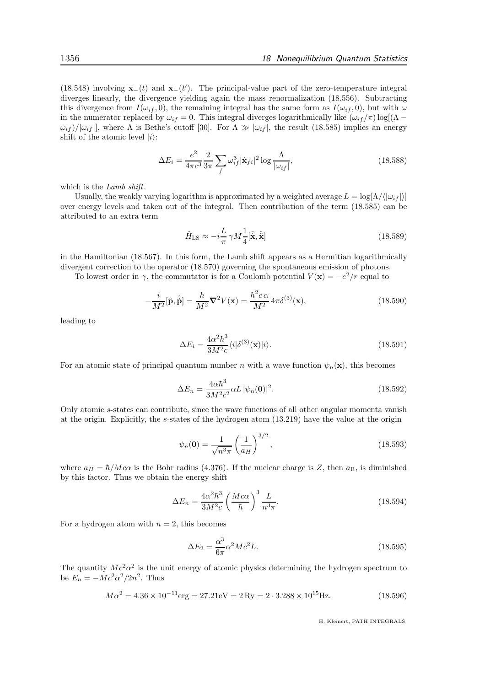(18.548) involving  $\mathbf{x}_-(t)$  and  $\mathbf{x}_-(t')$ . The principal-value part of the zero-temperature integral diverges linearly, the divergence yielding again the mass renormalization (18.556). Subtracting this divergence from  $I(\omega_{if}, 0)$ , the remaining integral has the same form as  $I(\omega_{if}, 0)$ , but with  $\omega$ in the numerator replaced by  $\omega_{if} = 0$ . This integral diverges logarithmically like  $(\omega_{if}/\pi) \log[(\Lambda \omega_{if}$  /| $\omega_{if}$ ||, where  $\Lambda$  is Bethe's cutoff [30]. For  $\Lambda \gg |\omega_{if}|$ , the result (18.585) implies an energy shift of the atomic level  $|i\rangle$ :

$$
\Delta E_i = \frac{e^2}{4\pi c^3} \frac{2}{3\pi} \sum_f \omega_{if}^3 |\hat{\mathbf{x}}_{fi}|^2 \log \frac{\Lambda}{|\omega_{if}|},\tag{18.588}
$$

which is the *Lamb shift*.

Usually, the weakly varying logarithm is approximated by a weighted average  $L = \log(\Lambda/|\omega_{if}|)$ over energy levels and taken out of the integral. Then contribution of the term (18.585) can be attributed to an extra term

$$
\hat{H}_{\rm LS} \approx -i\frac{L}{\pi} \gamma M \frac{1}{4} [\hat{\mathbf{x}}, \hat{\mathbf{x}}]
$$
\n(18.589)

in the Hamiltonian (18.567). In this form, the Lamb shift appears as a Hermitian logarithmically divergent correction to the operator (18.570) governing the spontaneous emission of photons.

To lowest order in  $\gamma$ , the commutator is for a Coulomb potential  $V(\mathbf{x}) = -e^2/r$  equal to

$$
-\frac{i}{M^2}[\hat{\mathbf{p}}, \hat{\dot{\mathbf{p}}}] = \frac{\hbar}{M^2} \nabla^2 V(\mathbf{x}) = \frac{\hbar^2 c \alpha}{M^2} 4\pi \delta^{(3)}(\mathbf{x}),\tag{18.590}
$$

leading to

$$
\Delta E_i = \frac{4\alpha^2 \hbar^3}{3M^2 c} \langle i|\delta^{(3)}(\mathbf{x})|i\rangle.
$$
\n(18.591)

For an atomic state of principal quantum number n with a wave function  $\psi_n(\mathbf{x})$ , this becomes

$$
\Delta E_n = \frac{4\alpha\hbar^3}{3M^2c^2}\alpha L |\psi_n(\mathbf{0})|^2.
$$
\n(18.592)

Only atomic s-states can contribute, since the wave functions of all other angular momenta vanish at the origin. Explicitly, the s-states of the hydrogen atom (13.219) have the value at the origin

$$
\psi_n(\mathbf{0}) = \frac{1}{\sqrt{n^3 \pi}} \left(\frac{1}{a_H}\right)^{3/2},\tag{18.593}
$$

where  $a_H = \hbar/M c \alpha$  is the Bohr radius (4.376). If the nuclear charge is Z, then  $a_B$ , is diminished by this factor. Thus we obtain the energy shift

$$
\Delta E_n = \frac{4\alpha^2 \hbar^3}{3M^2 c} \left(\frac{M c \alpha}{\hbar}\right)^3 \frac{L}{n^3 \pi}.
$$
\n(18.594)

For a hydrogen atom with  $n = 2$ , this becomes

$$
\Delta E_2 = \frac{\alpha^3}{6\pi} \alpha^2 Mc^2 L. \tag{18.595}
$$

The quantity  $Mc^2\alpha^2$  is the unit energy of atomic physics determining the hydrogen spectrum to be  $E_n = -Mc^2\alpha^2/2n^2$ . Thus

$$
M\alpha^2 = 4.36 \times 10^{-11} \text{erg} = 27.21 \text{eV} = 2 \text{Ry} = 2 \cdot 3.288 \times 10^{15} \text{Hz}.
$$
 (18.596)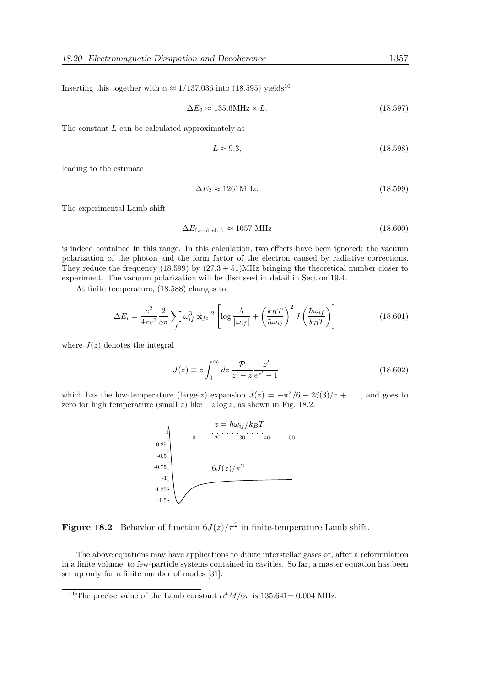Inserting this together with  $\alpha \approx 1/137.036$  into (18.595) yields<sup>10</sup>

$$
\Delta E_2 \approx 135.6 \text{MHz} \times L. \tag{18.597}
$$

The constant  $L$  can be calculated approximately as

$$
L \approx 9.3,\tag{18.598}
$$

leading to the estimate

$$
\Delta E_2 \approx 1261 \text{MHz.} \tag{18.599}
$$

The experimental Lamb shift

$$
\Delta E_{\text{Lamb shift}} \approx 1057 \text{ MHz} \tag{18.600}
$$

is indeed contained in this range. In this calculation, two effects have been ignored: the vacuum polarization of the photon and the form factor of the electron caused by radiative corrections. They reduce the frequency  $(18.599)$  by  $(27.3 + 51)$  MHz bringing the theoretical number closer to experiment. The vacuum polarization will be discussed in detail in Section 19.4.

At finite temperature, (18.588) changes to

$$
\Delta E_i = \frac{e^2}{4\pi c^3} \frac{2}{3\pi} \sum_f \omega_{if}^3 |\hat{\mathbf{x}}_{fi}|^2 \left[ \log \frac{\Lambda}{|\omega_{if}|} + \left(\frac{k_B T}{\hbar \omega_{ij}}\right)^2 J \left(\frac{\hbar \omega_{if}}{k_B T}\right) \right],\tag{18.601}
$$

where  $J(z)$  denotes the integral

$$
J(z) \equiv z \int_0^\infty dz \, \frac{\mathcal{P}}{z'-z} \frac{z'}{e^{z'}-1},\tag{18.602}
$$

which has the low-temperature (large-z) expansion  $J(z) = -\pi^2/6 - 2\zeta(3)/z + \dots$ , and goes to zero for high temperature (small z) like  $-z \log z$ , as shown in Fig. 18.2.





The above equations may have applications to dilute interstellar gases or, after a reformulation in a finite volume, to few-particle systems contained in cavities. So far, a master equation has been set up only for a finite number of modes [31].

<sup>&</sup>lt;sup>10</sup>The precise value of the Lamb constant  $\alpha^4 M/6\pi$  is 135.641 $\pm$  0.004 MHz.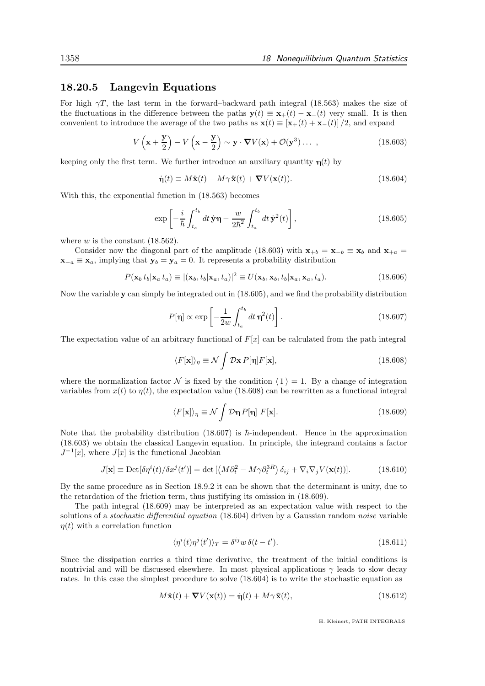### 18.20.5 Langevin Equations

For high  $\gamma T$ , the last term in the forward–backward path integral (18.563) makes the size of the fluctuations in the difference between the paths  $y(t) \equiv x_+(t) - x_-(t)$  very small. It is then convenient to introduce the average of the two paths as  $\mathbf{x}(t) \equiv [\mathbf{x}_+(t) + \mathbf{x}_-(t)]/2$ , and expand

$$
V\left(\mathbf{x} + \frac{\mathbf{y}}{2}\right) - V\left(\mathbf{x} - \frac{\mathbf{y}}{2}\right) \sim \mathbf{y} \cdot \nabla V(\mathbf{x}) + \mathcal{O}(\mathbf{y}^3) \dots \,,\tag{18.603}
$$

keeping only the first term. We further introduce an auxiliary quantity  $\eta(t)$  by

$$
\dot{\mathbf{\eta}}(t) \equiv M\ddot{\mathbf{x}}(t) - M\gamma \ddot{\mathbf{x}}(t) + \nabla V(\mathbf{x}(t)).
$$
\n(18.604)

With this, the exponential function in (18.563) becomes

$$
\exp\left[-\frac{i}{\hbar}\int_{t_a}^{t_b} dt\,\dot{\mathbf{y}}\eta - \frac{w}{2\hbar^2}\int_{t_a}^{t_b} dt\,\dot{\mathbf{y}}^2(t)\right],\tag{18.605}
$$

where  $w$  is the constant  $(18.562)$ .

Consider now the diagonal part of the amplitude (18.603) with  $\mathbf{x}_{+b} = \mathbf{x}_{-b} \equiv \mathbf{x}_b$  and  $\mathbf{x}_{+a} =$  $\mathbf{x}_{-a} \equiv \mathbf{x}_a$ , implying that  $\mathbf{y}_b = \mathbf{y}_a = 0$ . It represents a probability distribution

$$
P(\mathbf{x}_b t_b | \mathbf{x}_a t_a) \equiv |(\mathbf{x}_b, t_b | \mathbf{x}_a, t_a)|^2 \equiv U(\mathbf{x}_b, \mathbf{x}_b, t_b | \mathbf{x}_a, \mathbf{x}_a, t_a).
$$
 (18.606)

Now the variable y can simply be integrated out in (18.605), and we find the probability distribution

$$
P[\eta] \propto \exp\left[-\frac{1}{2w} \int_{t_a}^{t_b} dt \,\eta^2(t)\right].\tag{18.607}
$$

The expectation value of an arbitrary functional of  $F[x]$  can be calculated from the path integral

$$
\langle F[\mathbf{x}] \rangle_{\eta} \equiv \mathcal{N} \int \mathcal{D}\mathbf{x} \, P[\eta] F[\mathbf{x}], \tag{18.608}
$$

where the normalization factor N is fixed by the condition  $\langle 1 \rangle = 1$ . By a change of integration variables from  $x(t)$  to  $\eta(t)$ , the expectation value (18.608) can be rewritten as a functional integral

$$
\langle F[\mathbf{x}] \rangle_{\eta} \equiv \mathcal{N} \int \mathcal{D}\eta \, P[\eta] \, F[\mathbf{x}]. \tag{18.609}
$$

Note that the probability distribution (18.607) is  $\hbar$ -independent. Hence in the approximation (18.603) we obtain the classical Langevin equation. In principle, the integrand contains a factor  $J^{-1}[x]$ , where  $J[x]$  is the functional Jacobian

$$
J[\mathbf{x}] \equiv \mathrm{Det}[\delta \eta^{i}(t) / \delta x^{j}(t')] = \det \left[ \left( M \partial_{t}^{2} - M \gamma \partial_{t}^{3R} \right) \delta_{ij} + \nabla_{i} \nabla_{j} V(\mathbf{x}(t)) \right]. \tag{18.610}
$$

By the same procedure as in Section 18.9.2 it can be shown that the determinant is unity, due to the retardation of the friction term, thus justifying its omission in (18.609).

The path integral (18.609) may be interpreted as an expectation value with respect to the solutions of a *stochastic differential equation* (18.604) driven by a Gaussian random *noise* variable  $\eta(t)$  with a correlation function

$$
\langle \eta^i(t)\eta^j(t')\rangle_T = \delta^{ij} w \,\delta(t - t'). \tag{18.611}
$$

Since the dissipation carries a third time derivative, the treatment of the initial conditions is nontrivial and will be discussed elsewhere. In most physical applications  $\gamma$  leads to slow decay rates. In this case the simplest procedure to solve (18.604) is to write the stochastic equation as

$$
M\ddot{\mathbf{x}}(t) + \nabla V(\mathbf{x}(t)) = \dot{\mathbf{\eta}}(t) + M\gamma \ddot{\mathbf{x}}(t),
$$
\n(18.612)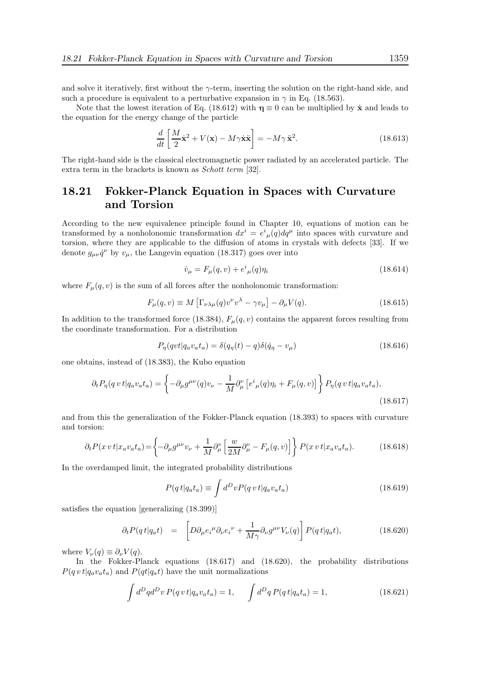and solve it iteratively, first without the  $\gamma$ -term, inserting the solution on the right-hand side, and such a procedure is equivalent to a perturbative expansion in  $\gamma$  in Eq. (18.563).

Note that the lowest iteration of Eq. (18.612) with  $\eta \equiv 0$  can be multiplied by  $\dot{\mathbf{x}}$  and leads to the equation for the energy change of the particle

$$
\frac{d}{dt}\left[\frac{M}{2}\dot{\mathbf{x}}^2 + V(\mathbf{x}) - M\gamma\dot{\mathbf{x}}\dot{\mathbf{x}}\right] = -M\gamma\ddot{\mathbf{x}}^2.
$$
\n(18.613)

The right-hand side is the classical electromagnetic power radiated by an accelerated particle. The extra term in the brackets is known as Schott term [32].

# 18.21 Fokker-Planck Equation in Spaces with Curvature and Torsion

According to the new equivalence principle found in Chapter 10, equations of motion can be transformed by a nonholonomic transformation  $dx^{i} = e^{i}{}_{\mu}(q)dq^{\mu}$  into spaces with curvature and torsion, where they are applicable to the diffusion of atoms in crystals with defects [33]. If we denote  $g_{\mu\nu}\dot{q}^{\nu}$  by  $v_{\mu}$ , the Langevin equation (18.317) goes over into

$$
\dot{v}_{\mu} = F_{\mu}(q, v) + e^{i}{}_{\mu}(q)\eta_{i}
$$
\n(18.614)

where  $F_{\mu}(q, v)$  is the sum of all forces after the nonholonomic transformation:

$$
F_{\mu}(q,v) \equiv M \left[ \Gamma_{\nu\lambda\mu}(q)v^{\nu}v^{\lambda} - \gamma v_{\mu} \right] - \partial_{\mu}V(q). \tag{18.615}
$$

In addition to the transformed force (18.384),  $F_{\mu}(q, v)$  contains the apparent forces resulting from the coordinate transformation. For a distribution

$$
P_{\eta}(qvt|q_a v_a t_a) = \delta(q_{\eta}(t) - q)\delta(\dot{q}_{\eta} - v_{\mu})
$$
\n(18.616)

one obtains, instead of (18.383), the Kubo equation

$$
\partial_t P_\eta(q \, vt | q_a v_a t_a) = \left\{ -\partial_\mu g^{\mu\nu}(q) v_\nu - \frac{1}{M} \partial_\mu^\nu \left[ e^i{}_\mu(q) \eta_i + F_\mu(q, v) \right] \right\} P_\eta(q \, vt | q_a v_a t_a),\tag{18.617}
$$

and from this the generalization of the Fokker-Planck equation (18.393) to spaces with curvature and torsion:

$$
\partial_t P(x \, v \, t | x_a v_a t_a) = \left\{ -\partial_\mu g^{\mu\nu} v_\nu + \frac{1}{M} \partial_\mu^\nu \left[ \frac{w}{2M} \partial_\mu^\nu - F_\mu(q, v) \right] \right\} P(x \, v \, t | x_a v_a t_a). \tag{18.618}
$$

In the overdamped limit, the integrated probability distributions

$$
P(q t | q_a t_a) \equiv \int d^D v P(q v t | q_a v_a t_a)
$$
\n(18.619)

satisfies the equation [generalizing (18.399)]

$$
\partial_t P(qt|q_a t) = \left[ D \partial_\mu e_i{}^\mu \partial_\nu e_i{}^\nu + \frac{1}{M\gamma} \partial_\nu g^{\mu\nu} V_\nu(q) \right] P(qt|q_a t), \tag{18.620}
$$

where  $V_{\nu}(q) \equiv \partial_{\nu} V(q)$ .

In the Fokker-Planck equations (18.617) and (18.620), the probability distributions  $P(q v t | q_a v_a t_a)$  and  $P(q t | q_a t)$  have the unit normalizations

$$
\int d^D q d^D v \, P(q \, v \, t | q_a v_a t_a) = 1, \qquad \int d^D q \, P(q \, t | q_a t_a) = 1,\tag{18.621}
$$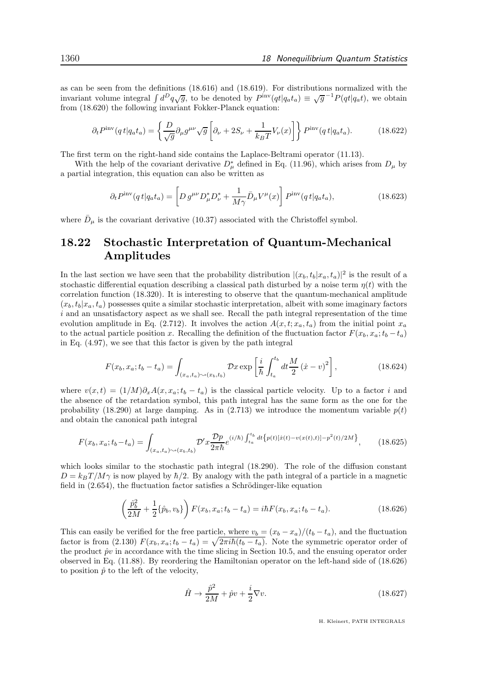as can be seen from the definitions (18.616) and (18.619). For distributions normalized with the invariant volume integral  $\int d^D q \sqrt{g}$ , to be denoted by  $P^{\text{inv}}(qt|q_a t_a) \equiv \sqrt{g}^{-1} P(qt|q_a t)$ , we obtain from (18.620) the following invariant Fokker-Planck equation:

$$
\partial_t P^{\text{inv}}(q \, t | q_a t_a) = \left\{ \frac{D}{\sqrt{g}} \partial_\mu g^{\mu\nu} \sqrt{g} \left[ \partial_\nu + 2S_\nu + \frac{1}{k_B T} V_\nu(x) \right] \right\} P^{\text{inv}}(q \, t | q_a t_a). \tag{18.622}
$$

The first term on the right-hand side contains the Laplace-Beltrami operator (11.13).

With the help of the covariant derivative  $D^*_{\mu}$  defined in Eq. (11.96), which arises from  $D_{\mu}$  by a partial integration, this equation can also be written as

$$
\partial_t P^{\text{inv}}(q t | q_a t_a) = \left[ D g^{\mu \nu} D^*_{\mu} D^*_{\nu} + \frac{1}{M \gamma} \bar{D}_{\mu} V^{\mu}(x) \right] P^{\text{inv}}(q t | q_a t_a), \tag{18.623}
$$

where  $\bar{D}_{\mu}$  is the covariant derivative (10.37) associated with the Christoffel symbol.

# 18.22 Stochastic Interpretation of Quantum-Mechanical Amplitudes

In the last section we have seen that the probability distribution  $|(x_b, t_b|x_a, t_a)|^2$  is the result of a stochastic differential equation describing a classical path disturbed by a noise term  $\eta(t)$  with the correlation function (18.320). It is interesting to observe that the quantum-mechanical amplitude  $(x_b, t_b|x_a, t_a)$  possesses quite a similar stochastic interpretation, albeit with some imaginary factors  $i$  and an unsatisfactory aspect as we shall see. Recall the path integral representation of the time evolution amplitude in Eq. (2.712). It involves the action  $A(x, t; x_a, t_a)$  from the initial point  $x_a$ to the actual particle position x. Recalling the definition of the fluctuation factor  $F(x_b, x_a; t_b - t_a)$ in Eq. (4.97), we see that this factor is given by the path integral

$$
F(x_b, x_a; t_b - t_a) = \int_{(x_a, t_a) \sim (x_b, t_b)} \mathcal{D}x \exp\left[\frac{i}{\hbar} \int_{t_a}^{t_b} dt \frac{M}{2} (x - v)^2\right],
$$
 (18.624)

where  $v(x, t) = (1/M)\partial_x A(x, x_a; t_b - t_a)$  is the classical particle velocity. Up to a factor i and the absence of the retardation symbol, this path integral has the same form as the one for the probability (18.290) at large damping. As in (2.713) we introduce the momentum variable  $p(t)$ and obtain the canonical path integral

$$
F(x_b, x_a; t_b - t_a) = \int_{(x_a, t_a) \sim (x_b, t_b)} \mathcal{D}' x \frac{\mathcal{D}p}{2\pi\hbar} e^{(i/\hbar) \int_{t_a}^{t_b} dt \left\{ p(t) [\dot{x}(t) - v(x(t), t)] - p^2(t)/2M \right\}},\tag{18.625}
$$

which looks similar to the stochastic path integral (18.290). The role of the diffusion constant  $D = k_B T / M \gamma$  is now played by  $\hbar/2$ . By analogy with the path integral of a particle in a magnetic field in  $(2.654)$ , the fluctuation factor satisfies a Schrödinger-like equation

$$
\left(\frac{\hat{p}_b^2}{2M} + \frac{1}{2}\{\hat{p}_b, v_b\}\right) F(x_b, x_a; t_b - t_a) = i\hbar F(x_b, x_a; t_b - t_a). \tag{18.626}
$$

This can easily be verified for the free particle, where  $v_b = (x_b - x_a)/(t_b - t_a)$ , and the fluctuation factor is from (2.130)  $F(x_b, x_a; t_b - t_a) = \sqrt{2\pi i\hbar (t_b - t_a)}$ . Note the symmetric operator order of the product  $\hat{p}v$  in accordance with the time slicing in Section 10.5, and the ensuing operator order observed in Eq. (11.88). By reordering the Hamiltonian operator on the left-hand side of (18.626) to position  $\hat{p}$  to the left of the velocity,

$$
\hat{H} \rightarrow \frac{\hat{p}^2}{2M} + \hat{p}v + \frac{i}{2}\nabla v.
$$
\n(18.627)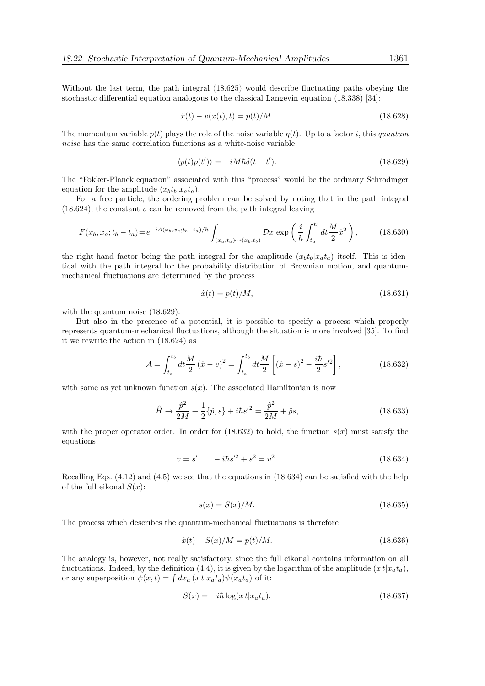Without the last term, the path integral (18.625) would describe fluctuating paths obeying the stochastic differential equation analogous to the classical Langevin equation (18.338) [34]:

$$
\dot{x}(t) - v(x(t), t) = p(t)/M.
$$
\n(18.628)

The momentum variable  $p(t)$  plays the role of the noise variable  $\eta(t)$ . Up to a factor i, this quantum noise has the same correlation functions as a white-noise variable:

$$
\langle p(t)p(t')\rangle = -iM\hbar\delta(t-t').\tag{18.629}
$$

The "Fokker-Planck equation" associated with this "process" would be the ordinary Schrödinger equation for the amplitude  $(x_b t_b | x_a t_a)$ .

For a free particle, the ordering problem can be solved by noting that in the path integral  $(18.624)$ , the constant v can be removed from the path integral leaving

$$
F(x_b, x_a; t_b - t_a) = e^{-iA(x_b, x_a; t_b - t_a)/\hbar} \int_{(x_a, t_a) \sim (x_b, t_b)} \mathcal{D}x \exp\left(\frac{i}{\hbar} \int_{t_a}^{t_b} dt \frac{M}{2} \dot{x}^2\right),\tag{18.630}
$$

the right-hand factor being the path integral for the amplitude  $(x_b t_b | x_a t_a)$  itself. This is identical with the path integral for the probability distribution of Brownian motion, and quantummechanical fluctuations are determined by the process

$$
\dot{x}(t) = p(t)/M,\t(18.631)
$$

with the quantum noise  $(18.629)$ .

But also in the presence of a potential, it is possible to specify a process which properly represents quantum-mechanical fluctuations, although the situation is more involved [35]. To find it we rewrite the action in (18.624) as

$$
\mathcal{A} = \int_{t_a}^{t_b} dt \frac{M}{2} (\dot{x} - v)^2 = \int_{t_a}^{t_b} dt \frac{M}{2} \left[ (\dot{x} - s)^2 - \frac{i\hbar}{2} s'^2 \right],
$$
 (18.632)

with some as yet unknown function  $s(x)$ . The associated Hamiltonian is now

$$
\hat{H} \to \frac{\hat{p}^2}{2M} + \frac{1}{2} \{\hat{p}, s\} + i\hbar s'^2 = \frac{\hat{p}^2}{2M} + \hat{p}s,
$$
\n(18.633)

with the proper operator order. In order for  $(18.632)$  to hold, the function  $s(x)$  must satisfy the equations

$$
v = s', \quad -i\hbar s'^2 + s^2 = v^2. \tag{18.634}
$$

Recalling Eqs. (4.12) and (4.5) we see that the equations in (18.634) can be satisfied with the help of the full eikonal  $S(x)$ :

$$
s(x) = S(x)/M.
$$
\n
$$
(18.635)
$$

The process which describes the quantum-mechanical fluctuations is therefore

$$
\dot{x}(t) - S(x)/M = p(t)/M.
$$
\n(18.636)

The analogy is, however, not really satisfactory, since the full eikonal contains information on all fluctuations. Indeed, by the definition (4.4), it is given by the logarithm of the amplitude  $(x t|x_a t_a)$ , or any superposition  $\psi(x,t) = \int dx_a (x \, t | x_a t_a) \psi(x_a t_a)$  of it:

$$
S(x) = -i\hbar \log(x \, t | x_a t_a). \tag{18.637}
$$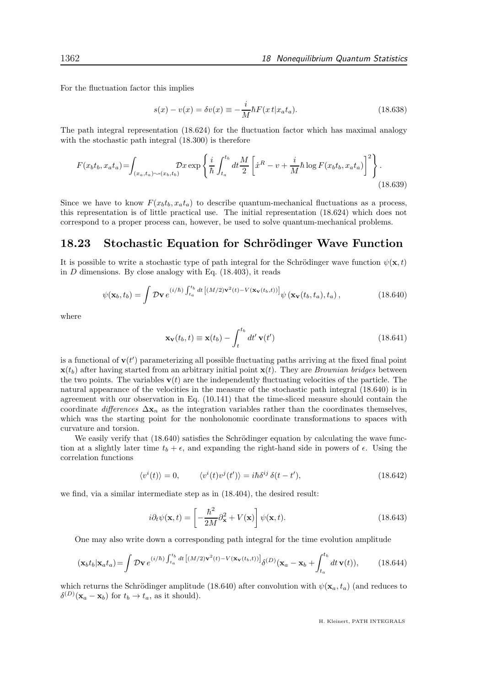For the fluctuation factor this implies

$$
s(x) - v(x) = \delta v(x) \equiv -\frac{i}{M} \hbar F(x t | x_a t_a).
$$
 (18.638)

The path integral representation (18.624) for the fluctuation factor which has maximal analogy with the stochastic path integral (18.300) is therefore

$$
F(x_b t_b, x_a t_a) = \int_{(x_a, t_a) \sim (x_b, t_b)} \mathcal{D}x \exp\left\{\frac{i}{\hbar} \int_{t_a}^{t_b} dt \frac{M}{2} \left[\dot{x}^R - v + \frac{i}{M} \hbar \log F(x_b t_b, x_a t_a)\right]^2\right\}.
$$
\n(18.639)

Since we have to know  $F(x_b t_b, x_a t_a)$  to describe quantum-mechanical fluctuations as a process, this representation is of little practical use. The initial representation (18.624) which does not correspond to a proper process can, however, be used to solve quantum-mechanical problems.

### 18.23 Stochastic Equation for Schrödinger Wave Function

It is possible to write a stochastic type of path integral for the Schrödinger wave function  $\psi(\mathbf{x},t)$ in  $D$  dimensions. By close analogy with Eq.  $(18.403)$ , it reads

$$
\psi(\mathbf{x}_b, t_b) = \int \mathcal{D}\mathbf{v} \, e^{(i/\hbar) \int_{t_a}^{t_b} dt \left[ (M/2) \mathbf{v}^2(t) - V(\mathbf{x}_\mathbf{v}(t_b, t)) \right]} \psi(\mathbf{x}_\mathbf{v}(t_b, t_a), t_a), \tag{18.640}
$$

where

$$
\mathbf{x}_{\mathbf{v}}(t_b, t) \equiv \mathbf{x}(t_b) - \int_{t}^{t_b} dt' \mathbf{v}(t')
$$
\n(18.641)

is a functional of  $\mathbf{v}(t')$  parameterizing all possible fluctuating paths arriving at the fixed final point  $\mathbf{x}(t_b)$  after having started from an arbitrary initial point  $\mathbf{x}(t)$ . They are *Brownian bridges* between the two points. The variables  $\mathbf{v}(t)$  are the independently fluctuating velocities of the particle. The natural appearance of the velocities in the measure of the stochastic path integral (18.640) is in agreement with our observation in Eq. (10.141) that the time-sliced measure should contain the coordinate differences  $\Delta \mathbf{x}_n$  as the integration variables rather than the coordinates themselves, which was the starting point for the nonholonomic coordinate transformations to spaces with curvature and torsion.

We easily verify that  $(18.640)$  satisfies the Schrödinger equation by calculating the wave function at a slightly later time  $t_b + \epsilon$ , and expanding the right-hand side in powers of  $\epsilon$ . Using the correlation functions

$$
\langle v^{i}(t)\rangle = 0, \qquad \langle v^{i}(t)v^{j}(t')\rangle = i\hbar\delta^{ij}\,\delta(t-t'), \qquad (18.642)
$$

we find, via a similar intermediate step as in (18.404), the desired result:

$$
i\partial_t \psi(\mathbf{x}, t) = \left[ -\frac{\hbar^2}{2M} \partial_{\mathbf{x}}^2 + V(\mathbf{x}) \right] \psi(\mathbf{x}, t).
$$
 (18.643)

One may also write down a corresponding path integral for the time evolution amplitude

$$
(\mathbf{x}_b t_b | \mathbf{x}_a t_a) = \int \mathcal{D}\mathbf{v} \, e^{(i/\hbar) \int_{t_a}^{t_b} dt \left[ (M/2)\mathbf{v}^2(t) - V(\mathbf{x}_\mathbf{v}(t_b, t)) \right]} \delta^{(D)}(\mathbf{x}_a - \mathbf{x}_b + \int_{t_a}^{t_b} dt \, \mathbf{v}(t)),\tag{18.644}
$$

which returns the Schrödinger amplitude (18.640) after convolution with  $\psi(\mathbf{x}_a, t_a)$  (and reduces to  $\delta^{(D)}(\mathbf{x}_a - \mathbf{x}_b)$  for  $t_b \to t_a$ , as it should).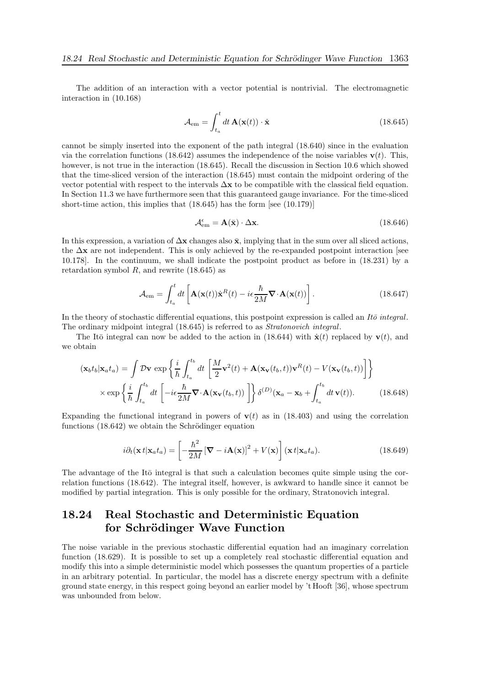The addition of an interaction with a vector potential is nontrivial. The electromagnetic interaction in (10.168)

$$
\mathcal{A}_{em} = \int_{t_a}^t dt \, \mathbf{A}(\mathbf{x}(t)) \cdot \dot{\mathbf{x}} \tag{18.645}
$$

cannot be simply inserted into the exponent of the path integral (18.640) since in the evaluation via the correlation functions (18.642) assumes the independence of the noise variables  $\mathbf{v}(t)$ . This, however, is not true in the interaction (18.645). Recall the discussion in Section 10.6 which showed that the time-sliced version of the interaction (18.645) must contain the midpoint ordering of the vector potential with respect to the intervals  $\Delta x$  to be compatible with the classical field equation. In Section 11.3 we have furthermore seen that this guaranteed gauge invariance. For the time-sliced short-time action, this implies that (18.645) has the form [see (10.179)]

$$
\mathcal{A}_{em}^{\epsilon} = \mathbf{A}(\bar{\mathbf{x}}) \cdot \Delta \mathbf{x}.\tag{18.646}
$$

In this expression, a variation of  $\Delta x$  changes also  $\bar{x}$ , implying that in the sum over all sliced actions, the  $\Delta x$  are not independent. This is only achieved by the re-expanded postpoint interaction [see 10.178]. In the continuum, we shall indicate the postpoint product as before in (18.231) by a retardation symbol  $R$ , and rewrite  $(18.645)$  as

$$
\mathcal{A}_{em} = \int_{t_a}^t dt \left[ \mathbf{A}(\mathbf{x}(t)) \dot{\mathbf{x}}^R(t) - i\epsilon \frac{\hbar}{2M} \mathbf{\nabla} \cdot \mathbf{A}(\mathbf{x}(t)) \right].
$$
 (18.647)

In the theory of stochastic differential equations, this postpoint expression is called an It $\bar{\sigma}$  integral. The ordinary midpoint integral (18.645) is referred to as Stratonovich integral.

The Itō integral can now be added to the action in (18.644) with  $\dot{\mathbf{x}}(t)$  replaced by  $\mathbf{v}(t)$ , and we obtain

$$
(\mathbf{x}_b t_b | \mathbf{x}_a t_a) = \int \mathcal{D} \mathbf{v} \exp \left\{ \frac{i}{\hbar} \int_{t_a}^{t_b} dt \left[ \frac{M}{2} \mathbf{v}^2(t) + \mathbf{A} (\mathbf{x}_\mathbf{v}(t_b, t)) \mathbf{v}^R(t) - V(\mathbf{x}_\mathbf{v}(t_b, t)) \right] \right\}
$$

$$
\times \exp \left\{ \frac{i}{\hbar} \int_{t_a}^{t_b} dt \left[ -i\epsilon \frac{\hbar}{2M} \nabla \cdot \mathbf{A} (\mathbf{x}_\mathbf{v}(t_b, t)) \right] \right\} \delta^{(D)} (\mathbf{x}_a - \mathbf{x}_b + \int_{t_a}^{t_b} dt \, \mathbf{v}(t)). \tag{18.648}
$$

Expanding the functional integrand in powers of  $\mathbf{v}(t)$  as in (18.403) and using the correlation functions  $(18.642)$  we obtain the Schrödinger equation

$$
i\partial_t(\mathbf{x}t|\mathbf{x}_a t_a) = \left[ -\frac{\hbar^2}{2M} \left[ \mathbf{\nabla} - i\mathbf{A}(\mathbf{x}) \right]^2 + V(\mathbf{x}) \right] (\mathbf{x}t|\mathbf{x}_a t_a).
$$
 (18.649)

The advantage of the Itō integral is that such a calculation becomes quite simple using the correlation functions (18.642). The integral itself, however, is awkward to handle since it cannot be modified by partial integration. This is only possible for the ordinary, Stratonovich integral.

# 18.24 Real Stochastic and Deterministic Equation for Schrödinger Wave Function

The noise variable in the previous stochastic differential equation had an imaginary correlation function (18.629). It is possible to set up a completely real stochastic differential equation and modify this into a simple deterministic model which possesses the quantum properties of a particle in an arbitrary potential. In particular, the model has a discrete energy spectrum with a definite ground state energy, in this respect going beyond an earlier model by 't Hooft [36], whose spectrum was unbounded from below.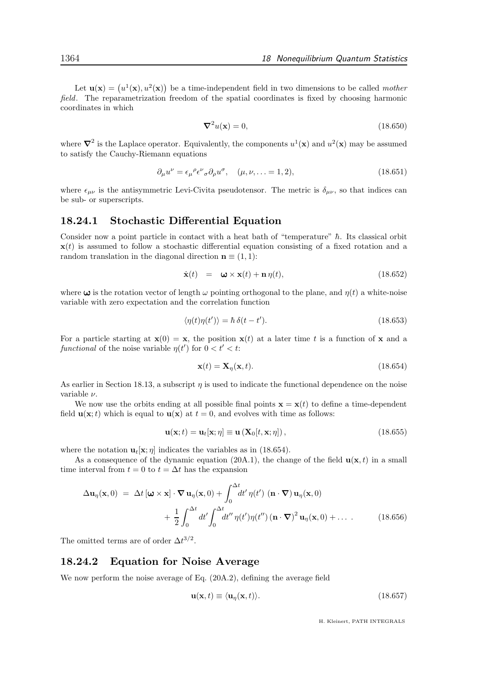Let  $\mathbf{u}(\mathbf{x}) = (u^1(\mathbf{x}), u^2(\mathbf{x}))$  be a time-independent field in two dimensions to be called mother field. The reparametrization freedom of the spatial coordinates is fixed by choosing harmonic coordinates in which

$$
\nabla^2 u(\mathbf{x}) = 0,\tag{18.650}
$$

where  $\nabla^2$  is the Laplace operator. Equivalently, the components  $u^1(\mathbf{x})$  and  $u^2(\mathbf{x})$  may be assumed to satisfy the Cauchy-Riemann equations

$$
\partial_{\mu}u^{\nu} = \epsilon_{\mu}{}^{\rho}\epsilon^{\nu}{}_{\sigma}\partial_{\rho}u^{\sigma}, \quad (\mu, \nu, \dots = 1, 2), \tag{18.651}
$$

where  $\epsilon_{\mu\nu}$  is the antisymmetric Levi-Civita pseudotensor. The metric is  $\delta_{\mu\nu}$ , so that indices can be sub- or superscripts.

### 18.24.1 Stochastic Differential Equation

Consider now a point particle in contact with a heat bath of "temperature"  $\hbar$ . Its classical orbit  $\mathbf{x}(t)$  is assumed to follow a stochastic differential equation consisting of a fixed rotation and a random translation in the diagonal direction  $\mathbf{n} \equiv (1, 1)$ :

$$
\dot{\mathbf{x}}(t) = \mathbf{\omega} \times \mathbf{x}(t) + \mathbf{n}\,\eta(t),\tag{18.652}
$$

where  $\omega$  is the rotation vector of length  $\omega$  pointing orthogonal to the plane, and  $\eta(t)$  a white-noise variable with zero expectation and the correlation function

$$
\langle \eta(t)\eta(t')\rangle = \hbar \,\delta(t - t'). \tag{18.653}
$$

For a particle starting at  $\mathbf{x}(0) = \mathbf{x}$ , the position  $\mathbf{x}(t)$  at a later time t is a function of x and a functional of the noise variable  $\eta(t')$  for  $0 < t' < t$ :

$$
\mathbf{x}(t) = \mathbf{X}_{\eta}(\mathbf{x}, t). \tag{18.654}
$$

As earlier in Section 18.13, a subscript  $\eta$  is used to indicate the functional dependence on the noise variable ν.

We now use the orbits ending at all possible final points  $\mathbf{x} = \mathbf{x}(t)$  to define a time-dependent field  $\mathbf{u}(\mathbf{x};t)$  which is equal to  $\mathbf{u}(\mathbf{x})$  at  $t = 0$ , and evolves with time as follows:

$$
\mathbf{u}(\mathbf{x};t) = \mathbf{u}_t[\mathbf{x};\eta] \equiv \mathbf{u}\left(\mathbf{X}_0[t,\mathbf{x};\eta]\right),\tag{18.655}
$$

where the notation  $\mathbf{u}_t[\mathbf{x}; \eta]$  indicates the variables as in (18.654).

As a consequence of the dynamic equation (20A.1), the change of the field  $u(x, t)$  in a small time interval from  $t = 0$  to  $t = \Delta t$  has the expansion

$$
\Delta \mathbf{u}_{\eta}(\mathbf{x},0) = \Delta t \left[\boldsymbol{\omega} \times \mathbf{x}\right] \cdot \nabla \mathbf{u}_{\eta}(\mathbf{x},0) + \int_{0}^{\Delta t} dt' \eta(t') \left(\mathbf{n} \cdot \nabla\right) \mathbf{u}_{\eta}(\mathbf{x},0) + \frac{1}{2} \int_{0}^{\Delta t} dt' \int_{0}^{\Delta t} dt'' \eta(t') \eta(t'') \left(\mathbf{n} \cdot \nabla\right)^{2} \mathbf{u}_{\eta}(\mathbf{x},0) + \dots
$$
 (18.656)

The omitted terms are of order  $\Delta t^{3/2}$ .

### 18.24.2 Equation for Noise Average

We now perform the noise average of Eq. (20A.2), defining the average field

$$
\mathbf{u}(\mathbf{x},t) \equiv \langle \mathbf{u}_{\eta}(\mathbf{x},t) \rangle. \tag{18.657}
$$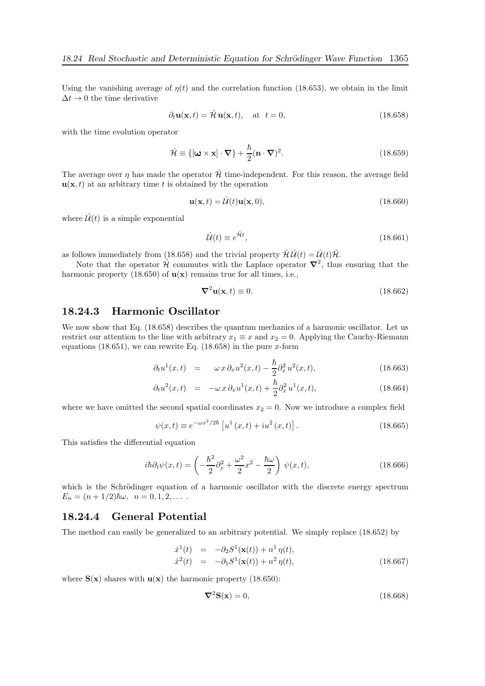Using the vanishing average of  $\eta(t)$  and the correlation function (18.653), we obtain in the limit  $\Delta t \rightarrow 0$  the time derivative

$$
\partial_t \mathbf{u}(\mathbf{x}, t) = \hat{\mathcal{H}} \mathbf{u}(\mathbf{x}, t), \quad \text{at } t = 0,
$$
\n(18.658)

with the time evolution operator

$$
\hat{\mathcal{H}} \equiv \{ [\boldsymbol{\omega} \times \mathbf{x}] \cdot \boldsymbol{\nabla} \} + \frac{\hbar}{2} (\mathbf{n} \cdot \boldsymbol{\nabla})^2.
$$
\n(18.659)

The average over  $\eta$  has made the operator  $\hat{\mathcal{H}}$  time-independent. For this reason, the average field  $\mathbf{u}(\mathbf{x}, t)$  at an arbitrary time t is obtained by the operation

$$
\mathbf{u}(\mathbf{x},t) = \hat{\mathcal{U}}(t)\mathbf{u}(\mathbf{x},0),\tag{18.660}
$$

where  $\hat{\mathcal{U}}(t)$  is a simple exponential

$$
\hat{\mathcal{U}}(t) \equiv e^{\hat{\mathcal{H}}t},\tag{18.661}
$$

as follows immediately from (18.658) and the trivial property  $\mathcal{\hat{H}}\hat{\mathcal{U}}(t) = \hat{\mathcal{U}}(t)\hat{\mathcal{H}}$ .

Note that the operator  $\hat{\mathcal{H}}$  commutes with the Laplace operator  $\nabla^2$ , thus ensuring that the harmonic property (18.650) of  $\mathbf{u}(\mathbf{x})$  remains true for all times, i.e.,

$$
\nabla^2 \mathbf{u}(\mathbf{x}, t) \equiv 0. \tag{18.662}
$$

### 18.24.3 Harmonic Oscillator

We now show that Eq. (18.658) describes the quantum mechanics of a harmonic oscillator. Let us restrict our attention to the line with arbitrary  $x_1 \equiv x$  and  $x_2 = 0$ . Applying the Cauchy-Riemann equations (18.651), we can rewrite Eq. (18.658) in the pure  $x$ -form

$$
\partial_t u^1(x,t) = \omega x \partial_x u^2(x,t) - \frac{\hbar}{2} \partial_x^2 u^2(x,t), \qquad (18.663)
$$

$$
\partial_t u^2(x,t) = -\omega \, x \, \partial_x u^1(x,t) + \frac{\hbar}{2} \partial_x^2 u^1(x,t), \tag{18.664}
$$

where we have omitted the second spatial coordinates  $x_2 = 0$ . Now we introduce a complex field

$$
\psi(x,t) \equiv e^{-\omega x^2/2\hbar} \left[ u^1(x,t) + i u^2(x,t) \right]. \tag{18.665}
$$

This satisfies the differential equation

$$
i\hbar \partial_t \psi(x,t) = \left(-\frac{\hbar^2}{2}\partial_x^2 + \frac{\omega^2}{2}x^2 - \frac{\hbar \omega}{2}\right)\psi(x,t),\tag{18.666}
$$

which is the Schrödinger equation of a harmonic oscillator with the discrete energy spectrum  $E_n = (n + 1/2)\hbar\omega, \ \ n = 0, 1, 2, \dots$ 

### 18.24.4 General Potential

The method can easily be generalized to an arbitrary potential. We simply replace (18.652) by

$$
\dot{x}^{1}(t) = -\partial_{2}S^{1}(\mathbf{x}(t)) + n^{1} \eta(t), \n\dot{x}^{2}(t) = -\partial_{1}S^{1}(\mathbf{x}(t)) + n^{2} \eta(t),
$$
\n(18.667)

where  $S(x)$  shares with  $u(x)$  the harmonic property (18.650):

$$
\nabla^2 \mathbf{S}(\mathbf{x}) = 0,\tag{18.668}
$$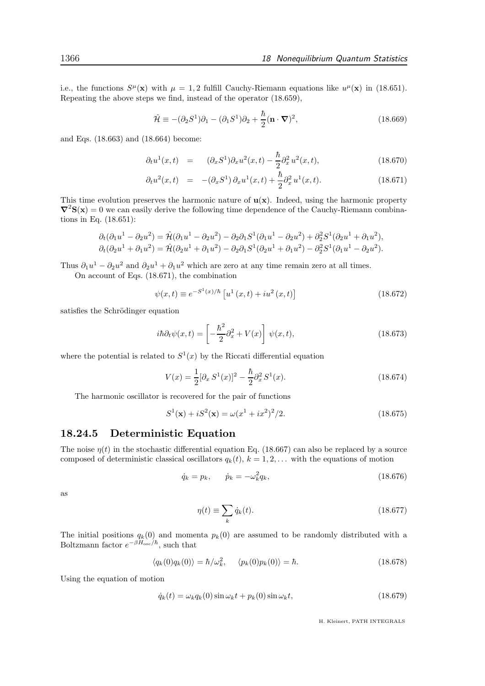i.e., the functions  $S^{\mu}(\mathbf{x})$  with  $\mu = 1, 2$  fulfill Cauchy-Riemann equations like  $u^{\mu}(\mathbf{x})$  in (18.651). Repeating the above steps we find, instead of the operator (18.659),

$$
\hat{\mathcal{H}} \equiv -(\partial_2 S^1)\partial_1 - (\partial_1 S^1)\partial_2 + \frac{\hbar}{2}(\mathbf{n} \cdot \nabla)^2,\tag{18.669}
$$

and Eqs. (18.663) and (18.664) become:

$$
\partial_t u^1(x,t) = (\partial_x S^1) \partial_x u^2(x,t) - \frac{\hbar}{2} \partial_x^2 u^2(x,t), \qquad (18.670)
$$

$$
\partial_t u^2(x,t) = -(\partial_x S^1) \partial_x u^1(x,t) + \frac{\hbar}{2} \partial_x^2 u^1(x,t).
$$
 (18.671)

This time evolution preserves the harmonic nature of  $\mathbf{u}(\mathbf{x})$ . Indeed, using the harmonic property  $\nabla^2$ S(x) = 0 we can easily derive the following time dependence of the Cauchy-Riemann combinations in Eq. (18.651):

$$
\partial_t(\partial_1 u^1 - \partial_2 u^2) = \hat{\mathcal{H}}(\partial_1 u^1 - \partial_2 u^2) - \partial_2 \partial_1 S^1(\partial_1 u^1 - \partial_2 u^2) + \partial_2^2 S^1(\partial_2 u^1 + \partial_1 u^2), \n\partial_t(\partial_2 u^1 + \partial_1 u^2) = \hat{\mathcal{H}}(\partial_2 u^1 + \partial_1 u^2) - \partial_2 \partial_1 S^1(\partial_2 u^1 + \partial_1 u^2) - \partial_2^2 S^1(\partial_1 u^1 - \partial_2 u^2).
$$

Thus  $\partial_1 u^1 - \partial_2 u^2$  and  $\partial_2 u^1 + \partial_1 u^2$  which are zero at any time remain zero at all times.

On account of Eqs. (18.671), the combination

$$
\psi(x,t) \equiv e^{-S^1(x)/\hbar} \left[ u^1(x,t) + i u^2(x,t) \right] \tag{18.672}
$$

satisfies the Schrödinger equation

$$
i\hbar \partial_t \psi(x,t) = \left[ -\frac{\hbar^2}{2} \partial_x^2 + V(x) \right] \psi(x,t), \qquad (18.673)
$$

where the potential is related to  $S^1(x)$  by the Riccati differential equation

$$
V(x) = \frac{1}{2} [\partial_x S^1(x)]^2 - \frac{\hbar}{2} \partial_x^2 S^1(x).
$$
 (18.674)

The harmonic oscillator is recovered for the pair of functions

$$
S^{1}(\mathbf{x}) + iS^{2}(\mathbf{x}) = \omega(x^{1} + ix^{2})^{2}/2.
$$
 (18.675)

### 18.24.5 Deterministic Equation

The noise  $\eta(t)$  in the stochastic differential equation Eq. (18.667) can also be replaced by a source composed of deterministic classical oscillators  $q_k(t)$ ,  $k = 1, 2, \ldots$  with the equations of motion

$$
\dot{q}_k = p_k, \qquad \dot{p}_k = -\omega_k^2 q_k,\tag{18.676}
$$

as

$$
\eta(t) \equiv \sum_{k} \dot{q}_k(t). \tag{18.677}
$$

The initial positions  $q_k(0)$  and momenta  $p_k(0)$  are assumed to be randomly distributed with a Boltzmann factor  $e^{-\beta H_{\text{osc}}/\hbar}$ , such that

$$
\langle q_k(0)q_k(0)\rangle = \hbar/\omega_k^2, \quad \langle p_k(0)p_k(0)\rangle = \hbar. \tag{18.678}
$$

Using the equation of motion

$$
\dot{q}_k(t) = \omega_k q_k(0) \sin \omega_k t + p_k(0) \sin \omega_k t, \qquad (18.679)
$$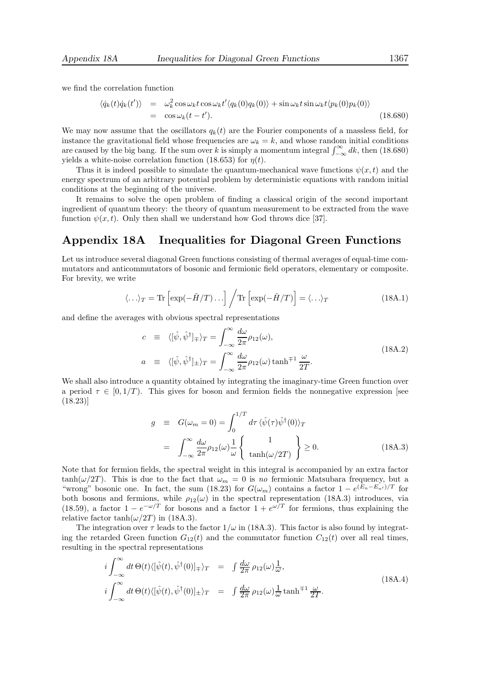we find the correlation function

$$
\langle \dot{q}_k(t)\dot{q}_k(t') \rangle = \omega_k^2 \cos \omega_k t \cos \omega_k t' \langle q_k(0)q_k(0) \rangle + \sin \omega_k t \sin \omega_k t \langle p_k(0)p_k(0) \rangle
$$
  
=  $\cos \omega_k (t - t').$  (18.680)

We may now assume that the oscillators  $q_k(t)$  are the Fourier components of a massless field, for instance the gravitational field whose frequencies are  $\omega_k = k$ , and whose random initial conditions are caused by the big bang. If the sum over k is simply a momentum integral  $\int_{-\infty}^{\infty} dk$ , then (18.680) yields a white-noise correlation function (18.653) for  $\eta(t)$ .

Thus it is indeed possible to simulate the quantum-mechanical wave functions  $\psi(x, t)$  and the energy spectrum of an arbitrary potential problem by deterministic equations with random initial conditions at the beginning of the universe.

It remains to solve the open problem of finding a classical origin of the second important ingredient of quantum theory: the theory of quantum measurement to be extracted from the wave function  $\psi(x, t)$ . Only then shall we understand how God throws dice [37].

## Appendix 18A Inequalities for Diagonal Green Functions

Let us introduce several diagonal Green functions consisting of thermal averages of equal-time commutators and anticommutators of bosonic and fermionic field operators, elementary or composite. For brevity, we write

$$
\langle \ldots \rangle_T = \text{Tr}\left[\exp(-\hat{H}/T) \ldots\right] / \text{Tr}\left[\exp(-\hat{H}/T)\right] = \langle \ldots \rangle_T \tag{18A.1}
$$

and define the averages with obvious spectral representations

$$
c \equiv \langle [\hat{\psi}, \hat{\psi}^{\dagger}]_{\mp} \rangle_T = \int_{-\infty}^{\infty} \frac{d\omega}{2\pi} \rho_{12}(\omega),
$$
  
\n
$$
a \equiv \langle [\hat{\psi}, \hat{\psi}^{\dagger}]_{\pm} \rangle_T = \int_{-\infty}^{\infty} \frac{d\omega}{2\pi} \rho_{12}(\omega) \tanh^{\mp 1} \frac{\omega}{2T}.
$$
\n(18A.2)

We shall also introduce a quantity obtained by integrating the imaginary-time Green function over a period  $\tau \in [0, 1/T)$ . This gives for boson and fermion fields the nonnegative expression [see (18.23)]

$$
g \equiv G(\omega_m = 0) = \int_0^{1/T} d\tau \langle \hat{\psi}(\tau) \hat{\psi}^\dagger(0) \rangle_T
$$
  

$$
= \int_{-\infty}^{\infty} \frac{d\omega}{2\pi} \rho_{12}(\omega) \frac{1}{\omega} \left\{ \frac{1}{\tanh(\omega/2T)} \right\} \ge 0.
$$
 (18A.3)

Note that for fermion fields, the spectral weight in this integral is accompanied by an extra factor tanh( $\omega/2T$ ). This is due to the fact that  $\omega_m = 0$  is no fermionic Matsubara frequency, but a "wrong" bosonic one. In fact, the sum (18.23) for  $G(\omega_m)$  contains a factor  $1 - e^{(E_n - E_{n'})/T}$  for both bosons and fermions, while  $\rho_{12}(\omega)$  in the spectral representation (18A.3) introduces, via (18.59), a factor  $1 - e^{-\omega/T}$  for bosons and a factor  $1 + e^{\omega/T}$  for fermions, thus explaining the relative factor tanh $(\omega/2T)$  in (18A.3).

The integration over  $\tau$  leads to the factor  $1/\omega$  in (18A.3). This factor is also found by integrating the retarded Green function  $G_{12}(t)$  and the commutator function  $C_{12}(t)$  over all real times, resulting in the spectral representations

$$
i\int_{-\infty}^{\infty} dt \,\Theta(t) \langle [\hat{\psi}(t), \hat{\psi}^{\dagger}(0)]_{\mp} \rangle_T = \int \frac{d\omega}{2\pi} \,\rho_{12}(\omega) \frac{1}{\omega},
$$
  
\n
$$
i\int_{-\infty}^{\infty} dt \,\Theta(t) \langle [\hat{\psi}(t), \hat{\psi}^{\dagger}(0)]_{\pm} \rangle_T = \int \frac{d\omega}{2\pi} \,\rho_{12}(\omega) \frac{1}{\omega} \tanh^{\mp 1} \frac{\omega}{2T}.
$$
\n(18A.4)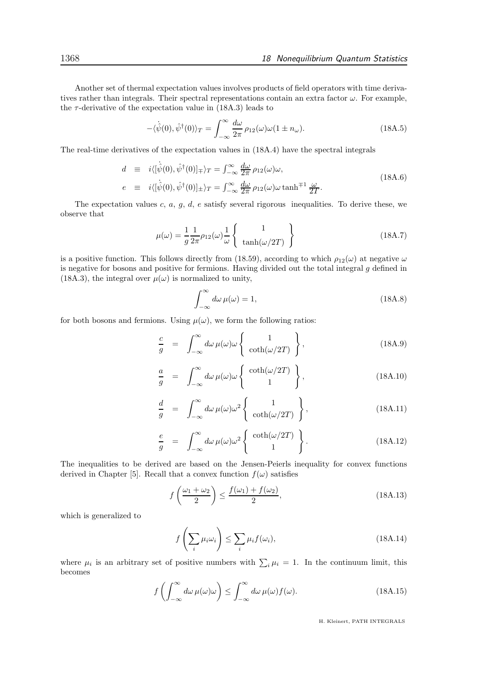Another set of thermal expectation values involves products of field operators with time derivatives rather than integrals. Their spectral representations contain an extra factor  $\omega$ . For example, the  $\tau$ -derivative of the expectation value in (18A.3) leads to

$$
-\langle \dot{\hat{\psi}}(0), \hat{\psi}^{\dagger}(0) \rangle_T = \int_{-\infty}^{\infty} \frac{d\omega}{2\pi} \rho_{12}(\omega)\omega(1 \pm n_{\omega}). \tag{18A.5}
$$

The real-time derivatives of the expectation values in (18A.4) have the spectral integrals

$$
d \equiv i \langle [\hat{\psi}(0), \hat{\psi}^{\dagger}(0)]_{\mp} \rangle_T = \int_{-\infty}^{\infty} \frac{d\omega}{2\pi} \rho_{12}(\omega)\omega,
$$
  
\n
$$
e \equiv i \langle [\hat{\psi}(0), \hat{\psi}^{\dagger}(0)]_{\pm} \rangle_T = \int_{-\infty}^{\infty} \frac{d\omega}{2\pi} \rho_{12}(\omega)\omega \tanh^{\mp 1} \frac{\omega}{2T}.
$$
\n(18A.6)

The expectation values c,  $a, g, d$ ,  $e$  satisfy several rigorous inequalities. To derive these, we observe that

$$
\mu(\omega) = \frac{1}{g} \frac{1}{2\pi} \rho_{12}(\omega) \frac{1}{\omega} \left\{ \begin{array}{c} 1 \\ \tanh(\omega/2T) \end{array} \right\} \tag{18A.7}
$$

is a positive function. This follows directly from (18.59), according to which  $\rho_{12}(\omega)$  at negative  $\omega$ is negative for bosons and positive for fermions. Having divided out the total integral  $g$  defined in (18A.3), the integral over  $\mu(\omega)$  is normalized to unity,

$$
\int_{-\infty}^{\infty} d\omega \,\mu(\omega) = 1,\tag{18A.8}
$$

for both bosons and fermions. Using  $\mu(\omega)$ , we form the following ratios:

$$
\frac{c}{g} = \int_{-\infty}^{\infty} d\omega \,\mu(\omega) \omega \left\{ \begin{array}{c} 1 \\ \coth(\omega/2T) \end{array} \right\},\tag{18A.9}
$$

$$
\frac{a}{g} = \int_{-\infty}^{\infty} d\omega \,\mu(\omega)\omega \left\{ \begin{array}{c} \coth(\omega/2T) \\ 1 \end{array} \right\},\tag{18A.10}
$$

$$
\frac{d}{g} = \int_{-\infty}^{\infty} d\omega \,\mu(\omega) \omega^2 \left\{ \begin{array}{c} 1 \\ \coth(\omega/2T) \end{array} \right\},
$$
\n(18A.11)

$$
\frac{e}{g} = \int_{-\infty}^{\infty} d\omega \,\mu(\omega)\omega^2 \left\{ \begin{array}{c} \coth(\omega/2T) \\ 1 \end{array} \right\}.
$$
\n(18A.12)

The inequalities to be derived are based on the Jensen-Peierls inequality for convex functions derived in Chapter [5]. Recall that a convex function  $f(\omega)$  satisfies

$$
f\left(\frac{\omega_1 + \omega_2}{2}\right) \le \frac{f(\omega_1) + f(\omega_2)}{2},\tag{18A.13}
$$

which is generalized to

$$
f\left(\sum_{i} \mu_i \omega_i\right) \le \sum_{i} \mu_i f(\omega_i),\tag{18A.14}
$$

where  $\mu_i$  is an arbitrary set of positive numbers with  $\sum_i \mu_i = 1$ . In the continuum limit, this becomes

$$
f\left(\int_{-\infty}^{\infty} d\omega \,\mu(\omega)\omega\right) \le \int_{-\infty}^{\infty} d\omega \,\mu(\omega) f(\omega). \tag{18A.15}
$$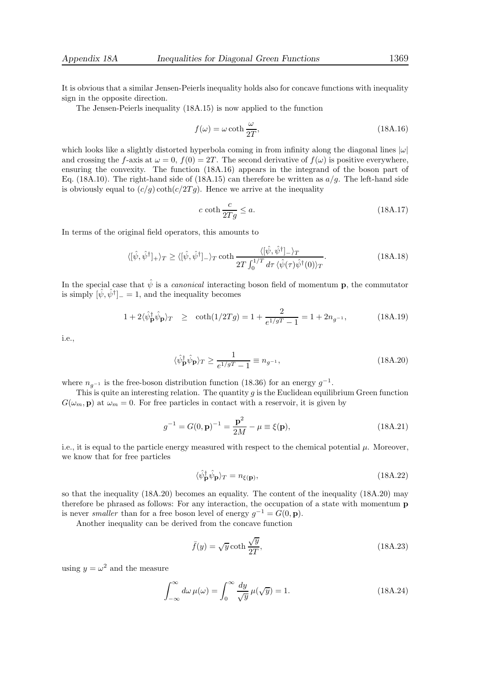The Jensen-Peierls inequality (18A.15) is now applied to the function

$$
f(\omega) = \omega \coth \frac{\omega}{2T},\tag{18A.16}
$$

which looks like a slightly distorted hyperbola coming in from infinity along the diagonal lines  $|\omega|$ and crossing the f-axis at  $\omega = 0$ ,  $f(0) = 2T$ . The second derivative of  $f(\omega)$  is positive everywhere, ensuring the convexity. The function (18A.16) appears in the integrand of the boson part of Eq. (18A.10). The right-hand side of (18A.15) can therefore be written as  $a/g$ . The left-hand side is obviously equal to  $(c/g) \coth(c/2Tg)$ . Hence we arrive at the inequality

$$
c \coth \frac{c}{2Tg} \le a. \tag{18A.17}
$$

In terms of the original field operators, this amounts to

$$
\langle [\hat{\psi}, \hat{\psi}^{\dagger}]_{+} \rangle_{T} \ge \langle [\hat{\psi}, \hat{\psi}^{\dagger}]_{-} \rangle_{T} \coth \frac{\langle [\hat{\psi}, \hat{\psi}^{\dagger}]_{-} \rangle_{T}}{2T \int_{0}^{1/T} d\tau \langle \hat{\psi}(\tau) \hat{\psi}^{\dagger}(0) \rangle_{T}}.
$$
\n(18A.18)

In the special case that  $\hat{\psi}$  is a *canonical* interacting boson field of momentum **p**, the commutator is simply  $[\hat{\psi}, \hat{\psi}^{\dagger}]_{-} = 1$ , and the inequality becomes

$$
1 + 2\langle \hat{\psi}_{\mathbf{p}}^{\dagger} \hat{\psi}_{\mathbf{p}} \rangle_T \ge \coth(1/2Tg) = 1 + \frac{2}{e^{1/gT} - 1} = 1 + 2n_{g^{-1}}, \tag{18A.19}
$$

i.e.,

$$
\langle \hat{\psi}_{\mathbf{p}}^{\dagger} \hat{\psi}_{\mathbf{p}} \rangle_T \ge \frac{1}{e^{1/gT} - 1} \equiv n_{g^{-1}},\tag{18A.20}
$$

where  $n_{g^{-1}}$  is the free-boson distribution function (18.36) for an energy  $g^{-1}$ .

This is quite an interesting relation. The quantity  $g$  is the Euclidean equilibrium Green function  $G(\omega_m, \mathbf{p})$  at  $\omega_m = 0$ . For free particles in contact with a reservoir, it is given by

$$
g^{-1} = G(0, \mathbf{p})^{-1} = \frac{\mathbf{p}^2}{2M} - \mu \equiv \xi(\mathbf{p}),
$$
 (18A.21)

i.e., it is equal to the particle energy measured with respect to the chemical potential  $\mu$ . Moreover, we know that for free particles

$$
\langle \hat{\psi}_{\mathbf{p}}^{\dagger} \hat{\psi}_{\mathbf{p}} \rangle_{T} = n_{\xi(\mathbf{p})},\tag{18A.22}
$$

so that the inequality (18A.20) becomes an equality. The content of the inequality (18A.20) may therefore be phrased as follows: For any interaction, the occupation of a state with momentum p is never *smaller* than for a free boson level of energy  $g^{-1} = G(0, \mathbf{p})$ .

Another inequality can be derived from the concave function

$$
\bar{f}(y) = \sqrt{y} \coth \frac{\sqrt{y}}{2T},\tag{18A.23}
$$

using  $y = \omega^2$  and the measure

$$
\int_{-\infty}^{\infty} d\omega \,\mu(\omega) = \int_{0}^{\infty} \frac{dy}{\sqrt{y}} \,\mu(\sqrt{y}) = 1.
$$
 (18A.24)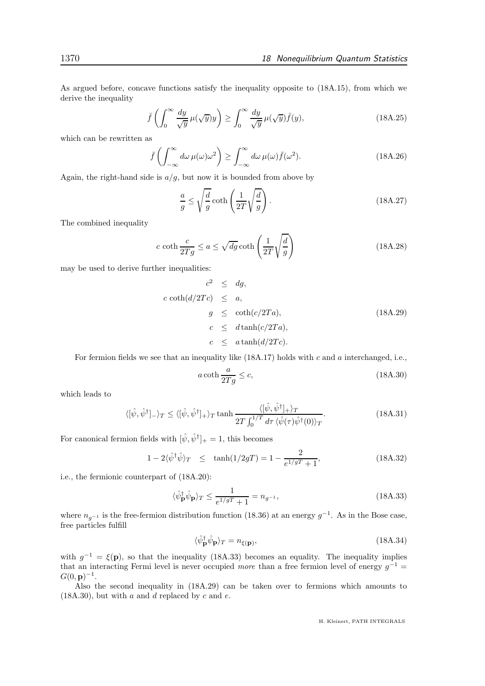As argued before, concave functions satisfy the inequality opposite to (18A.15), from which we derive the inequality

$$
\bar{f}\left(\int_0^\infty \frac{dy}{\sqrt{y}}\,\mu(\sqrt{y})y\right) \ge \int_0^\infty \frac{dy}{\sqrt{y}}\,\mu(\sqrt{y})\bar{f}(y),\tag{18A.25}
$$

which can be rewritten as

$$
\bar{f}\left(\int_{-\infty}^{\infty} d\omega \,\mu(\omega)\omega^2\right) \ge \int_{-\infty}^{\infty} d\omega \,\mu(\omega)\bar{f}(\omega^2). \tag{18A.26}
$$

Again, the right-hand side is  $a/g$ , but now it is bounded from above by

$$
\frac{a}{g} \le \sqrt{\frac{d}{g}} \coth\left(\frac{1}{2T}\sqrt{\frac{d}{g}}\right). \tag{18A.27}
$$

The combined inequality

$$
c \coth \frac{c}{2Tg} \le a \le \sqrt{dg} \coth \left(\frac{1}{2T} \sqrt{\frac{d}{g}}\right)
$$
 (18A.28)

may be used to derive further inequalities:

$$
c2 \le dg,
$$
  
\n
$$
c \coth(d/2Tc) \le a,
$$
  
\n
$$
g \le \coth(c/2Ta),
$$
  
\n
$$
c \le d \tanh(c/2Ta),
$$
  
\n
$$
c \le a \tanh(d/2Tc).
$$
  
\n(18A.29)

For fermion fields we see that an inequality like  $(18A.17)$  holds with c and a interchanged, i.e.,

$$
a \coth \frac{a}{2Tg} \le c,\tag{18A.30}
$$

which leads to

$$
\langle [\hat{\psi}, \hat{\psi}^{\dagger}]_{-} \rangle_{T} \le \langle [\hat{\psi}, \hat{\psi}^{\dagger}]_{+} \rangle_{T} \tanh \frac{\langle [\hat{\psi}, \hat{\psi}^{\dagger}]_{+} \rangle_{T}}{2T \int_{0}^{1/T} d\tau \langle \hat{\psi}(\tau) \hat{\psi}^{\dagger}(0) \rangle_{T}}.
$$
\n(18A.31)

For canonical fermion fields with  $[\hat{\psi}, \hat{\psi}^{\dagger}]_{+} = 1$ , this becomes

$$
1 - 2\langle \hat{\psi}^{\dagger} \hat{\psi} \rangle_T \le \tanh(1/2g) = 1 - \frac{2}{e^{1/g} + 1},
$$
 (18A.32)

i.e., the fermionic counterpart of (18A.20):

$$
\langle \hat{\psi}_{\mathbf{p}}^{\dagger} \hat{\psi}_{\mathbf{p}} \rangle_T \le \frac{1}{e^{1/gT} + 1} = n_{g^{-1}},\tag{18A.33}
$$

where  $n_{g^{-1}}$  is the free-fermion distribution function (18.36) at an energy  $g^{-1}$ . As in the Bose case, free particles fulfill

$$
\langle \hat{\psi}_{\mathbf{p}}^{\dagger} \hat{\psi}_{\mathbf{p}} \rangle_{T} = n_{\xi(\mathbf{p})},\tag{18A.34}
$$

with  $g^{-1} = \xi(\mathbf{p})$ , so that the inequality (18A.33) becomes an equality. The inequality implies that an interacting Fermi level is never occupied more than a free fermion level of energy  $g^{-1} =$  $G(0, {\bf p})^{-1}$ .

Also the second inequality in (18A.29) can be taken over to fermions which amounts to  $(18A.30)$ , but with a and d replaced by c and e.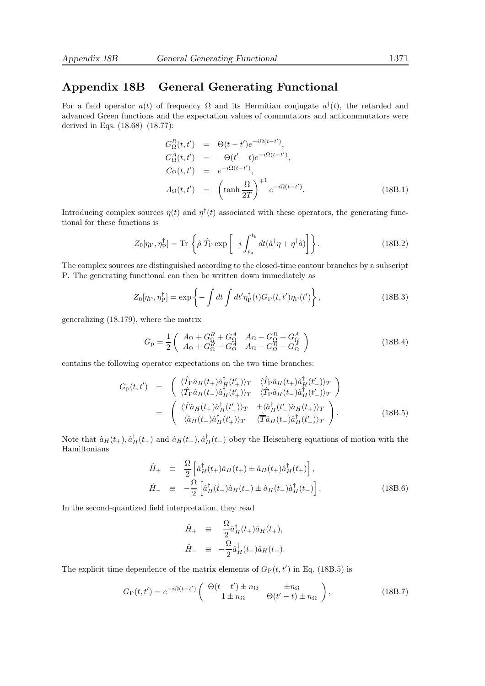# Appendix 18B General Generating Functional

For a field operator  $a(t)$  of frequency  $\Omega$  and its Hermitian conjugate  $a^{\dagger}(t)$ , the retarded and advanced Green functions and the expectation values of commutators and anticommutators were derived in Eqs. (18.68)–(18.77):

$$
G_{\Omega}^{R}(t, t') = \Theta(t - t')e^{-i\Omega(t - t')},
$$
  
\n
$$
G_{\Omega}^{A}(t, t') = -\Theta(t' - t)e^{-i\Omega(t - t')},
$$
  
\n
$$
C_{\Omega}(t, t') = e^{-i\Omega(t - t')},
$$
  
\n
$$
A_{\Omega}(t, t') = \left(\tanh \frac{\Omega}{2T}\right)^{\mp 1} e^{-i\Omega(t - t')}.
$$
\n(18B.1)

Introducing complex sources  $\eta(t)$  and  $\eta^{\dagger}(t)$  associated with these operators, the generating functional for these functions is

$$
Z_0[\eta_P, \eta_P^{\dagger}] = \text{Tr} \left\{ \hat{\rho} \ \hat{T}_P \exp\left[ -i \int_{t_a}^{t_b} dt (\hat{a}^{\dagger} \eta + \eta^{\dagger} \hat{a}) \right] \right\}.
$$
 (18B.2)

The complex sources are distinguished according to the closed-time contour branches by a subscript P. The generating functional can then be written down immediately as

$$
Z_0[\eta_P, \eta_P^{\dagger}] = \exp\left\{-\int dt \int dt' \eta_P^{\dagger}(t) G_P(t, t') \eta_P(t')\right\},\qquad(18B.3)
$$

generalizing (18.179), where the matrix

$$
G_{\rm p} = \frac{1}{2} \begin{pmatrix} A_{\Omega} + G_{\Omega}^{R} + G_{\Omega}^{A} & A_{\Omega} - G_{\Omega}^{R} + G_{\Omega}^{A} \\ A_{\Omega} + G_{\Omega}^{R} - G_{\Omega}^{A} & A_{\Omega} - G_{\Omega}^{R} - G_{\Omega}^{A} \end{pmatrix}
$$
 (18B.4)

contains the following operator expectations on the two time branches:

$$
G_{\rm p}(t,t') = \begin{pmatrix} \langle \hat{T}_{\rm P} \hat{a}_{H}(t_{+}) \hat{a}_{H}^{\dagger}(t_{+}') \rangle_{T} & \langle \hat{T}_{\rm P} \hat{a}_{H}(t_{+}) \hat{a}_{H}^{\dagger}(t_{-}') \rangle_{T} \\ \langle \hat{T}_{\rm P} \hat{a}_{H}(t_{-}) \hat{a}_{H}^{\dagger}(t_{+}') \rangle_{T} & \langle \hat{T}_{\rm P} \hat{a}_{H}(t_{-}) \hat{a}_{H}^{\dagger}(t_{-}') \rangle_{T} \end{pmatrix}
$$
  

$$
= \begin{pmatrix} \langle \hat{T} \hat{a}_{H}(t_{+}) \hat{a}_{H}^{\dagger}(t_{+}') \rangle_{T} & \pm \langle \hat{a}_{H}^{\dagger}(t_{-}) \hat{a}_{H}(t_{+}) \rangle_{T} \\ \langle \hat{a}_{H}(t_{-}) \hat{a}_{H}^{\dagger}(t_{+}') \rangle_{T} & \langle \hat{T} \hat{a}_{H}(t_{-}) \hat{a}_{H}^{\dagger}(t_{-}') \rangle_{T} \end{pmatrix} . \tag{18B.5}
$$

Note that  $\hat{a}_H(t_+), \hat{a}^{\dagger}_H(t_+)$  and  $\hat{a}_H(t_-), \hat{a}^{\dagger}_H(t_-)$  obey the Heisenberg equations of motion with the Hamiltonians

$$
\hat{H}_{+} = \frac{\Omega}{2} \left[ \hat{a}_{H}^{\dagger}(t_{+}) \hat{a}_{H}(t_{+}) \pm \hat{a}_{H}(t_{+}) \hat{a}_{H}^{\dagger}(t_{+}) \right],
$$
\n
$$
\hat{H}_{-} = -\frac{\Omega}{2} \left[ \hat{a}_{H}^{\dagger}(t_{-}) \hat{a}_{H}(t_{-}) \pm \hat{a}_{H}(t_{-}) \hat{a}_{H}^{\dagger}(t_{-}) \right].
$$
\n(18B.6)

In the second-quantized field interpretation, they read

$$
\hat{H}_{+} = \frac{\Omega}{2} \hat{a}_{H}^{\dagger}(t_{+}) \hat{a}_{H}(t_{+}),
$$
\n
$$
\hat{H}_{-} = -\frac{\Omega}{2} \hat{a}_{H}^{\dagger}(t_{-}) \hat{a}_{H}(t_{-}).
$$

The explicit time dependence of the matrix elements of  $G_P(t, t')$  in Eq. (18B.5) is

$$
G_{\mathcal{P}}(t, t') = e^{-i\Omega(t - t')} \begin{pmatrix} \Theta(t - t') \pm n_{\Omega} & \pm n_{\Omega} \\ 1 \pm n_{\Omega} & \Theta(t' - t) \pm n_{\Omega} \end{pmatrix},
$$
(18B.7)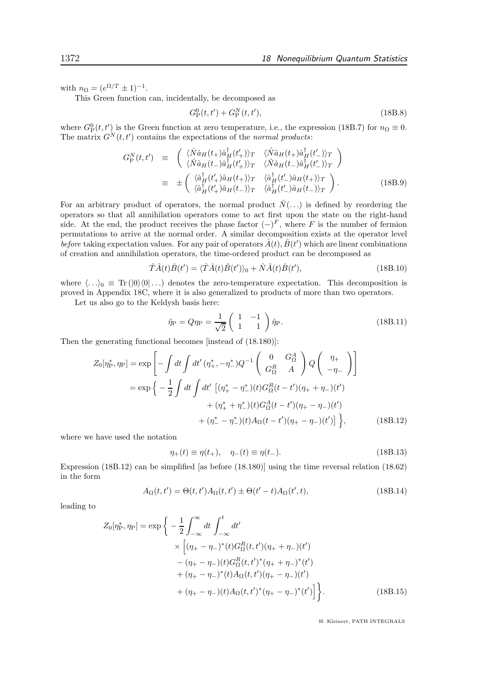with  $n_{\Omega} = (e^{\Omega/T} \pm 1)^{-1}$ .

This Green function can, incidentally, be decomposed as

$$
G_{\rm P}^{0}(t, t') + G_{\rm P}^{N}(t, t'), \qquad (18B.8)
$$

where  $G_{\rm P}^0(t, t')$  is the Green function at zero temperature, i.e., the expression (18B.7) for  $n_{\Omega} \equiv 0$ . The matrix  $G^N(t,t')$  contains the expectations of the normal products:

$$
G_{\rm P}^{N}(t,t') \equiv \begin{pmatrix} \langle \hat{N}\hat{a}_{H}(t_{+})\hat{a}_{H}^{\dagger}(t'_{+})\rangle_{T} & \langle \hat{N}\hat{a}_{H}(t_{+})\hat{a}_{H}^{\dagger}(t'_{-})\rangle_{T} \\ \langle \hat{N}\hat{a}_{H}(t_{-})\hat{a}_{H}^{\dagger}(t'_{+})\rangle_{T} & \langle \hat{N}\hat{a}_{H}(t_{-})\hat{a}_{H}^{\dagger}(t'_{-})\rangle_{T} \end{pmatrix}
$$
  
\n
$$
\equiv \pm \begin{pmatrix} \langle \hat{a}_{H}^{\dagger}(t'_{+})\hat{a}_{H}(t_{+})\rangle_{T} & \langle \hat{a}_{H}^{\dagger}(t'_{-})\hat{a}_{H}(t_{+})\rangle_{T} \\ \langle \hat{a}_{H}^{\dagger}(t'_{+})\hat{a}_{H}(t_{-})\rangle_{T} & \langle \hat{a}_{H}^{\dagger}(t'_{-})\hat{a}_{H}(t_{-})\rangle_{T} \end{pmatrix} . \tag{18B.9}
$$

For an arbitrary product of operators, the normal product  $\hat{N}(\ldots)$  is defined by reordering the operators so that all annihilation operators come to act first upon the state on the right-hand side. At the end, the product receives the phase factor  $(-)^F$ , where F is the number of fermion permutations to arrive at the normal order. A similar decomposition exists at the operator level before taking expectation values. For any pair of operators  $\hat{A}(t)$ ,  $\hat{B}(t')$  which are linear combinations of creation and annihilation operators, the time-ordered product can be decomposed as

$$
\hat{T}\hat{A}(t)\hat{B}(t') = \langle \hat{T}\hat{A}(t)\hat{B}(t')\rangle_0 + \hat{N}\hat{A}(t)\hat{B}(t'),\tag{18B.10}
$$

where  $\langle \ldots \rangle_0 \equiv \text{Tr} (|0\rangle\langle 0| \ldots)$  denotes the zero-temperature expectation. This decomposition is proved in Appendix 18C, where it is also generalized to products of more than two operators.

Let us also go to the Keldysh basis here:

$$
\tilde{\eta}_{\mathcal{P}} = Q \eta_{\mathcal{P}} = \frac{1}{\sqrt{2}} \begin{pmatrix} 1 & -1 \\ 1 & 1 \end{pmatrix} \hat{\eta}_{\mathcal{P}}.
$$
\n(18B.11)

Then the generating functional becomes [instead of (18.180)]:

$$
Z_0[\eta_P^*, \eta_P] = \exp\left[-\int dt \int dt' (\eta_+^*, -\eta_-^*) Q^{-1} \begin{pmatrix} 0 & G_{\Omega}^A \\ G_{\Omega}^R & A \end{pmatrix} Q \begin{pmatrix} \eta_+ \\ -\eta_- \end{pmatrix}\right]
$$
  

$$
= \exp\left\{-\frac{1}{2} \int dt \int dt' \left[ (\eta_+^* - \eta_-^*)(t) G_{\Omega}^R(t - t') (\eta_+ + \eta_-)(t') + (\eta_+^* + \eta_-^*)(t) G_{\Omega}^A(t - t') (\eta_+ - \eta_-)(t') + (\eta_-^* - \eta_-^*)(t) A_{\Omega}(t - t') (\eta_+ - \eta_-)(t')\right] \right\},
$$
(18B.12)

where we have used the notation

$$
\eta_{+}(t) \equiv \eta(t_{+}), \quad \eta_{-}(t) \equiv \eta(t_{-}). \tag{18B.13}
$$

Expression (18B.12) can be simplified [as before (18.180)] using the time reversal relation (18.62) in the form

$$
A_{\Omega}(t, t') = \Theta(t, t')A_{\Omega}(t, t') \pm \Theta(t' - t)A_{\Omega}(t', t),
$$
\n(18B.14)

leading to

$$
Z_0[\eta_P^*, \eta_P] = \exp\bigg\{-\frac{1}{2} \int_{-\infty}^{\infty} dt \int_{-\infty}^t dt' \times \bigg[(\eta_+ - \eta_-)^*(t)G_{\Omega}^R(t, t')(\eta_+ + \eta_-)(t') -(\eta_+ - \eta_-)(t)G_{\Omega}^R(t, t')^*(\eta_+ + \eta_-)^*(t') +(\eta_+ - \eta_-)^*(t)A_{\Omega}(t, t')(\eta_+ - \eta_-)(t') +(\eta_+ - \eta_-)(t)A_{\Omega}(t, t')^*(\eta_+ - \eta_-)^*(t')\bigg]\bigg\}.
$$
 (18B.15)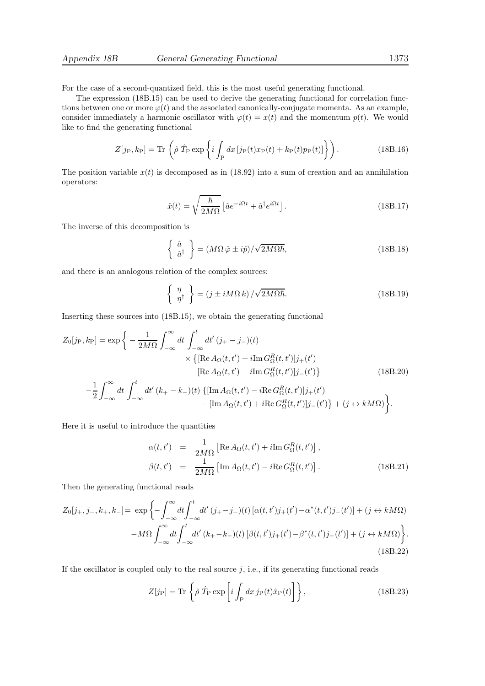For the case of a second-quantized field, this is the most useful generating functional.

The expression (18B.15) can be used to derive the generating functional for correlation functions between one or more  $\varphi(t)$  and the associated canonically-conjugate momenta. As an example, consider immediately a harmonic oscillator with  $\varphi(t) = x(t)$  and the momentum  $p(t)$ . We would like to find the generating functional

$$
Z[j_{\rm P},k_{\rm P}] = \text{Tr}\left(\hat{\rho}\,\hat{T}_{\rm P}\exp\left\{i\int_{\rm P}dx\,[j_{\rm P}(t)x_{\rm P}(t) + k_{\rm P}(t)p_{\rm P}(t)]\right\}\right). \tag{18B.16}
$$

The position variable  $x(t)$  is decomposed as in (18.92) into a sum of creation and an annihilation operators:

$$
\hat{x}(t) = \sqrt{\frac{\hbar}{2M\Omega}} \left[ \hat{a}e^{-i\Omega t} + \hat{a}^{\dagger}e^{i\Omega t} \right].
$$
\n(18B.17)

The inverse of this decomposition is

$$
\begin{Bmatrix}\n\hat{a} \\
\hat{a}^{\dagger}\n\end{Bmatrix} = (M\Omega\,\hat{\varphi} \pm i\hat{p})/\sqrt{2M\Omega\hbar},
$$
\n(18B.18)

and there is an analogous relation of the complex sources:

$$
\begin{Bmatrix} \eta \\ \eta^{\dagger} \end{Bmatrix} = (j \pm iM\Omega k) / \sqrt{2M\Omega\hbar}.
$$
 (18B.19)

Inserting these sources into (18B.15), we obtain the generating functional

$$
Z_0[j_P, k_P] = \exp\bigg\{-\frac{1}{2M\Omega} \int_{-\infty}^{\infty} dt \int_{-\infty}^t dt' (j_+ - j_-)(t) \times \{[\text{Re }A_{\Omega}(t, t') + i \text{Im }G_{\Omega}^R(t, t')]j_+(t') - [\text{Re }A_{\Omega}(t, t') - i \text{Im }G_{\Omega}^R(t, t')]j_-(t')\} - [\text{Re }A_{\Omega}(t, t') - i \text{Re }G_{\Omega}^R(t, t')]j_+(t') - [\text{Im }A_{\Omega}(t, t') + i \text{Re }G_{\Omega}^R(t, t')]j_+(t') - [\text{Im }A_{\Omega}(t, t') + i \text{Re }G_{\Omega}^R(t, t')]j_-(t')\} + (j \leftrightarrow k M\Omega)\bigg\}.
$$

Here it is useful to introduce the quantities

$$
\alpha(t, t') = \frac{1}{2M\Omega} \left[ \text{Re} \, A_{\Omega}(t, t') + i \text{Im} \, G_{\Omega}^{R}(t, t') \right],
$$
  

$$
\beta(t, t') = \frac{1}{2M\Omega} \left[ \text{Im} \, A_{\Omega}(t, t') - i \text{Re} \, G_{\Omega}^{R}(t, t') \right].
$$
 (18B.21)

Then the generating functional reads

$$
Z_0[j_+,j_-,k_+,k_-] = \exp\left\{-\int_{-\infty}^{\infty} dt \int_{-\infty}^t dt' (j_+-j_-)(t) \left[\alpha(t,t')j_+(t') - \alpha^*(t,t')j_-(t')\right] + (j \leftrightarrow kM\Omega) -M\Omega \int_{-\infty}^{\infty} dt \int_{-\infty}^t dt' (k_+-k_-)(t) \left[\beta(t,t')j_+(t') - \beta^*(t,t')j_-(t')\right] + (j \leftrightarrow kM\Omega) \right\}.
$$
\n(18B.22)

If the oscillator is coupled only to the real source  $j$ , i.e., if its generating functional reads

$$
Z[j_{\rm P}] = \text{Tr}\left\{\hat{\rho}\,\hat{T}_{\rm P}\exp\left[i\int_{\rm P}dx\,j_{\rm P}(t)\hat{x}_{\rm P}(t)\right]\right\},\tag{18B.23}
$$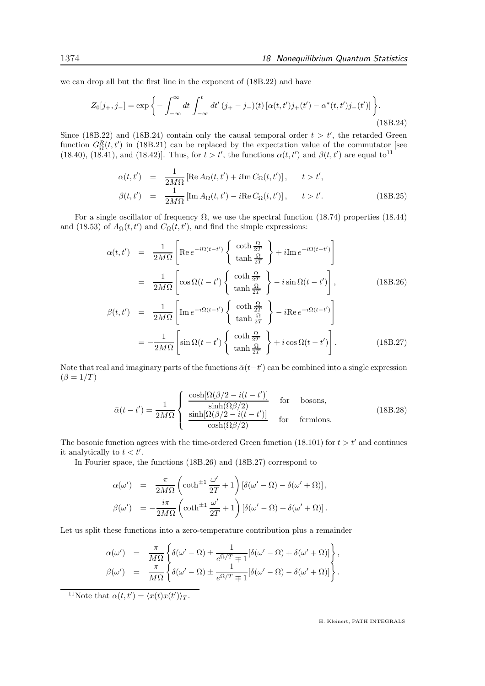we can drop all but the first line in the exponent of (18B.22) and have

$$
Z_0[j_+,j_-] = \exp\bigg\{-\int_{-\infty}^{\infty} dt \int_{-\infty}^t dt' (j_+ - j_-)(t) \left[\alpha(t,t')j_+(t') - \alpha^*(t,t')j_-(t')\right] \bigg\}.
$$
\n(18B.24)

Since (18B.22) and (18B.24) contain only the causal temporal order  $t > t'$ , the retarded Green function  $G_{\Omega}^{R}(t,t')$  in (18B.21) can be replaced by the expectation value of the commutator [see (18.40), (18.41), and (18.42)]. Thus, for  $t > t'$ , the functions  $\alpha(t, t')$  and  $\beta(t, t')$  are equal to<sup>11</sup>

$$
\alpha(t, t') = \frac{1}{2M\Omega} \left[ \text{Re} \, A_{\Omega}(t, t') + i \text{Im} \, C_{\Omega}(t, t') \right], \quad t > t',
$$
  

$$
\beta(t, t') = \frac{1}{2M\Omega} \left[ \text{Im} \, A_{\Omega}(t, t') - i \text{Re} \, C_{\Omega}(t, t') \right], \quad t > t'. \tag{18B.25}
$$

For a single oscillator of frequency  $\Omega$ , we use the spectral function (18.74) properties (18.44) and (18.53) of  $A_{\Omega}(t, t')$  and  $C_{\Omega}(t, t')$ , and find the simple expressions:

$$
\alpha(t, t') = \frac{1}{2M\Omega} \left[ \text{Re } e^{-i\Omega(t-t')} \begin{Bmatrix} \coth \frac{\Omega}{2T} \\ \tanh \frac{\Omega}{2T} \end{Bmatrix} + i \text{Im } e^{-i\Omega(t-t')} \right]
$$
  
\n
$$
= \frac{1}{2M\Omega} \left[ \cos \Omega(t-t') \begin{Bmatrix} \coth \frac{\Omega}{2T} \\ \tanh \frac{\Omega}{2T} \end{Bmatrix} - i \sin \Omega(t-t') \right], \qquad (18B.26)
$$
  
\n
$$
\beta(t, t') = \frac{1}{2M\Omega} \left[ \text{Im } e^{-i\Omega(t-t')} \begin{Bmatrix} \coth \frac{\Omega}{2T} \\ \tanh \frac{\Omega}{2T} \end{Bmatrix} - i \text{Re } e^{-i\Omega(t-t')} \right]
$$
  
\n
$$
= -\frac{1}{2M\Omega} \left[ \sin \Omega(t-t') \begin{Bmatrix} \coth \frac{\Omega}{2T} \\ \tanh \frac{\Omega}{2T} \end{Bmatrix} + i \cos \Omega(t-t') \right]. \qquad (18B.27)
$$

Note that real and imaginary parts of the functions  $\bar{\alpha}(t-t')$  can be combined into a single expression  $(\beta = 1/T)$ 

$$
\bar{\alpha}(t - t') = \frac{1}{2M\Omega} \begin{cases} \frac{\cosh[\Omega(\beta/2 - i(t - t')]}{\sinh(\Omega\beta/2)} & \text{for} \quad \text{bosons,} \\ \frac{\sinh[\Omega(\beta/2 - i(t - t')]}{\cosh(\Omega\beta/2)} & \text{for} \quad \text{fermions.} \end{cases}
$$
(18B.28)

The bosonic function agrees with the time-ordered Green function (18.101) for  $t > t'$  and continues it analytically to  $t < t'$ .

In Fourier space, the functions (18B.26) and (18B.27) correspond to

$$
\alpha(\omega') = \frac{\pi}{2M\Omega} \left( \coth^{\pm 1} \frac{\omega'}{2T} + 1 \right) \left[ \delta(\omega' - \Omega) - \delta(\omega' + \Omega) \right],
$$
  

$$
\beta(\omega') = -\frac{i\pi}{2M\Omega} \left( \coth^{\pm 1} \frac{\omega'}{2T} + 1 \right) \left[ \delta(\omega' - \Omega) + \delta(\omega' + \Omega) \right].
$$

Let us split these functions into a zero-temperature contribution plus a remainder

$$
\alpha(\omega') = \frac{\pi}{M\Omega} \left\{ \delta(\omega' - \Omega) \pm \frac{1}{e^{\Omega/T} + 1} [\delta(\omega' - \Omega) + \delta(\omega' + \Omega)] \right\},
$$
  

$$
\beta(\omega') = \frac{\pi}{M\Omega} \left\{ \delta(\omega' - \Omega) \pm \frac{1}{e^{\Omega/T} + 1} [\delta(\omega' - \Omega) - \delta(\omega' + \Omega)] \right\}.
$$

<sup>11</sup>Note that  $\alpha(t, t') = \langle x(t)x(t') \rangle_T$ .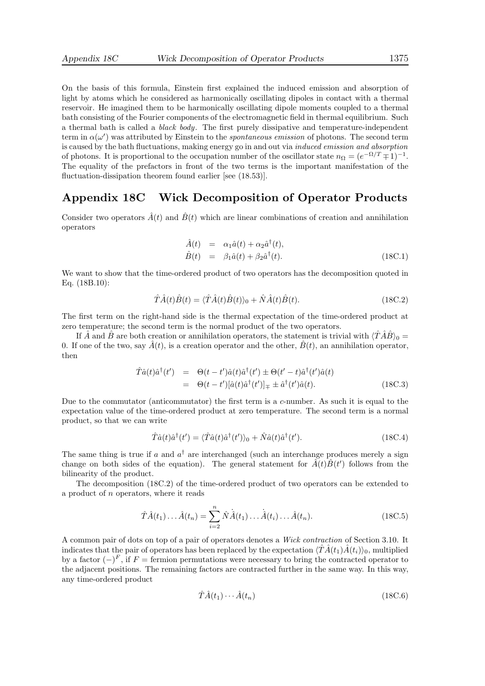On the basis of this formula, Einstein first explained the induced emission and absorption of light by atoms which he considered as harmonically oscillating dipoles in contact with a thermal reservoir. He imagined them to be harmonically oscillating dipole moments coupled to a thermal bath consisting of the Fourier components of the electromagnetic field in thermal equilibrium. Such a thermal bath is called a black body. The first purely dissipative and temperature-independent term in  $\alpha(\omega')$  was attributed by Einstein to the *spontaneous emission* of photons. The second term is caused by the bath fluctuations, making energy go in and out via induced emission and absorption of photons. It is proportional to the occupation number of the oscillator state  $n_{\Omega} = (e^{-\Omega/T} \mp 1)^{-1}$ . The equality of the prefactors in front of the two terms is the important manifestation of the fluctuation-dissipation theorem found earlier [see  $(18.53)$ ].

## Appendix 18C Wick Decomposition of Operator Products

Consider two operators  $\hat{A}(t)$  and  $\hat{B}(t)$  which are linear combinations of creation and annihilation operators

$$
\begin{array}{rcl}\n\hat{A}(t) & = & \alpha_1 \hat{a}(t) + \alpha_2 \hat{a}^\dagger(t), \\
\hat{B}(t) & = & \beta_1 \hat{a}(t) + \beta_2 \hat{a}^\dagger(t).\n\end{array} \tag{18C.1}
$$

We want to show that the time-ordered product of two operators has the decomposition quoted in Eq. (18B.10):

$$
\hat{T}\hat{A}(t)\hat{B}(t) = \langle \hat{T}\hat{A}(t)\hat{B}(t)\rangle_0 + \hat{N}\hat{A}(t)\hat{B}(t). \tag{18C.2}
$$

The first term on the right-hand side is the thermal expectation of the time-ordered product at zero temperature; the second term is the normal product of the two operators.

If A and B are both creation or annihilation operators, the statement is trivial with  $\langle T\hat{A}\hat{B}\rangle_0 =$ 0. If one of the two, say  $\hat{A}(t)$ , is a creation operator and the other,  $\hat{B}(t)$ , an annihilation operator, then

$$
\hat{T}\hat{a}(t)\hat{a}^{\dagger}(t') = \Theta(t-t')\hat{a}(t)\hat{a}^{\dagger}(t') \pm \Theta(t'-t)\hat{a}^{\dagger}(t')\hat{a}(t) \n= \Theta(t-t')[\hat{a}(t)\hat{a}^{\dagger}(t')]_{\mp} \pm \hat{a}^{\dagger}(t')\hat{a}(t).
$$
\n(18C.3)

Due to the commutator (anticommutator) the first term is a  $c$ -number. As such it is equal to the expectation value of the time-ordered product at zero temperature. The second term is a normal product, so that we can write

$$
\hat{T}\hat{a}(t)\hat{a}^{\dagger}(t') = \langle \hat{T}\hat{a}(t)\hat{a}^{\dagger}(t')\rangle_0 + \hat{N}\hat{a}(t)\hat{a}^{\dagger}(t'). \tag{18C.4}
$$

The same thing is true if a and  $a^{\dagger}$  are interchanged (such an interchange produces merely a sign change on both sides of the equation). The general statement for  $\hat{A}(t)\hat{B}(t')$  follows from the bilinearity of the product.

The decomposition (18C.2) of the time-ordered product of two operators can be extended to a product of n operators, where it reads

$$
\hat{T}\hat{A}(t_1)\dots\hat{A}(t_n) = \sum_{i=2}^n \hat{N}\hat{A}(t_1)\dots\hat{A}(t_i)\dots\hat{A}(t_n).
$$
\n(18C.5)

A common pair of dots on top of a pair of operators denotes a Wick contraction of Section 3.10. It indicates that the pair of operators has been replaced by the expectation  $\langle T\hat{A}(t_1)\hat{A}(t_i)\rangle_0$ , multiplied by a factor  $(-)^F$ , if  $F =$  fermion permutations were necessary to bring the contracted operator to the adjacent positions. The remaining factors are contracted further in the same way. In this way, any time-ordered product

$$
\hat{T}\hat{A}(t_1)\cdots\hat{A}(t_n) \tag{18C.6}
$$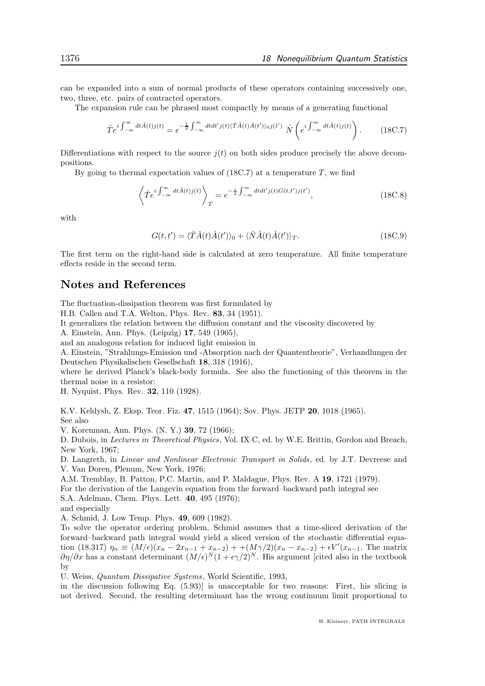can be expanded into a sum of normal products of these operators containing successively one, two, three, etc. pairs of contracted operators.

The expansion rule can be phrased most compactly by means of a generating functional

$$
\hat{T}e^{i\int_{-\infty}^{\infty}dt\hat{A}(t)j(t)} = e^{-\frac{1}{2}\int_{-\infty}^{\infty}dtdt'j(t)\langle \hat{T}\hat{A}(t)\hat{A}(t')\rangle_{0}j(t')} \hat{N}\left(e^{i\int_{-\infty}^{\infty}dt\hat{A}(t)j(t)}\right). \tag{18C.7}
$$

Differentiations with respect to the source  $i(t)$  on both sides produce precisely the above decompositions.

By going to thermal expectation values of  $(18C.7)$  at a temperature T, we find

$$
\left\langle \hat{T}e^{i\int_{-\infty}^{\infty}dt\hat{A}(t)j(t)}\right\rangle_{T}=e^{-\frac{i}{2}\int_{-\infty}^{\infty}dtdt'j(t)G(t,t')j(t')},\tag{18C.8}
$$

with

$$
G(t, t') = \langle \hat{T}\hat{A}(t)\hat{A}(t')\rangle_0 + \langle \hat{N}\hat{A}(t)\hat{A}(t')\rangle_T.
$$
 (18C.9)

The first term on the right-hand side is calculated at zero temperature. All finite temperature effects reside in the second term.

# Notes and References

The fluctuation-dissipation theorem was first formulated by

H.B. Callen and T.A. Welton, Phys. Rev. 83, 34 (1951).

It generalizes the relation between the diffusion constant and the viscosity discovered by

A. Einstein, Ann. Phys. (Leipzig) 17, 549 (1905),

and an analogous relation for induced light emission in

A. Einstein, "Strahlungs-Emission und -Absorption nach der Quantentheorie", Verhandlungen der Deutschen Physikalischen Gesellschaft 18, 318 (1916),

where he derived Planck's black-body formula. See also the functioning of this theorem in the thermal noise in a resistor:

H. Nyquist, Phys. Rev. 32, 110 (1928).

K.V. Keldysh, Z. Eksp. Teor. Fiz. 47, 1515 (1964); Sov. Phys. JETP 20, 1018 (1965). See also

V. Korenman, Ann. Phys. (N. Y.) 39, 72 (1966);

D. Dubois, in Lectures in Theoretical Physics, Vol. IX C, ed. by W.E. Brittin, Gordon and Breach, New York, 1967;

D. Langreth, in *Linear and Nonlinear Electronic Transport in Solids*, ed. by J.T. Devreese and V. Van Doren, Plenum, New York, 1976;

A.M. Tremblay, B. Patton, P.C. Martin, and P. Maldague, Phys. Rev. A 19, 1721 (1979). For the derivation of the Langevin equation from the forward–backward path integral see S.A. Adelman, Chem. Phys. Lett. 40, 495 (1976); and especially

A. Schmid, J. Low Temp. Phys. 49, 609 (1982).

To solve the operator ordering problem, Schmid assumes that a time-sliced derivation of the forward–backward path integral would yield a sliced version of the stochastic differential equation (18.317)  $\eta_n \equiv (M/\epsilon)(x_n - 2x_{n-1} + x_{n-2}) + (M\gamma/2)(x_n - x_{n-2}) + \epsilon V'(x_{n-1})$ . The matrix  $\partial \eta/\partial x$  has a constant determinant  $(M/\epsilon)^N(1+\epsilon\gamma/2)^N$ . His argument [cited also in the textbook by

U. Weiss, Quantum Dissipative Systems, World Scientific, 1993,

in the discussion following Eq. (5.93)] is unacceptable for two reasons: First, his slicing is not derived. Second, the resulting determinant has the wrong continuum limit proportional to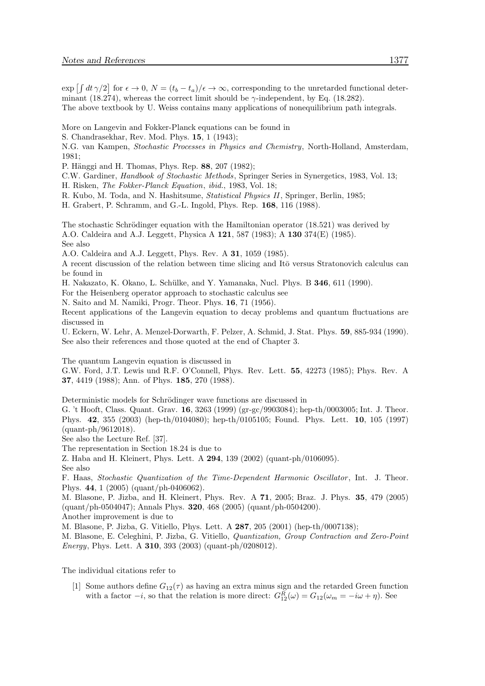$\exp\left[\int dt \,\gamma/2\right]$  for  $\epsilon \to 0$ ,  $N = (t_b - t_a)/\epsilon \to \infty$ , corresponding to the unretarded functional determinant (18.274), whereas the correct limit should be  $\gamma$ -independent, by Eq. (18.282). The above textbook by U. Weiss contains many applications of nonequilibrium path integrals.

More on Langevin and Fokker-Planck equations can be found in

S. Chandrasekhar, Rev. Mod. Phys. 15, 1 (1943);

- N.G. van Kampen, Stochastic Processes in Physics and Chemistry, North-Holland, Amsterdam, 1981;
- P. Hänggi and H. Thomas, Phys. Rep. 88, 207 (1982);
- C.W. Gardiner, Handbook of Stochastic Methods, Springer Series in Synergetics, 1983, Vol. 13;
- H. Risken, The Fokker-Planck Equation, ibid., 1983, Vol. 18;
- R. Kubo, M. Toda, and N. Hashitsume, Statistical Physics II, Springer, Berlin, 1985;
- H. Grabert, P. Schramm, and G.-L. Ingold, Phys. Rep. 168, 116 (1988).

The stochastic Schrödinger equation with the Hamiltonian operator  $(18.521)$  was derived by A.O. Caldeira and A.J. Leggett, Physica A 121, 587 (1983); A 130 374(E) (1985). See also

A.O. Caldeira and A.J. Leggett, Phys. Rev. A 31, 1059 (1985).

A recent discussion of the relation between time slicing and Itō versus Stratonovich calculus can be found in

H. Nakazato, K. Okano, L. Schülke, and Y. Yamanaka, Nucl. Phys. B 346, 611 (1990).

For the Heisenberg operator approach to stochastic calculus see

N. Saito and M. Namiki, Progr. Theor. Phys. 16, 71 (1956).

Recent applications of the Langevin equation to decay problems and quantum fluctuations are discussed in

U. Eckern, W. Lehr, A. Menzel-Dorwarth, F. Pelzer, A. Schmid, J. Stat. Phys. 59, 885-934 (1990). See also their references and those quoted at the end of Chapter 3.

The quantum Langevin equation is discussed in

G.W. Ford, J.T. Lewis und R.F. O'Connell, Phys. Rev. Lett. 55, 42273 (1985); Phys. Rev. A 37, 4419 (1988); Ann. of Phys. 185, 270 (1988).

Deterministic models for Schrödinger wave functions are discussed in

G. 't Hooft, Class. Quant. Grav. 16, 3263 (1999) (gr-gc/9903084); hep-th/0003005; Int. J. Theor. Phys. 42, 355 (2003) (hep-th/0104080); hep-th/0105105; Found. Phys. Lett. 10, 105 (1997) (quant-ph/9612018).

See also the Lecture Ref. [37].

The representation in Section 18.24 is due to

Z. Haba and H. Kleinert, Phys. Lett. A 294, 139 (2002) (quant-ph/0106095).

See also

F. Haas, Stochastic Quantization of the Time-Dependent Harmonic Oscillator , Int. J. Theor. Phys. 44, 1 (2005) (quant/ph-0406062).

M. Blasone, P. Jizba, and H. Kleinert, Phys. Rev. A 71, 2005; Braz. J. Phys. 35, 479 (2005) (quant/ph-0504047); Annals Phys. 320, 468 (2005) (quant/ph-0504200).

Another improvement is due to

M. Blasone, P. Jizba, G. Vitiello, Phys. Lett. A 287, 205 (2001) (hep-th/0007138);

M. Blasone, E. Celeghini, P. Jizba, G. Vitiello, Quantization, Group Contraction and Zero-Point Energy, Phys. Lett. A 310, 393 (2003) (quant-ph/0208012).

The individual citations refer to

[1] Some authors define  $G_{12}(\tau)$  as having an extra minus sign and the retarded Green function with a factor  $-i$ , so that the relation is more direct:  $G_{12}^R(\omega) = G_{12}(\omega_m = -i\omega + \eta)$ . See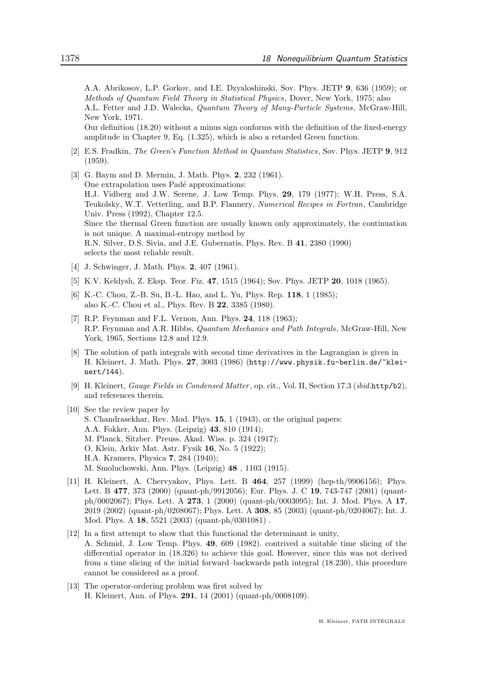A.A. Abrikosov, L.P. Gorkov, and I.E. Dzyaloshinski, Sov. Phys. JETP 9, 636 (1959); or Methods of Quantum Field Theory in Statistical Physics, Dover, New York, 1975; also

A.L. Fetter and J.D. Walecka, Quantum Theory of Many-Particle Systems, McGraw-Hill, New York, 1971.

Our definition (18.20) without a minus sign conforms with the definition of the fixed-energy amplitude in Chapter 9, Eq. (1.325), which is also a retarded Green function.

- [2] E.S. Fradkin, The Green's Function Method in Quantum Statistics, Sov. Phys. JETP 9, 912 (1959).
- [3] G. Baym and D. Mermin, J. Math. Phys. 2, 232 (1961). One extrapolation uses Padé approximations: H.J. Vidberg and J.W. Serene, J. Low Temp. Phys. 29, 179 (1977); W.H. Press, S.A. Teukolsky, W.T. Vetterling, and B.P. Flannery, Numerical Recipes in Fortran, Cambridge Univ. Press (1992), Chapter 12.5. Since the thermal Green function are usually known only approximately, the continuation is not unique. A maximal-entropy method by R.N. Silver, D.S. Sivia, and J.E. Gubernatis, Phys. Rev. B 41, 2380 (1990) selects the most reliable result.
- [4] J. Schwinger, J. Math. Phys. **2**, 407 (1961).
- [5] K.V. Keldysh, Z. Eksp. Teor. Fiz. 47, 1515 (1964); Sov. Phys. JETP 20, 1018 (1965).
- [6] K.-C. Chou, Z.-B. Su, B.-L. Hao, and L. Yu, Phys. Rep. 118, 1 (1985); also K.-C. Chou et al., Phys. Rev. B 22, 3385 (1980).
- [7] R.P. Feynman and F.L. Vernon, Ann. Phys. 24, 118 (1963); R.P. Feynman and A.R. Hibbs, Quantum Mechanics and Path Integrals, McGraw-Hill, New York, 1965, Sections 12.8 and 12.9.
- [8] The solution of path integrals with second time derivatives in the Lagrangian is given in H. Kleinert, J. Math. Phys. 27, 3003 (1986) (http://www.physik.fu-berlin.de/~kleinert/144).
- [9] H. Kleinert, Gauge Fields in Condensed Matter , op. cit., Vol. II, Section 17.3 (ibid.http/b2), and references therein.
- [10] See the review paper by S. Chandrasekhar, Rev. Mod. Phys. 15, 1 (1943), or the original papers: A.A. Fokker, Ann. Phys. (Leipzig) 43, 810 (1914); M. Planck, Sitzber. Preuss. Akad. Wiss. p. 324 (1917); O. Klein, Arkiv Mat. Astr. Fysik 16, No. 5 (1922); H.A. Kramers, Physica 7, 284 (1940); M. Smoluchowski, Ann. Phys. (Leipzig) 48 , 1103 (1915).
- [11] H. Kleinert, A. Chervyakov, Phys. Lett. B 464, 257 (1999) (hep-th/9906156); Phys. Lett. B 477, 373 (2000) (quant-ph/9912056); Eur. Phys. J. C 19, 743-747 (2001) (quantph/0002067); Phys. Lett. A 273, 1 (2000) (quant-ph/0003095); Int. J. Mod. Phys. A 17, 2019 (2002) (quant-ph/0208067); Phys. Lett. A 308, 85 (2003) (quant-ph/0204067); Int. J. Mod. Phys. A 18, 5521 (2003) (quant-ph/0301081) .
- [12] In a first attempt to show that this functional the determinant is unity, A. Schmid, J. Low Temp. Phys. 49, 609 (1982). contrived a suitable time slicing of the differential operator in (18.326) to achieve this goal. However, since this was not derived from a time slicing of the initial forward–backwards path integral (18.230), this procedure cannot be considered as a proof.
- [13] The operator-ordering problem was first solved by H. Kleinert, Ann. of Phys. 291, 14 (2001) (quant-ph/0008109).